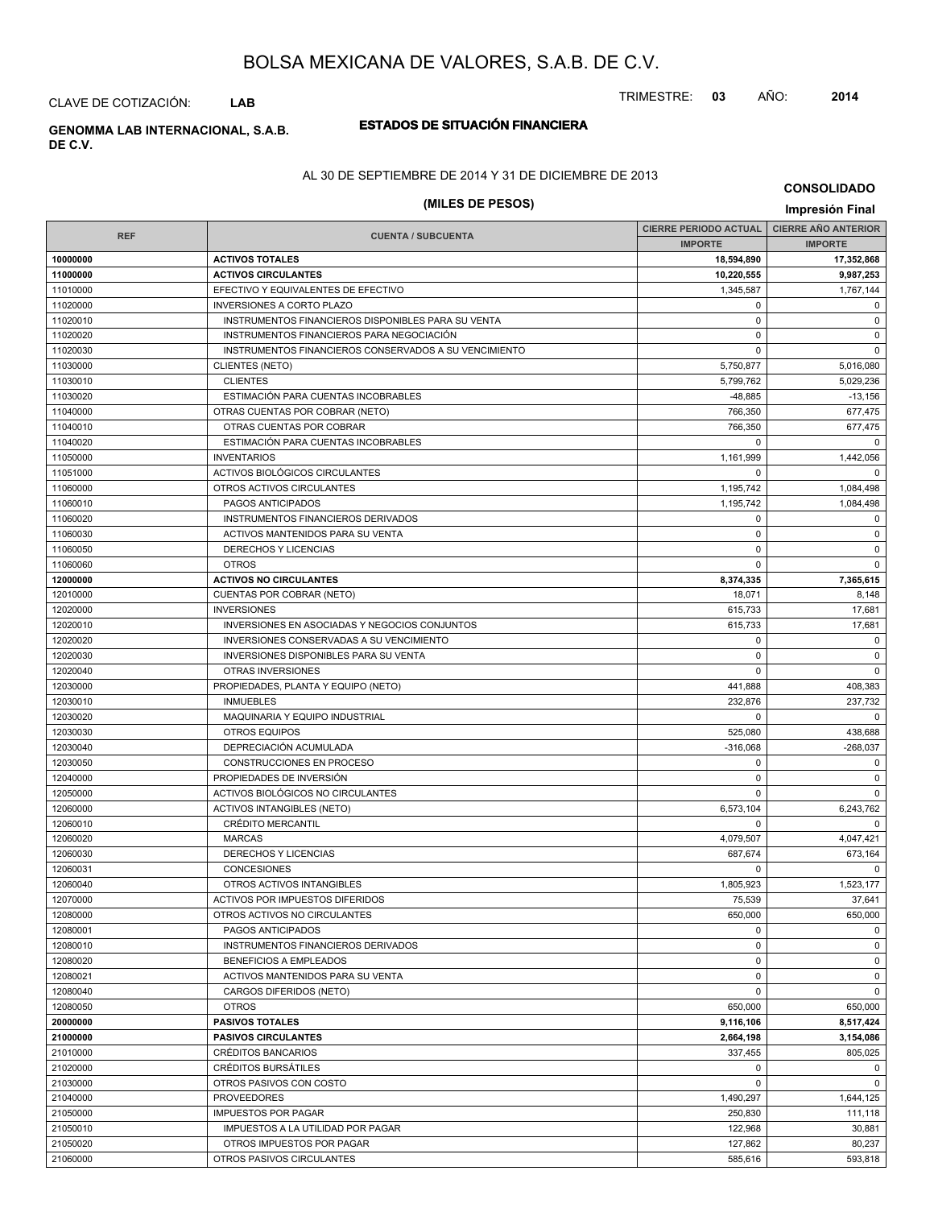CLAVE DE COTIZACIÓN: **LAB**

**DE C.V.**

### **ESTADOS DE SITUACIÓN FINANCIERA GENOMMA LAB INTERNACIONAL, S.A.B.**

AL 30 DE SEPTIEMBRE DE 2014 Y 31 DE DICIEMBRE DE 2013

### **(MILES DE PESOS) Impresión Final**

**CONSOLIDADO**

TRIMESTRE: **03** AÑO: **2014**

|            |                                                       | <b>CIERRE PERIODO ACTUAL</b> | <b>CIERRE ANO ANTERIOR</b> |
|------------|-------------------------------------------------------|------------------------------|----------------------------|
| <b>REF</b> | <b>CUENTA / SUBCUENTA</b>                             | <b>IMPORTE</b>               | <b>IMPORTE</b>             |
| 10000000   | <b>ACTIVOS TOTALES</b>                                | 18,594,890                   | 17,352,868                 |
| 11000000   | <b>ACTIVOS CIRCULANTES</b>                            | 10,220,555                   | 9,987,253                  |
| 11010000   | EFECTIVO Y EQUIVALENTES DE EFECTIVO                   | 1,345,587                    | 1,767,144                  |
| 11020000   | <b>INVERSIONES A CORTO PLAZO</b>                      | 0                            | $\mathbf 0$                |
| 11020010   | INSTRUMENTOS FINANCIEROS DISPONIBLES PARA SU VENTA    | $\mathbf 0$                  | $\mathsf 0$                |
| 11020020   | INSTRUMENTOS FINANCIEROS PARA NEGOCIACIÓN             | $\mathbf 0$                  | $\mathbf 0$                |
| 11020030   | INSTRUMENTOS FINANCIEROS CONSERVADOS A SU VENCIMIENTO | $\mathbf 0$                  | $\mathbf 0$                |
| 11030000   | <b>CLIENTES (NETO)</b>                                | 5,750,877                    | 5,016,080                  |
| 11030010   | <b>CLIENTES</b>                                       | 5,799,762                    | 5,029,236                  |
| 11030020   | ESTIMACIÓN PARA CUENTAS INCOBRABLES                   | $-48,885$                    | $-13,156$                  |
| 11040000   | OTRAS CUENTAS POR COBRAR (NETO)                       | 766,350                      | 677,475                    |
| 11040010   | OTRAS CUENTAS POR COBRAR                              | 766,350                      | 677,475                    |
| 11040020   | ESTIMACIÓN PARA CUENTAS INCOBRABLES                   | $\mathbf 0$                  | $\Omega$                   |
| 11050000   | <b>INVENTARIOS</b>                                    | 1,161,999                    | 1,442,056                  |
| 11051000   | ACTIVOS BIOLÓGICOS CIRCULANTES                        | $\mathbf 0$                  | 0                          |
| 11060000   | OTROS ACTIVOS CIRCULANTES                             | 1,195,742                    | 1,084,498                  |
| 11060010   | PAGOS ANTICIPADOS                                     | 1,195,742                    | 1,084,498                  |
| 11060020   | INSTRUMENTOS FINANCIEROS DERIVADOS                    | 0                            | 0                          |
| 11060030   | <b>ACTIVOS MANTENIDOS PARA SU VENTA</b>               | $\mathbf 0$                  | $\mathbf 0$                |
| 11060050   | DERECHOS Y LICENCIAS                                  | $\mathbf 0$                  | $\mathsf 0$                |
| 11060060   | <b>OTROS</b>                                          | $\mathbf 0$                  | $\mathbf 0$                |
| 12000000   | <b>ACTIVOS NO CIRCULANTES</b>                         | 8,374,335                    | 7,365,615                  |
| 12010000   | <b>CUENTAS POR COBRAR (NETO)</b>                      | 18,071                       | 8,148                      |
| 12020000   | <b>INVERSIONES</b>                                    | 615,733                      | 17,681                     |
| 12020010   | INVERSIONES EN ASOCIADAS Y NEGOCIOS CONJUNTOS         | 615,733                      | 17,681                     |
| 12020020   | INVERSIONES CONSERVADAS A SU VENCIMIENTO              | $\mathbf 0$                  | $\mathsf 0$                |
| 12020030   | INVERSIONES DISPONIBLES PARA SU VENTA                 | 0                            | $\mathbf 0$                |
| 12020040   | <b>OTRAS INVERSIONES</b>                              | $\mathbf 0$                  | $\mathbf 0$                |
| 12030000   | PROPIEDADES, PLANTA Y EQUIPO (NETO)                   | 441,888                      | 408,383                    |
| 12030010   | <b>INMUEBLES</b>                                      | 232,876                      | 237,732                    |
| 12030020   | MAQUINARIA Y EQUIPO INDUSTRIAL                        | 0                            | $\mathbf 0$                |
| 12030030   | <b>OTROS EQUIPOS</b>                                  | 525,080                      | 438,688                    |
| 12030040   | DEPRECIACIÓN ACUMULADA                                | $-316,068$                   | $-268,037$                 |
| 12030050   | CONSTRUCCIONES EN PROCESO                             | $\mathbf 0$                  | $\mathbf 0$                |
| 12040000   | PROPIEDADES DE INVERSIÓN                              | $\mathbf 0$                  | $\mathsf 0$                |
| 12050000   | ACTIVOS BIOLÓGICOS NO CIRCULANTES                     | $\mathbf 0$                  | $\mathbf 0$                |
| 12060000   | <b>ACTIVOS INTANGIBLES (NETO)</b>                     | 6,573,104                    | 6,243,762                  |
| 12060010   | <b>CRÉDITO MERCANTIL</b>                              | $\mathbf 0$                  | $\mathbf 0$                |
| 12060020   | <b>MARCAS</b>                                         | 4,079,507                    | 4,047,421                  |
| 12060030   | DERECHOS Y LICENCIAS                                  | 687,674                      | 673,164                    |
| 12060031   | <b>CONCESIONES</b>                                    | $\mathbf 0$                  | $\mathbf 0$                |
| 12060040   | OTROS ACTIVOS INTANGIBLES                             | 1,805,923                    | 1,523,177                  |
| 12070000   | ACTIVOS POR IMPUESTOS DIFERIDOS                       | 75,539                       | 37,641                     |
| 12080000   | OTROS ACTIVOS NO CIRCULANTES                          | 650,000                      | 650,000                    |
| 12080001   | PAGOS ANTICIPADOS                                     | 0                            | $\mathbf 0$                |
| 12080010   | INSTRUMENTOS FINANCIEROS DERIVADOS                    | $\mathbf 0$                  | $\mathbf 0$                |
| 12080020   | <b>BENEFICIOS A EMPLEADOS</b>                         | $\mathbf 0$                  | $\mathsf 0$                |
| 12080021   | ACTIVOS MANTENIDOS PARA SU VENTA                      | 0                            | $\mathbf 0$                |
| 12080040   | CARGOS DIFERIDOS (NETO)                               | $\mathbf 0$                  | $\mathbf 0$                |
| 12080050   | <b>OTROS</b>                                          | 650.000                      | 650,000                    |
| 20000000   | <b>PASIVOS TOTALES</b>                                | 9,116,106                    | 8,517,424                  |
| 21000000   | <b>PASIVOS CIRCULANTES</b>                            | 2,664,198                    | 3,154,086                  |
| 21010000   | CRÉDITOS BANCARIOS                                    | 337,455                      | 805,025                    |
| 21020000   | <b>CRÉDITOS BURSÁTILES</b>                            | 0                            | $\mathbf 0$                |
| 21030000   | OTROS PASIVOS CON COSTO                               | $\mathbf 0$                  | $\mathbf 0$                |
| 21040000   | <b>PROVEEDORES</b>                                    | 1,490,297                    | 1,644,125                  |
| 21050000   | <b>IMPUESTOS POR PAGAR</b>                            | 250,830                      | 111,118                    |
| 21050010   | IMPUESTOS A LA UTILIDAD POR PAGAR                     | 122,968                      | 30,881                     |
| 21050020   | OTROS IMPUESTOS POR PAGAR                             | 127,862                      | 80,237                     |
| 21060000   | OTROS PASIVOS CIRCULANTES                             | 585,616                      | 593,818                    |
|            |                                                       |                              |                            |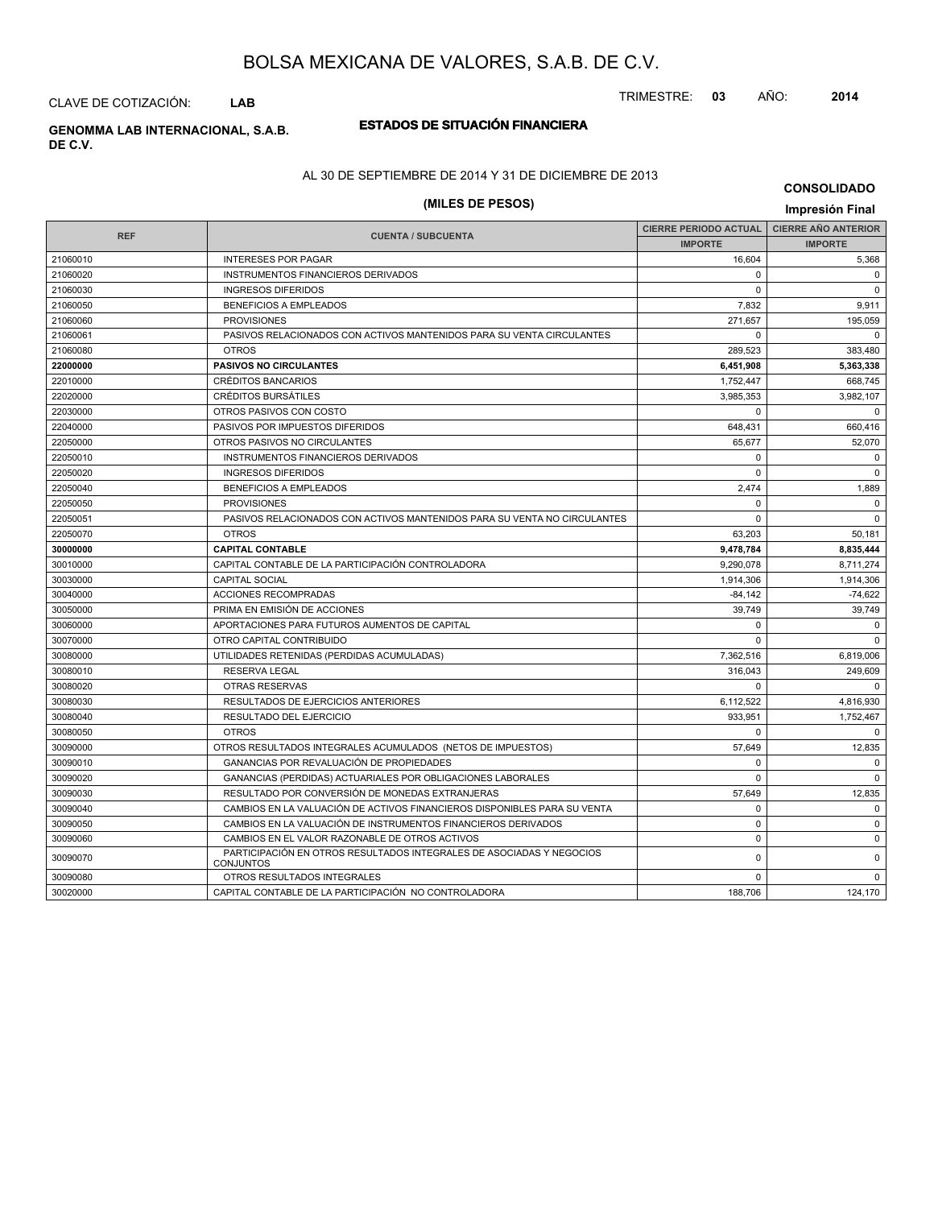CLAVE DE COTIZACIÓN: **LAB**

## **DE C.V.**

### **ESTADOS DE SITUACIÓN FINANCIERA GENOMMA LAB INTERNACIONAL, S.A.B.**

#### AL 30 DE SEPTIEMBRE DE 2014 Y 31 DE DICIEMBRE DE 2013

### **(MILES DE PESOS) Impresión Final**

**CONSOLIDADO**

|            |                                                                                          | <b>CIERRE PERIODO ACTUAL</b> | <b>CIERRE AÑO ANTERIOR</b> |
|------------|------------------------------------------------------------------------------------------|------------------------------|----------------------------|
| <b>REF</b> | <b>CUENTA / SUBCUENTA</b>                                                                | <b>IMPORTE</b>               | <b>IMPORTE</b>             |
| 21060010   | <b>INTERESES POR PAGAR</b>                                                               | 16.604                       | 5,368                      |
| 21060020   | <b>INSTRUMENTOS FINANCIEROS DERIVADOS</b>                                                | $\Omega$                     | $\mathbf 0$                |
| 21060030   | <b>INGRESOS DIFERIDOS</b>                                                                | $\Omega$                     | $\mathbf 0$                |
| 21060050   | <b>BENEFICIOS A EMPLEADOS</b>                                                            | 7.832                        | 9.911                      |
| 21060060   | <b>PROVISIONES</b>                                                                       | 271,657                      | 195,059                    |
| 21060061   | PASIVOS RELACIONADOS CON ACTIVOS MANTENIDOS PARA SU VENTA CIRCULANTES                    | $\Omega$                     | $\Omega$                   |
| 21060080   | <b>OTROS</b>                                                                             | 289.523                      | 383,480                    |
| 22000000   | <b>PASIVOS NO CIRCULANTES</b>                                                            | 6,451,908                    | 5,363,338                  |
| 22010000   | <b>CRÉDITOS BANCARIOS</b>                                                                | 1,752,447                    | 668,745                    |
| 22020000   | <b>CRÉDITOS BURSÁTILES</b>                                                               | 3.985.353                    | 3,982,107                  |
| 22030000   | OTROS PASIVOS CON COSTO                                                                  | $\Omega$                     | $\mathbf 0$                |
| 22040000   | PASIVOS POR IMPUESTOS DIFERIDOS                                                          | 648,431                      | 660,416                    |
| 22050000   | OTROS PASIVOS NO CIRCULANTES                                                             | 65,677                       | 52,070                     |
| 22050010   | INSTRUMENTOS FINANCIEROS DERIVADOS                                                       | $\Omega$                     | $\mathbf 0$                |
| 22050020   | <b>INGRESOS DIFERIDOS</b>                                                                | 0                            | $\mathbf 0$                |
| 22050040   | <b>BENEFICIOS A EMPLEADOS</b>                                                            | 2,474                        | 1,889                      |
| 22050050   | <b>PROVISIONES</b>                                                                       | $\Omega$                     | $\mathbf 0$                |
| 22050051   | PASIVOS RELACIONADOS CON ACTIVOS MANTENIDOS PARA SU VENTA NO CIRCULANTES                 | $\mathbf 0$                  | $\mathbf 0$                |
| 22050070   | <b>OTROS</b>                                                                             | 63,203                       | 50,181                     |
| 30000000   | <b>CAPITAL CONTABLE</b>                                                                  | 9,478,784                    | 8,835,444                  |
| 30010000   | CAPITAL CONTABLE DE LA PARTICIPACIÓN CONTROLADORA                                        | 9,290,078                    | 8,711,274                  |
| 30030000   | <b>CAPITAL SOCIAL</b>                                                                    | 1.914.306                    | 1,914,306                  |
| 30040000   | <b>ACCIONES RECOMPRADAS</b>                                                              | $-84.142$                    | $-74.622$                  |
| 30050000   | PRIMA EN EMISIÓN DE ACCIONES                                                             | 39.749                       | 39,749                     |
| 30060000   | APORTACIONES PARA FUTUROS AUMENTOS DE CAPITAL                                            | $\Omega$                     | $\Omega$                   |
| 30070000   | OTRO CAPITAL CONTRIBUIDO                                                                 | $\Omega$                     | $\Omega$                   |
| 30080000   | UTILIDADES RETENIDAS (PERDIDAS ACUMULADAS)                                               | 7,362,516                    | 6,819,006                  |
| 30080010   | <b>RESERVA LEGAL</b>                                                                     | 316.043                      | 249,609                    |
| 30080020   | <b>OTRAS RESERVAS</b>                                                                    | $\Omega$                     | $\Omega$                   |
| 30080030   | RESULTADOS DE EJERCICIOS ANTERIORES                                                      | 6,112,522                    | 4,816,930                  |
| 30080040   | <b>RESULTADO DEL EJERCICIO</b>                                                           | 933.951                      | 1,752,467                  |
| 30080050   | <b>OTROS</b>                                                                             | $\Omega$                     | $\mathbf 0$                |
| 30090000   | OTROS RESULTADOS INTEGRALES ACUMULADOS (NETOS DE IMPUESTOS)                              | 57,649                       | 12,835                     |
| 30090010   | GANANCIAS POR REVALUACIÓN DE PROPIEDADES                                                 | 0                            | $\mathbf 0$                |
| 30090020   | GANANCIAS (PERDIDAS) ACTUARIALES POR OBLIGACIONES LABORALES                              | $\Omega$                     | $\mathbf 0$                |
| 30090030   | RESULTADO POR CONVERSIÓN DE MONEDAS EXTRANJERAS                                          | 57,649                       | 12,835                     |
| 30090040   | CAMBIOS EN LA VALUACIÓN DE ACTIVOS FINANCIEROS DISPONIBLES PARA SU VENTA                 | $\Omega$                     | $\mathbf 0$                |
| 30090050   | CAMBIOS EN LA VALUACIÓN DE INSTRUMENTOS FINANCIEROS DERIVADOS                            | $\mathbf 0$                  | $\Omega$                   |
| 30090060   | CAMBIOS EN EL VALOR RAZONABLE DE OTROS ACTIVOS                                           | $\mathbf 0$                  | $\mathbf 0$                |
| 30090070   | PARTICIPACIÓN EN OTROS RESULTADOS INTEGRALES DE ASOCIADAS Y NEGOCIOS<br><b>CONJUNTOS</b> | 0                            | $\mathbf 0$                |
| 30090080   | OTROS RESULTADOS INTEGRALES                                                              | 0                            | $\mathbf 0$                |
| 30020000   | CAPITAL CONTABLE DE LA PARTICIPACIÓN NO CONTROLADORA                                     | 188,706                      | 124,170                    |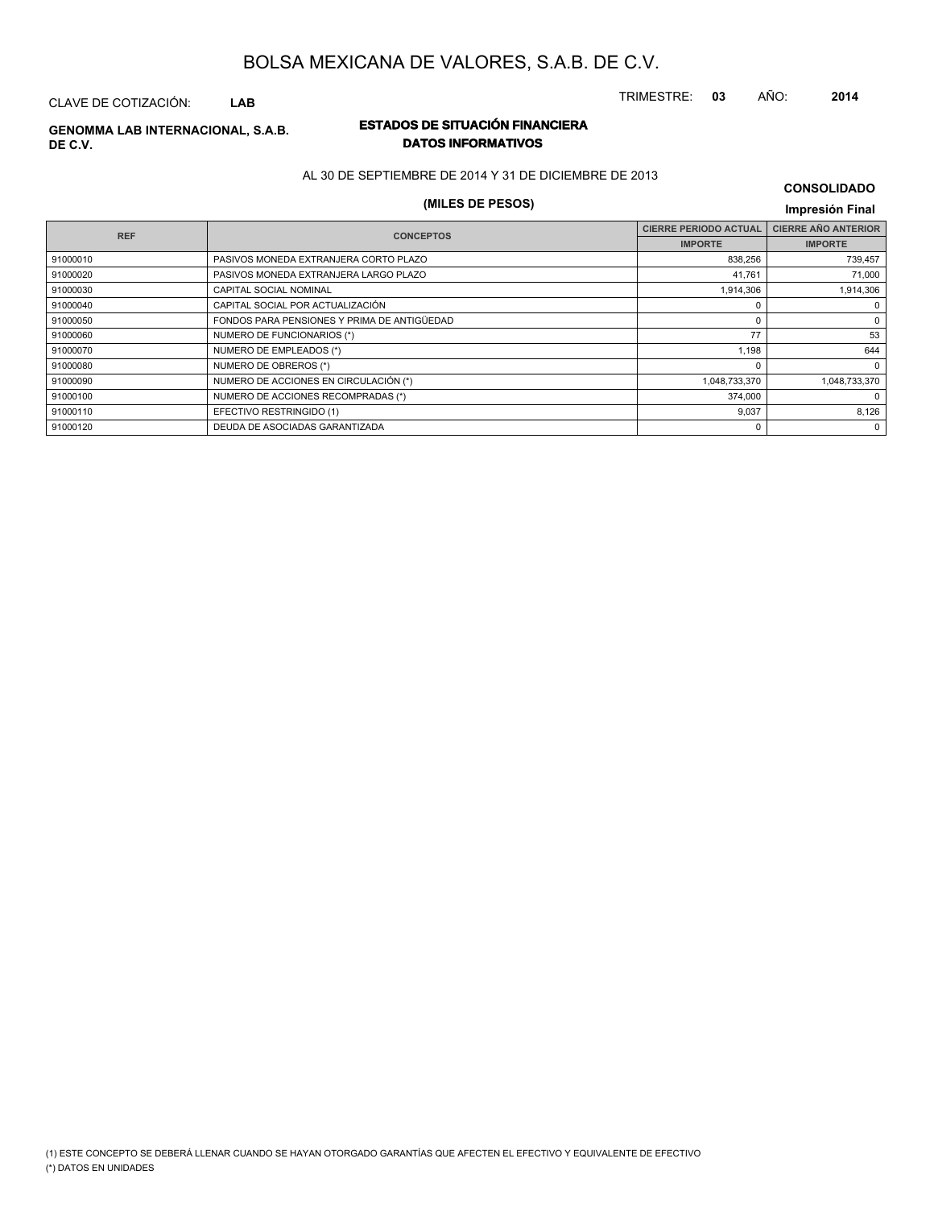CLAVE DE COTIZACIÓN: **LAB**

#### **ESTADOS DE SITUACIÓN FINANCIERA GENOMMA LAB INTERNACIONAL, S.A.B. DE C.V.**

# **DATOS INFORMATIVOS**

AL 30 DE SEPTIEMBRE DE 2014 Y 31 DE DICIEMBRE DE 2013

### **(MILES DE PESOS) Impresión Final**

### **CONSOLIDADO**

| <b>REF</b> | <b>CONCEPTOS</b>                            | <b>CIERRE PERIODO ACTUAL</b> | <b>CIERRE AÑO ANTERIOR</b> |
|------------|---------------------------------------------|------------------------------|----------------------------|
|            |                                             | <b>IMPORTE</b>               | <b>IMPORTE</b>             |
| 91000010   | PASIVOS MONEDA EXTRANJERA CORTO PLAZO       | 838,256                      | 739,457                    |
| 91000020   | PASIVOS MONEDA EXTRANJERA LARGO PLAZO       | 41,761                       | 71,000                     |
| 91000030   | CAPITAL SOCIAL NOMINAL                      | 1,914,306                    | 1,914,306                  |
| 91000040   | CAPITAL SOCIAL POR ACTUALIZACIÓN            |                              | 0                          |
| 91000050   | FONDOS PARA PENSIONES Y PRIMA DE ANTIGÜEDAD |                              | 0                          |
| 91000060   | NUMERO DE FUNCIONARIOS (*)                  | 77                           | 53                         |
| 91000070   | NUMERO DE EMPLEADOS (*)                     | 1,198                        | 644                        |
| 91000080   | NUMERO DE OBREROS (*)                       |                              | $\mathbf 0$                |
| 91000090   | NUMERO DE ACCIONES EN CIRCULACIÓN (*)       | 1,048,733,370                | 1,048,733,370              |
| 91000100   | NUMERO DE ACCIONES RECOMPRADAS (*)          | 374,000                      | 0                          |
| 91000110   | EFECTIVO RESTRINGIDO (1)                    | 9,037                        | 8,126                      |
| 91000120   | DEUDA DE ASOCIADAS GARANTIZADA              |                              | $\Omega$                   |
|            |                                             |                              |                            |

TRIMESTRE: **03** AÑO: **2014**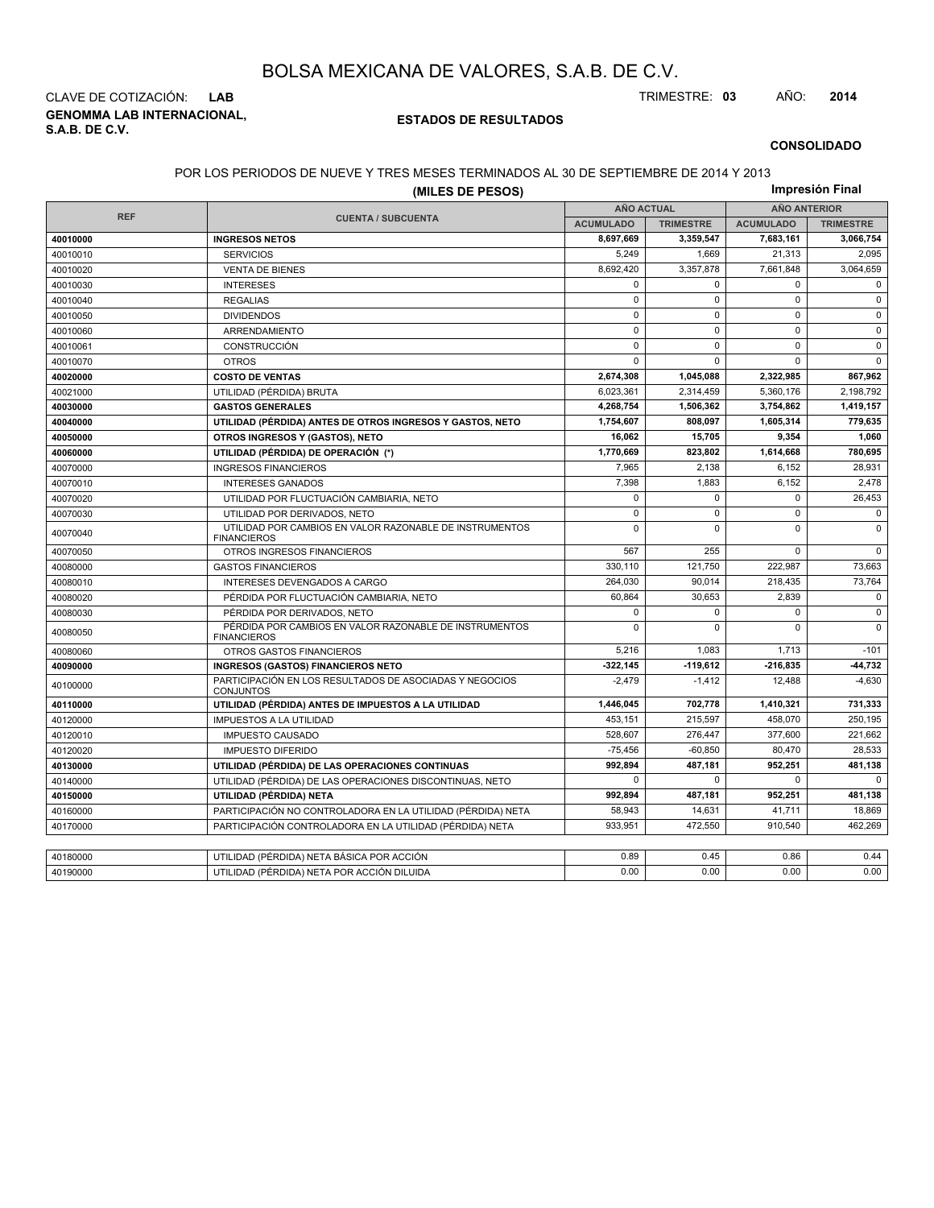**GENOMMA LAB INTERNACIONAL, S.A.B. DE C.V.** CLAVE DE COTIZACIÓN: **LAB** TRIMESTRE: **03** AÑO: **2014**

#### **ESTADOS DE RESULTADOS**

#### **CONSOLIDADO**

#### POR LOS PERIODOS DE NUEVE Y TRES MESES TERMINADOS AL 30 DE SEPTIEMBRE DE 2014 Y 2013

|            | LI 110000 DL I 10L V L I I 111L0<br>(MILES DE PESOS)                          | OO AL OO DE OEI TIEMDINE DE ZOTT TIZOTS |                  |                     | Impresión Final  |  |
|------------|-------------------------------------------------------------------------------|-----------------------------------------|------------------|---------------------|------------------|--|
|            |                                                                               | <b>AÑO ACTUAL</b>                       |                  | <b>AÑO ANTERIOR</b> |                  |  |
| <b>REF</b> | <b>CUENTA / SUBCUENTA</b>                                                     | <b>ACUMULADO</b>                        | <b>TRIMESTRE</b> | <b>ACUMULADO</b>    | <b>TRIMESTRE</b> |  |
| 40010000   | <b>INGRESOS NETOS</b>                                                         | 8,697,669                               | 3,359,547        | 7,683,161           | 3,066,754        |  |
| 40010010   | <b>SERVICIOS</b>                                                              | 5,249                                   | 1,669            | 21,313              | 2,095            |  |
| 40010020   | <b>VENTA DE BIENES</b>                                                        | 8,692,420                               | 3,357,878        | 7,661,848           | 3,064,659        |  |
| 40010030   | <b>INTERESES</b>                                                              | $\mathbf{0}$                            | $\Omega$         | $\mathbf 0$         | $\mathbf 0$      |  |
| 40010040   | <b>REGALIAS</b>                                                               | $\mathbf{0}$                            | $\mathbf 0$      | $\mathsf 0$         | $\mathbf 0$      |  |
| 40010050   | <b>DIVIDENDOS</b>                                                             | $\mathsf 0$                             | $\mathbf 0$      | $\mathbf 0$         | $\mathbf 0$      |  |
| 40010060   | ARRENDAMIENTO                                                                 | $\mathsf 0$                             | $\mathbf 0$      | $\mathbf 0$         | $\mathbf 0$      |  |
| 40010061   | <b>CONSTRUCCIÓN</b>                                                           | $\mathbf 0$                             | $\Omega$         | $\Omega$            | $\mathbf{0}$     |  |
| 40010070   | <b>OTROS</b>                                                                  | $\mathbf 0$                             | $\Omega$         | $\Omega$            | $\mathbf 0$      |  |
| 40020000   | <b>COSTO DE VENTAS</b>                                                        | 2,674,308                               | 1,045,088        | 2,322,985           | 867,962          |  |
| 40021000   | UTILIDAD (PÉRDIDA) BRUTA                                                      | 6,023,361                               | 2,314,459        | 5,360,176           | 2,198,792        |  |
| 40030000   | <b>GASTOS GENERALES</b>                                                       | 4,268,754                               | 1,506,362        | 3,754,862           | 1,419,157        |  |
| 40040000   | UTILIDAD (PÉRDIDA) ANTES DE OTROS INGRESOS Y GASTOS, NETO                     | 1,754,607                               | 808.097          | 1,605,314           | 779,635          |  |
| 40050000   | OTROS INGRESOS Y (GASTOS), NETO                                               | 16,062                                  | 15,705           | 9,354               | 1,060            |  |
| 40060000   | UTILIDAD (PÉRDIDA) DE OPERACIÓN (*)                                           | 1,770,669                               | 823,802          | 1,614,668           | 780,695          |  |
| 40070000   | <b>INGRESOS FINANCIEROS</b>                                                   | 7,965                                   | 2,138            | 6,152               | 28,931           |  |
| 40070010   | <b>INTERESES GANADOS</b>                                                      | 7,398                                   | 1.883            | 6,152               | 2,478            |  |
| 40070020   | UTILIDAD POR FLUCTUACIÓN CAMBIARIA, NETO                                      | $\mathsf 0$                             | $\mathbf 0$      | $\mathbf 0$         | 26,453           |  |
| 40070030   | UTILIDAD POR DERIVADOS, NETO                                                  | $\mathsf 0$                             | $\mathbf 0$      | $\mathbf 0$         | $\mathbf{0}$     |  |
| 40070040   | UTILIDAD POR CAMBIOS EN VALOR RAZONABLE DE INSTRUMENTOS<br><b>FINANCIEROS</b> | $\mathbf{0}$                            | $\mathbf 0$      | $\mathbf 0$         | $\mathbf 0$      |  |
| 40070050   | OTROS INGRESOS FINANCIEROS                                                    | 567                                     | 255              | $\mathbf 0$         | $\mathbf 0$      |  |
| 40080000   | <b>GASTOS FINANCIEROS</b>                                                     | 330,110                                 | 121,750          | 222,987             | 73,663           |  |
| 40080010   | INTERESES DEVENGADOS A CARGO                                                  | 264.030                                 | 90.014           | 218,435             | 73,764           |  |
| 40080020   | PÉRDIDA POR FLUCTUACIÓN CAMBIARIA, NETO                                       | 60.864                                  | 30.653           | 2,839               | $\mathbf 0$      |  |
| 40080030   | PÉRDIDA POR DERIVADOS. NETO                                                   | $\mathbf{0}$                            | $\mathbf 0$      | $\mathbf 0$         | $\mathbf{0}$     |  |
| 40080050   | PÉRDIDA POR CAMBIOS EN VALOR RAZONABLE DE INSTRUMENTOS<br><b>FINANCIEROS</b>  |                                         | $\mathbf 0$      | $\mathbf 0$         | $\mathbf{0}$     |  |
| 40080060   | OTROS GASTOS FINANCIEROS                                                      | 5,216                                   | 1,083            | 1,713               | $-101$           |  |
| 40090000   | <b>INGRESOS (GASTOS) FINANCIEROS NETO</b>                                     | 322,145                                 | $-119,612$       | -216,835            | 44,732           |  |
| 40100000   | PARTICIPACIÓN EN LOS RESULTADOS DE ASOCIADAS Y NEGOCIOS<br><b>CONJUNTOS</b>   | $-2.479$                                | $-1.412$         | 12.488              | $-4.630$         |  |
| 40110000   | UTILIDAD (PÉRDIDA) ANTES DE IMPUESTOS A LA UTILIDAD                           | 1,446,045                               | 702,778          | 1,410,321           | 731,333          |  |
| 40120000   | <b>IMPUESTOS A LA UTILIDAD</b>                                                | 453.151                                 | 215.597          | 458.070             | 250,195          |  |
| 40120010   | <b>IMPUESTO CAUSADO</b>                                                       | 528,607                                 | 276,447          | 377,600             | 221,662          |  |
| 40120020   | <b>IMPUESTO DIFERIDO</b>                                                      |                                         | $-60,850$        | 80,470              | 28,533           |  |
| 40130000   | UTILIDAD (PÉRDIDA) DE LAS OPERACIONES CONTINUAS                               |                                         | 487,181          | 952,251             | 481,138          |  |
| 40140000   | UTILIDAD (PÉRDIDA) DE LAS OPERACIONES DISCONTINUAS, NETO                      | $\Omega$                                | $\Omega$         | $\Omega$            | $\Omega$         |  |
| 40150000   | UTILIDAD (PÉRDIDA) NETA                                                       | 992,894                                 | 487,181          | 952,251             | 481,138          |  |
| 40160000   | PARTICIPACIÓN NO CONTROLADORA EN LA UTILIDAD (PÉRDIDA) NETA                   | 58,943                                  | 14,631           | 41,711              | 18,869           |  |
| 40170000   | PARTICIPACIÓN CONTROLADORA EN LA UTILIDAD (PÉRDIDA) NETA                      | 933,951                                 | 472,550          | 910,540             | 462,269          |  |
|            |                                                                               |                                         |                  |                     |                  |  |
| 40180000   | UTILIDAD (PÉRDIDA) NETA BÁSICA POR ACCIÓN                                     | 0.89                                    | 0.45             | 0.86                | 0.44             |  |
| 40190000   | UTILIDAD (PÉRDIDA) NETA POR ACCIÓN DILUIDA                                    | 0.00                                    | 0.00             | 0.00                | 0.00             |  |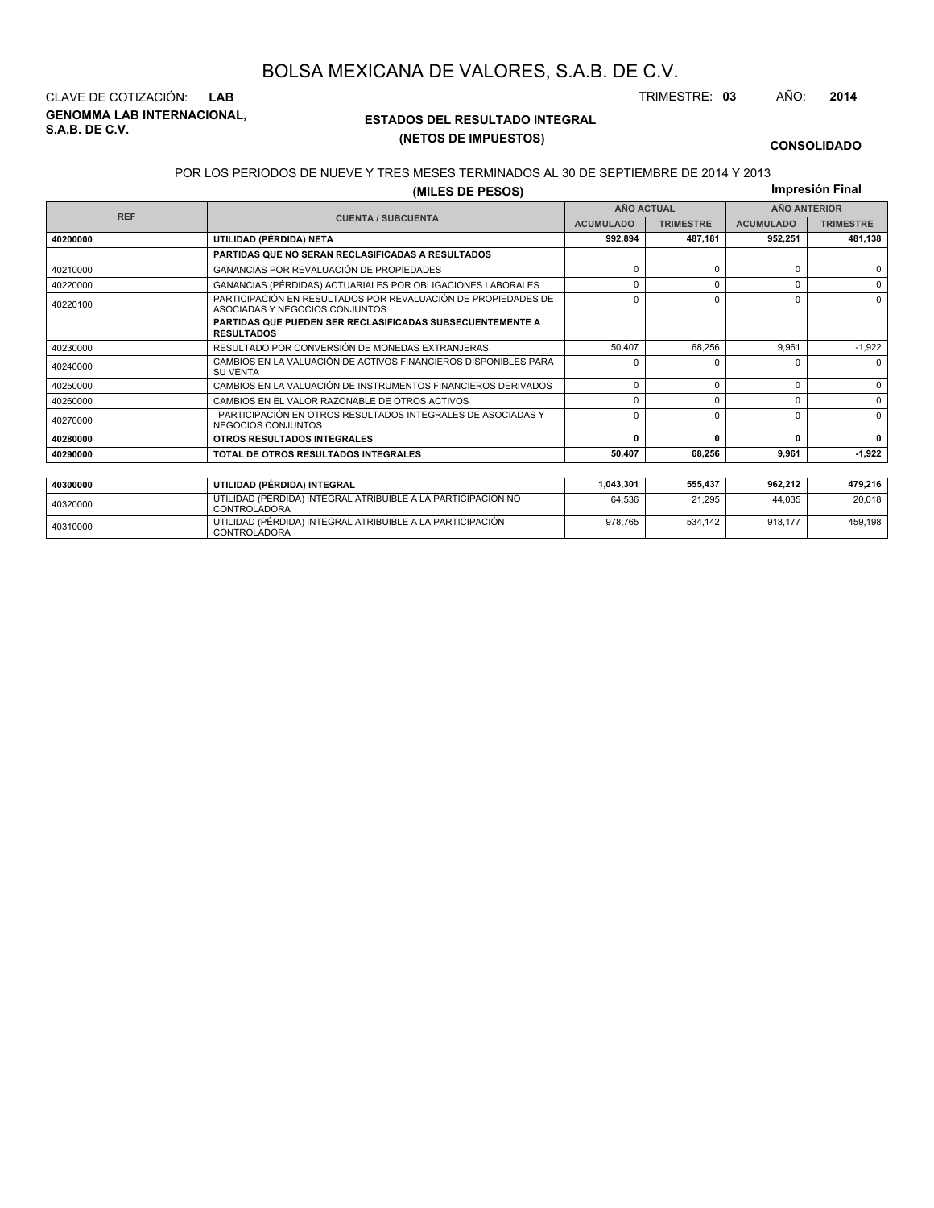**GENOMMA LAB INTERNACIONAL, S.A.B. DE C.V.** CLAVE DE COTIZACIÓN: **LAB** TRIMESTRE: **03** AÑO: **2014**

<sup>40310000</sup> UTILIDAD (PÉRDIDA) INTEGRAL ATRIBUIBLE A LA PARTICIPACIÓN CONTROLADORA

#### **ESTADOS DEL RESULTADO INTEGRAL (NETOS DE IMPUESTOS)**

978,765 534,142 918,177 459,198

#### **CONSOLIDADO**

#### POR LOS PERIODOS DE NUEVE Y TRES MESES TERMINADOS AL 30 DE SEPTIEMBRE DE 2014 Y 2013

**(MILES DE PESOS)**

**Impresión Final**

|            |                                                                                                 | <b>AÑO ACTUAL</b> |                  |                  | <b>AÑO ANTERIOR</b> |
|------------|-------------------------------------------------------------------------------------------------|-------------------|------------------|------------------|---------------------|
| <b>REF</b> | <b>CUENTA / SUBCUENTA</b>                                                                       | <b>ACUMULADO</b>  | <b>TRIMESTRE</b> | <b>ACUMULADO</b> | <b>TRIMESTRE</b>    |
| 40200000   | UTILIDAD (PÉRDIDA) NETA                                                                         |                   | 487.181          | 952,251          | 481,138             |
|            | <b>PARTIDAS QUE NO SERAN RECLASIFICADAS A RESULTADOS</b>                                        |                   |                  |                  |                     |
| 40210000   | <b>GANANCIAS POR REVALUACIÓN DE PROPIEDADES</b>                                                 | $\Omega$          | $\Omega$         | $\Omega$         | $\Omega$            |
| 40220000   | GANANCIAS (PÉRDIDAS) ACTUARIALES POR OBLIGACIONES LABORALES                                     | 0                 | O                | $\Omega$         | $\Omega$            |
| 40220100   | PARTICIPACIÓN EN RESULTADOS POR REVALUACIÓN DE PROPIEDADES DE<br>ASOCIADAS Y NEGOCIOS CONJUNTOS | 0<br>$\Omega$     |                  | $\Omega$         | $\Omega$            |
|            | <b>PARTIDAS QUE PUEDEN SER RECLASIFICADAS SUBSECUENTEMENTE A</b><br><b>RESULTADOS</b>           |                   |                  |                  |                     |
| 40230000   | RESULTADO POR CONVERSIÓN DE MONEDAS EXTRANJERAS                                                 | 50.407            | 68.256           | 9.961            | $-1,922$            |
| 40240000   | CAMBIOS EN LA VALUACIÓN DE ACTIVOS FINANCIEROS DISPONIBLES PARA<br><b>SU VENTA</b>              | $\Omega$          |                  | $\Omega$         | $\Omega$            |
| 40250000   | CAMBIOS EN LA VALUACIÓN DE INSTRUMENTOS FINANCIEROS DERIVADOS                                   | 0                 | $\Omega$         | $\Omega$         | $\Omega$            |
| 40260000   | CAMBIOS EN EL VALOR RAZONABLE DE OTROS ACTIVOS                                                  | 0                 | $\Omega$         | $\Omega$         | $\Omega$            |
| 40270000   | PARTICIPACIÓN EN OTROS RESULTADOS INTEGRALES DE ASOCIADAS Y<br>NEGOCIOS CONJUNTOS               |                   | $\Omega$         | $\Omega$         | $\Omega$            |
| 40280000   | OTROS RESULTADOS INTEGRALES                                                                     | 0                 | $\mathbf{r}$     | 0                | $\mathbf{0}$        |
| 40290000   | TOTAL DE OTROS RESULTADOS INTEGRALES                                                            | 50.407            | 68,256           | 9.961            | $-1,922$            |
|            |                                                                                                 |                   |                  |                  |                     |
| 40300000   | UTILIDAD (PÉRDIDA) INTEGRAL                                                                     | 1,043,301         | 555,437          | 962,212          | 479,216             |
| 40320000   | UTILIDAD (PÉRDIDA) INTEGRAL ATRIBUIBLE A LA PARTICIPACIÓN NO<br><b>CONTROLADORA</b>             | 64,536            | 21,295           | 44.035           | 20,018              |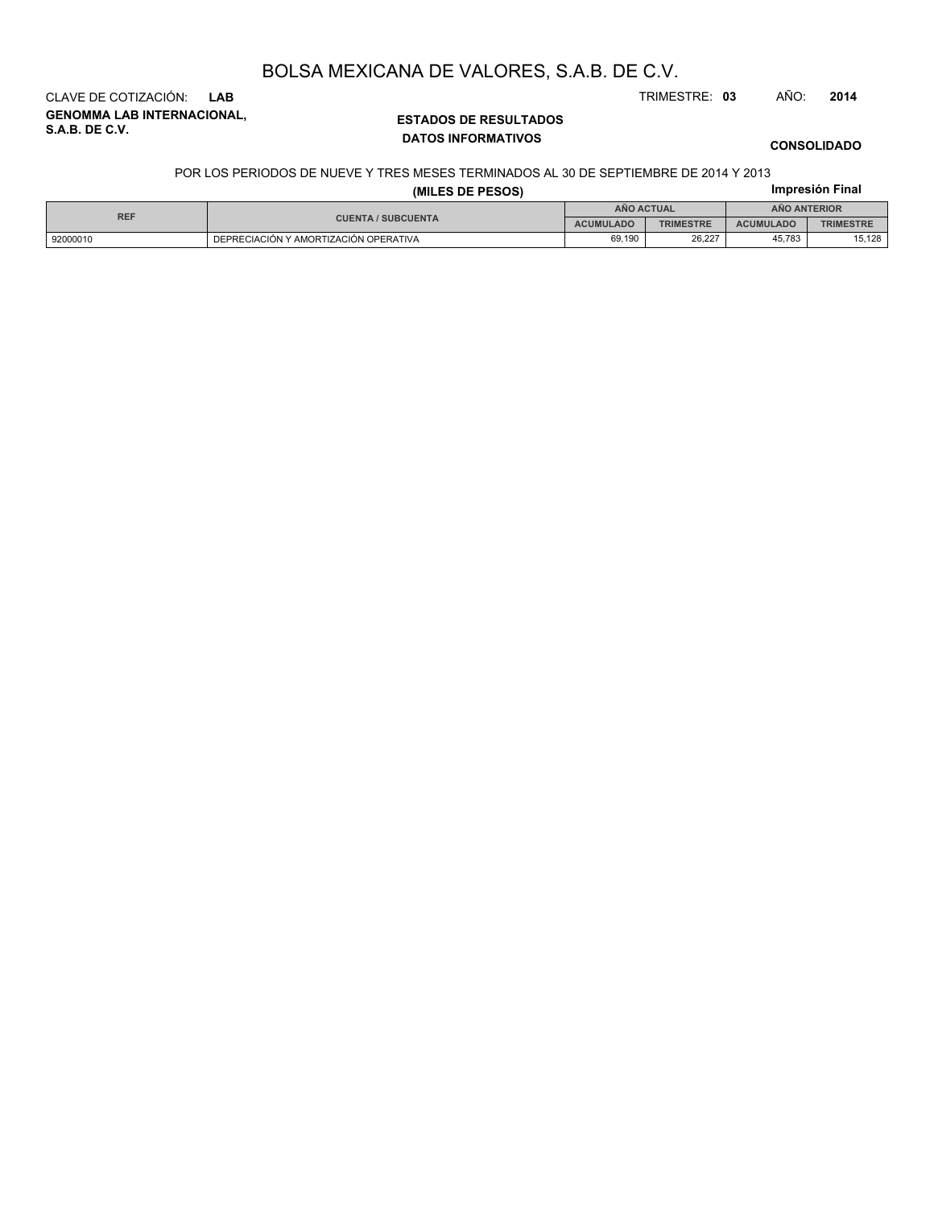CLAVE DE COTIZACIÓN: **LAB** TRIMESTRE: **03** AÑO: **2014**

**GENOMMA LAB INTERNACIONAL, S.A.B. DE C.V.**

#### **ESTADOS DE RESULTADOS DATOS INFORMATIVOS**

#### **CONSOLIDADO**

#### POR LOS PERIODOS DE NUEVE Y TRES MESES TERMINADOS AL 30 DE SEPTIEMBRE DE 2014 Y 2013

| (MILES DE PESOS) |                                               |            |                  |                  | Impresión Final  |  |
|------------------|-----------------------------------------------|------------|------------------|------------------|------------------|--|
| <b>REF</b>       |                                               | AÑO ACTUAL |                  | AÑO ANTERIOR     |                  |  |
|                  | <b>CUENTA / SUBCUENTA</b><br><b>ACUMULADO</b> |            | <b>TRIMESTRE</b> | <b>ACUMULADO</b> | <b>TRIMESTRE</b> |  |
| 92000010         | DEPRECIACIÓN Y AMORTIZACIÓN OPERATIVA         | 69.190     | 26.227           | 45.783           | 15.128           |  |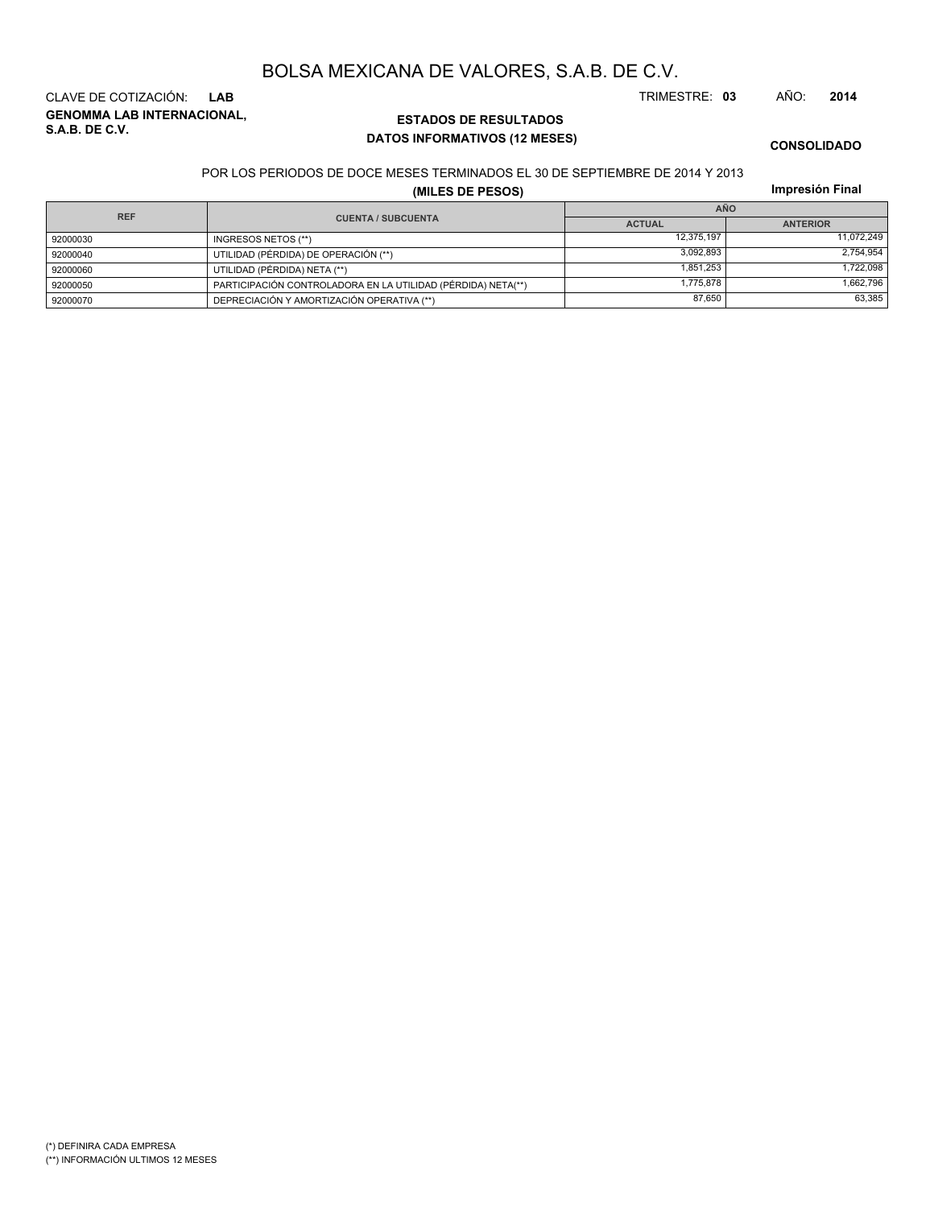**GENOMMA LAB INTERNACIONAL, S.A.B. DE C.V.** CLAVE DE COTIZACIÓN: **LAB** TRIMESTRE: **03** AÑO: **2014**

### **ESTADOS DE RESULTADOS DATOS INFORMATIVOS (12 MESES)**

**CONSOLIDADO**

#### POR LOS PERIODOS DE DOCE MESES TERMINADOS EL 30 DE SEPTIEMBRE DE 2014 Y 2013

**(MILES DE PESOS)**

| Impresión Final |  |
|-----------------|--|
|                 |  |

|            |                                                              | <b>AÑO</b>    |                 |  |  |
|------------|--------------------------------------------------------------|---------------|-----------------|--|--|
| <b>REF</b> | <b>CUENTA / SUBCUENTA</b>                                    | <b>ACTUAL</b> | <b>ANTERIOR</b> |  |  |
| 92000030   | INGRESOS NETOS (**)                                          | 12.375.197    | 11.072.249      |  |  |
| 92000040   | UTILIDAD (PÉRDIDA) DE OPERACIÓN (**)                         | 3.092.893     | 2.754.954       |  |  |
| 92000060   | UTILIDAD (PÉRDIDA) NETA (**)                                 | 1.851.253     | 1,722,098       |  |  |
| 92000050   | PARTICIPACIÓN CONTROLADORA EN LA UTILIDAD (PÉRDIDA) NETA(**) | 1.775.878     | 1,662,796       |  |  |
| 92000070   | DEPRECIACIÓN Y AMORTIZACIÓN OPERATIVA (**)                   | 87.650        | 63.385          |  |  |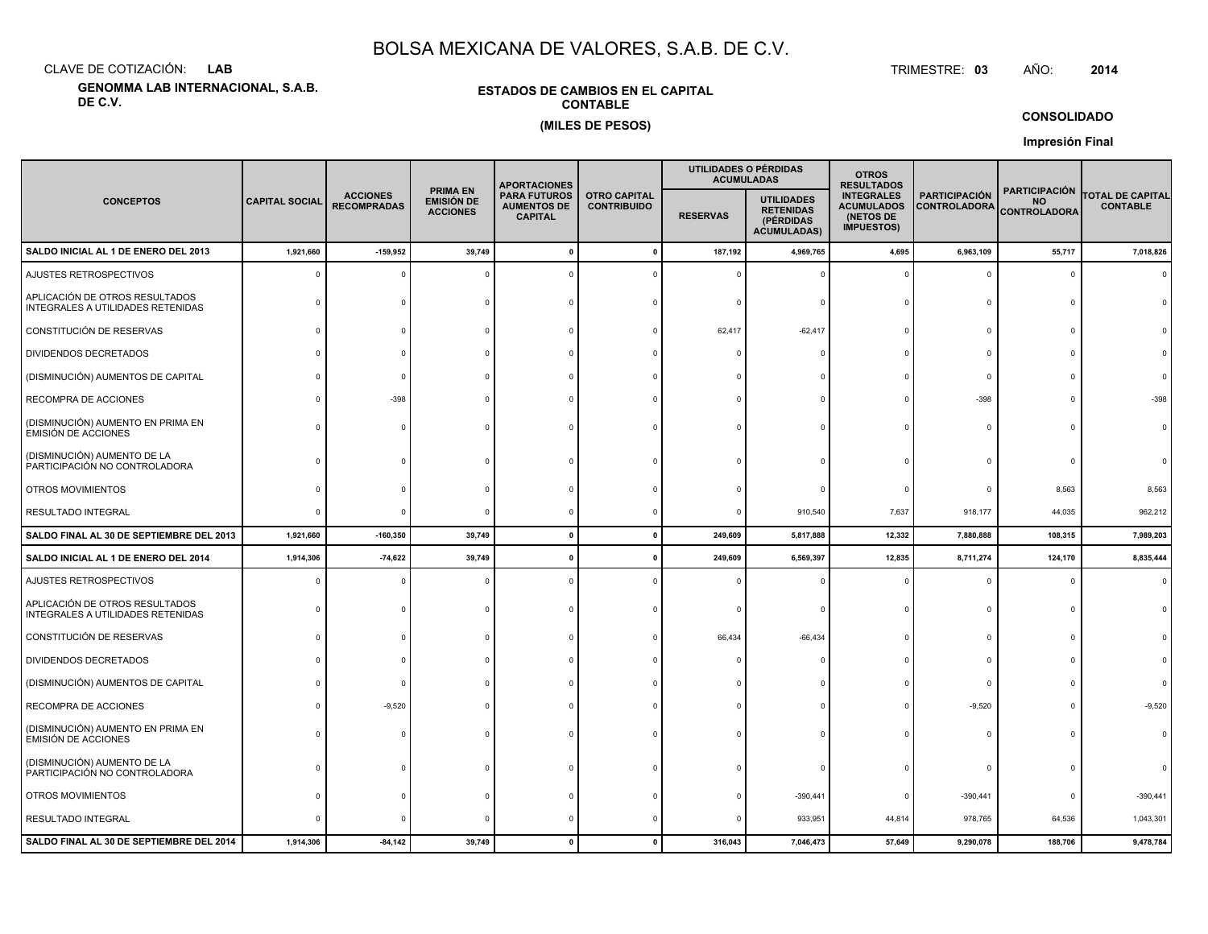CLAVE DE COTIZACIÓN:**LAB**

**GENOMMA LAB INTERNACIONAL, S.A.B. DE C.V.**

#### **ESTADOS DE CAMBIOS EN EL CAPITALCONTABLE(MILES DE PESOS)**

 TRIMESTRE:TRIMESTRE: 03 AÑO: **<sup>2014</sup>**

#### **CONSOLIDADO**

**Impresión Final**

|                                                                     |                       |                                       |                                                         | <b>APORTACIONES</b>                                         |                                           |                 | UTILIDADES O PÉRDIDAS<br><b>ACUMULADAS</b>                               | <b>OTROS</b><br><b>RESULTADOS</b>                                        |                                             |                                                          |                                            |
|---------------------------------------------------------------------|-----------------------|---------------------------------------|---------------------------------------------------------|-------------------------------------------------------------|-------------------------------------------|-----------------|--------------------------------------------------------------------------|--------------------------------------------------------------------------|---------------------------------------------|----------------------------------------------------------|--------------------------------------------|
| <b>CONCEPTOS</b>                                                    | <b>CAPITAL SOCIAL</b> | <b>ACCIONES</b><br><b>RECOMPRADAS</b> | <b>PRIMA EN</b><br><b>EMISIÓN DE</b><br><b>ACCIONES</b> | <b>PARA FUTUROS</b><br><b>AUMENTOS DE</b><br><b>CAPITAL</b> | <b>OTRO CAPITAL</b><br><b>CONTRIBUIDO</b> | <b>RESERVAS</b> | <b>UTILIDADES</b><br><b>RETENIDAS</b><br>(PÉRDIDAS<br><b>ACUMULADAS)</b> | <b>INTEGRALES</b><br><b>ACUMULADOS</b><br>(NETOS DE<br><b>IMPUESTOS)</b> | <b>PARTICIPACIÓN</b><br><b>CONTROLADORA</b> | <b>PARTICIPACIÓN</b><br><b>NO</b><br><b>CONTROLADORA</b> | <b>TOTAL DE CAPITAL</b><br><b>CONTABLE</b> |
| SALDO INICIAL AL 1 DE ENERO DEL 2013                                | 1,921,660             | $-159,952$                            | 39,749                                                  |                                                             |                                           | 187,192         | 4,969,765                                                                | 4,695                                                                    | 6,963,109                                   | 55,717                                                   | 7,018,826                                  |
| AJUSTES RETROSPECTIVOS                                              |                       |                                       |                                                         |                                                             |                                           |                 |                                                                          |                                                                          | $\overline{0}$                              | $\mathbf 0$                                              |                                            |
| APLICACIÓN DE OTROS RESULTADOS<br>INTEGRALES A UTILIDADES RETENIDAS |                       |                                       |                                                         |                                                             |                                           |                 |                                                                          |                                                                          | $\mathsf{C}$                                |                                                          |                                            |
| CONSTITUCIÓN DE RESERVAS                                            |                       |                                       |                                                         |                                                             |                                           | 62,417          | $-62,417$                                                                |                                                                          | $\Omega$                                    |                                                          |                                            |
| DIVIDENDOS DECRETADOS                                               |                       |                                       |                                                         |                                                             |                                           |                 |                                                                          |                                                                          | $\Omega$                                    |                                                          |                                            |
| (DISMINUCIÓN) AUMENTOS DE CAPITAL                                   |                       |                                       |                                                         |                                                             |                                           |                 |                                                                          |                                                                          | $\Omega$                                    |                                                          |                                            |
| RECOMPRA DE ACCIONES                                                |                       | $-398$                                |                                                         |                                                             |                                           |                 |                                                                          |                                                                          | $-398$                                      | $\Omega$                                                 |                                            |
| (DISMINUCIÓN) AUMENTO EN PRIMA EN<br><b>EMISIÓN DE ACCIONES</b>     |                       |                                       |                                                         |                                                             |                                           |                 |                                                                          |                                                                          | $\Omega$                                    | $\Omega$                                                 |                                            |
| (DISMINUCIÓN) AUMENTO DE LA<br>PARTICIPACIÓN NO CONTROLADORA        |                       |                                       |                                                         |                                                             |                                           |                 |                                                                          |                                                                          |                                             |                                                          |                                            |
| OTROS MOVIMIENTOS                                                   |                       |                                       |                                                         |                                                             |                                           |                 |                                                                          |                                                                          | $\Omega$                                    | 8,563                                                    | 8,563                                      |
| RESULTADO INTEGRAL                                                  |                       |                                       |                                                         |                                                             |                                           |                 | 910,540                                                                  | 7,637                                                                    | 918,177                                     | 44,035                                                   | 962,212                                    |
| SALDO FINAL AL 30 DE SEPTIEMBRE DEL 2013                            | 1,921,660             | $-160,350$                            | 39,749                                                  | $\mathbf{0}$                                                |                                           | 249,609         | 5,817,888                                                                | 12,332                                                                   | 7,880,888                                   | 108,315                                                  | 7,989,203                                  |
| SALDO INICIAL AL 1 DE ENERO DEL 2014                                | 1,914,306             | $-74,622$                             | 39,749                                                  |                                                             |                                           | 249,609         | 6,569,397                                                                | 12,835                                                                   | 8,711,274                                   | 124,170                                                  | 8,835,444                                  |
| AJUSTES RETROSPECTIVOS                                              |                       |                                       |                                                         |                                                             |                                           |                 |                                                                          |                                                                          | $\Omega$                                    | $\mathbf 0$                                              |                                            |
| APLICACIÓN DE OTROS RESULTADOS<br>INTEGRALES A UTILIDADES RETENIDAS |                       |                                       |                                                         |                                                             |                                           |                 |                                                                          |                                                                          | $\Omega$                                    | $\Omega$                                                 |                                            |
| CONSTITUCIÓN DE RESERVAS                                            |                       |                                       |                                                         |                                                             |                                           | 66,434          | $-66,434$                                                                |                                                                          | $\circ$                                     | $\Omega$                                                 |                                            |
| DIVIDENDOS DECRETADOS                                               |                       |                                       |                                                         |                                                             |                                           |                 |                                                                          |                                                                          | $\Omega$                                    |                                                          |                                            |
| (DISMINUCIÓN) AUMENTOS DE CAPITAL                                   |                       |                                       |                                                         |                                                             |                                           |                 |                                                                          |                                                                          | $^{\circ}$                                  |                                                          |                                            |
| RECOMPRA DE ACCIONES                                                |                       | $-9,520$                              |                                                         |                                                             |                                           |                 |                                                                          |                                                                          | $-9,520$                                    |                                                          | $-9,520$                                   |
| (DISMINUCIÓN) AUMENTO EN PRIMA EN<br>EMISIÓN DE ACCIONES            |                       |                                       |                                                         |                                                             |                                           |                 |                                                                          |                                                                          | $\mathsf{C}$                                |                                                          |                                            |
| (DISMINUCIÓN) AUMENTO DE LA<br>PARTICIPACIÓN NO CONTROLADORA        |                       |                                       |                                                         |                                                             |                                           |                 |                                                                          |                                                                          | $\Omega$                                    |                                                          |                                            |
| OTROS MOVIMIENTOS                                                   |                       |                                       |                                                         |                                                             |                                           |                 | $-390,441$                                                               |                                                                          | $-390,441$                                  | 0                                                        | $-390,441$                                 |
| RESULTADO INTEGRAL                                                  |                       |                                       |                                                         |                                                             |                                           |                 | 933,951                                                                  | 44,814                                                                   | 978,765                                     | 64,536                                                   | 1,043,301                                  |
| SALDO FINAL AL 30 DE SEPTIEMBRE DEL 2014                            | 1,914,306             | $-84, 142$                            | 39,749                                                  |                                                             |                                           | 316,043         | 7,046,473                                                                | 57,649                                                                   | 9,290,078                                   | 188,706                                                  | 9,478,784                                  |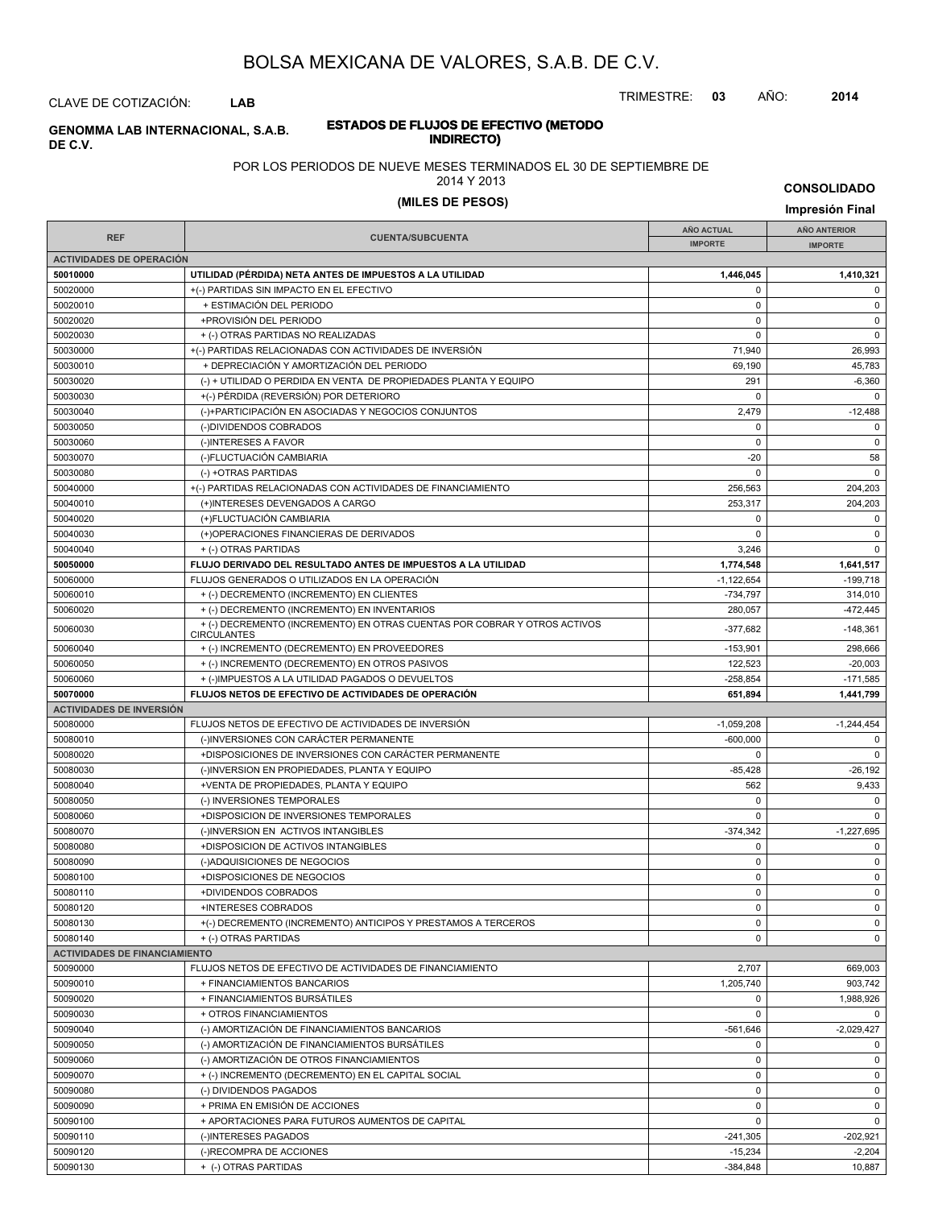TRIMESTRE: **03** AÑO: **2014**

CLAVE DE COTIZACIÓN: **LAB**

### **ESTADOS DE FLUJOS DE EFECTIVO (METODO INDIRECTO) GENOMMA LAB INTERNACIONAL, S.A.B. DE C.V.**

#### POR LOS PERIODOS DE NUEVE MESES TERMINADOS EL 30 DE SEPTIEMBRE DE

2014 Y 2013

## **(MILES DE PESOS) Impresión Final**

**CONSOLIDADO**

| <b>REF</b>                           | <b>CUENTA/SUBCUENTA</b>                                                                         | <b>AÑO ACTUAL</b><br><b>IMPORTE</b> | <b>AÑO ANTERIOR</b><br><b>IMPORTE</b> |  |
|--------------------------------------|-------------------------------------------------------------------------------------------------|-------------------------------------|---------------------------------------|--|
| <b>ACTIVIDADES DE OPERACIÓN</b>      |                                                                                                 |                                     |                                       |  |
| 50010000                             | UTILIDAD (PÉRDIDA) NETA ANTES DE IMPUESTOS A LA UTILIDAD                                        | 1,446,045                           | 1,410,321                             |  |
| 50020000                             | +(-) PARTIDAS SIN IMPACTO EN EL EFECTIVO                                                        | 0                                   | 0                                     |  |
| 50020010                             | + ESTIMACIÓN DEL PERIODO                                                                        | 0                                   | $\mathsf 0$                           |  |
| 50020020                             | +PROVISIÓN DEL PERIODO                                                                          | $\mathbf 0$                         | $\pmb{0}$                             |  |
| 50020030                             | + (-) OTRAS PARTIDAS NO REALIZADAS                                                              | $\mathbf 0$                         | $\pmb{0}$                             |  |
| 50030000                             | +(-) PARTIDAS RELACIONADAS CON ACTIVIDADES DE INVERSIÓN                                         | 71,940                              | 26,993                                |  |
| 50030010                             | + DEPRECIACIÓN Y AMORTIZACIÓN DEL PERIODO                                                       | 69,190                              | 45,783                                |  |
| 50030020                             | (-) + UTILIDAD O PERDIDA EN VENTA DE PROPIEDADES PLANTA Y EQUIPO                                | 291                                 | $-6,360$                              |  |
| 50030030                             | +(-) PÉRDIDA (REVERSIÓN) POR DETERIORO                                                          | $\mathbf 0$                         | $\mathbf 0$                           |  |
| 50030040                             | (-)+PARTICIPACIÓN EN ASOCIADAS Y NEGOCIOS CONJUNTOS                                             | 2,479                               | $-12,488$                             |  |
| 50030050                             | (-)DIVIDENDOS COBRADOS                                                                          | $\mathbf 0$                         | $\pmb{0}$                             |  |
| 50030060                             | (-)INTERESES A FAVOR                                                                            | $\mathbf 0$                         | $\mathsf 0$                           |  |
| 50030070                             | (-)FLUCTUACIÓN CAMBIARIA                                                                        | $-20$                               | 58                                    |  |
| 50030080                             | (-) +OTRAS PARTIDAS                                                                             | $\mathbf 0$                         | 0                                     |  |
| 50040000                             | +(-) PARTIDAS RELACIONADAS CON ACTIVIDADES DE FINANCIAMIENTO                                    | 256,563                             | 204,203                               |  |
| 50040010                             | (+)INTERESES DEVENGADOS A CARGO                                                                 | 253,317                             | 204,203                               |  |
| 50040020                             | (+)FLUCTUACIÓN CAMBIARIA                                                                        | 0                                   | 0                                     |  |
| 50040030                             | (+)OPERACIONES FINANCIERAS DE DERIVADOS                                                         | $\mathbf 0$                         | $\pmb{0}$                             |  |
| 50040040                             | + (-) OTRAS PARTIDAS                                                                            | 3,246                               | $\pmb{0}$                             |  |
| 50050000                             | FLUJO DERIVADO DEL RESULTADO ANTES DE IMPUESTOS A LA UTILIDAD                                   | 1,774,548                           | 1,641,517                             |  |
| 50060000                             | FLUJOS GENERADOS O UTILIZADOS EN LA OPERACIÓN                                                   | $-1,122,654$                        | $-199,718$                            |  |
| 50060010                             | + (-) DECREMENTO (INCREMENTO) EN CLIENTES                                                       | $-734,797$                          | 314,010                               |  |
| 50060020                             | + (-) DECREMENTO (INCREMENTO) EN INVENTARIOS                                                    | 280,057                             | -472,445                              |  |
| 50060030                             | + (-) DECREMENTO (INCREMENTO) EN OTRAS CUENTAS POR COBRAR Y OTROS ACTIVOS<br><b>CIRCULANTES</b> | $-377,682$                          | $-148,361$                            |  |
| 50060040                             | + (-) INCREMENTO (DECREMENTO) EN PROVEEDORES                                                    | $-153,901$                          | 298,666                               |  |
| 50060050                             | + (-) INCREMENTO (DECREMENTO) EN OTROS PASIVOS                                                  | 122,523                             | $-20,003$                             |  |
| 50060060                             | + (-)IMPUESTOS A LA UTILIDAD PAGADOS O DEVUELTOS                                                | $-258,854$                          | $-171,585$                            |  |
| 50070000                             | FLUJOS NETOS DE EFECTIVO DE ACTIVIDADES DE OPERACIÓN                                            | 651,894                             | 1,441,799                             |  |
| <b>ACTIVIDADES DE INVERSIÓN</b>      |                                                                                                 |                                     |                                       |  |
| 50080000                             | FLUJOS NETOS DE EFECTIVO DE ACTIVIDADES DE INVERSIÓN                                            | $-1,059,208$                        | $-1,244,454$                          |  |
| 50080010                             | (-)INVERSIONES CON CARÁCTER PERMANENTE                                                          | $-600,000$                          | $\mathbf 0$                           |  |
| 50080020                             | +DISPOSICIONES DE INVERSIONES CON CARÁCTER PERMANENTE                                           | $\mathbf 0$                         | $\pmb{0}$                             |  |
| 50080030                             | (-)INVERSION EN PROPIEDADES, PLANTA Y EQUIPO                                                    | $-85,428$                           | $-26,192$                             |  |
| 50080040                             | +VENTA DE PROPIEDADES, PLANTA Y EQUIPO                                                          | 562                                 | 9,433                                 |  |
| 50080050                             | (-) INVERSIONES TEMPORALES                                                                      | $\mathbf 0$                         | $\mathbf 0$                           |  |
| 50080060                             | +DISPOSICION DE INVERSIONES TEMPORALES                                                          | $\mathbf 0$                         | $\mathbf 0$                           |  |
| 50080070                             | (-)INVERSION EN ACTIVOS INTANGIBLES                                                             | $-374,342$                          | $-1,227,695$                          |  |
| 50080080                             | +DISPOSICION DE ACTIVOS INTANGIBLES                                                             | 0                                   | 0                                     |  |
| 50080090                             | (-)ADQUISICIONES DE NEGOCIOS                                                                    | $\mathbf 0$                         | $\pmb{0}$                             |  |
| 50080100                             | +DISPOSICIONES DE NEGOCIOS                                                                      | $\pmb{0}$                           | $\pmb{0}$                             |  |
| 50080110                             | +DIVIDENDOS COBRADOS                                                                            | 0                                   | $\mathbf 0$                           |  |
| 50080120                             | +INTERESES COBRADOS                                                                             | 0                                   | 0                                     |  |
| 50080130                             | +(-) DECREMENTO (INCREMENTO) ANTICIPOS Y PRESTAMOS A TERCEROS                                   | 0                                   | $\mathbf 0$                           |  |
| 50080140                             | + (-) OTRAS PARTIDAS                                                                            | 0                                   | $\mathbf 0$                           |  |
| <b>ACTIVIDADES DE FINANCIAMIENTO</b> |                                                                                                 |                                     |                                       |  |
| 50090000                             | FLUJOS NETOS DE EFECTIVO DE ACTIVIDADES DE FINANCIAMIENTO                                       | 2,707                               | 669,003                               |  |
| 50090010                             | + FINANCIAMIENTOS BANCARIOS                                                                     | 1,205,740                           | 903,742                               |  |
| 50090020                             | + FINANCIAMIENTOS BURSÁTILES                                                                    | 0                                   | 1,988,926                             |  |
| 50090030                             | + OTROS FINANCIAMIENTOS                                                                         | $\mathbf 0$                         | $\mathbf{0}$                          |  |
| 50090040                             | (-) AMORTIZACIÓN DE FINANCIAMIENTOS BANCARIOS                                                   | $-561,646$                          | $-2,029,427$                          |  |
| 50090050                             | (-) AMORTIZACIÓN DE FINANCIAMIENTOS BURSÁTILES                                                  | $\mathbf 0$                         | 0                                     |  |
| 50090060                             | (-) AMORTIZACIÓN DE OTROS FINANCIAMIENTOS                                                       | $\mathsf 0$                         | $\mathbf 0$                           |  |
| 50090070                             | + (-) INCREMENTO (DECREMENTO) EN EL CAPITAL SOCIAL                                              | 0                                   | $\mathsf{O}$                          |  |
| 50090080                             | (-) DIVIDENDOS PAGADOS                                                                          | $\mathbf 0$                         | $\mathbf 0$                           |  |
| 50090090                             | + PRIMA EN EMISIÓN DE ACCIONES                                                                  | 0                                   | $\mathbf 0$                           |  |
| 50090100                             | + APORTACIONES PARA FUTUROS AUMENTOS DE CAPITAL                                                 | $\mathbf 0$                         | $\mathsf{O}$                          |  |
| 50090110<br>50090120                 | (-)INTERESES PAGADOS<br>(-)RECOMPRA DE ACCIONES                                                 | $-241,305$<br>$-15,234$             | -202,921<br>$-2,204$                  |  |
| 50090130                             | + (-) OTRAS PARTIDAS                                                                            | $-384,848$                          | 10,887                                |  |
|                                      |                                                                                                 |                                     |                                       |  |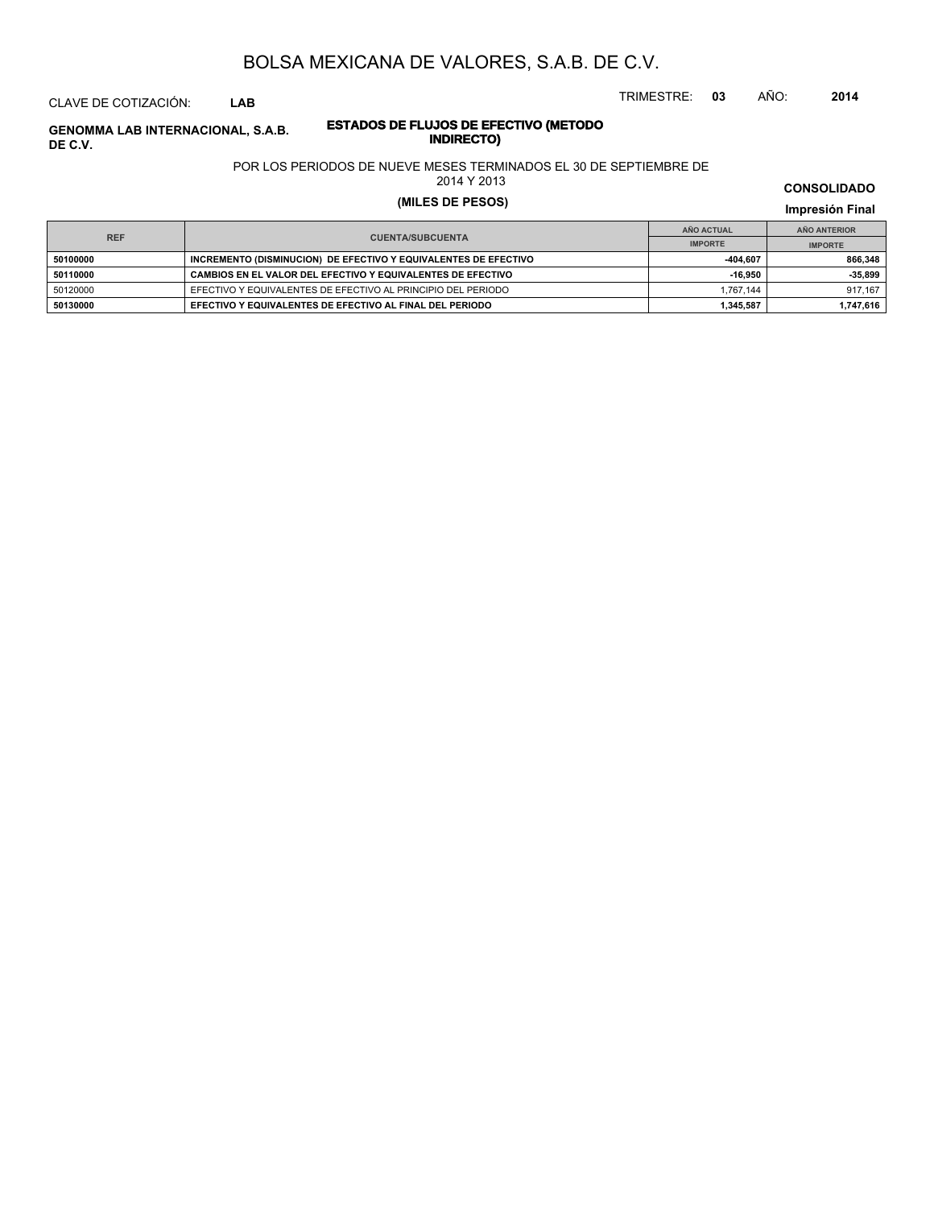CLAVE DE COTIZACIÓN: **LAB**

**DE C.V.**

# **ESTADOS DE FLUJOS DE EFECTIVO (METODO**

POR LOS PERIODOS DE NUEVE MESES TERMINADOS EL 30 DE SEPTIEMBRE DE

2014 Y 2013

### **(MILES DE PESOS) Impresión Final**

**IMPRESIÓN FINAL EN EN ENCLORED EN EL ENCLORED EN EL ENCLORED EN EL ENCLORED EN EL ENCLORED EN EL ENCLORED EN EL ENCLORED EN EL ENCLORED EN EL ENCLORED EN EL ENCLORED EN EL ENCLORED EN EL ENCLORED EN EL ENCLORED EN EL ENCL AÑO ACTUAL IMPORTE IMPORTE REF AÑO ANTERIOR IMPORTE E0100000 INCREMENTO (DISMINUCION) DE EFECTIVO Y EQUIVALENTES DE EFECTIVO 404,607 404,607 866,348 50110000 CAMBIOS EN EL VALOR DEL EFECTIVO Y EQUIVALENTES DE EFECTIVO -16,950 -35,899** 50120000 EFECTIVO Y EQUIVALENTES DE EFECTIVO AL PRINCIPIO DEL PERIODO 1,767,144 1 917,167 **50130000 EFECTIVO Y EQUIVALENTES DE EFECTIVO AL FINAL DEL PERIODO <b>1,745,616 1,745,616 1,747,616** 

**CONSOLIDADO**

# **INDIRECTO) GENOMMA LAB INTERNACIONAL, S.A.B.**

TRIMESTRE: **03** AÑO: **2014**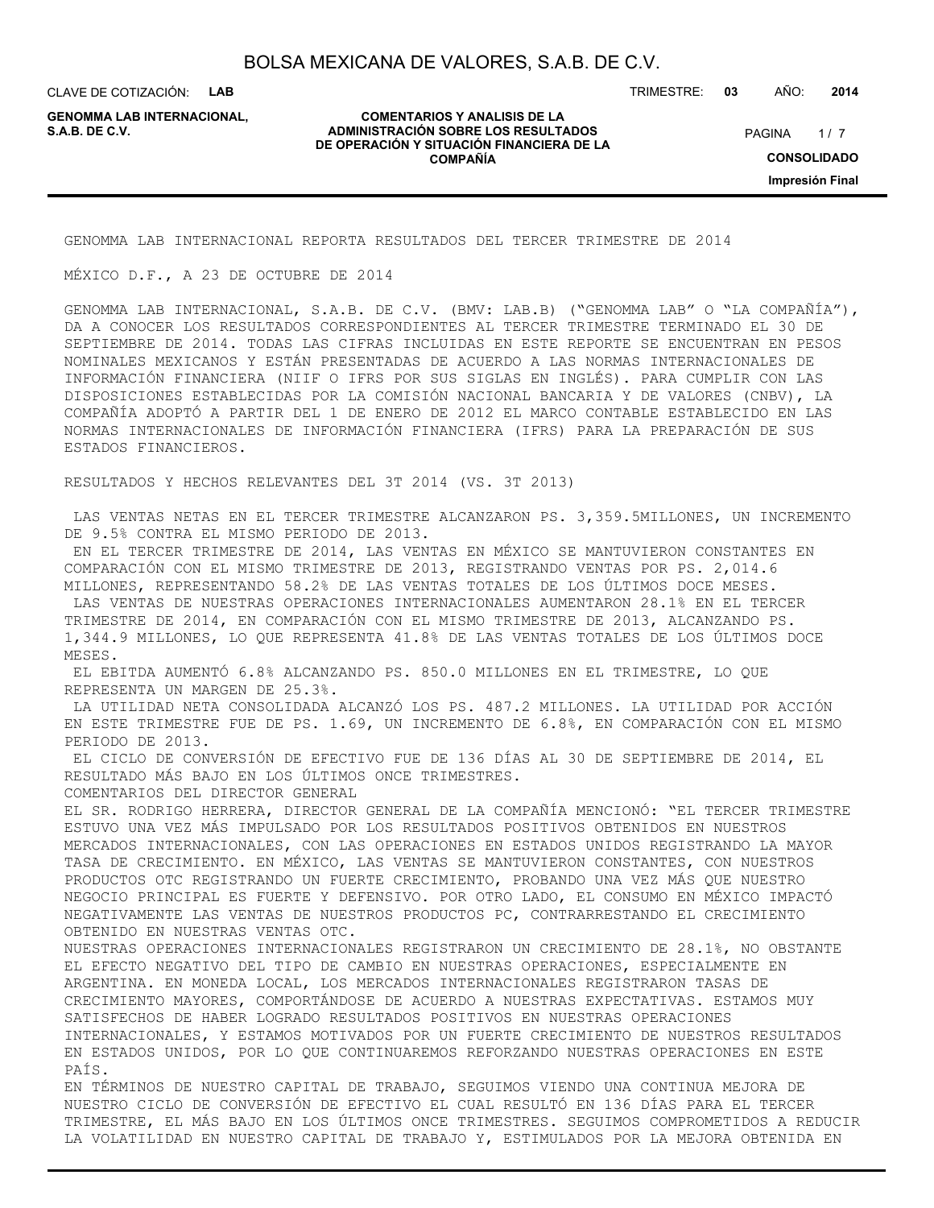CLAVE DE COTIZACIÓN: **LAB**

**GENOMMA LAB INTERNACIONAL,**

#### **COMENTARIOS Y ANALISIS DE LA ADMINISTRACIÓN SOBRE LOS RESULTADOS** PAGINA 1/7 **DE OPERACIÓN Y SITUACIÓN FINANCIERA DE LA COMPAÑÍA**

TRIMESTRE: **03** AÑO: **2014**

 $1/7$ **CONSOLIDADO Impresión Final**

GENOMMA LAB INTERNACIONAL REPORTA RESULTADOS DEL TERCER TRIMESTRE DE 2014

MÉXICO D.F., A 23 DE OCTUBRE DE 2014

GENOMMA LAB INTERNACIONAL, S.A.B. DE C.V. (BMV: LAB.B) ("GENOMMA LAB" O "LA COMPAÑÍA"), DA A CONOCER LOS RESULTADOS CORRESPONDIENTES AL TERCER TRIMESTRE TERMINADO EL 30 DE SEPTIEMBRE DE 2014. TODAS LAS CIFRAS INCLUIDAS EN ESTE REPORTE SE ENCUENTRAN EN PESOS NOMINALES MEXICANOS Y ESTÁN PRESENTADAS DE ACUERDO A LAS NORMAS INTERNACIONALES DE INFORMACIÓN FINANCIERA (NIIF O IFRS POR SUS SIGLAS EN INGLÉS). PARA CUMPLIR CON LAS DISPOSICIONES ESTABLECIDAS POR LA COMISIÓN NACIONAL BANCARIA Y DE VALORES (CNBV), LA COMPAÑÍA ADOPTÓ A PARTIR DEL 1 DE ENERO DE 2012 EL MARCO CONTABLE ESTABLECIDO EN LAS NORMAS INTERNACIONALES DE INFORMACIÓN FINANCIERA (IFRS) PARA LA PREPARACIÓN DE SUS ESTADOS FINANCIEROS.

RESULTADOS Y HECHOS RELEVANTES DEL 3T 2014 (VS. 3T 2013)

 LAS VENTAS NETAS EN EL TERCER TRIMESTRE ALCANZARON PS. 3,359.5MILLONES, UN INCREMENTO DE 9.5% CONTRA EL MISMO PERIODO DE 2013.

 EN EL TERCER TRIMESTRE DE 2014, LAS VENTAS EN MÉXICO SE MANTUVIERON CONSTANTES EN COMPARACIÓN CON EL MISMO TRIMESTRE DE 2013, REGISTRANDO VENTAS POR PS. 2,014.6 MILLONES, REPRESENTANDO 58.2% DE LAS VENTAS TOTALES DE LOS ÚLTIMOS DOCE MESES. LAS VENTAS DE NUESTRAS OPERACIONES INTERNACIONALES AUMENTARON 28.1% EN EL TERCER

TRIMESTRE DE 2014, EN COMPARACIÓN CON EL MISMO TRIMESTRE DE 2013, ALCANZANDO PS. 1,344.9 MILLONES, LO QUE REPRESENTA 41.8% DE LAS VENTAS TOTALES DE LOS ÚLTIMOS DOCE MESES.

 EL EBITDA AUMENTÓ 6.8% ALCANZANDO PS. 850.0 MILLONES EN EL TRIMESTRE, LO QUE REPRESENTA UN MARGEN DE 25.3%.

 LA UTILIDAD NETA CONSOLIDADA ALCANZÓ LOS PS. 487.2 MILLONES. LA UTILIDAD POR ACCIÓN EN ESTE TRIMESTRE FUE DE PS. 1.69, UN INCREMENTO DE 6.8%, EN COMPARACIÓN CON EL MISMO PERIODO DE 2013.

 EL CICLO DE CONVERSIÓN DE EFECTIVO FUE DE 136 DÍAS AL 30 DE SEPTIEMBRE DE 2014, EL RESULTADO MÁS BAJO EN LOS ÚLTIMOS ONCE TRIMESTRES.

COMENTARIOS DEL DIRECTOR GENERAL

EL SR. RODRIGO HERRERA, DIRECTOR GENERAL DE LA COMPAÑÍA MENCIONÓ: "EL TERCER TRIMESTRE ESTUVO UNA VEZ MÁS IMPULSADO POR LOS RESULTADOS POSITIVOS OBTENIDOS EN NUESTROS MERCADOS INTERNACIONALES, CON LAS OPERACIONES EN ESTADOS UNIDOS REGISTRANDO LA MAYOR TASA DE CRECIMIENTO. EN MÉXICO, LAS VENTAS SE MANTUVIERON CONSTANTES, CON NUESTROS PRODUCTOS OTC REGISTRANDO UN FUERTE CRECIMIENTO, PROBANDO UNA VEZ MÁS QUE NUESTRO NEGOCIO PRINCIPAL ES FUERTE Y DEFENSIVO. POR OTRO LADO, EL CONSUMO EN MÉXICO IMPACTÓ NEGATIVAMENTE LAS VENTAS DE NUESTROS PRODUCTOS PC, CONTRARRESTANDO EL CRECIMIENTO OBTENIDO EN NUESTRAS VENTAS OTC.

NUESTRAS OPERACIONES INTERNACIONALES REGISTRARON UN CRECIMIENTO DE 28.1%, NO OBSTANTE EL EFECTO NEGATIVO DEL TIPO DE CAMBIO EN NUESTRAS OPERACIONES, ESPECIALMENTE EN ARGENTINA. EN MONEDA LOCAL, LOS MERCADOS INTERNACIONALES REGISTRARON TASAS DE CRECIMIENTO MAYORES, COMPORTÁNDOSE DE ACUERDO A NUESTRAS EXPECTATIVAS. ESTAMOS MUY SATISFECHOS DE HABER LOGRADO RESULTADOS POSITIVOS EN NUESTRAS OPERACIONES INTERNACIONALES, Y ESTAMOS MOTIVADOS POR UN FUERTE CRECIMIENTO DE NUESTROS RESULTADOS EN ESTADOS UNIDOS, POR LO QUE CONTINUAREMOS REFORZANDO NUESTRAS OPERACIONES EN ESTE PAÍS.

EN TÉRMINOS DE NUESTRO CAPITAL DE TRABAJO, SEGUIMOS VIENDO UNA CONTINUA MEJORA DE NUESTRO CICLO DE CONVERSIÓN DE EFECTIVO EL CUAL RESULTÓ EN 136 DÍAS PARA EL TERCER TRIMESTRE, EL MÁS BAJO EN LOS ÚLTIMOS ONCE TRIMESTRES. SEGUIMOS COMPROMETIDOS A REDUCIR LA VOLATILIDAD EN NUESTRO CAPITAL DE TRABAJO Y, ESTIMULADOS POR LA MEJORA OBTENIDA EN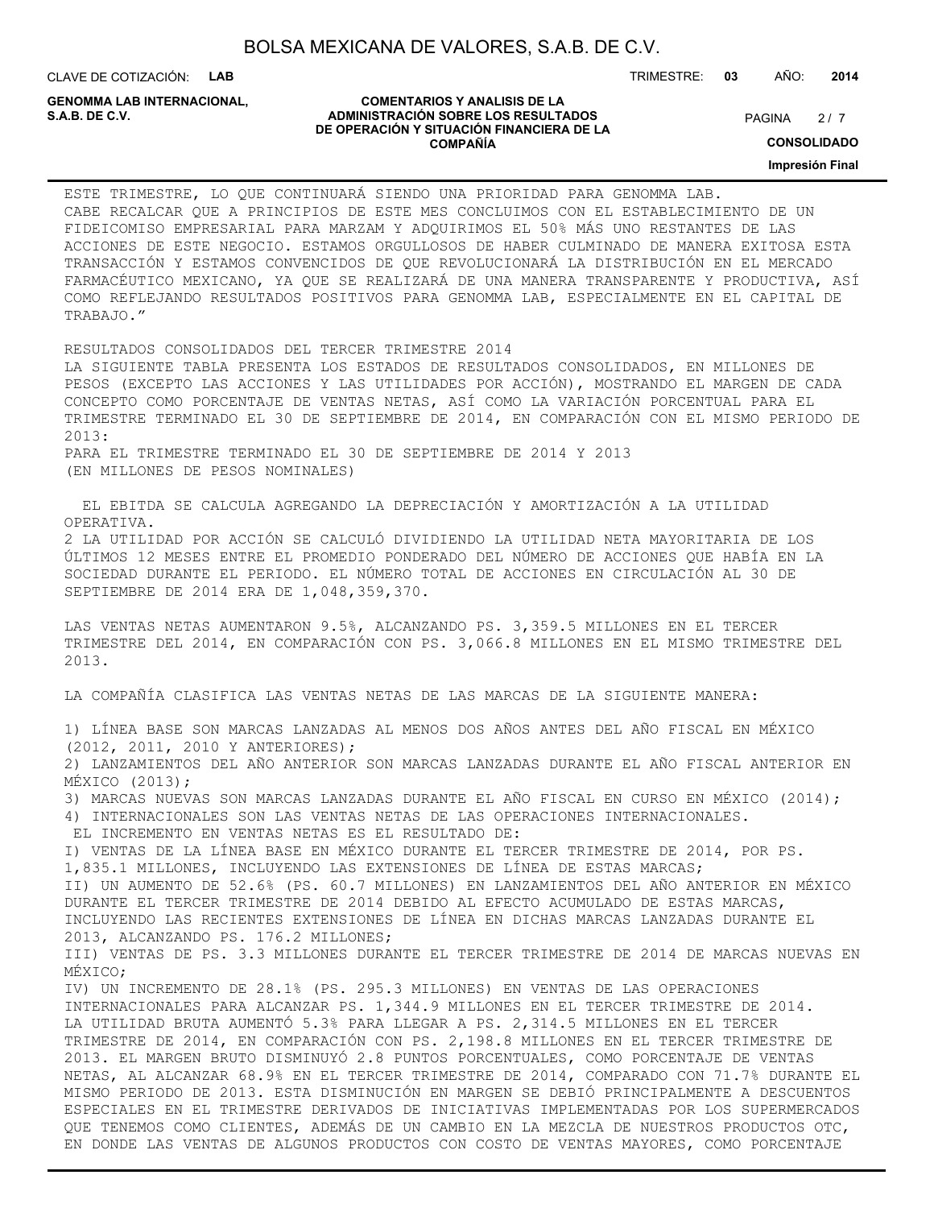CLAVE DE COTIZACIÓN: **LAB**

**GENOMMA LAB INTERNACIONAL,**

#### **COMENTARIOS Y ANALISIS DE LA ADMINISTRACIÓN SOBRE LOS RESULTADOS S.A.B. DE C.V.** PAGINA / 7 **DE OPERACIÓN Y SITUACIÓN FINANCIERA DE LA COMPAÑÍA**

 $2/7$ 

TRIMESTRE: **03** AÑO: **2014**

**CONSOLIDADO**

**Impresión Final**

ESTE TRIMESTRE, LO QUE CONTINUARÁ SIENDO UNA PRIORIDAD PARA GENOMMA LAB. CABE RECALCAR QUE A PRINCIPIOS DE ESTE MES CONCLUIMOS CON EL ESTABLECIMIENTO DE UN FIDEICOMISO EMPRESARIAL PARA MARZAM Y ADQUIRIMOS EL 50% MÁS UNO RESTANTES DE LAS ACCIONES DE ESTE NEGOCIO. ESTAMOS ORGULLOSOS DE HABER CULMINADO DE MANERA EXITOSA ESTA TRANSACCIÓN Y ESTAMOS CONVENCIDOS DE QUE REVOLUCIONARÁ LA DISTRIBUCIÓN EN EL MERCADO FARMACÉUTICO MEXICANO, YA QUE SE REALIZARÁ DE UNA MANERA TRANSPARENTE Y PRODUCTIVA, ASÍ COMO REFLEJANDO RESULTADOS POSITIVOS PARA GENOMMA LAB, ESPECIALMENTE EN EL CAPITAL DE TRABAJO."

RESULTADOS CONSOLIDADOS DEL TERCER TRIMESTRE 2014 LA SIGUIENTE TABLA PRESENTA LOS ESTADOS DE RESULTADOS CONSOLIDADOS, EN MILLONES DE PESOS (EXCEPTO LAS ACCIONES Y LAS UTILIDADES POR ACCIÓN), MOSTRANDO EL MARGEN DE CADA CONCEPTO COMO PORCENTAJE DE VENTAS NETAS, ASÍ COMO LA VARIACIÓN PORCENTUAL PARA EL TRIMESTRE TERMINADO EL 30 DE SEPTIEMBRE DE 2014, EN COMPARACIÓN CON EL MISMO PERIODO DE 2013: PARA EL TRIMESTRE TERMINADO EL 30 DE SEPTIEMBRE DE 2014 Y 2013

(EN MILLONES DE PESOS NOMINALES)

 EL EBITDA SE CALCULA AGREGANDO LA DEPRECIACIÓN Y AMORTIZACIÓN A LA UTILIDAD OPERATIVA. 2 LA UTILIDAD POR ACCIÓN SE CALCULÓ DIVIDIENDO LA UTILIDAD NETA MAYORITARIA DE LOS ÚLTIMOS 12 MESES ENTRE EL PROMEDIO PONDERADO DEL NÚMERO DE ACCIONES QUE HABÍA EN LA SOCIEDAD DURANTE EL PERIODO. EL NÚMERO TOTAL DE ACCIONES EN CIRCULACIÓN AL 30 DE SEPTIEMBRE DE 2014 ERA DE 1,048,359,370.

LAS VENTAS NETAS AUMENTARON 9.5%, ALCANZANDO PS. 3,359.5 MILLONES EN EL TERCER TRIMESTRE DEL 2014, EN COMPARACIÓN CON PS. 3,066.8 MILLONES EN EL MISMO TRIMESTRE DEL 2013.

LA COMPAÑÍA CLASIFICA LAS VENTAS NETAS DE LAS MARCAS DE LA SIGUIENTE MANERA:

1) LÍNEA BASE SON MARCAS LANZADAS AL MENOS DOS AÑOS ANTES DEL AÑO FISCAL EN MÉXICO (2012, 2011, 2010 Y ANTERIORES); 2) LANZAMIENTOS DEL AÑO ANTERIOR SON MARCAS LANZADAS DURANTE EL AÑO FISCAL ANTERIOR EN MÉXICO (2013); 3) MARCAS NUEVAS SON MARCAS LANZADAS DURANTE EL AÑO FISCAL EN CURSO EN MÉXICO (2014); 4) INTERNACIONALES SON LAS VENTAS NETAS DE LAS OPERACIONES INTERNACIONALES. EL INCREMENTO EN VENTAS NETAS ES EL RESULTADO DE: I) VENTAS DE LA LÍNEA BASE EN MÉXICO DURANTE EL TERCER TRIMESTRE DE 2014, POR PS. 1,835.1 MILLONES, INCLUYENDO LAS EXTENSIONES DE LÍNEA DE ESTAS MARCAS; II) UN AUMENTO DE 52.6% (PS. 60.7 MILLONES) EN LANZAMIENTOS DEL AÑO ANTERIOR EN MÉXICO DURANTE EL TERCER TRIMESTRE DE 2014 DEBIDO AL EFECTO ACUMULADO DE ESTAS MARCAS, INCLUYENDO LAS RECIENTES EXTENSIONES DE LÍNEA EN DICHAS MARCAS LANZADAS DURANTE EL 2013, ALCANZANDO PS. 176.2 MILLONES; III) VENTAS DE PS. 3.3 MILLONES DURANTE EL TERCER TRIMESTRE DE 2014 DE MARCAS NUEVAS EN MÉXICO; IV) UN INCREMENTO DE 28.1% (PS. 295.3 MILLONES) EN VENTAS DE LAS OPERACIONES INTERNACIONALES PARA ALCANZAR PS. 1,344.9 MILLONES EN EL TERCER TRIMESTRE DE 2014. LA UTILIDAD BRUTA AUMENTÓ 5.3% PARA LLEGAR A PS. 2,314.5 MILLONES EN EL TERCER TRIMESTRE DE 2014, EN COMPARACIÓN CON PS. 2,198.8 MILLONES EN EL TERCER TRIMESTRE DE 2013. EL MARGEN BRUTO DISMINUYÓ 2.8 PUNTOS PORCENTUALES, COMO PORCENTAJE DE VENTAS NETAS, AL ALCANZAR 68.9% EN EL TERCER TRIMESTRE DE 2014, COMPARADO CON 71.7% DURANTE EL MISMO PERIODO DE 2013. ESTA DISMINUCIÓN EN MARGEN SE DEBIÓ PRINCIPALMENTE A DESCUENTOS ESPECIALES EN EL TRIMESTRE DERIVADOS DE INICIATIVAS IMPLEMENTADAS POR LOS SUPERMERCADOS QUE TENEMOS COMO CLIENTES, ADEMÁS DE UN CAMBIO EN LA MEZCLA DE NUESTROS PRODUCTOS OTC,

EN DONDE LAS VENTAS DE ALGUNOS PRODUCTOS CON COSTO DE VENTAS MAYORES, COMO PORCENTAJE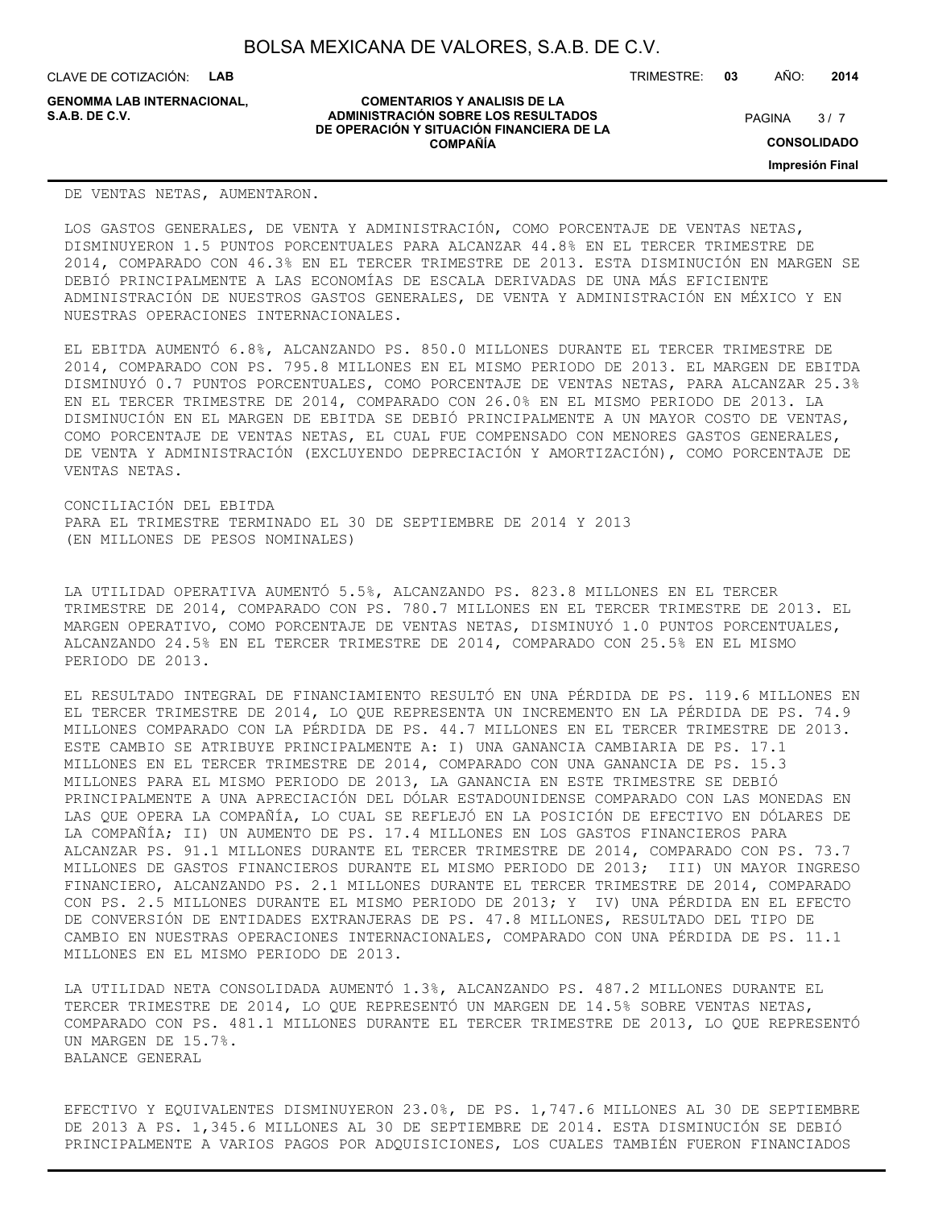CLAVE DE COTIZACIÓN: **LAB**

**GENOMMA LAB INTERNACIONAL,**

#### **COMENTARIOS Y ANALISIS DE LA ADMINISTRACIÓN SOBRE LOS RESULTADOS S.A.B. DE C.V.** PAGINA / 7 **DE OPERACIÓN Y SITUACIÓN FINANCIERA DE LA COMPAÑÍA**

 $3/7$ 

TRIMESTRE: **03** AÑO: **2014**

**CONSOLIDADO**

**Impresión Final**

#### DE VENTAS NETAS, AUMENTARON.

LOS GASTOS GENERALES, DE VENTA Y ADMINISTRACIÓN, COMO PORCENTAJE DE VENTAS NETAS, DISMINUYERON 1.5 PUNTOS PORCENTUALES PARA ALCANZAR 44.8% EN EL TERCER TRIMESTRE DE 2014, COMPARADO CON 46.3% EN EL TERCER TRIMESTRE DE 2013. ESTA DISMINUCIÓN EN MARGEN SE DEBIÓ PRINCIPALMENTE A LAS ECONOMÍAS DE ESCALA DERIVADAS DE UNA MÁS EFICIENTE ADMINISTRACIÓN DE NUESTROS GASTOS GENERALES, DE VENTA Y ADMINISTRACIÓN EN MÉXICO Y EN NUESTRAS OPERACIONES INTERNACIONALES.

EL EBITDA AUMENTÓ 6.8%, ALCANZANDO PS. 850.0 MILLONES DURANTE EL TERCER TRIMESTRE DE 2014, COMPARADO CON PS. 795.8 MILLONES EN EL MISMO PERIODO DE 2013. EL MARGEN DE EBITDA DISMINUYÓ 0.7 PUNTOS PORCENTUALES, COMO PORCENTAJE DE VENTAS NETAS, PARA ALCANZAR 25.3% EN EL TERCER TRIMESTRE DE 2014, COMPARADO CON 26.0% EN EL MISMO PERIODO DE 2013. LA DISMINUCIÓN EN EL MARGEN DE EBITDA SE DEBIÓ PRINCIPALMENTE A UN MAYOR COSTO DE VENTAS, COMO PORCENTAJE DE VENTAS NETAS, EL CUAL FUE COMPENSADO CON MENORES GASTOS GENERALES, DE VENTA Y ADMINISTRACIÓN (EXCLUYENDO DEPRECIACIÓN Y AMORTIZACIÓN), COMO PORCENTAJE DE VENTAS NETAS.

CONCILIACIÓN DEL EBITDA PARA EL TRIMESTRE TERMINADO EL 30 DE SEPTIEMBRE DE 2014 Y 2013 (EN MILLONES DE PESOS NOMINALES)

LA UTILIDAD OPERATIVA AUMENTÓ 5.5%, ALCANZANDO PS. 823.8 MILLONES EN EL TERCER TRIMESTRE DE 2014, COMPARADO CON PS. 780.7 MILLONES EN EL TERCER TRIMESTRE DE 2013. EL MARGEN OPERATIVO, COMO PORCENTAJE DE VENTAS NETAS, DISMINUYÓ 1.0 PUNTOS PORCENTUALES, ALCANZANDO 24.5% EN EL TERCER TRIMESTRE DE 2014, COMPARADO CON 25.5% EN EL MISMO PERIODO DE 2013.

EL RESULTADO INTEGRAL DE FINANCIAMIENTO RESULTÓ EN UNA PÉRDIDA DE PS. 119.6 MILLONES EN EL TERCER TRIMESTRE DE 2014, LO QUE REPRESENTA UN INCREMENTO EN LA PÉRDIDA DE PS. 74.9 MILLONES COMPARADO CON LA PÉRDIDA DE PS. 44.7 MILLONES EN EL TERCER TRIMESTRE DE 2013. ESTE CAMBIO SE ATRIBUYE PRINCIPALMENTE A: I) UNA GANANCIA CAMBIARIA DE PS. 17.1 MILLONES EN EL TERCER TRIMESTRE DE 2014, COMPARADO CON UNA GANANCIA DE PS. 15.3 MILLONES PARA EL MISMO PERIODO DE 2013, LA GANANCIA EN ESTE TRIMESTRE SE DEBIÓ PRINCIPALMENTE A UNA APRECIACIÓN DEL DÓLAR ESTADOUNIDENSE COMPARADO CON LAS MONEDAS EN LAS QUE OPERA LA COMPAÑÍA, LO CUAL SE REFLEJÓ EN LA POSICIÓN DE EFECTIVO EN DÓLARES DE LA COMPAÑÍA; II) UN AUMENTO DE PS. 17.4 MILLONES EN LOS GASTOS FINANCIEROS PARA ALCANZAR PS. 91.1 MILLONES DURANTE EL TERCER TRIMESTRE DE 2014, COMPARADO CON PS. 73.7 MILLONES DE GASTOS FINANCIEROS DURANTE EL MISMO PERIODO DE 2013; III) UN MAYOR INGRESO FINANCIERO, ALCANZANDO PS. 2.1 MILLONES DURANTE EL TERCER TRIMESTRE DE 2014, COMPARADO CON PS. 2.5 MILLONES DURANTE EL MISMO PERIODO DE 2013; Y IV) UNA PÉRDIDA EN EL EFECTO DE CONVERSIÓN DE ENTIDADES EXTRANJERAS DE PS. 47.8 MILLONES, RESULTADO DEL TIPO DE CAMBIO EN NUESTRAS OPERACIONES INTERNACIONALES, COMPARADO CON UNA PÉRDIDA DE PS. 11.1 MILLONES EN EL MISMO PERIODO DE 2013.

LA UTILIDAD NETA CONSOLIDADA AUMENTÓ 1.3%, ALCANZANDO PS. 487.2 MILLONES DURANTE EL TERCER TRIMESTRE DE 2014, LO QUE REPRESENTÓ UN MARGEN DE 14.5% SOBRE VENTAS NETAS, COMPARADO CON PS. 481.1 MILLONES DURANTE EL TERCER TRIMESTRE DE 2013, LO QUE REPRESENTÓ UN MARGEN DE 15.7%. BALANCE GENERAL

EFECTIVO Y EQUIVALENTES DISMINUYERON 23.0%, DE PS. 1,747.6 MILLONES AL 30 DE SEPTIEMBRE DE 2013 A PS. 1,345.6 MILLONES AL 30 DE SEPTIEMBRE DE 2014. ESTA DISMINUCIÓN SE DEBIÓ PRINCIPALMENTE A VARIOS PAGOS POR ADQUISICIONES, LOS CUALES TAMBIÉN FUERON FINANCIADOS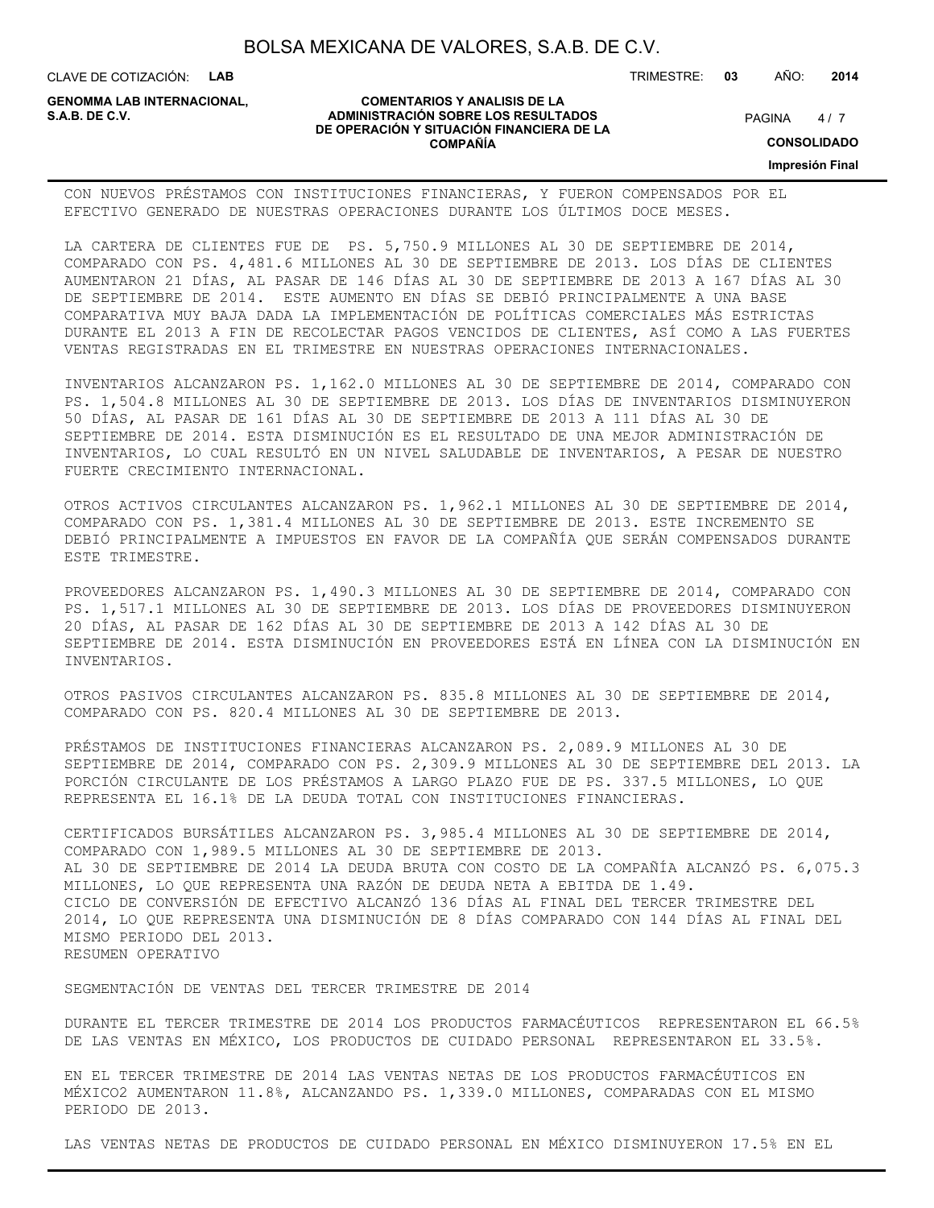CLAVE DE COTIZACIÓN: **LAB**

**GENOMMA LAB INTERNACIONAL,**

#### **COMENTARIOS Y ANALISIS DE LA ADMINISTRACIÓN SOBRE LOS RESULTADOS** PAGINA 4/7 **DE OPERACIÓN Y SITUACIÓN FINANCIERA DE LA COMPAÑÍA**

 $4/7$ 

TRIMESTRE: **03** AÑO: **2014**

**CONSOLIDADO**

**Impresión Final**

CON NUEVOS PRÉSTAMOS CON INSTITUCIONES FINANCIERAS, Y FUERON COMPENSADOS POR EL EFECTIVO GENERADO DE NUESTRAS OPERACIONES DURANTE LOS ÚLTIMOS DOCE MESES.

LA CARTERA DE CLIENTES FUE DE PS. 5,750.9 MILLONES AL 30 DE SEPTIEMBRE DE 2014, COMPARADO CON PS. 4,481.6 MILLONES AL 30 DE SEPTIEMBRE DE 2013. LOS DÍAS DE CLIENTES AUMENTARON 21 DÍAS, AL PASAR DE 146 DÍAS AL 30 DE SEPTIEMBRE DE 2013 A 167 DÍAS AL 30 DE SEPTIEMBRE DE 2014. ESTE AUMENTO EN DÍAS SE DEBIÓ PRINCIPALMENTE A UNA BASE COMPARATIVA MUY BAJA DADA LA IMPLEMENTACIÓN DE POLÍTICAS COMERCIALES MÁS ESTRICTAS DURANTE EL 2013 A FIN DE RECOLECTAR PAGOS VENCIDOS DE CLIENTES, ASÍ COMO A LAS FUERTES VENTAS REGISTRADAS EN EL TRIMESTRE EN NUESTRAS OPERACIONES INTERNACIONALES.

INVENTARIOS ALCANZARON PS. 1,162.0 MILLONES AL 30 DE SEPTIEMBRE DE 2014, COMPARADO CON PS. 1,504.8 MILLONES AL 30 DE SEPTIEMBRE DE 2013. LOS DÍAS DE INVENTARIOS DISMINUYERON 50 DÍAS, AL PASAR DE 161 DÍAS AL 30 DE SEPTIEMBRE DE 2013 A 111 DÍAS AL 30 DE SEPTIEMBRE DE 2014. ESTA DISMINUCIÓN ES EL RESULTADO DE UNA MEJOR ADMINISTRACIÓN DE INVENTARIOS, LO CUAL RESULTÓ EN UN NIVEL SALUDABLE DE INVENTARIOS, A PESAR DE NUESTRO FUERTE CRECIMIENTO INTERNACIONAL.

OTROS ACTIVOS CIRCULANTES ALCANZARON PS. 1,962.1 MILLONES AL 30 DE SEPTIEMBRE DE 2014, COMPARADO CON PS. 1,381.4 MILLONES AL 30 DE SEPTIEMBRE DE 2013. ESTE INCREMENTO SE DEBIÓ PRINCIPALMENTE A IMPUESTOS EN FAVOR DE LA COMPAÑÍA QUE SERÁN COMPENSADOS DURANTE ESTE TRIMESTRE.

PROVEEDORES ALCANZARON PS. 1,490.3 MILLONES AL 30 DE SEPTIEMBRE DE 2014, COMPARADO CON PS. 1,517.1 MILLONES AL 30 DE SEPTIEMBRE DE 2013. LOS DÍAS DE PROVEEDORES DISMINUYERON 20 DÍAS, AL PASAR DE 162 DÍAS AL 30 DE SEPTIEMBRE DE 2013 A 142 DÍAS AL 30 DE SEPTIEMBRE DE 2014. ESTA DISMINUCIÓN EN PROVEEDORES ESTÁ EN LÍNEA CON LA DISMINUCIÓN EN INVENTARIOS.

OTROS PASIVOS CIRCULANTES ALCANZARON PS. 835.8 MILLONES AL 30 DE SEPTIEMBRE DE 2014, COMPARADO CON PS. 820.4 MILLONES AL 30 DE SEPTIEMBRE DE 2013.

PRÉSTAMOS DE INSTITUCIONES FINANCIERAS ALCANZARON PS. 2,089.9 MILLONES AL 30 DE SEPTIEMBRE DE 2014, COMPARADO CON PS. 2,309.9 MILLONES AL 30 DE SEPTIEMBRE DEL 2013. LA PORCIÓN CIRCULANTE DE LOS PRÉSTAMOS A LARGO PLAZO FUE DE PS. 337.5 MILLONES, LO QUE REPRESENTA EL 16.1% DE LA DEUDA TOTAL CON INSTITUCIONES FINANCIERAS.

CERTIFICADOS BURSÁTILES ALCANZARON PS. 3,985.4 MILLONES AL 30 DE SEPTIEMBRE DE 2014, COMPARADO CON 1,989.5 MILLONES AL 30 DE SEPTIEMBRE DE 2013. AL 30 DE SEPTIEMBRE DE 2014 LA DEUDA BRUTA CON COSTO DE LA COMPAÑÍA ALCANZÓ PS. 6,075.3 MILLONES, LO QUE REPRESENTA UNA RAZÓN DE DEUDA NETA A EBITDA DE 1.49. CICLO DE CONVERSIÓN DE EFECTIVO ALCANZÓ 136 DÍAS AL FINAL DEL TERCER TRIMESTRE DEL 2014, LO QUE REPRESENTA UNA DISMINUCIÓN DE 8 DÍAS COMPARADO CON 144 DÍAS AL FINAL DEL MISMO PERIODO DEL 2013. RESUMEN OPERATIVO

SEGMENTACIÓN DE VENTAS DEL TERCER TRIMESTRE DE 2014

DURANTE EL TERCER TRIMESTRE DE 2014 LOS PRODUCTOS FARMACÉUTICOS REPRESENTARON EL 66.5% DE LAS VENTAS EN MÉXICO, LOS PRODUCTOS DE CUIDADO PERSONAL REPRESENTARON EL 33.5%.

EN EL TERCER TRIMESTRE DE 2014 LAS VENTAS NETAS DE LOS PRODUCTOS FARMACÉUTICOS EN MÉXICO2 AUMENTARON 11.8%, ALCANZANDO PS. 1,339.0 MILLONES, COMPARADAS CON EL MISMO PERIODO DE 2013.

LAS VENTAS NETAS DE PRODUCTOS DE CUIDADO PERSONAL EN MÉXICO DISMINUYERON 17.5% EN EL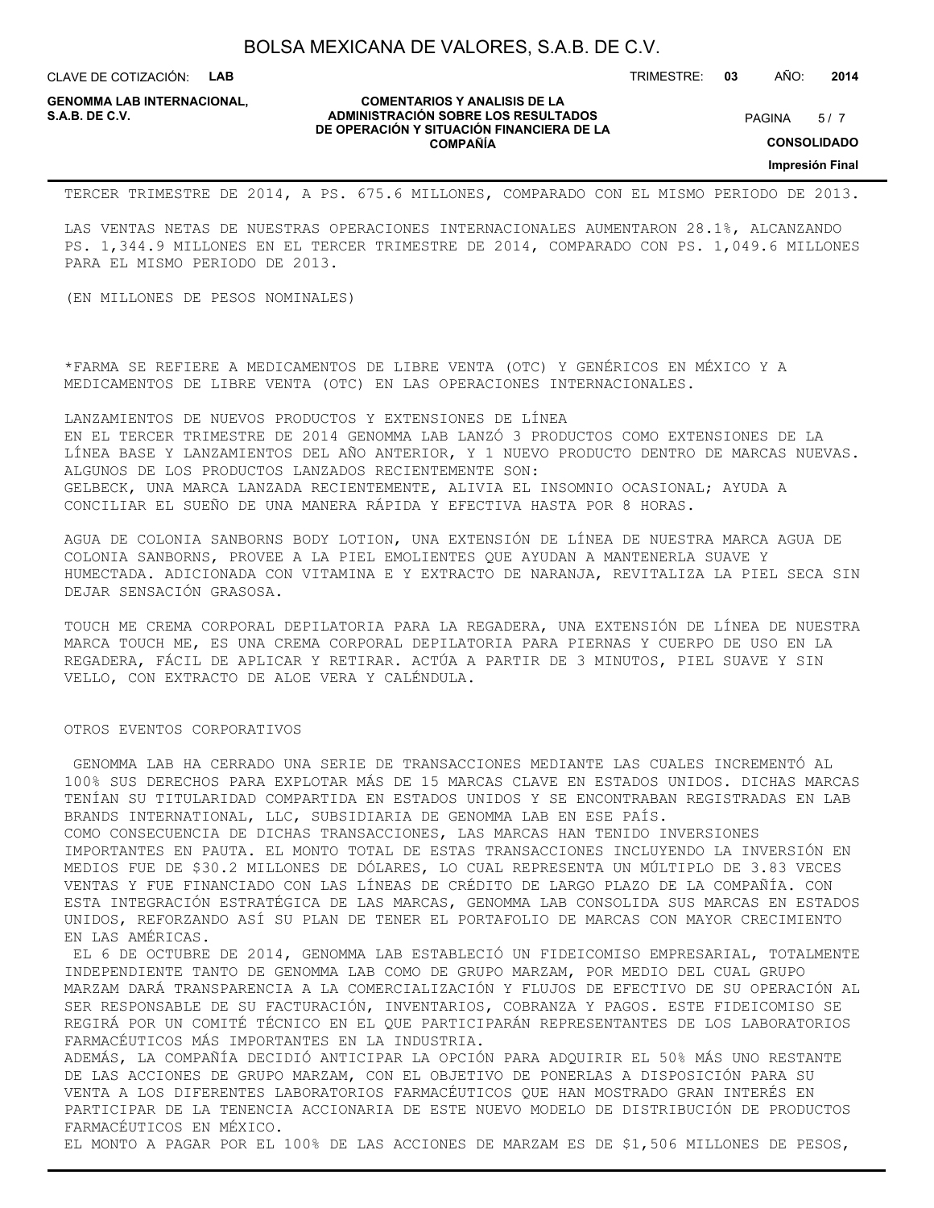CLAVE DE COTIZACIÓN: **LAB**

**GENOMMA LAB INTERNACIONAL,**

#### **COMENTARIOS Y ANALISIS DE LA ADMINISTRACIÓN SOBRE LOS RESULTADOS S.A.B. DE C.V.** PAGINA / 7 **DE OPERACIÓN Y SITUACIÓN FINANCIERA DE LA COMPAÑÍA**

 $5/7$ 

TRIMESTRE: **03** AÑO: **2014**

**CONSOLIDADO**

**Impresión Final**

TERCER TRIMESTRE DE 2014, A PS. 675.6 MILLONES, COMPARADO CON EL MISMO PERIODO DE 2013.

LAS VENTAS NETAS DE NUESTRAS OPERACIONES INTERNACIONALES AUMENTARON 28.1%, ALCANZANDO PS. 1,344.9 MILLONES EN EL TERCER TRIMESTRE DE 2014, COMPARADO CON PS. 1,049.6 MILLONES PARA EL MISMO PERIODO DE 2013.

(EN MILLONES DE PESOS NOMINALES)

\*FARMA SE REFIERE A MEDICAMENTOS DE LIBRE VENTA (OTC) Y GENÉRICOS EN MÉXICO Y A MEDICAMENTOS DE LIBRE VENTA (OTC) EN LAS OPERACIONES INTERNACIONALES.

LANZAMIENTOS DE NUEVOS PRODUCTOS Y EXTENSIONES DE LÍNEA EN EL TERCER TRIMESTRE DE 2014 GENOMMA LAB LANZÓ 3 PRODUCTOS COMO EXTENSIONES DE LA LÍNEA BASE Y LANZAMIENTOS DEL AÑO ANTERIOR, Y 1 NUEVO PRODUCTO DENTRO DE MARCAS NUEVAS. ALGUNOS DE LOS PRODUCTOS LANZADOS RECIENTEMENTE SON: GELBECK, UNA MARCA LANZADA RECIENTEMENTE, ALIVIA EL INSOMNIO OCASIONAL; AYUDA A CONCILIAR EL SUEÑO DE UNA MANERA RÁPIDA Y EFECTIVA HASTA POR 8 HORAS.

AGUA DE COLONIA SANBORNS BODY LOTION, UNA EXTENSIÓN DE LÍNEA DE NUESTRA MARCA AGUA DE COLONIA SANBORNS, PROVEE A LA PIEL EMOLIENTES QUE AYUDAN A MANTENERLA SUAVE Y HUMECTADA. ADICIONADA CON VITAMINA E Y EXTRACTO DE NARANJA, REVITALIZA LA PIEL SECA SIN DEJAR SENSACIÓN GRASOSA.

TOUCH ME CREMA CORPORAL DEPILATORIA PARA LA REGADERA, UNA EXTENSIÓN DE LÍNEA DE NUESTRA MARCA TOUCH ME, ES UNA CREMA CORPORAL DEPILATORIA PARA PIERNAS Y CUERPO DE USO EN LA REGADERA, FÁCIL DE APLICAR Y RETIRAR. ACTÚA A PARTIR DE 3 MINUTOS, PIEL SUAVE Y SIN VELLO, CON EXTRACTO DE ALOE VERA Y CALÉNDULA.

#### OTROS EVENTOS CORPORATIVOS

 GENOMMA LAB HA CERRADO UNA SERIE DE TRANSACCIONES MEDIANTE LAS CUALES INCREMENTÓ AL 100% SUS DERECHOS PARA EXPLOTAR MÁS DE 15 MARCAS CLAVE EN ESTADOS UNIDOS. DICHAS MARCAS TENÍAN SU TITULARIDAD COMPARTIDA EN ESTADOS UNIDOS Y SE ENCONTRABAN REGISTRADAS EN LAB BRANDS INTERNATIONAL, LLC, SUBSIDIARIA DE GENOMMA LAB EN ESE PAÍS. COMO CONSECUENCIA DE DICHAS TRANSACCIONES, LAS MARCAS HAN TENIDO INVERSIONES IMPORTANTES EN PAUTA. EL MONTO TOTAL DE ESTAS TRANSACCIONES INCLUYENDO LA INVERSIÓN EN

MEDIOS FUE DE \$30.2 MILLONES DE DÓLARES, LO CUAL REPRESENTA UN MÚLTIPLO DE 3.83 VECES VENTAS Y FUE FINANCIADO CON LAS LÍNEAS DE CRÉDITO DE LARGO PLAZO DE LA COMPAÑÍA. CON ESTA INTEGRACIÓN ESTRATÉGICA DE LAS MARCAS, GENOMMA LAB CONSOLIDA SUS MARCAS EN ESTADOS UNIDOS, REFORZANDO ASÍ SU PLAN DE TENER EL PORTAFOLIO DE MARCAS CON MAYOR CRECIMIENTO EN LAS AMÉRICAS.

 EL 6 DE OCTUBRE DE 2014, GENOMMA LAB ESTABLECIÓ UN FIDEICOMISO EMPRESARIAL, TOTALMENTE INDEPENDIENTE TANTO DE GENOMMA LAB COMO DE GRUPO MARZAM, POR MEDIO DEL CUAL GRUPO MARZAM DARÁ TRANSPARENCIA A LA COMERCIALIZACIÓN Y FLUJOS DE EFECTIVO DE SU OPERACIÓN AL SER RESPONSABLE DE SU FACTURACIÓN, INVENTARIOS, COBRANZA Y PAGOS. ESTE FIDEICOMISO SE REGIRÁ POR UN COMITÉ TÉCNICO EN EL QUE PARTICIPARÁN REPRESENTANTES DE LOS LABORATORIOS FARMACÉUTICOS MÁS IMPORTANTES EN LA INDUSTRIA.

ADEMÁS, LA COMPAÑÍA DECIDIÓ ANTICIPAR LA OPCIÓN PARA ADQUIRIR EL 50% MÁS UNO RESTANTE DE LAS ACCIONES DE GRUPO MARZAM, CON EL OBJETIVO DE PONERLAS A DISPOSICIÓN PARA SU VENTA A LOS DIFERENTES LABORATORIOS FARMACÉUTICOS QUE HAN MOSTRADO GRAN INTERÉS EN PARTICIPAR DE LA TENENCIA ACCIONARIA DE ESTE NUEVO MODELO DE DISTRIBUCIÓN DE PRODUCTOS FARMACÉUTICOS EN MÉXICO.

EL MONTO A PAGAR POR EL 100% DE LAS ACCIONES DE MARZAM ES DE \$1,506 MILLONES DE PESOS,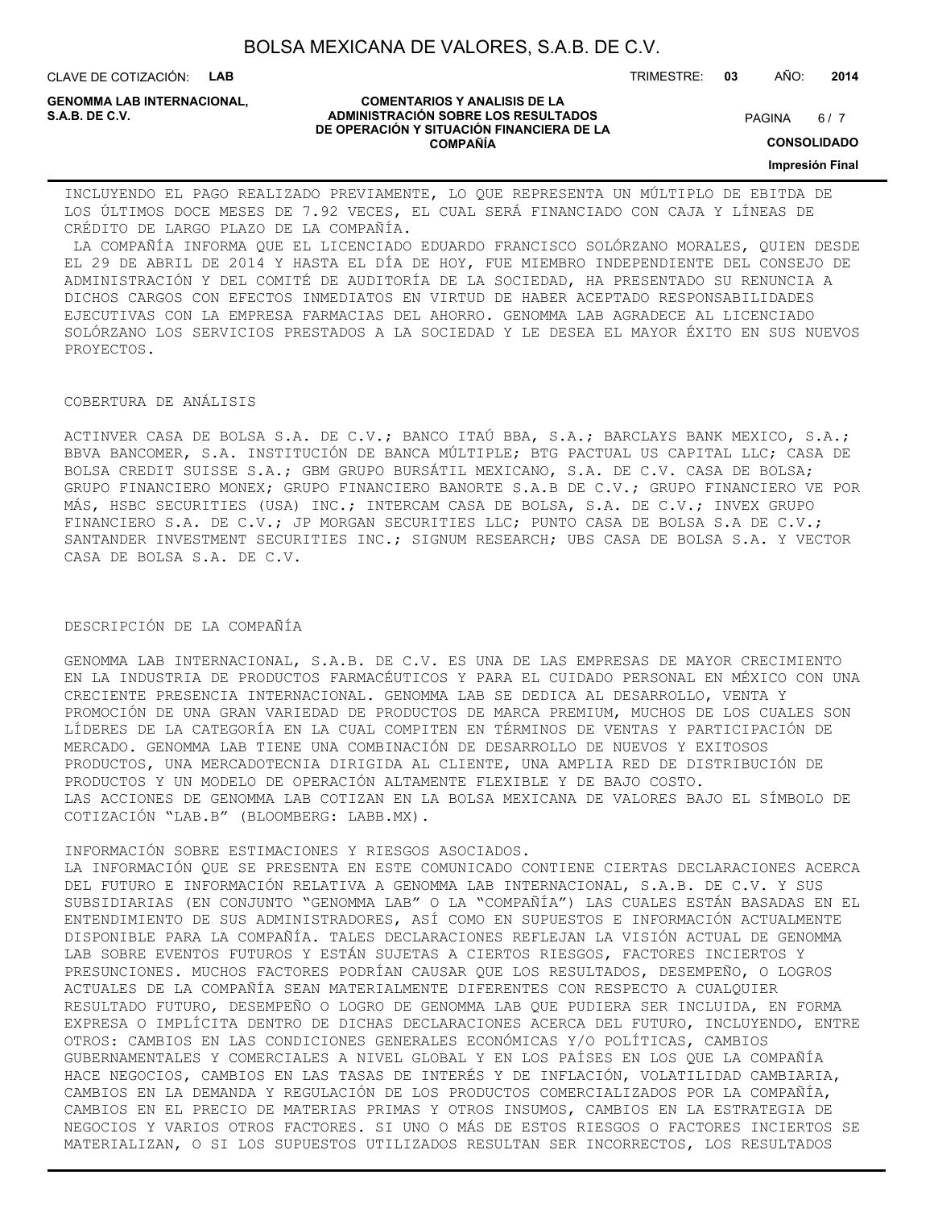CLAVE DE COTIZACIÓN: **LAB**

**GENOMMA LAB INTERNACIONAL,**

#### **COMENTARIOS Y ANALISIS DE LA ADMINISTRACIÓN SOBRE LOS RESULTADOS S.A.B. DE C.V.** PAGINA / 7 **DE OPERACIÓN Y SITUACIÓN FINANCIERA DE LA COMPAÑÍA**

 $6/7$ 

TRIMESTRE: **03** AÑO: **2014**

**CONSOLIDADO**

**Impresión Final**

INCLUYENDO EL PAGO REALIZADO PREVIAMENTE, LO QUE REPRESENTA UN MÚLTIPLO DE EBITDA DE LOS ÚLTIMOS DOCE MESES DE 7.92 VECES, EL CUAL SERÁ FINANCIADO CON CAJA Y LÍNEAS DE CRÉDITO DE LARGO PLAZO DE LA COMPAÑÍA.

 LA COMPAÑÍA INFORMA QUE EL LICENCIADO EDUARDO FRANCISCO SOLÓRZANO MORALES, QUIEN DESDE EL 29 DE ABRIL DE 2014 Y HASTA EL DÍA DE HOY, FUE MIEMBRO INDEPENDIENTE DEL CONSEJO DE ADMINISTRACIÓN Y DEL COMITÉ DE AUDITORÍA DE LA SOCIEDAD, HA PRESENTADO SU RENUNCIA A DICHOS CARGOS CON EFECTOS INMEDIATOS EN VIRTUD DE HABER ACEPTADO RESPONSABILIDADES EJECUTIVAS CON LA EMPRESA FARMACIAS DEL AHORRO. GENOMMA LAB AGRADECE AL LICENCIADO SOLÓRZANO LOS SERVICIOS PRESTADOS A LA SOCIEDAD Y LE DESEA EL MAYOR ÉXITO EN SUS NUEVOS PROYECTOS.

#### COBERTURA DE ANÁLISIS

ACTINVER CASA DE BOLSA S.A. DE C.V.; BANCO ITAÚ BBA, S.A.; BARCLAYS BANK MEXICO, S.A.; BBVA BANCOMER, S.A. INSTITUCIÓN DE BANCA MÚLTIPLE; BTG PACTUAL US CAPITAL LLC; CASA DE BOLSA CREDIT SUISSE S.A.; GBM GRUPO BURSÁTIL MEXICANO, S.A. DE C.V. CASA DE BOLSA; GRUPO FINANCIERO MONEX; GRUPO FINANCIERO BANORTE S.A.B DE C.V.; GRUPO FINANCIERO VE POR MÁS, HSBC SECURITIES (USA) INC.; INTERCAM CASA DE BOLSA, S.A. DE C.V.; INVEX GRUPO FINANCIERO S.A. DE C.V.; JP MORGAN SECURITIES LLC; PUNTO CASA DE BOLSA S.A DE C.V.; SANTANDER INVESTMENT SECURITIES INC.; SIGNUM RESEARCH; UBS CASA DE BOLSA S.A. Y VECTOR CASA DE BOLSA S.A. DE C.V.

#### DESCRIPCIÓN DE LA COMPAÑÍA

GENOMMA LAB INTERNACIONAL, S.A.B. DE C.V. ES UNA DE LAS EMPRESAS DE MAYOR CRECIMIENTO EN LA INDUSTRIA DE PRODUCTOS FARMACÉUTICOS Y PARA EL CUIDADO PERSONAL EN MÉXICO CON UNA CRECIENTE PRESENCIA INTERNACIONAL. GENOMMA LAB SE DEDICA AL DESARROLLO, VENTA Y PROMOCIÓN DE UNA GRAN VARIEDAD DE PRODUCTOS DE MARCA PREMIUM, MUCHOS DE LOS CUALES SON LÍDERES DE LA CATEGORÍA EN LA CUAL COMPITEN EN TÉRMINOS DE VENTAS Y PARTICIPACIÓN DE MERCADO. GENOMMA LAB TIENE UNA COMBINACIÓN DE DESARROLLO DE NUEVOS Y EXITOSOS PRODUCTOS, UNA MERCADOTECNIA DIRIGIDA AL CLIENTE, UNA AMPLIA RED DE DISTRIBUCIÓN DE PRODUCTOS Y UN MODELO DE OPERACIÓN ALTAMENTE FLEXIBLE Y DE BAJO COSTO. LAS ACCIONES DE GENOMMA LAB COTIZAN EN LA BOLSA MEXICANA DE VALORES BAJO EL SÍMBOLO DE COTIZACIÓN "LAB.B" (BLOOMBERG: LABB.MX).

INFORMACIÓN SOBRE ESTIMACIONES Y RIESGOS ASOCIADOS.

LA INFORMACIÓN QUE SE PRESENTA EN ESTE COMUNICADO CONTIENE CIERTAS DECLARACIONES ACERCA DEL FUTURO E INFORMACIÓN RELATIVA A GENOMMA LAB INTERNACIONAL, S.A.B. DE C.V. Y SUS SUBSIDIARIAS (EN CONJUNTO "GENOMMA LAB" O LA "COMPAÑÍA") LAS CUALES ESTÁN BASADAS EN EL ENTENDIMIENTO DE SUS ADMINISTRADORES, ASÍ COMO EN SUPUESTOS E INFORMACIÓN ACTUALMENTE DISPONIBLE PARA LA COMPAÑÍA. TALES DECLARACIONES REFLEJAN LA VISIÓN ACTUAL DE GENOMMA LAB SOBRE EVENTOS FUTUROS Y ESTÁN SUJETAS A CIERTOS RIESGOS, FACTORES INCIERTOS Y PRESUNCIONES. MUCHOS FACTORES PODRÍAN CAUSAR QUE LOS RESULTADOS, DESEMPEÑO, O LOGROS ACTUALES DE LA COMPAÑÍA SEAN MATERIALMENTE DIFERENTES CON RESPECTO A CUALQUIER RESULTADO FUTURO, DESEMPEÑO O LOGRO DE GENOMMA LAB QUE PUDIERA SER INCLUIDA, EN FORMA EXPRESA O IMPLÍCITA DENTRO DE DICHAS DECLARACIONES ACERCA DEL FUTURO, INCLUYENDO, ENTRE OTROS: CAMBIOS EN LAS CONDICIONES GENERALES ECONÓMICAS Y/O POLÍTICAS, CAMBIOS GUBERNAMENTALES Y COMERCIALES A NIVEL GLOBAL Y EN LOS PAÍSES EN LOS QUE LA COMPAÑÍA HACE NEGOCIOS, CAMBIOS EN LAS TASAS DE INTERÉS Y DE INFLACIÓN, VOLATILIDAD CAMBIARIA, CAMBIOS EN LA DEMANDA Y REGULACIÓN DE LOS PRODUCTOS COMERCIALIZADOS POR LA COMPAÑÍA, CAMBIOS EN EL PRECIO DE MATERIAS PRIMAS Y OTROS INSUMOS, CAMBIOS EN LA ESTRATEGIA DE NEGOCIOS Y VARIOS OTROS FACTORES. SI UNO O MÁS DE ESTOS RIESGOS O FACTORES INCIERTOS SE MATERIALIZAN, O SI LOS SUPUESTOS UTILIZADOS RESULTAN SER INCORRECTOS, LOS RESULTADOS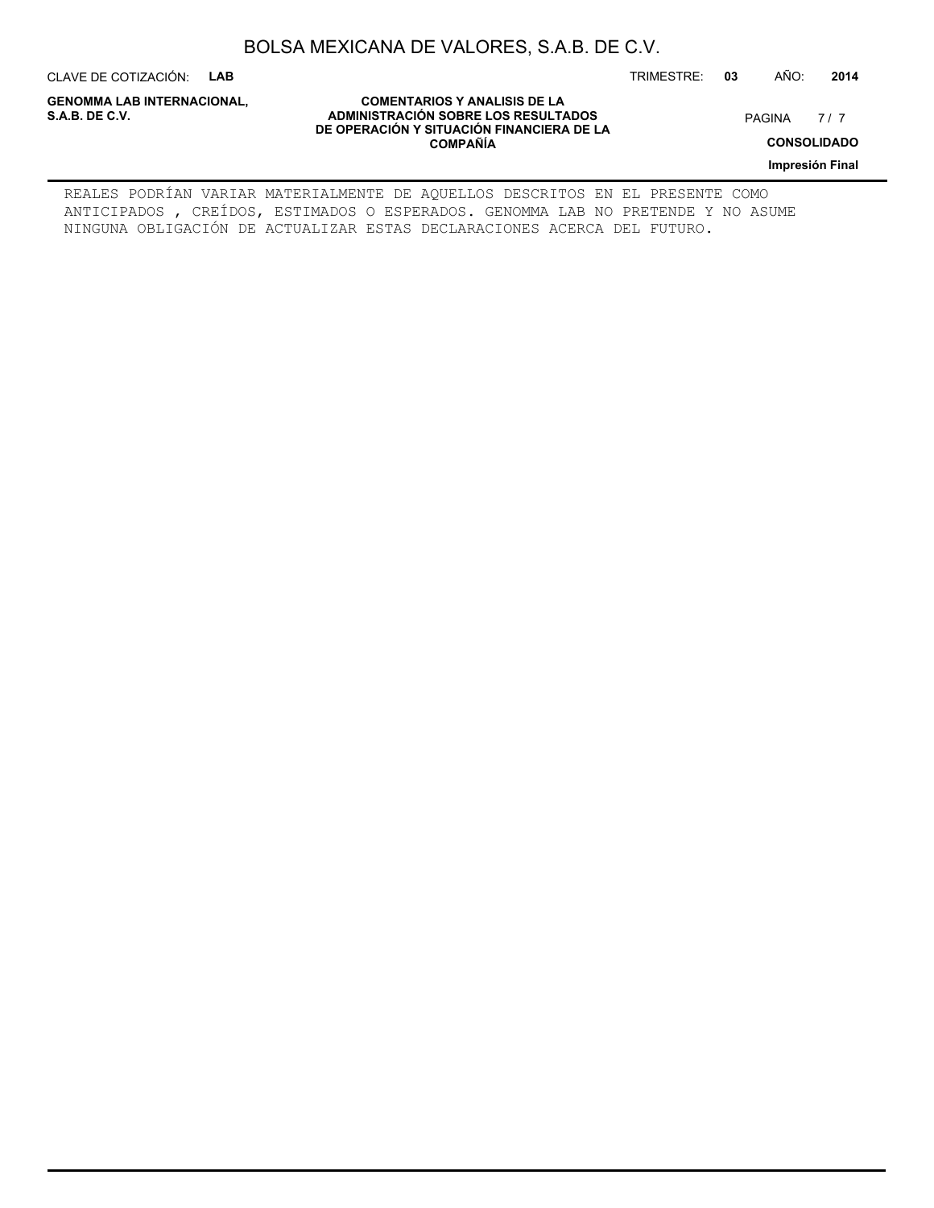CLAVE DE COTIZACIÓN: **LAB**

**GENOMMA LAB INTERNACIONAL,**

**COMENTARIOS Y ANALISIS DE LA ADMINISTRACIÓN SOBRE LOS RESULTADOS S.A.B. DE C.V.** PAGINA / 7 **DE OPERACIÓN Y SITUACIÓN FINANCIERA DE LA COMPAÑÍA**

7/7

TRIMESTRE: **03** AÑO: **2014**

**CONSOLIDADO**

**Impresión Final**

REALES PODRÍAN VARIAR MATERIALMENTE DE AQUELLOS DESCRITOS EN EL PRESENTE COMO ANTICIPADOS , CREÍDOS, ESTIMADOS O ESPERADOS. GENOMMA LAB NO PRETENDE Y NO ASUME NINGUNA OBLIGACIÓN DE ACTUALIZAR ESTAS DECLARACIONES ACERCA DEL FUTURO.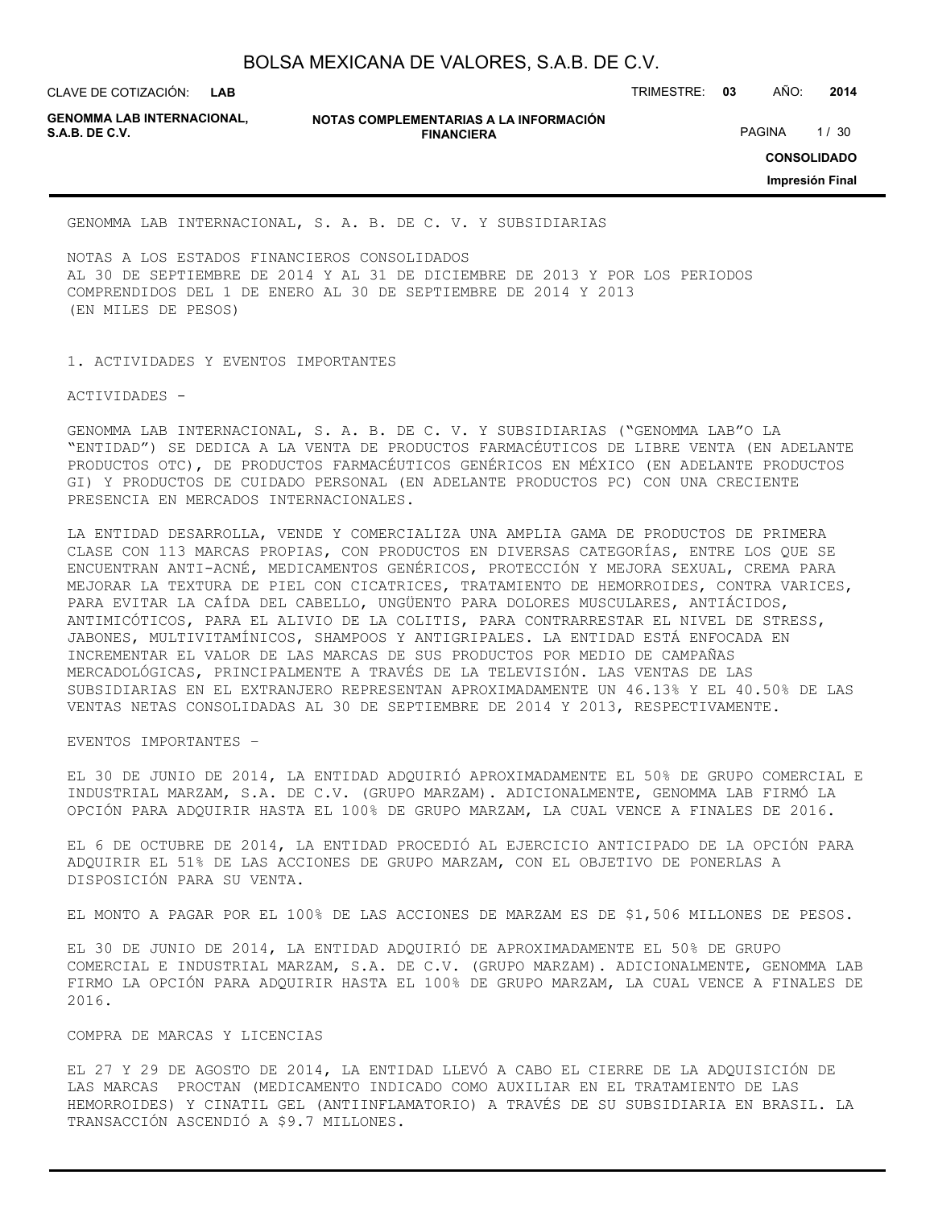CLAVE DE COTIZACIÓN: TRIMESTRE: **03** AÑO: **2014 LAB**

**NOTAS COMPLEMENTARIAS A LA INFORMACIÓN FINANCIERA S.A.B. DE C.V.** PAGINA 1/30

**CONSOLIDADO**

**Impresión Final**

GENOMMA LAB INTERNACIONAL, S. A. B. DE C. V. Y SUBSIDIARIAS

NOTAS A LOS ESTADOS FINANCIEROS CONSOLIDADOS AL 30 DE SEPTIEMBRE DE 2014 Y AL 31 DE DICIEMBRE DE 2013 Y POR LOS PERIODOS COMPRENDIDOS DEL 1 DE ENERO AL 30 DE SEPTIEMBRE DE 2014 Y 2013 (EN MILES DE PESOS)

1. ACTIVIDADES Y EVENTOS IMPORTANTES

ACTIVIDADES -

GENOMMA LAB INTERNACIONAL, S. A. B. DE C. V. Y SUBSIDIARIAS ("GENOMMA LAB"O LA "ENTIDAD") SE DEDICA A LA VENTA DE PRODUCTOS FARMACÉUTICOS DE LIBRE VENTA (EN ADELANTE PRODUCTOS OTC), DE PRODUCTOS FARMACÉUTICOS GENÉRICOS EN MÉXICO (EN ADELANTE PRODUCTOS GI) Y PRODUCTOS DE CUIDADO PERSONAL (EN ADELANTE PRODUCTOS PC) CON UNA CRECIENTE PRESENCIA EN MERCADOS INTERNACIONALES.

LA ENTIDAD DESARROLLA, VENDE Y COMERCIALIZA UNA AMPLIA GAMA DE PRODUCTOS DE PRIMERA CLASE CON 113 MARCAS PROPIAS, CON PRODUCTOS EN DIVERSAS CATEGORÍAS, ENTRE LOS QUE SE ENCUENTRAN ANTI-ACNÉ, MEDICAMENTOS GENÉRICOS, PROTECCIÓN Y MEJORA SEXUAL, CREMA PARA MEJORAR LA TEXTURA DE PIEL CON CICATRICES, TRATAMIENTO DE HEMORROIDES, CONTRA VARICES, PARA EVITAR LA CAÍDA DEL CABELLO, UNGÜENTO PARA DOLORES MUSCULARES, ANTIÁCIDOS, ANTIMICÓTICOS, PARA EL ALIVIO DE LA COLITIS, PARA CONTRARRESTAR EL NIVEL DE STRESS, JABONES, MULTIVITAMÍNICOS, SHAMPOOS Y ANTIGRIPALES. LA ENTIDAD ESTÁ ENFOCADA EN INCREMENTAR EL VALOR DE LAS MARCAS DE SUS PRODUCTOS POR MEDIO DE CAMPAÑAS MERCADOLÓGICAS, PRINCIPALMENTE A TRAVÉS DE LA TELEVISIÓN. LAS VENTAS DE LAS SUBSIDIARIAS EN EL EXTRANJERO REPRESENTAN APROXIMADAMENTE UN 46.13% Y EL 40.50% DE LAS VENTAS NETAS CONSOLIDADAS AL 30 DE SEPTIEMBRE DE 2014 Y 2013, RESPECTIVAMENTE.

EVENTOS IMPORTANTES –

EL 30 DE JUNIO DE 2014, LA ENTIDAD ADQUIRIÓ APROXIMADAMENTE EL 50% DE GRUPO COMERCIAL E INDUSTRIAL MARZAM, S.A. DE C.V. (GRUPO MARZAM). ADICIONALMENTE, GENOMMA LAB FIRMÓ LA OPCIÓN PARA ADQUIRIR HASTA EL 100% DE GRUPO MARZAM, LA CUAL VENCE A FINALES DE 2016.

EL 6 DE OCTUBRE DE 2014, LA ENTIDAD PROCEDIÓ AL EJERCICIO ANTICIPADO DE LA OPCIÓN PARA ADQUIRIR EL 51% DE LAS ACCIONES DE GRUPO MARZAM, CON EL OBJETIVO DE PONERLAS A DISPOSICIÓN PARA SU VENTA.

EL MONTO A PAGAR POR EL 100% DE LAS ACCIONES DE MARZAM ES DE \$1,506 MILLONES DE PESOS.

EL 30 DE JUNIO DE 2014, LA ENTIDAD ADQUIRIÓ DE APROXIMADAMENTE EL 50% DE GRUPO COMERCIAL E INDUSTRIAL MARZAM, S.A. DE C.V. (GRUPO MARZAM). ADICIONALMENTE, GENOMMA LAB FIRMO LA OPCIÓN PARA ADQUIRIR HASTA EL 100% DE GRUPO MARZAM, LA CUAL VENCE A FINALES DE 2016.

#### COMPRA DE MARCAS Y LICENCIAS

EL 27 Y 29 DE AGOSTO DE 2014, LA ENTIDAD LLEVÓ A CABO EL CIERRE DE LA ADQUISICIÓN DE LAS MARCAS PROCTAN (MEDICAMENTO INDICADO COMO AUXILIAR EN EL TRATAMIENTO DE LAS HEMORROIDES) Y CINATIL GEL (ANTIINFLAMATORIO) A TRAVÉS DE SU SUBSIDIARIA EN BRASIL. LA TRANSACCIÓN ASCENDIÓ A \$9.7 MILLONES.

**GENOMMA LAB INTERNACIONAL,**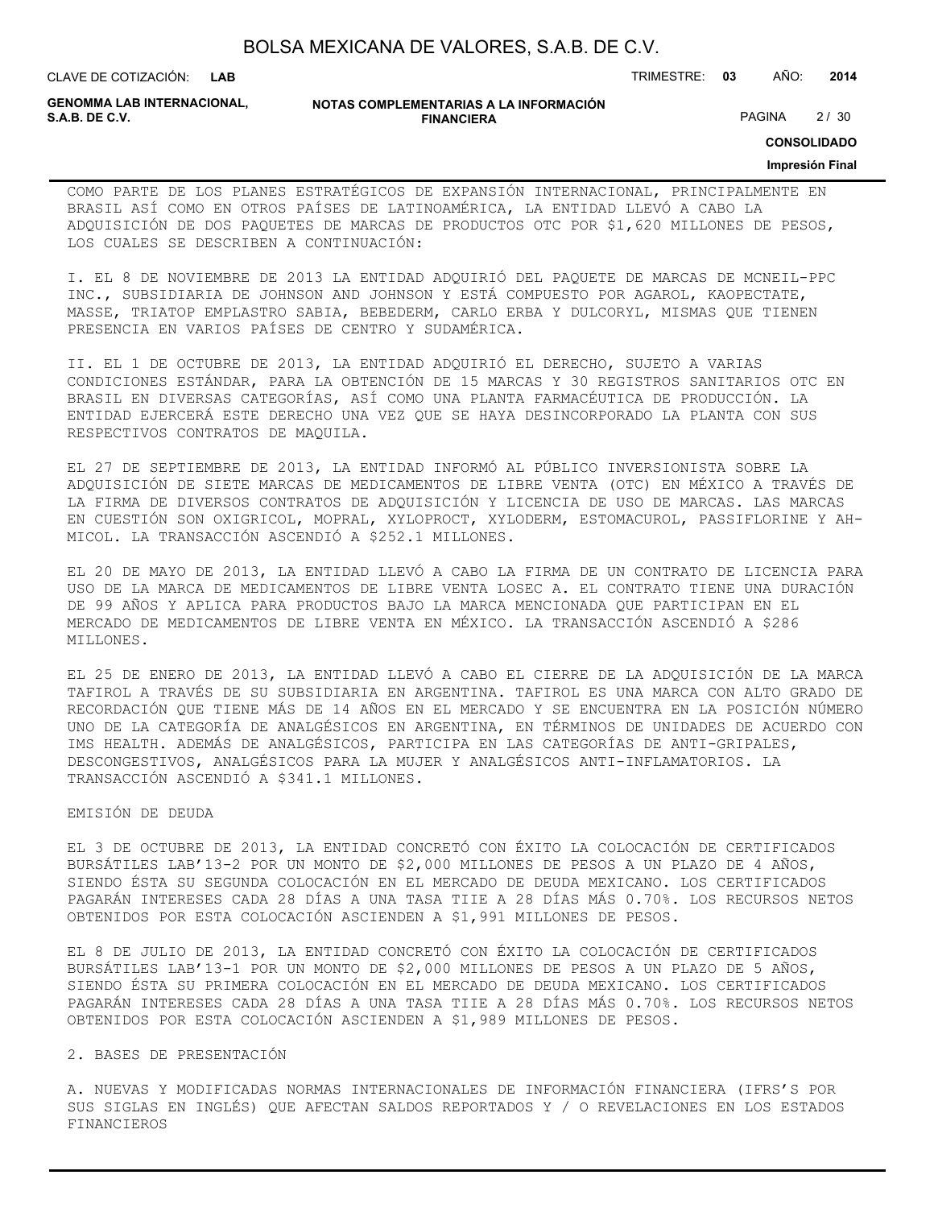| BOLSA MEXICANA DE VALORES, S.A.B. DE C.V. |  |  |
|-------------------------------------------|--|--|
|-------------------------------------------|--|--|

CLAVE DE COTIZACIÓN: TRIMESTRE: **03** AÑO: **2014 LAB**

**GENOMMA LAB INTERNACIONAL,**

#### **NOTAS COMPLEMENTARIAS A LA INFORMACIÓN FINANCIERA S.A.B. DE C.V.** PAGINA 2 / 30

**CONSOLIDADO**

#### **Impresión Final**

COMO PARTE DE LOS PLANES ESTRATÉGICOS DE EXPANSIÓN INTERNACIONAL, PRINCIPALMENTE EN BRASIL ASÍ COMO EN OTROS PAÍSES DE LATINOAMÉRICA, LA ENTIDAD LLEVÓ A CABO LA ADQUISICIÓN DE DOS PAQUETES DE MARCAS DE PRODUCTOS OTC POR \$1,620 MILLONES DE PESOS, LOS CUALES SE DESCRIBEN A CONTINUACIÓN:

I. EL 8 DE NOVIEMBRE DE 2013 LA ENTIDAD ADQUIRIÓ DEL PAQUETE DE MARCAS DE MCNEIL-PPC INC., SUBSIDIARIA DE JOHNSON AND JOHNSON Y ESTÁ COMPUESTO POR AGAROL, KAOPECTATE, MASSE, TRIATOP EMPLASTRO SABIA, BEBEDERM, CARLO ERBA Y DULCORYL, MISMAS QUE TIENEN PRESENCIA EN VARIOS PAÍSES DE CENTRO Y SUDAMÉRICA.

II. EL 1 DE OCTUBRE DE 2013, LA ENTIDAD ADQUIRIÓ EL DERECHO, SUJETO A VARIAS CONDICIONES ESTÁNDAR, PARA LA OBTENCIÓN DE 15 MARCAS Y 30 REGISTROS SANITARIOS OTC EN BRASIL EN DIVERSAS CATEGORÍAS, ASÍ COMO UNA PLANTA FARMACÉUTICA DE PRODUCCIÓN. LA ENTIDAD EJERCERÁ ESTE DERECHO UNA VEZ QUE SE HAYA DESINCORPORADO LA PLANTA CON SUS RESPECTIVOS CONTRATOS DE MAQUILA.

EL 27 DE SEPTIEMBRE DE 2013, LA ENTIDAD INFORMÓ AL PÚBLICO INVERSIONISTA SOBRE LA ADQUISICIÓN DE SIETE MARCAS DE MEDICAMENTOS DE LIBRE VENTA (OTC) EN MÉXICO A TRAVÉS DE LA FIRMA DE DIVERSOS CONTRATOS DE ADQUISICIÓN Y LICENCIA DE USO DE MARCAS. LAS MARCAS EN CUESTIÓN SON OXIGRICOL, MOPRAL, XYLOPROCT, XYLODERM, ESTOMACUROL, PASSIFLORINE Y AH-MICOL. LA TRANSACCIÓN ASCENDIÓ A \$252.1 MILLONES.

EL 20 DE MAYO DE 2013, LA ENTIDAD LLEVÓ A CABO LA FIRMA DE UN CONTRATO DE LICENCIA PARA USO DE LA MARCA DE MEDICAMENTOS DE LIBRE VENTA LOSEC A. EL CONTRATO TIENE UNA DURACIÓN DE 99 AÑOS Y APLICA PARA PRODUCTOS BAJO LA MARCA MENCIONADA QUE PARTICIPAN EN EL MERCADO DE MEDICAMENTOS DE LIBRE VENTA EN MÉXICO. LA TRANSACCIÓN ASCENDIÓ A \$286 MILLONES.

EL 25 DE ENERO DE 2013, LA ENTIDAD LLEVÓ A CABO EL CIERRE DE LA ADQUISICIÓN DE LA MARCA TAFIROL A TRAVÉS DE SU SUBSIDIARIA EN ARGENTINA. TAFIROL ES UNA MARCA CON ALTO GRADO DE RECORDACIÓN QUE TIENE MÁS DE 14 AÑOS EN EL MERCADO Y SE ENCUENTRA EN LA POSICIÓN NÚMERO UNO DE LA CATEGORÍA DE ANALGÉSICOS EN ARGENTINA, EN TÉRMINOS DE UNIDADES DE ACUERDO CON IMS HEALTH. ADEMÁS DE ANALGÉSICOS, PARTICIPA EN LAS CATEGORÍAS DE ANTI-GRIPALES, DESCONGESTIVOS, ANALGÉSICOS PARA LA MUJER Y ANALGÉSICOS ANTI-INFLAMATORIOS. LA TRANSACCIÓN ASCENDIÓ A \$341.1 MILLONES.

#### EMISIÓN DE DEUDA

EL 3 DE OCTUBRE DE 2013, LA ENTIDAD CONCRETÓ CON ÉXITO LA COLOCACIÓN DE CERTIFICADOS BURSÁTILES LAB'13-2 POR UN MONTO DE \$2,000 MILLONES DE PESOS A UN PLAZO DE 4 AÑOS, SIENDO ÉSTA SU SEGUNDA COLOCACIÓN EN EL MERCADO DE DEUDA MEXICANO. LOS CERTIFICADOS PAGARÁN INTERESES CADA 28 DÍAS A UNA TASA TIIE A 28 DÍAS MÁS 0.70%. LOS RECURSOS NETOS OBTENIDOS POR ESTA COLOCACIÓN ASCIENDEN A \$1,991 MILLONES DE PESOS.

EL 8 DE JULIO DE 2013, LA ENTIDAD CONCRETÓ CON ÉXITO LA COLOCACIÓN DE CERTIFICADOS BURSÁTILES LAB'13-1 POR UN MONTO DE \$2,000 MILLONES DE PESOS A UN PLAZO DE 5 AÑOS, SIENDO ÉSTA SU PRIMERA COLOCACIÓN EN EL MERCADO DE DEUDA MEXICANO. LOS CERTIFICADOS PAGARÁN INTERESES CADA 28 DÍAS A UNA TASA TIIE A 28 DÍAS MÁS 0.70%. LOS RECURSOS NETOS OBTENIDOS POR ESTA COLOCACIÓN ASCIENDEN A \$1,989 MILLONES DE PESOS.

#### 2. BASES DE PRESENTACIÓN

A. NUEVAS Y MODIFICADAS NORMAS INTERNACIONALES DE INFORMACIÓN FINANCIERA (IFRS'S POR SUS SIGLAS EN INGLÉS) QUE AFECTAN SALDOS REPORTADOS Y / O REVELACIONES EN LOS ESTADOS FINANCIEROS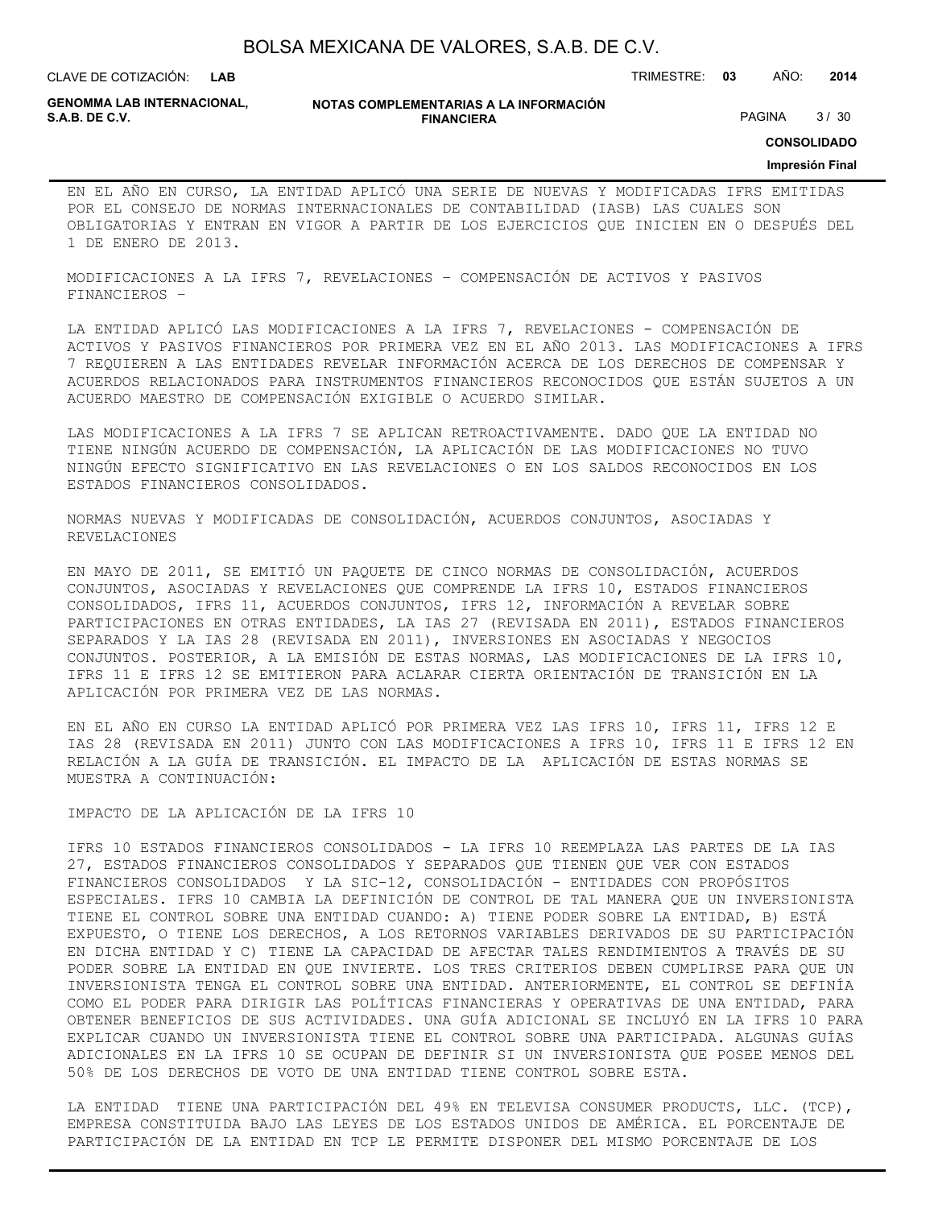**LAB**

CLAVE DE COTIZACIÓN: TRIMESTRE: **03** AÑO: **2014**

**GENOMMA LAB INTERNACIONAL,**

#### **NOTAS COMPLEMENTARIAS A LA INFORMACIÓN FINANCIERA S.A.B. DE C.V.** PAGINA 3 / 30

**CONSOLIDADO**

#### **Impresión Final**

EN EL AÑO EN CURSO, LA ENTIDAD APLICÓ UNA SERIE DE NUEVAS Y MODIFICADAS IFRS EMITIDAS POR EL CONSEJO DE NORMAS INTERNACIONALES DE CONTABILIDAD (IASB) LAS CUALES SON OBLIGATORIAS Y ENTRAN EN VIGOR A PARTIR DE LOS EJERCICIOS QUE INICIEN EN O DESPUÉS DEL 1 DE ENERO DE 2013.

MODIFICACIONES A LA IFRS 7, REVELACIONES – COMPENSACIÓN DE ACTIVOS Y PASIVOS FINANCIEROS –

LA ENTIDAD APLICÓ LAS MODIFICACIONES A LA IFRS 7, REVELACIONES - COMPENSACIÓN DE ACTIVOS Y PASIVOS FINANCIEROS POR PRIMERA VEZ EN EL AÑO 2013. LAS MODIFICACIONES A IFRS 7 REQUIEREN A LAS ENTIDADES REVELAR INFORMACIÓN ACERCA DE LOS DERECHOS DE COMPENSAR Y ACUERDOS RELACIONADOS PARA INSTRUMENTOS FINANCIEROS RECONOCIDOS QUE ESTÁN SUJETOS A UN ACUERDO MAESTRO DE COMPENSACIÓN EXIGIBLE O ACUERDO SIMILAR.

LAS MODIFICACIONES A LA IFRS 7 SE APLICAN RETROACTIVAMENTE. DADO QUE LA ENTIDAD NO TIENE NINGÚN ACUERDO DE COMPENSACIÓN, LA APLICACIÓN DE LAS MODIFICACIONES NO TUVO NINGÚN EFECTO SIGNIFICATIVO EN LAS REVELACIONES O EN LOS SALDOS RECONOCIDOS EN LOS ESTADOS FINANCIEROS CONSOLIDADOS.

NORMAS NUEVAS Y MODIFICADAS DE CONSOLIDACIÓN, ACUERDOS CONJUNTOS, ASOCIADAS Y REVELACIONES

EN MAYO DE 2011, SE EMITIÓ UN PAQUETE DE CINCO NORMAS DE CONSOLIDACIÓN, ACUERDOS CONJUNTOS, ASOCIADAS Y REVELACIONES QUE COMPRENDE LA IFRS 10, ESTADOS FINANCIEROS CONSOLIDADOS, IFRS 11, ACUERDOS CONJUNTOS, IFRS 12, INFORMACIÓN A REVELAR SOBRE PARTICIPACIONES EN OTRAS ENTIDADES, LA IAS 27 (REVISADA EN 2011), ESTADOS FINANCIEROS SEPARADOS Y LA IAS 28 (REVISADA EN 2011), INVERSIONES EN ASOCIADAS Y NEGOCIOS CONJUNTOS. POSTERIOR, A LA EMISIÓN DE ESTAS NORMAS, LAS MODIFICACIONES DE LA IFRS 10, IFRS 11 E IFRS 12 SE EMITIERON PARA ACLARAR CIERTA ORIENTACIÓN DE TRANSICIÓN EN LA APLICACIÓN POR PRIMERA VEZ DE LAS NORMAS.

EN EL AÑO EN CURSO LA ENTIDAD APLICÓ POR PRIMERA VEZ LAS IFRS 10, IFRS 11, IFRS 12 E IAS 28 (REVISADA EN 2011) JUNTO CON LAS MODIFICACIONES A IFRS 10, IFRS 11 E IFRS 12 EN RELACIÓN A LA GUÍA DE TRANSICIÓN. EL IMPACTO DE LA APLICACIÓN DE ESTAS NORMAS SE MUESTRA A CONTINUACIÓN:

IMPACTO DE LA APLICACIÓN DE LA IFRS 10

IFRS 10 ESTADOS FINANCIEROS CONSOLIDADOS - LA IFRS 10 REEMPLAZA LAS PARTES DE LA IAS 27, ESTADOS FINANCIEROS CONSOLIDADOS Y SEPARADOS QUE TIENEN QUE VER CON ESTADOS FINANCIEROS CONSOLIDADOS Y LA SIC-12, CONSOLIDACIÓN - ENTIDADES CON PROPÓSITOS ESPECIALES. IFRS 10 CAMBIA LA DEFINICIÓN DE CONTROL DE TAL MANERA QUE UN INVERSIONISTA TIENE EL CONTROL SOBRE UNA ENTIDAD CUANDO: A) TIENE PODER SOBRE LA ENTIDAD, B) ESTÁ EXPUESTO, O TIENE LOS DERECHOS, A LOS RETORNOS VARIABLES DERIVADOS DE SU PARTICIPACIÓN EN DICHA ENTIDAD Y C) TIENE LA CAPACIDAD DE AFECTAR TALES RENDIMIENTOS A TRAVÉS DE SU PODER SOBRE LA ENTIDAD EN QUE INVIERTE. LOS TRES CRITERIOS DEBEN CUMPLIRSE PARA QUE UN INVERSIONISTA TENGA EL CONTROL SOBRE UNA ENTIDAD. ANTERIORMENTE, EL CONTROL SE DEFINÍA COMO EL PODER PARA DIRIGIR LAS POLÍTICAS FINANCIERAS Y OPERATIVAS DE UNA ENTIDAD, PARA OBTENER BENEFICIOS DE SUS ACTIVIDADES. UNA GUÍA ADICIONAL SE INCLUYÓ EN LA IFRS 10 PARA EXPLICAR CUANDO UN INVERSIONISTA TIENE EL CONTROL SOBRE UNA PARTICIPADA. ALGUNAS GUÍAS ADICIONALES EN LA IFRS 10 SE OCUPAN DE DEFINIR SI UN INVERSIONISTA QUE POSEE MENOS DEL 50% DE LOS DERECHOS DE VOTO DE UNA ENTIDAD TIENE CONTROL SOBRE ESTA.

LA ENTIDAD TIENE UNA PARTICIPACIÓN DEL 49% EN TELEVISA CONSUMER PRODUCTS, LLC. (TCP), EMPRESA CONSTITUIDA BAJO LAS LEYES DE LOS ESTADOS UNIDOS DE AMÉRICA. EL PORCENTAJE DE PARTICIPACIÓN DE LA ENTIDAD EN TCP LE PERMITE DISPONER DEL MISMO PORCENTAJE DE LOS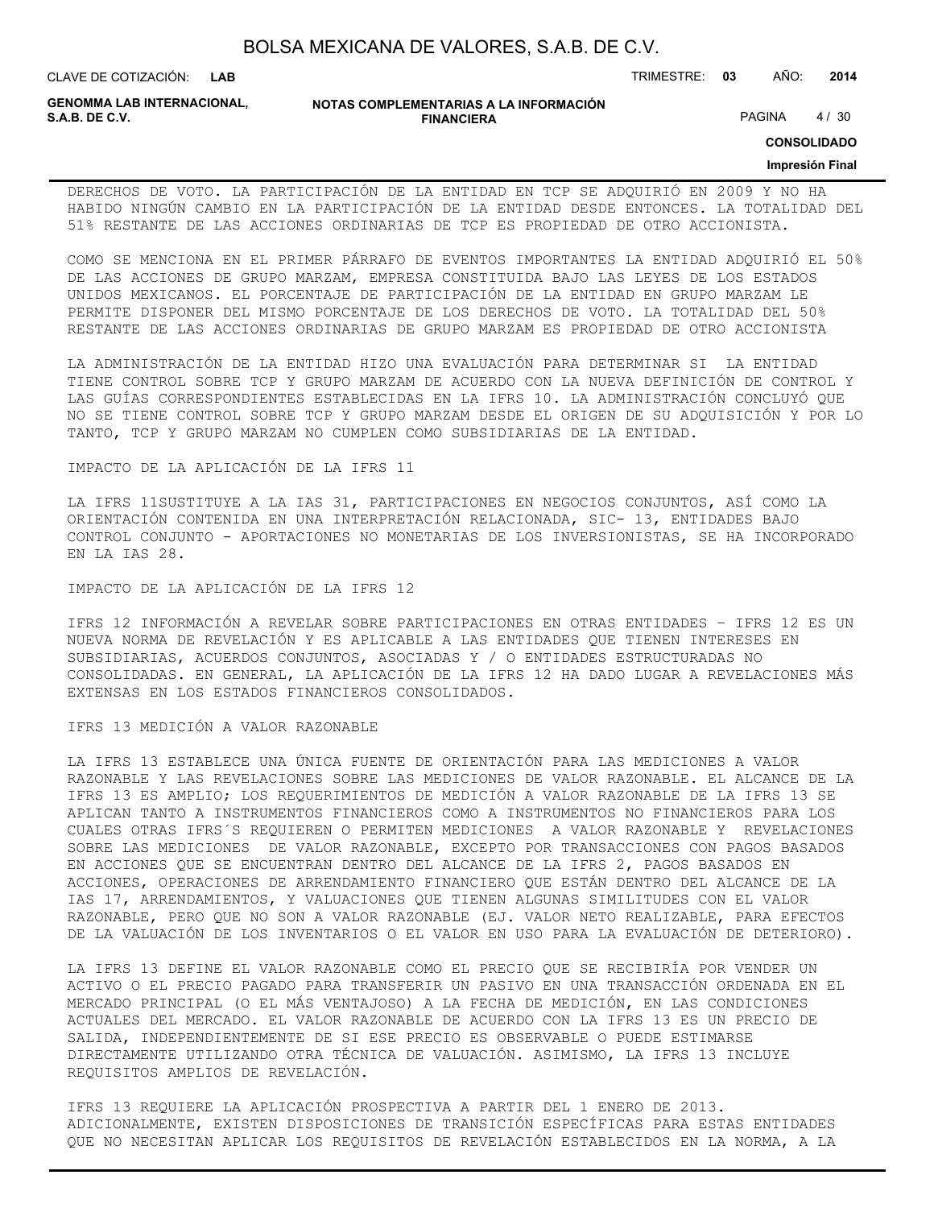CLAVE DE COTIZACIÓN: TRIMESTRE: **03** AÑO: **2014**

**GENOMMA LAB INTERNACIONAL,**

**NOTAS COMPLEMENTARIAS A LA INFORMACIÓN FINANCIERA S.A.B. DE C.V.** PAGINA 4 / 30

**CONSOLIDADO**

#### **Impresión Final**

DERECHOS DE VOTO. LA PARTICIPACIÓN DE LA ENTIDAD EN TCP SE ADQUIRIÓ EN 2009 Y NO HA HABIDO NINGÚN CAMBIO EN LA PARTICIPACIÓN DE LA ENTIDAD DESDE ENTONCES. LA TOTALIDAD DEL 51% RESTANTE DE LAS ACCIONES ORDINARIAS DE TCP ES PROPIEDAD DE OTRO ACCIONISTA.

COMO SE MENCIONA EN EL PRIMER PÁRRAFO DE EVENTOS IMPORTANTES LA ENTIDAD ADQUIRIÓ EL 50% DE LAS ACCIONES DE GRUPO MARZAM, EMPRESA CONSTITUIDA BAJO LAS LEYES DE LOS ESTADOS UNIDOS MEXICANOS. EL PORCENTAJE DE PARTICIPACIÓN DE LA ENTIDAD EN GRUPO MARZAM LE PERMITE DISPONER DEL MISMO PORCENTAJE DE LOS DERECHOS DE VOTO. LA TOTALIDAD DEL 50% RESTANTE DE LAS ACCIONES ORDINARIAS DE GRUPO MARZAM ES PROPIEDAD DE OTRO ACCIONISTA

LA ADMINISTRACIÓN DE LA ENTIDAD HIZO UNA EVALUACIÓN PARA DETERMINAR SI LA ENTIDAD TIENE CONTROL SOBRE TCP Y GRUPO MARZAM DE ACUERDO CON LA NUEVA DEFINICIÓN DE CONTROL Y LAS GUÍAS CORRESPONDIENTES ESTABLECIDAS EN LA IFRS 10. LA ADMINISTRACIÓN CONCLUYÓ QUE NO SE TIENE CONTROL SOBRE TCP Y GRUPO MARZAM DESDE EL ORIGEN DE SU ADQUISICIÓN Y POR LO TANTO, TCP Y GRUPO MARZAM NO CUMPLEN COMO SUBSIDIARIAS DE LA ENTIDAD.

IMPACTO DE LA APLICACIÓN DE LA IFRS 11

LA IFRS 11SUSTITUYE A LA IAS 31, PARTICIPACIONES EN NEGOCIOS CONJUNTOS, ASÍ COMO LA ORIENTACIÓN CONTENIDA EN UNA INTERPRETACIÓN RELACIONADA, SIC- 13, ENTIDADES BAJO CONTROL CONJUNTO - APORTACIONES NO MONETARIAS DE LOS INVERSIONISTAS, SE HA INCORPORADO EN LA IAS 28.

IMPACTO DE LA APLICACIÓN DE LA IFRS 12

IFRS 12 INFORMACIÓN A REVELAR SOBRE PARTICIPACIONES EN OTRAS ENTIDADES – IFRS 12 ES UN NUEVA NORMA DE REVELACIÓN Y ES APLICABLE A LAS ENTIDADES QUE TIENEN INTERESES EN SUBSIDIARIAS, ACUERDOS CONJUNTOS, ASOCIADAS Y / O ENTIDADES ESTRUCTURADAS NO CONSOLIDADAS. EN GENERAL, LA APLICACIÓN DE LA IFRS 12 HA DADO LUGAR A REVELACIONES MÁS EXTENSAS EN LOS ESTADOS FINANCIEROS CONSOLIDADOS.

IFRS 13 MEDICIÓN A VALOR RAZONABLE

LA IFRS 13 ESTABLECE UNA ÚNICA FUENTE DE ORIENTACIÓN PARA LAS MEDICIONES A VALOR RAZONABLE Y LAS REVELACIONES SOBRE LAS MEDICIONES DE VALOR RAZONABLE. EL ALCANCE DE LA IFRS 13 ES AMPLIO; LOS REQUERIMIENTOS DE MEDICIÓN A VALOR RAZONABLE DE LA IFRS 13 SE APLICAN TANTO A INSTRUMENTOS FINANCIEROS COMO A INSTRUMENTOS NO FINANCIEROS PARA LOS CUALES OTRAS IFRS´S REQUIEREN O PERMITEN MEDICIONES A VALOR RAZONABLE Y REVELACIONES SOBRE LAS MEDICIONES DE VALOR RAZONABLE, EXCEPTO POR TRANSACCIONES CON PAGOS BASADOS EN ACCIONES QUE SE ENCUENTRAN DENTRO DEL ALCANCE DE LA IFRS 2, PAGOS BASADOS EN ACCIONES, OPERACIONES DE ARRENDAMIENTO FINANCIERO QUE ESTÁN DENTRO DEL ALCANCE DE LA IAS 17, ARRENDAMIENTOS, Y VALUACIONES QUE TIENEN ALGUNAS SIMILITUDES CON EL VALOR RAZONABLE, PERO QUE NO SON A VALOR RAZONABLE (EJ. VALOR NETO REALIZABLE, PARA EFECTOS DE LA VALUACIÓN DE LOS INVENTARIOS O EL VALOR EN USO PARA LA EVALUACIÓN DE DETERIORO).

LA IFRS 13 DEFINE EL VALOR RAZONABLE COMO EL PRECIO QUE SE RECIBIRÍA POR VENDER UN ACTIVO O EL PRECIO PAGADO PARA TRANSFERIR UN PASIVO EN UNA TRANSACCIÓN ORDENADA EN EL MERCADO PRINCIPAL (O EL MÁS VENTAJOSO) A LA FECHA DE MEDICIÓN, EN LAS CONDICIONES ACTUALES DEL MERCADO. EL VALOR RAZONABLE DE ACUERDO CON LA IFRS 13 ES UN PRECIO DE SALIDA, INDEPENDIENTEMENTE DE SI ESE PRECIO ES OBSERVABLE O PUEDE ESTIMARSE DIRECTAMENTE UTILIZANDO OTRA TÉCNICA DE VALUACIÓN. ASIMISMO, LA IFRS 13 INCLUYE REQUISITOS AMPLIOS DE REVELACIÓN.

IFRS 13 REQUIERE LA APLICACIÓN PROSPECTIVA A PARTIR DEL 1 ENERO DE 2013. ADICIONALMENTE, EXISTEN DISPOSICIONES DE TRANSICIÓN ESPECÍFICAS PARA ESTAS ENTIDADES QUE NO NECESITAN APLICAR LOS REQUISITOS DE REVELACIÓN ESTABLECIDOS EN LA NORMA, A LA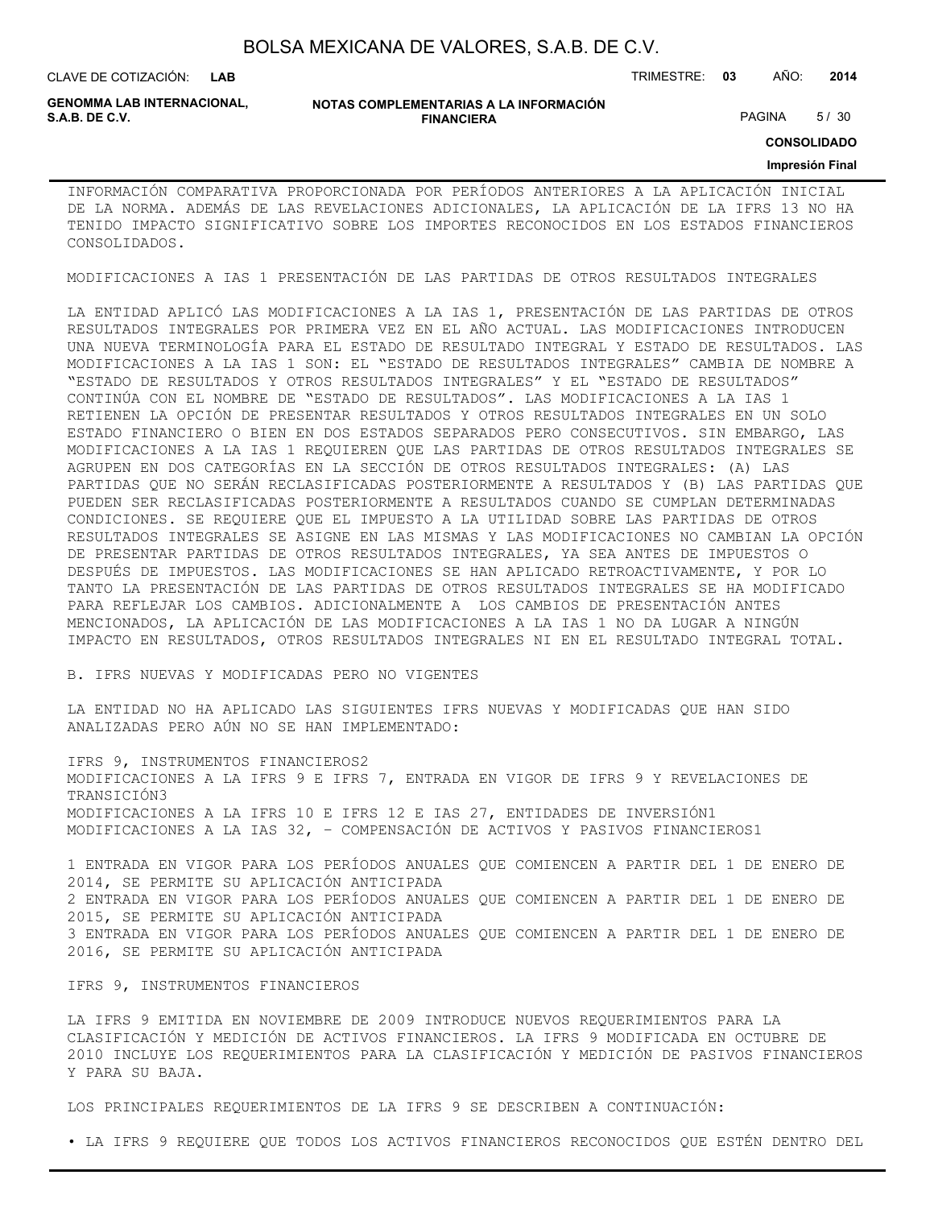CLAVE DE COTIZACIÓN: TRIMESTRE: **03** AÑO: **2014**

**GENOMMA LAB INTERNACIONAL,**

#### **NOTAS COMPLEMENTARIAS A LA INFORMACIÓN FINANCIERA S.A.B. DE C.V.** PAGINA 5 / 30

**CONSOLIDADO**

#### **Impresión Final**

INFORMACIÓN COMPARATIVA PROPORCIONADA POR PERÍODOS ANTERIORES A LA APLICACIÓN INICIAL DE LA NORMA. ADEMÁS DE LAS REVELACIONES ADICIONALES, LA APLICACIÓN DE LA IFRS 13 NO HA TENIDO IMPACTO SIGNIFICATIVO SOBRE LOS IMPORTES RECONOCIDOS EN LOS ESTADOS FINANCIEROS CONSOLIDADOS.

MODIFICACIONES A IAS 1 PRESENTACIÓN DE LAS PARTIDAS DE OTROS RESULTADOS INTEGRALES

LA ENTIDAD APLICÓ LAS MODIFICACIONES A LA IAS 1, PRESENTACIÓN DE LAS PARTIDAS DE OTROS RESULTADOS INTEGRALES POR PRIMERA VEZ EN EL AÑO ACTUAL. LAS MODIFICACIONES INTRODUCEN UNA NUEVA TERMINOLOGÍA PARA EL ESTADO DE RESULTADO INTEGRAL Y ESTADO DE RESULTADOS. LAS MODIFICACIONES A LA IAS 1 SON: EL "ESTADO DE RESULTADOS INTEGRALES" CAMBIA DE NOMBRE A "ESTADO DE RESULTADOS Y OTROS RESULTADOS INTEGRALES" Y EL "ESTADO DE RESULTADOS" CONTINÚA CON EL NOMBRE DE "ESTADO DE RESULTADOS". LAS MODIFICACIONES A LA IAS 1 RETIENEN LA OPCIÓN DE PRESENTAR RESULTADOS Y OTROS RESULTADOS INTEGRALES EN UN SOLO ESTADO FINANCIERO O BIEN EN DOS ESTADOS SEPARADOS PERO CONSECUTIVOS. SIN EMBARGO, LAS MODIFICACIONES A LA IAS 1 REQUIEREN QUE LAS PARTIDAS DE OTROS RESULTADOS INTEGRALES SE AGRUPEN EN DOS CATEGORÍAS EN LA SECCIÓN DE OTROS RESULTADOS INTEGRALES: (A) LAS PARTIDAS QUE NO SERÁN RECLASIFICADAS POSTERIORMENTE A RESULTADOS Y (B) LAS PARTIDAS QUE PUEDEN SER RECLASIFICADAS POSTERIORMENTE A RESULTADOS CUANDO SE CUMPLAN DETERMINADAS CONDICIONES. SE REQUIERE QUE EL IMPUESTO A LA UTILIDAD SOBRE LAS PARTIDAS DE OTROS RESULTADOS INTEGRALES SE ASIGNE EN LAS MISMAS Y LAS MODIFICACIONES NO CAMBIAN LA OPCIÓN DE PRESENTAR PARTIDAS DE OTROS RESULTADOS INTEGRALES, YA SEA ANTES DE IMPUESTOS O DESPUÉS DE IMPUESTOS. LAS MODIFICACIONES SE HAN APLICADO RETROACTIVAMENTE, Y POR LO TANTO LA PRESENTACIÓN DE LAS PARTIDAS DE OTROS RESULTADOS INTEGRALES SE HA MODIFICADO PARA REFLEJAR LOS CAMBIOS. ADICIONALMENTE A LOS CAMBIOS DE PRESENTACIÓN ANTES MENCIONADOS, LA APLICACIÓN DE LAS MODIFICACIONES A LA IAS 1 NO DA LUGAR A NINGÚN IMPACTO EN RESULTADOS, OTROS RESULTADOS INTEGRALES NI EN EL RESULTADO INTEGRAL TOTAL.

#### B. IFRS NUEVAS Y MODIFICADAS PERO NO VIGENTES

LA ENTIDAD NO HA APLICADO LAS SIGUIENTES IFRS NUEVAS Y MODIFICADAS QUE HAN SIDO ANALIZADAS PERO AÚN NO SE HAN IMPLEMENTADO:

IFRS 9, INSTRUMENTOS FINANCIEROS2 MODIFICACIONES A LA IFRS 9 E IFRS 7, ENTRADA EN VIGOR DE IFRS 9 Y REVELACIONES DE TRANSICIÓN3 MODIFICACIONES A LA IFRS 10 E IFRS 12 E IAS 27, ENTIDADES DE INVERSIÓN1 MODIFICACIONES A LA IAS 32, – COMPENSACIÓN DE ACTIVOS Y PASIVOS FINANCIEROS1

1 ENTRADA EN VIGOR PARA LOS PERÍODOS ANUALES QUE COMIENCEN A PARTIR DEL 1 DE ENERO DE 2014, SE PERMITE SU APLICACIÓN ANTICIPADA 2 ENTRADA EN VIGOR PARA LOS PERÍODOS ANUALES QUE COMIENCEN A PARTIR DEL 1 DE ENERO DE 2015, SE PERMITE SU APLICACIÓN ANTICIPADA 3 ENTRADA EN VIGOR PARA LOS PERÍODOS ANUALES QUE COMIENCEN A PARTIR DEL 1 DE ENERO DE 2016, SE PERMITE SU APLICACIÓN ANTICIPADA

#### IFRS 9, INSTRUMENTOS FINANCIEROS

LA IFRS 9 EMITIDA EN NOVIEMBRE DE 2009 INTRODUCE NUEVOS REQUERIMIENTOS PARA LA CLASIFICACIÓN Y MEDICIÓN DE ACTIVOS FINANCIEROS. LA IFRS 9 MODIFICADA EN OCTUBRE DE 2010 INCLUYE LOS REQUERIMIENTOS PARA LA CLASIFICACIÓN Y MEDICIÓN DE PASIVOS FINANCIEROS Y PARA SU BAJA.

LOS PRINCIPALES REQUERIMIENTOS DE LA IFRS 9 SE DESCRIBEN A CONTINUACIÓN:

• LA IFRS 9 REQUIERE QUE TODOS LOS ACTIVOS FINANCIEROS RECONOCIDOS QUE ESTÉN DENTRO DEL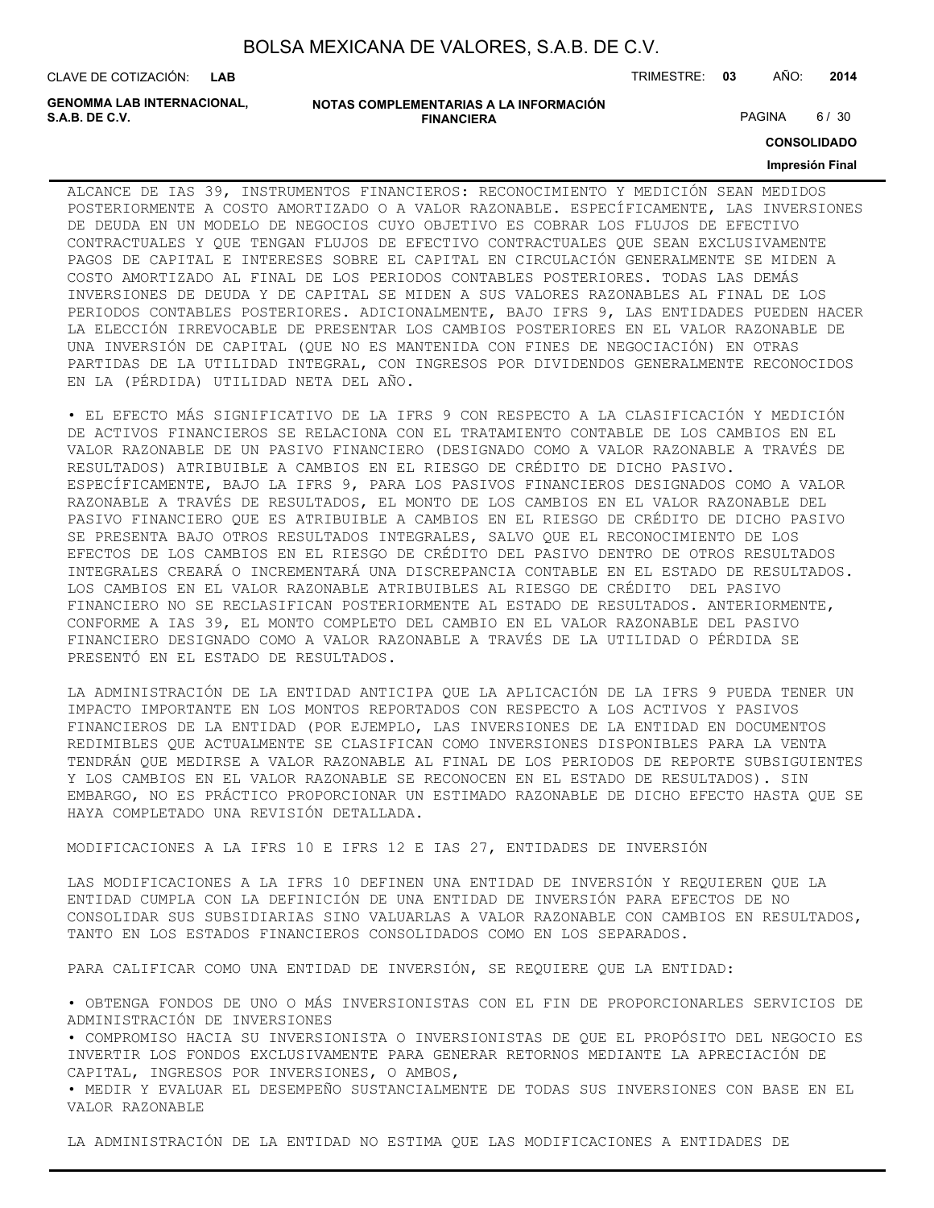CLAVE DE COTIZACIÓN: TRIMESTRE: **03** AÑO: **2014**

**GENOMMA LAB INTERNACIONAL,**

```
NOTAS COMPLEMENTARIAS A LA INFORMACIÓN
                        FINANCIERA
S.A.B. DE C.V. PAGINA 6 / 30
```
**CONSOLIDADO**

#### **Impresión Final**

ALCANCE DE IAS 39, INSTRUMENTOS FINANCIEROS: RECONOCIMIENTO Y MEDICIÓN SEAN MEDIDOS POSTERIORMENTE A COSTO AMORTIZADO O A VALOR RAZONABLE. ESPECÍFICAMENTE, LAS INVERSIONES DE DEUDA EN UN MODELO DE NEGOCIOS CUYO OBJETIVO ES COBRAR LOS FLUJOS DE EFECTIVO CONTRACTUALES Y QUE TENGAN FLUJOS DE EFECTIVO CONTRACTUALES QUE SEAN EXCLUSIVAMENTE PAGOS DE CAPITAL E INTERESES SOBRE EL CAPITAL EN CIRCULACIÓN GENERALMENTE SE MIDEN A COSTO AMORTIZADO AL FINAL DE LOS PERIODOS CONTABLES POSTERIORES. TODAS LAS DEMÁS INVERSIONES DE DEUDA Y DE CAPITAL SE MIDEN A SUS VALORES RAZONABLES AL FINAL DE LOS PERIODOS CONTABLES POSTERIORES. ADICIONALMENTE, BAJO IFRS 9, LAS ENTIDADES PUEDEN HACER LA ELECCIÓN IRREVOCABLE DE PRESENTAR LOS CAMBIOS POSTERIORES EN EL VALOR RAZONABLE DE UNA INVERSIÓN DE CAPITAL (QUE NO ES MANTENIDA CON FINES DE NEGOCIACIÓN) EN OTRAS PARTIDAS DE LA UTILIDAD INTEGRAL, CON INGRESOS POR DIVIDENDOS GENERALMENTE RECONOCIDOS EN LA (PÉRDIDA) UTILIDAD NETA DEL AÑO.

• EL EFECTO MÁS SIGNIFICATIVO DE LA IFRS 9 CON RESPECTO A LA CLASIFICACIÓN Y MEDICIÓN DE ACTIVOS FINANCIEROS SE RELACIONA CON EL TRATAMIENTO CONTABLE DE LOS CAMBIOS EN EL VALOR RAZONABLE DE UN PASIVO FINANCIERO (DESIGNADO COMO A VALOR RAZONABLE A TRAVÉS DE RESULTADOS) ATRIBUIBLE A CAMBIOS EN EL RIESGO DE CRÉDITO DE DICHO PASIVO. ESPECÍFICAMENTE, BAJO LA IFRS 9, PARA LOS PASIVOS FINANCIEROS DESIGNADOS COMO A VALOR RAZONABLE A TRAVÉS DE RESULTADOS, EL MONTO DE LOS CAMBIOS EN EL VALOR RAZONABLE DEL PASIVO FINANCIERO QUE ES ATRIBUIBLE A CAMBIOS EN EL RIESGO DE CRÉDITO DE DICHO PASIVO SE PRESENTA BAJO OTROS RESULTADOS INTEGRALES, SALVO QUE EL RECONOCIMIENTO DE LOS EFECTOS DE LOS CAMBIOS EN EL RIESGO DE CRÉDITO DEL PASIVO DENTRO DE OTROS RESULTADOS INTEGRALES CREARÁ O INCREMENTARÁ UNA DISCREPANCIA CONTABLE EN EL ESTADO DE RESULTADOS. LOS CAMBIOS EN EL VALOR RAZONABLE ATRIBUIBLES AL RIESGO DE CRÉDITO DEL PASIVO FINANCIERO NO SE RECLASIFICAN POSTERIORMENTE AL ESTADO DE RESULTADOS. ANTERIORMENTE, CONFORME A IAS 39, EL MONTO COMPLETO DEL CAMBIO EN EL VALOR RAZONABLE DEL PASIVO FINANCIERO DESIGNADO COMO A VALOR RAZONABLE A TRAVÉS DE LA UTILIDAD O PÉRDIDA SE PRESENTÓ EN EL ESTADO DE RESULTADOS.

LA ADMINISTRACIÓN DE LA ENTIDAD ANTICIPA QUE LA APLICACIÓN DE LA IFRS 9 PUEDA TENER UN IMPACTO IMPORTANTE EN LOS MONTOS REPORTADOS CON RESPECTO A LOS ACTIVOS Y PASIVOS FINANCIEROS DE LA ENTIDAD (POR EJEMPLO, LAS INVERSIONES DE LA ENTIDAD EN DOCUMENTOS REDIMIBLES QUE ACTUALMENTE SE CLASIFICAN COMO INVERSIONES DISPONIBLES PARA LA VENTA TENDRÁN QUE MEDIRSE A VALOR RAZONABLE AL FINAL DE LOS PERIODOS DE REPORTE SUBSIGUIENTES Y LOS CAMBIOS EN EL VALOR RAZONABLE SE RECONOCEN EN EL ESTADO DE RESULTADOS). SIN EMBARGO, NO ES PRÁCTICO PROPORCIONAR UN ESTIMADO RAZONABLE DE DICHO EFECTO HASTA QUE SE HAYA COMPLETADO UNA REVISIÓN DETALLADA.

MODIFICACIONES A LA IFRS 10 E IFRS 12 E IAS 27, ENTIDADES DE INVERSIÓN

LAS MODIFICACIONES A LA IFRS 10 DEFINEN UNA ENTIDAD DE INVERSIÓN Y REQUIEREN QUE LA ENTIDAD CUMPLA CON LA DEFINICIÓN DE UNA ENTIDAD DE INVERSIÓN PARA EFECTOS DE NO CONSOLIDAR SUS SUBSIDIARIAS SINO VALUARLAS A VALOR RAZONABLE CON CAMBIOS EN RESULTADOS, TANTO EN LOS ESTADOS FINANCIEROS CONSOLIDADOS COMO EN LOS SEPARADOS.

PARA CALIFICAR COMO UNA ENTIDAD DE INVERSIÓN, SE REQUIERE QUE LA ENTIDAD:

• OBTENGA FONDOS DE UNO O MÁS INVERSIONISTAS CON EL FIN DE PROPORCIONARLES SERVICIOS DE ADMINISTRACIÓN DE INVERSIONES

• COMPROMISO HACIA SU INVERSIONISTA O INVERSIONISTAS DE QUE EL PROPÓSITO DEL NEGOCIO ES INVERTIR LOS FONDOS EXCLUSIVAMENTE PARA GENERAR RETORNOS MEDIANTE LA APRECIACIÓN DE CAPITAL, INGRESOS POR INVERSIONES, O AMBOS,

• MEDIR Y EVALUAR EL DESEMPEÑO SUSTANCIALMENTE DE TODAS SUS INVERSIONES CON BASE EN EL VALOR RAZONABLE

LA ADMINISTRACIÓN DE LA ENTIDAD NO ESTIMA QUE LAS MODIFICACIONES A ENTIDADES DE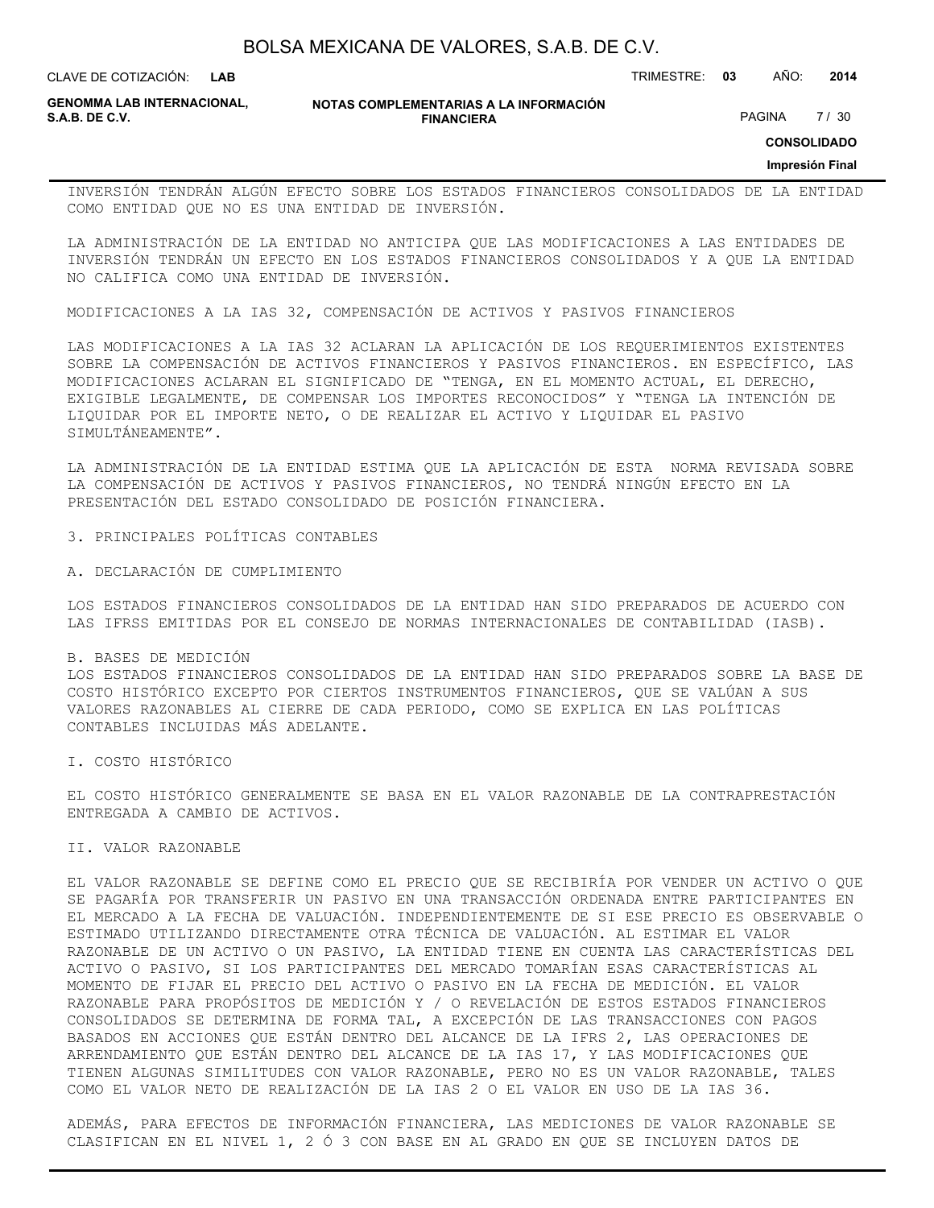**LAB**

CLAVE DE COTIZACIÓN: TRIMESTRE: **03** AÑO: **2014**

**GENOMMA LAB INTERNACIONAL, S.A.B. DE C.V.** PAGINA 27 / 30

**NOTAS COMPLEMENTARIAS A LA INFORMACIÓN FINANCIERA**

**CONSOLIDADO**

**Impresión Final**

INVERSIÓN TENDRÁN ALGÚN EFECTO SOBRE LOS ESTADOS FINANCIEROS CONSOLIDADOS DE LA ENTIDAD COMO ENTIDAD QUE NO ES UNA ENTIDAD DE INVERSIÓN.

LA ADMINISTRACIÓN DE LA ENTIDAD NO ANTICIPA QUE LAS MODIFICACIONES A LAS ENTIDADES DE INVERSIÓN TENDRÁN UN EFECTO EN LOS ESTADOS FINANCIEROS CONSOLIDADOS Y A QUE LA ENTIDAD NO CALIFICA COMO UNA ENTIDAD DE INVERSIÓN.

MODIFICACIONES A LA IAS 32, COMPENSACIÓN DE ACTIVOS Y PASIVOS FINANCIEROS

LAS MODIFICACIONES A LA IAS 32 ACLARAN LA APLICACIÓN DE LOS REQUERIMIENTOS EXISTENTES SOBRE LA COMPENSACIÓN DE ACTIVOS FINANCIEROS Y PASIVOS FINANCIEROS. EN ESPECÍFICO, LAS MODIFICACIONES ACLARAN EL SIGNIFICADO DE "TENGA, EN EL MOMENTO ACTUAL, EL DERECHO, EXIGIBLE LEGALMENTE, DE COMPENSAR LOS IMPORTES RECONOCIDOS" Y "TENGA LA INTENCIÓN DE LIQUIDAR POR EL IMPORTE NETO, O DE REALIZAR EL ACTIVO Y LIQUIDAR EL PASIVO SIMULTÁNEAMENTE".

LA ADMINISTRACIÓN DE LA ENTIDAD ESTIMA QUE LA APLICACIÓN DE ESTA NORMA REVISADA SOBRE LA COMPENSACIÓN DE ACTIVOS Y PASIVOS FINANCIEROS, NO TENDRÁ NINGÚN EFECTO EN LA PRESENTACIÓN DEL ESTADO CONSOLIDADO DE POSICIÓN FINANCIERA.

3. PRINCIPALES POLÍTICAS CONTABLES

A. DECLARACIÓN DE CUMPLIMIENTO

LOS ESTADOS FINANCIEROS CONSOLIDADOS DE LA ENTIDAD HAN SIDO PREPARADOS DE ACUERDO CON LAS IFRSS EMITIDAS POR EL CONSEJO DE NORMAS INTERNACIONALES DE CONTABILIDAD (IASB).

B. BASES DE MEDICIÓN LOS ESTADOS FINANCIEROS CONSOLIDADOS DE LA ENTIDAD HAN SIDO PREPARADOS SOBRE LA BASE DE COSTO HISTÓRICO EXCEPTO POR CIERTOS INSTRUMENTOS FINANCIEROS, QUE SE VALÚAN A SUS VALORES RAZONABLES AL CIERRE DE CADA PERIODO, COMO SE EXPLICA EN LAS POLÍTICAS CONTABLES INCLUIDAS MÁS ADELANTE.

I. COSTO HISTÓRICO

EL COSTO HISTÓRICO GENERALMENTE SE BASA EN EL VALOR RAZONABLE DE LA CONTRAPRESTACIÓN ENTREGADA A CAMBIO DE ACTIVOS.

II. VALOR RAZONABLE

EL VALOR RAZONABLE SE DEFINE COMO EL PRECIO QUE SE RECIBIRÍA POR VENDER UN ACTIVO O QUE SE PAGARÍA POR TRANSFERIR UN PASIVO EN UNA TRANSACCIÓN ORDENADA ENTRE PARTICIPANTES EN EL MERCADO A LA FECHA DE VALUACIÓN. INDEPENDIENTEMENTE DE SI ESE PRECIO ES OBSERVABLE O ESTIMADO UTILIZANDO DIRECTAMENTE OTRA TÉCNICA DE VALUACIÓN. AL ESTIMAR EL VALOR RAZONABLE DE UN ACTIVO O UN PASIVO, LA ENTIDAD TIENE EN CUENTA LAS CARACTERÍSTICAS DEL ACTIVO O PASIVO, SI LOS PARTICIPANTES DEL MERCADO TOMARÍAN ESAS CARACTERÍSTICAS AL MOMENTO DE FIJAR EL PRECIO DEL ACTIVO O PASIVO EN LA FECHA DE MEDICIÓN. EL VALOR RAZONABLE PARA PROPÓSITOS DE MEDICIÓN Y / O REVELACIÓN DE ESTOS ESTADOS FINANCIEROS CONSOLIDADOS SE DETERMINA DE FORMA TAL, A EXCEPCIÓN DE LAS TRANSACCIONES CON PAGOS BASADOS EN ACCIONES QUE ESTÁN DENTRO DEL ALCANCE DE LA IFRS 2, LAS OPERACIONES DE ARRENDAMIENTO QUE ESTÁN DENTRO DEL ALCANCE DE LA IAS 17, Y LAS MODIFICACIONES QUE TIENEN ALGUNAS SIMILITUDES CON VALOR RAZONABLE, PERO NO ES UN VALOR RAZONABLE, TALES COMO EL VALOR NETO DE REALIZACIÓN DE LA IAS 2 O EL VALOR EN USO DE LA IAS 36.

ADEMÁS, PARA EFECTOS DE INFORMACIÓN FINANCIERA, LAS MEDICIONES DE VALOR RAZONABLE SE CLASIFICAN EN EL NIVEL 1, 2 Ó 3 CON BASE EN AL GRADO EN QUE SE INCLUYEN DATOS DE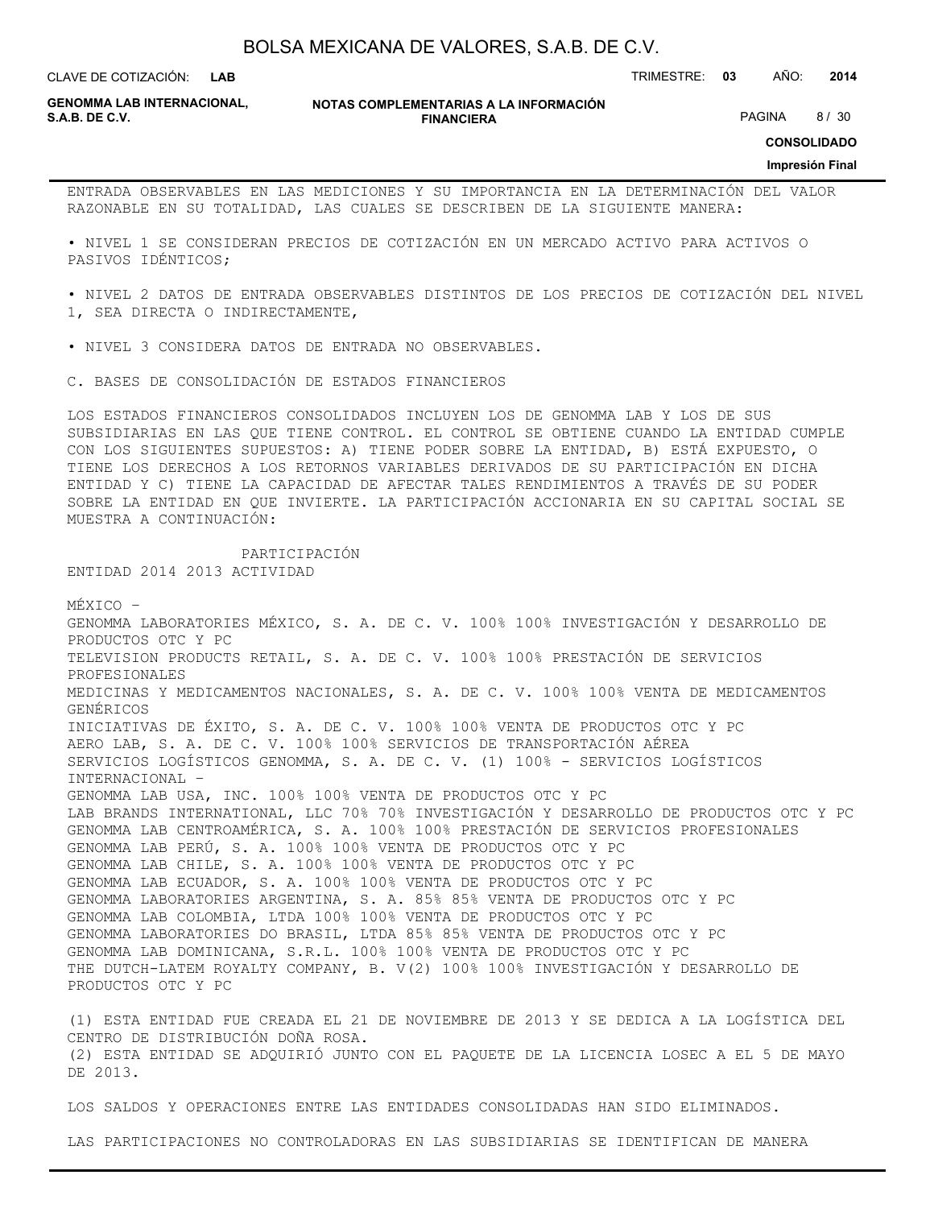**LAB**

CLAVE DE COTIZACIÓN: TRIMESTRE: **03** AÑO: **2014**

**GENOMMA LAB INTERNACIONAL,**

**NOTAS COMPLEMENTARIAS A LA INFORMACIÓN FINANCIERA S.A.B. DE C.V.** PAGINA 8 / 30

**CONSOLIDADO**

#### **Impresión Final**

ENTRADA OBSERVABLES EN LAS MEDICIONES Y SU IMPORTANCIA EN LA DETERMINACIÓN DEL VALOR RAZONABLE EN SU TOTALIDAD, LAS CUALES SE DESCRIBEN DE LA SIGUIENTE MANERA:

• NIVEL 1 SE CONSIDERAN PRECIOS DE COTIZACIÓN EN UN MERCADO ACTIVO PARA ACTIVOS O PASIVOS IDÉNTICOS;

• NIVEL 2 DATOS DE ENTRADA OBSERVABLES DISTINTOS DE LOS PRECIOS DE COTIZACIÓN DEL NIVEL 1, SEA DIRECTA O INDIRECTAMENTE,

• NIVEL 3 CONSIDERA DATOS DE ENTRADA NO OBSERVABLES.

C. BASES DE CONSOLIDACIÓN DE ESTADOS FINANCIEROS

LOS ESTADOS FINANCIEROS CONSOLIDADOS INCLUYEN LOS DE GENOMMA LAB Y LOS DE SUS SUBSIDIARIAS EN LAS QUE TIENE CONTROL. EL CONTROL SE OBTIENE CUANDO LA ENTIDAD CUMPLE CON LOS SIGUIENTES SUPUESTOS: A) TIENE PODER SOBRE LA ENTIDAD, B) ESTÁ EXPUESTO, O TIENE LOS DERECHOS A LOS RETORNOS VARIABLES DERIVADOS DE SU PARTICIPACIÓN EN DICHA ENTIDAD Y C) TIENE LA CAPACIDAD DE AFECTAR TALES RENDIMIENTOS A TRAVÉS DE SU PODER SOBRE LA ENTIDAD EN QUE INVIERTE. LA PARTICIPACIÓN ACCIONARIA EN SU CAPITAL SOCIAL SE MUESTRA A CONTINUACIÓN:

 PARTICIPACIÓN ENTIDAD 2014 2013 ACTIVIDAD

MÉXICO –

GENOMMA LABORATORIES MÉXICO, S. A. DE C. V. 100% 100% INVESTIGACIÓN Y DESARROLLO DE PRODUCTOS OTC Y PC TELEVISION PRODUCTS RETAIL, S. A. DE C. V. 100% 100% PRESTACIÓN DE SERVICIOS PROFESIONALES MEDICINAS Y MEDICAMENTOS NACIONALES, S. A. DE C. V. 100% 100% VENTA DE MEDICAMENTOS GENÉRICOS INICIATIVAS DE ÉXITO, S. A. DE C. V. 100% 100% VENTA DE PRODUCTOS OTC Y PC AERO LAB, S. A. DE C. V. 100% 100% SERVICIOS DE TRANSPORTACIÓN AÉREA SERVICIOS LOGÍSTICOS GENOMMA, S. A. DE C. V. (1) 100% - SERVICIOS LOGÍSTICOS INTERNACIONAL – GENOMMA LAB USA, INC. 100% 100% VENTA DE PRODUCTOS OTC Y PC LAB BRANDS INTERNATIONAL, LLC 70% 70% INVESTIGACIÓN Y DESARROLLO DE PRODUCTOS OTC Y PC GENOMMA LAB CENTROAMÉRICA, S. A. 100% 100% PRESTACIÓN DE SERVICIOS PROFESIONALES GENOMMA LAB PERÚ, S. A. 100% 100% VENTA DE PRODUCTOS OTC Y PC GENOMMA LAB CHILE, S. A. 100% 100% VENTA DE PRODUCTOS OTC Y PC GENOMMA LAB ECUADOR, S. A. 100% 100% VENTA DE PRODUCTOS OTC Y PC GENOMMA LABORATORIES ARGENTINA, S. A. 85% 85% VENTA DE PRODUCTOS OTC Y PC GENOMMA LAB COLOMBIA, LTDA 100% 100% VENTA DE PRODUCTOS OTC Y PC GENOMMA LABORATORIES DO BRASIL, LTDA 85% 85% VENTA DE PRODUCTOS OTC Y PC GENOMMA LAB DOMINICANA, S.R.L. 100% 100% VENTA DE PRODUCTOS OTC Y PC THE DUTCH-LATEM ROYALTY COMPANY, B. V(2) 100% 100% INVESTIGACIÓN Y DESARROLLO DE PRODUCTOS OTC Y PC

(1) ESTA ENTIDAD FUE CREADA EL 21 DE NOVIEMBRE DE 2013 Y SE DEDICA A LA LOGÍSTICA DEL CENTRO DE DISTRIBUCIÓN DOÑA ROSA. (2) ESTA ENTIDAD SE ADQUIRIÓ JUNTO CON EL PAQUETE DE LA LICENCIA LOSEC A EL 5 DE MAYO DE 2013.

LOS SALDOS Y OPERACIONES ENTRE LAS ENTIDADES CONSOLIDADAS HAN SIDO ELIMINADOS.

LAS PARTICIPACIONES NO CONTROLADORAS EN LAS SUBSIDIARIAS SE IDENTIFICAN DE MANERA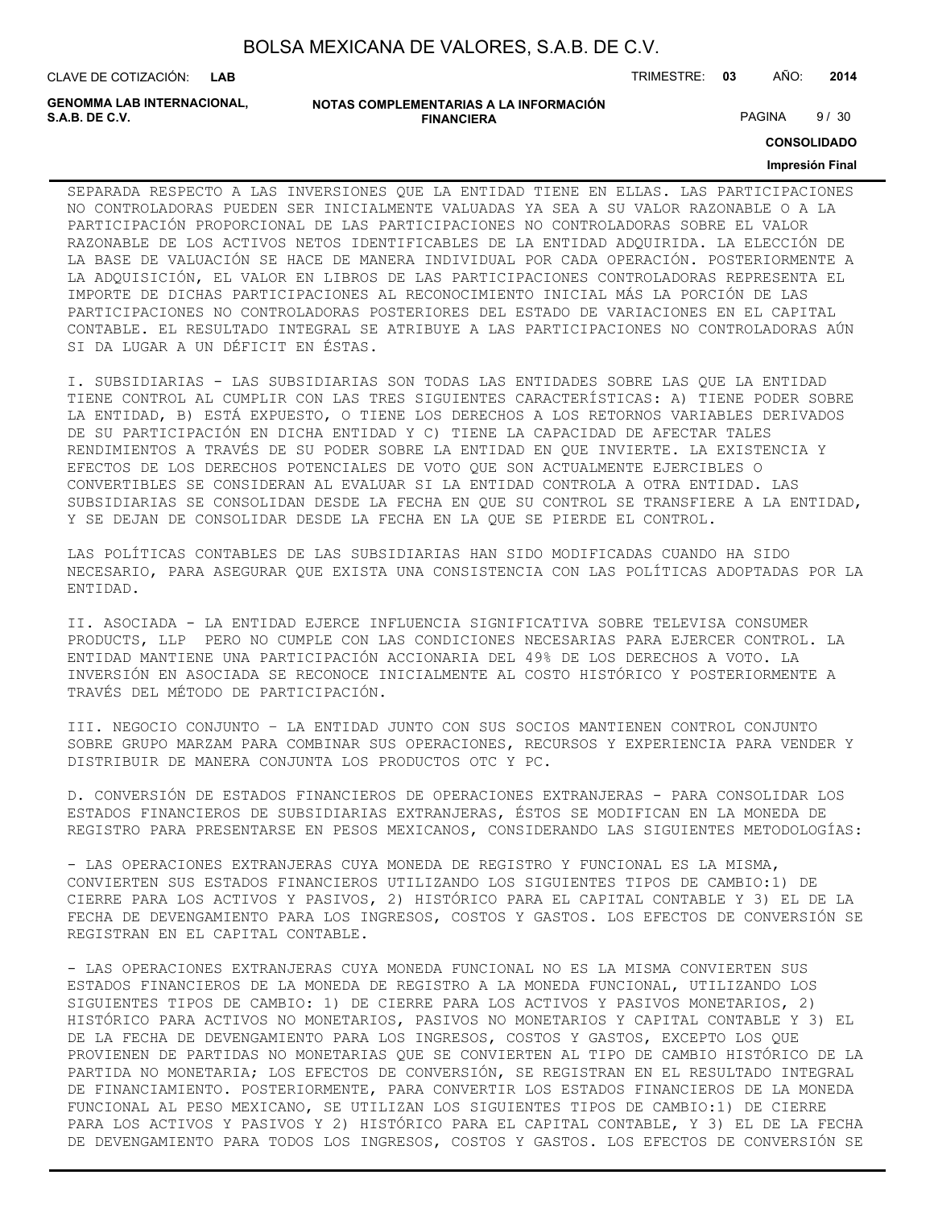| BOLSA MEXICANA DE VALORES, S.A.B. DE C.V. |  |  |
|-------------------------------------------|--|--|
|-------------------------------------------|--|--|

CLAVE DE COTIZACIÓN: TRIMESTRE: **03** AÑO: **2014 LAB**

**GENOMMA LAB INTERNACIONAL,**

```
NOTAS COMPLEMENTARIAS A LA INFORMACIÓN
                        FINANCIERA
S.A.B. DE C.V. PAGINA 9 / 30
```
**CONSOLIDADO**

#### **Impresión Final**

SEPARADA RESPECTO A LAS INVERSIONES QUE LA ENTIDAD TIENE EN ELLAS. LAS PARTICIPACIONES NO CONTROLADORAS PUEDEN SER INICIALMENTE VALUADAS YA SEA A SU VALOR RAZONABLE O A LA PARTICIPACIÓN PROPORCIONAL DE LAS PARTICIPACIONES NO CONTROLADORAS SOBRE EL VALOR RAZONABLE DE LOS ACTIVOS NETOS IDENTIFICABLES DE LA ENTIDAD ADQUIRIDA. LA ELECCIÓN DE LA BASE DE VALUACIÓN SE HACE DE MANERA INDIVIDUAL POR CADA OPERACIÓN. POSTERIORMENTE A LA ADQUISICIÓN, EL VALOR EN LIBROS DE LAS PARTICIPACIONES CONTROLADORAS REPRESENTA EL IMPORTE DE DICHAS PARTICIPACIONES AL RECONOCIMIENTO INICIAL MÁS LA PORCIÓN DE LAS PARTICIPACIONES NO CONTROLADORAS POSTERIORES DEL ESTADO DE VARIACIONES EN EL CAPITAL CONTABLE. EL RESULTADO INTEGRAL SE ATRIBUYE A LAS PARTICIPACIONES NO CONTROLADORAS AÚN SI DA LUGAR A UN DÉFICIT EN ÉSTAS.

I. SUBSIDIARIAS - LAS SUBSIDIARIAS SON TODAS LAS ENTIDADES SOBRE LAS QUE LA ENTIDAD TIENE CONTROL AL CUMPLIR CON LAS TRES SIGUIENTES CARACTERÍSTICAS: A) TIENE PODER SOBRE LA ENTIDAD, B) ESTÁ EXPUESTO, O TIENE LOS DERECHOS A LOS RETORNOS VARIABLES DERIVADOS DE SU PARTICIPACIÓN EN DICHA ENTIDAD Y C) TIENE LA CAPACIDAD DE AFECTAR TALES RENDIMIENTOS A TRAVÉS DE SU PODER SOBRE LA ENTIDAD EN QUE INVIERTE. LA EXISTENCIA Y EFECTOS DE LOS DERECHOS POTENCIALES DE VOTO QUE SON ACTUALMENTE EJERCIBLES O CONVERTIBLES SE CONSIDERAN AL EVALUAR SI LA ENTIDAD CONTROLA A OTRA ENTIDAD. LAS SUBSIDIARIAS SE CONSOLIDAN DESDE LA FECHA EN QUE SU CONTROL SE TRANSFIERE A LA ENTIDAD, Y SE DEJAN DE CONSOLIDAR DESDE LA FECHA EN LA QUE SE PIERDE EL CONTROL.

LAS POLÍTICAS CONTABLES DE LAS SUBSIDIARIAS HAN SIDO MODIFICADAS CUANDO HA SIDO NECESARIO, PARA ASEGURAR QUE EXISTA UNA CONSISTENCIA CON LAS POLÍTICAS ADOPTADAS POR LA ENTIDAD.

II. ASOCIADA - LA ENTIDAD EJERCE INFLUENCIA SIGNIFICATIVA SOBRE TELEVISA CONSUMER PRODUCTS, LLP PERO NO CUMPLE CON LAS CONDICIONES NECESARIAS PARA EJERCER CONTROL. LA ENTIDAD MANTIENE UNA PARTICIPACIÓN ACCIONARIA DEL 49% DE LOS DERECHOS A VOTO. LA INVERSIÓN EN ASOCIADA SE RECONOCE INICIALMENTE AL COSTO HISTÓRICO Y POSTERIORMENTE A TRAVÉS DEL MÉTODO DE PARTICIPACIÓN.

III. NEGOCIO CONJUNTO – LA ENTIDAD JUNTO CON SUS SOCIOS MANTIENEN CONTROL CONJUNTO SOBRE GRUPO MARZAM PARA COMBINAR SUS OPERACIONES, RECURSOS Y EXPERIENCIA PARA VENDER Y DISTRIBUIR DE MANERA CONJUNTA LOS PRODUCTOS OTC Y PC.

D. CONVERSIÓN DE ESTADOS FINANCIEROS DE OPERACIONES EXTRANJERAS - PARA CONSOLIDAR LOS ESTADOS FINANCIEROS DE SUBSIDIARIAS EXTRANJERAS, ÉSTOS SE MODIFICAN EN LA MONEDA DE REGISTRO PARA PRESENTARSE EN PESOS MEXICANOS, CONSIDERANDO LAS SIGUIENTES METODOLOGÍAS:

- LAS OPERACIONES EXTRANJERAS CUYA MONEDA DE REGISTRO Y FUNCIONAL ES LA MISMA, CONVIERTEN SUS ESTADOS FINANCIEROS UTILIZANDO LOS SIGUIENTES TIPOS DE CAMBIO:1) DE CIERRE PARA LOS ACTIVOS Y PASIVOS, 2) HISTÓRICO PARA EL CAPITAL CONTABLE Y 3) EL DE LA FECHA DE DEVENGAMIENTO PARA LOS INGRESOS, COSTOS Y GASTOS. LOS EFECTOS DE CONVERSIÓN SE REGISTRAN EN EL CAPITAL CONTABLE.

- LAS OPERACIONES EXTRANJERAS CUYA MONEDA FUNCIONAL NO ES LA MISMA CONVIERTEN SUS ESTADOS FINANCIEROS DE LA MONEDA DE REGISTRO A LA MONEDA FUNCIONAL, UTILIZANDO LOS SIGUIENTES TIPOS DE CAMBIO: 1) DE CIERRE PARA LOS ACTIVOS Y PASIVOS MONETARIOS, 2) HISTÓRICO PARA ACTIVOS NO MONETARIOS, PASIVOS NO MONETARIOS Y CAPITAL CONTABLE Y 3) EL DE LA FECHA DE DEVENGAMIENTO PARA LOS INGRESOS, COSTOS Y GASTOS, EXCEPTO LOS QUE PROVIENEN DE PARTIDAS NO MONETARIAS QUE SE CONVIERTEN AL TIPO DE CAMBIO HISTÓRICO DE LA PARTIDA NO MONETARIA; LOS EFECTOS DE CONVERSIÓN, SE REGISTRAN EN EL RESULTADO INTEGRAL DE FINANCIAMIENTO. POSTERIORMENTE, PARA CONVERTIR LOS ESTADOS FINANCIEROS DE LA MONEDA FUNCIONAL AL PESO MEXICANO, SE UTILIZAN LOS SIGUIENTES TIPOS DE CAMBIO:1) DE CIERRE PARA LOS ACTIVOS Y PASIVOS Y 2) HISTÓRICO PARA EL CAPITAL CONTABLE, Y 3) EL DE LA FECHA DE DEVENGAMIENTO PARA TODOS LOS INGRESOS, COSTOS Y GASTOS. LOS EFECTOS DE CONVERSIÓN SE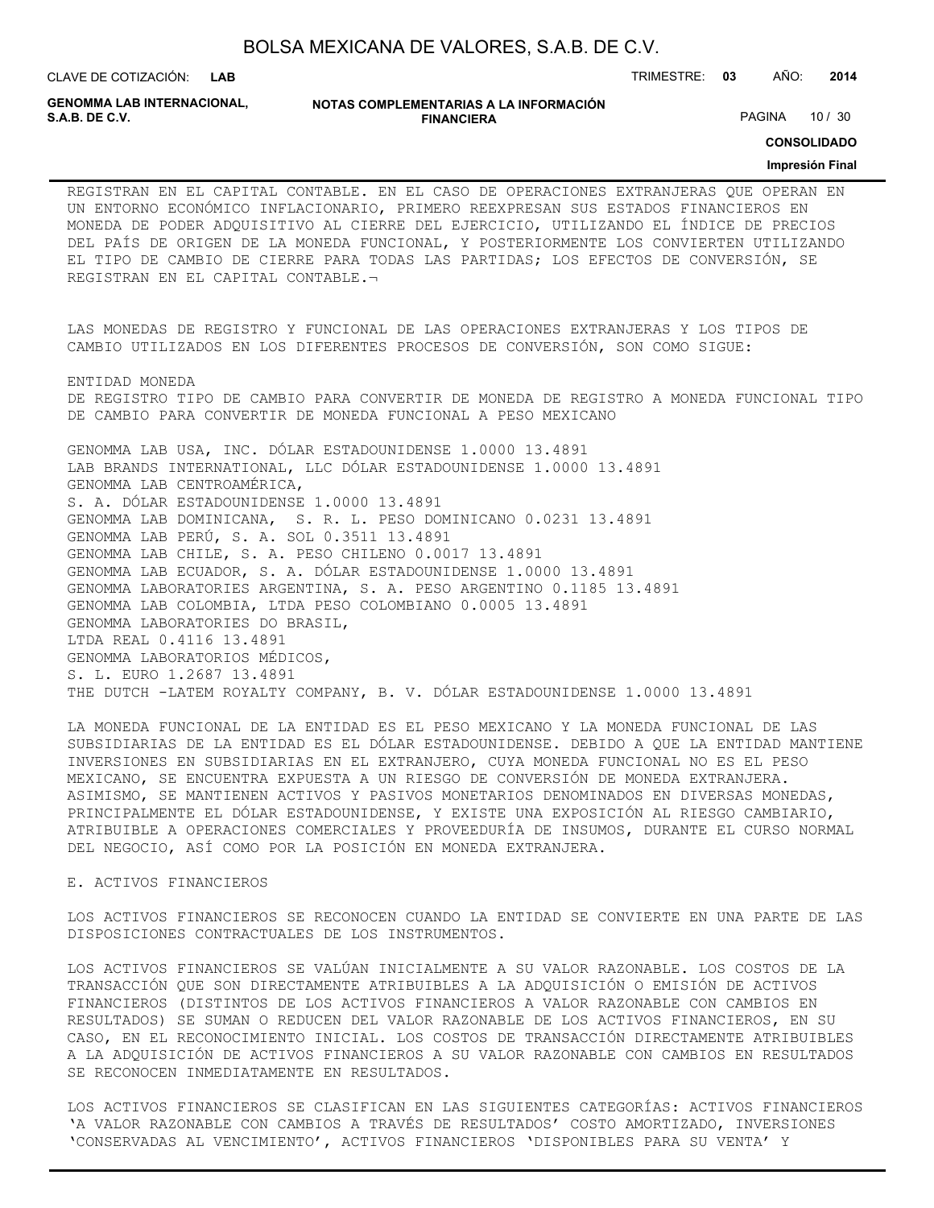CLAVE DE COTIZACIÓN: TRIMESTRE: **03** AÑO: **2014**

**GENOMMA LAB INTERNACIONAL,**

**NOTAS COMPLEMENTARIAS A LA INFORMACIÓN FINANCIERA**

PAGINA 10 / 30

**CONSOLIDADO**

#### **Impresión Final**

REGISTRAN EN EL CAPITAL CONTABLE. EN EL CASO DE OPERACIONES EXTRANJERAS QUE OPERAN EN UN ENTORNO ECONÓMICO INFLACIONARIO, PRIMERO REEXPRESAN SUS ESTADOS FINANCIEROS EN MONEDA DE PODER ADQUISITIVO AL CIERRE DEL EJERCICIO, UTILIZANDO EL ÍNDICE DE PRECIOS DEL PAÍS DE ORIGEN DE LA MONEDA FUNCIONAL, Y POSTERIORMENTE LOS CONVIERTEN UTILIZANDO EL TIPO DE CAMBIO DE CIERRE PARA TODAS LAS PARTIDAS; LOS EFECTOS DE CONVERSIÓN, SE REGISTRAN EN EL CAPITAL CONTABLE.¬

LAS MONEDAS DE REGISTRO Y FUNCIONAL DE LAS OPERACIONES EXTRANJERAS Y LOS TIPOS DE CAMBIO UTILIZADOS EN LOS DIFERENTES PROCESOS DE CONVERSIÓN, SON COMO SIGUE:

ENTIDAD MONEDA DE REGISTRO TIPO DE CAMBIO PARA CONVERTIR DE MONEDA DE REGISTRO A MONEDA FUNCIONAL TIPO DE CAMBIO PARA CONVERTIR DE MONEDA FUNCIONAL A PESO MEXICANO

GENOMMA LAB USA, INC. DÓLAR ESTADOUNIDENSE 1.0000 13.4891 LAB BRANDS INTERNATIONAL, LLC DÓLAR ESTADOUNIDENSE 1.0000 13.4891 GENOMMA LAB CENTROAMÉRICA, S. A. DÓLAR ESTADOUNIDENSE 1.0000 13.4891 GENOMMA LAB DOMINICANA, S. R. L. PESO DOMINICANO 0.0231 13.4891 GENOMMA LAB PERÚ, S. A. SOL 0.3511 13.4891 GENOMMA LAB CHILE, S. A. PESO CHILENO 0.0017 13.4891 GENOMMA LAB ECUADOR, S. A. DÓLAR ESTADOUNIDENSE 1.0000 13.4891 GENOMMA LABORATORIES ARGENTINA, S. A. PESO ARGENTINO 0.1185 13.4891 GENOMMA LAB COLOMBIA, LTDA PESO COLOMBIANO 0.0005 13.4891 GENOMMA LABORATORIES DO BRASIL, LTDA REAL 0.4116 13.4891 GENOMMA LABORATORIOS MÉDICOS, S. L. EURO 1.2687 13.4891 THE DUTCH -LATEM ROYALTY COMPANY, B. V. DÓLAR ESTADOUNIDENSE 1.0000 13.4891

LA MONEDA FUNCIONAL DE LA ENTIDAD ES EL PESO MEXICANO Y LA MONEDA FUNCIONAL DE LAS SUBSIDIARIAS DE LA ENTIDAD ES EL DÓLAR ESTADOUNIDENSE. DEBIDO A QUE LA ENTIDAD MANTIENE INVERSIONES EN SUBSIDIARIAS EN EL EXTRANJERO, CUYA MONEDA FUNCIONAL NO ES EL PESO MEXICANO, SE ENCUENTRA EXPUESTA A UN RIESGO DE CONVERSIÓN DE MONEDA EXTRANJERA. ASIMISMO, SE MANTIENEN ACTIVOS Y PASIVOS MONETARIOS DENOMINADOS EN DIVERSAS MONEDAS, PRINCIPALMENTE EL DÓLAR ESTADOUNIDENSE, Y EXISTE UNA EXPOSICIÓN AL RIESGO CAMBIARIO, ATRIBUIBLE A OPERACIONES COMERCIALES Y PROVEEDURÍA DE INSUMOS, DURANTE EL CURSO NORMAL DEL NEGOCIO, ASÍ COMO POR LA POSICIÓN EN MONEDA EXTRANJERA.

#### E. ACTIVOS FINANCIEROS

LOS ACTIVOS FINANCIEROS SE RECONOCEN CUANDO LA ENTIDAD SE CONVIERTE EN UNA PARTE DE LAS DISPOSICIONES CONTRACTUALES DE LOS INSTRUMENTOS.

LOS ACTIVOS FINANCIEROS SE VALÚAN INICIALMENTE A SU VALOR RAZONABLE. LOS COSTOS DE LA TRANSACCIÓN QUE SON DIRECTAMENTE ATRIBUIBLES A LA ADQUISICIÓN O EMISIÓN DE ACTIVOS FINANCIEROS (DISTINTOS DE LOS ACTIVOS FINANCIEROS A VALOR RAZONABLE CON CAMBIOS EN RESULTADOS) SE SUMAN O REDUCEN DEL VALOR RAZONABLE DE LOS ACTIVOS FINANCIEROS, EN SU CASO, EN EL RECONOCIMIENTO INICIAL. LOS COSTOS DE TRANSACCIÓN DIRECTAMENTE ATRIBUIBLES A LA ADQUISICIÓN DE ACTIVOS FINANCIEROS A SU VALOR RAZONABLE CON CAMBIOS EN RESULTADOS SE RECONOCEN INMEDIATAMENTE EN RESULTADOS.

LOS ACTIVOS FINANCIEROS SE CLASIFICAN EN LAS SIGUIENTES CATEGORÍAS: ACTIVOS FINANCIEROS 'A VALOR RAZONABLE CON CAMBIOS A TRAVÉS DE RESULTADOS' COSTO AMORTIZADO, INVERSIONES 'CONSERVADAS AL VENCIMIENTO', ACTIVOS FINANCIEROS 'DISPONIBLES PARA SU VENTA' Y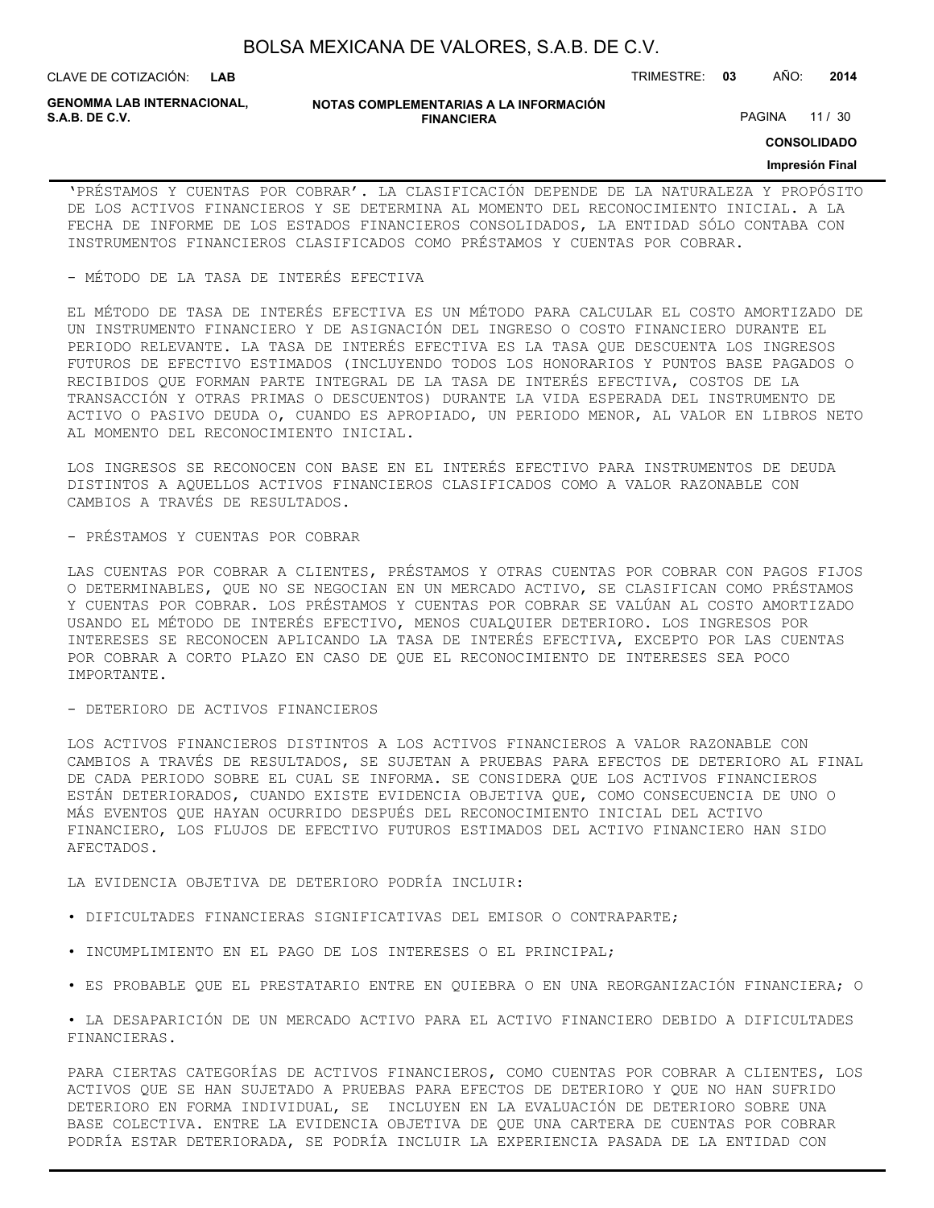**LAB**

CLAVE DE COTIZACIÓN: TRIMESTRE: **03** AÑO: **2014**

**GENOMMA LAB INTERNACIONAL,**

#### **NOTAS COMPLEMENTARIAS A LA INFORMACIÓN FINANCIERA**

PAGINA 11 / 30

### **CONSOLIDADO**

#### **Impresión Final**

'PRÉSTAMOS Y CUENTAS POR COBRAR'. LA CLASIFICACIÓN DEPENDE DE LA NATURALEZA Y PROPÓSITO DE LOS ACTIVOS FINANCIEROS Y SE DETERMINA AL MOMENTO DEL RECONOCIMIENTO INICIAL. A LA FECHA DE INFORME DE LOS ESTADOS FINANCIEROS CONSOLIDADOS, LA ENTIDAD SÓLO CONTABA CON INSTRUMENTOS FINANCIEROS CLASIFICADOS COMO PRÉSTAMOS Y CUENTAS POR COBRAR.

- MÉTODO DE LA TASA DE INTERÉS EFECTIVA

EL MÉTODO DE TASA DE INTERÉS EFECTIVA ES UN MÉTODO PARA CALCULAR EL COSTO AMORTIZADO DE UN INSTRUMENTO FINANCIERO Y DE ASIGNACIÓN DEL INGRESO O COSTO FINANCIERO DURANTE EL PERIODO RELEVANTE. LA TASA DE INTERÉS EFECTIVA ES LA TASA QUE DESCUENTA LOS INGRESOS FUTUROS DE EFECTIVO ESTIMADOS (INCLUYENDO TODOS LOS HONORARIOS Y PUNTOS BASE PAGADOS O RECIBIDOS QUE FORMAN PARTE INTEGRAL DE LA TASA DE INTERÉS EFECTIVA, COSTOS DE LA TRANSACCIÓN Y OTRAS PRIMAS O DESCUENTOS) DURANTE LA VIDA ESPERADA DEL INSTRUMENTO DE ACTIVO O PASIVO DEUDA O, CUANDO ES APROPIADO, UN PERIODO MENOR, AL VALOR EN LIBROS NETO AL MOMENTO DEL RECONOCIMIENTO INICIAL.

LOS INGRESOS SE RECONOCEN CON BASE EN EL INTERÉS EFECTIVO PARA INSTRUMENTOS DE DEUDA DISTINTOS A AQUELLOS ACTIVOS FINANCIEROS CLASIFICADOS COMO A VALOR RAZONABLE CON CAMBIOS A TRAVÉS DE RESULTADOS.

- PRÉSTAMOS Y CUENTAS POR COBRAR

LAS CUENTAS POR COBRAR A CLIENTES, PRÉSTAMOS Y OTRAS CUENTAS POR COBRAR CON PAGOS FIJOS O DETERMINABLES, QUE NO SE NEGOCIAN EN UN MERCADO ACTIVO, SE CLASIFICAN COMO PRÉSTAMOS Y CUENTAS POR COBRAR. LOS PRÉSTAMOS Y CUENTAS POR COBRAR SE VALÚAN AL COSTO AMORTIZADO USANDO EL MÉTODO DE INTERÉS EFECTIVO, MENOS CUALQUIER DETERIORO. LOS INGRESOS POR INTERESES SE RECONOCEN APLICANDO LA TASA DE INTERÉS EFECTIVA, EXCEPTO POR LAS CUENTAS POR COBRAR A CORTO PLAZO EN CASO DE QUE EL RECONOCIMIENTO DE INTERESES SEA POCO IMPORTANTE.

- DETERIORO DE ACTIVOS FINANCIEROS

LOS ACTIVOS FINANCIEROS DISTINTOS A LOS ACTIVOS FINANCIEROS A VALOR RAZONABLE CON CAMBIOS A TRAVÉS DE RESULTADOS, SE SUJETAN A PRUEBAS PARA EFECTOS DE DETERIORO AL FINAL DE CADA PERIODO SOBRE EL CUAL SE INFORMA. SE CONSIDERA QUE LOS ACTIVOS FINANCIEROS ESTÁN DETERIORADOS, CUANDO EXISTE EVIDENCIA OBJETIVA QUE, COMO CONSECUENCIA DE UNO O MÁS EVENTOS QUE HAYAN OCURRIDO DESPUÉS DEL RECONOCIMIENTO INICIAL DEL ACTIVO FINANCIERO, LOS FLUJOS DE EFECTIVO FUTUROS ESTIMADOS DEL ACTIVO FINANCIERO HAN SIDO AFECTADOS.

LA EVIDENCIA OBJETIVA DE DETERIORO PODRÍA INCLUIR:

- DIFICULTADES FINANCIERAS SIGNIFICATIVAS DEL EMISOR O CONTRAPARTE;
- INCUMPLIMIENTO EN EL PAGO DE LOS INTERESES O EL PRINCIPAL;
- ES PROBABLE QUE EL PRESTATARIO ENTRE EN QUIEBRA O EN UNA REORGANIZACIÓN FINANCIERA; O

• LA DESAPARICIÓN DE UN MERCADO ACTIVO PARA EL ACTIVO FINANCIERO DEBIDO A DIFICULTADES FINANCIERAS.

PARA CIERTAS CATEGORÍAS DE ACTIVOS FINANCIEROS, COMO CUENTAS POR COBRAR A CLIENTES, LOS ACTIVOS QUE SE HAN SUJETADO A PRUEBAS PARA EFECTOS DE DETERIORO Y QUE NO HAN SUFRIDO DETERIORO EN FORMA INDIVIDUAL, SE INCLUYEN EN LA EVALUACIÓN DE DETERIORO SOBRE UNA BASE COLECTIVA. ENTRE LA EVIDENCIA OBJETIVA DE QUE UNA CARTERA DE CUENTAS POR COBRAR PODRÍA ESTAR DETERIORADA, SE PODRÍA INCLUIR LA EXPERIENCIA PASADA DE LA ENTIDAD CON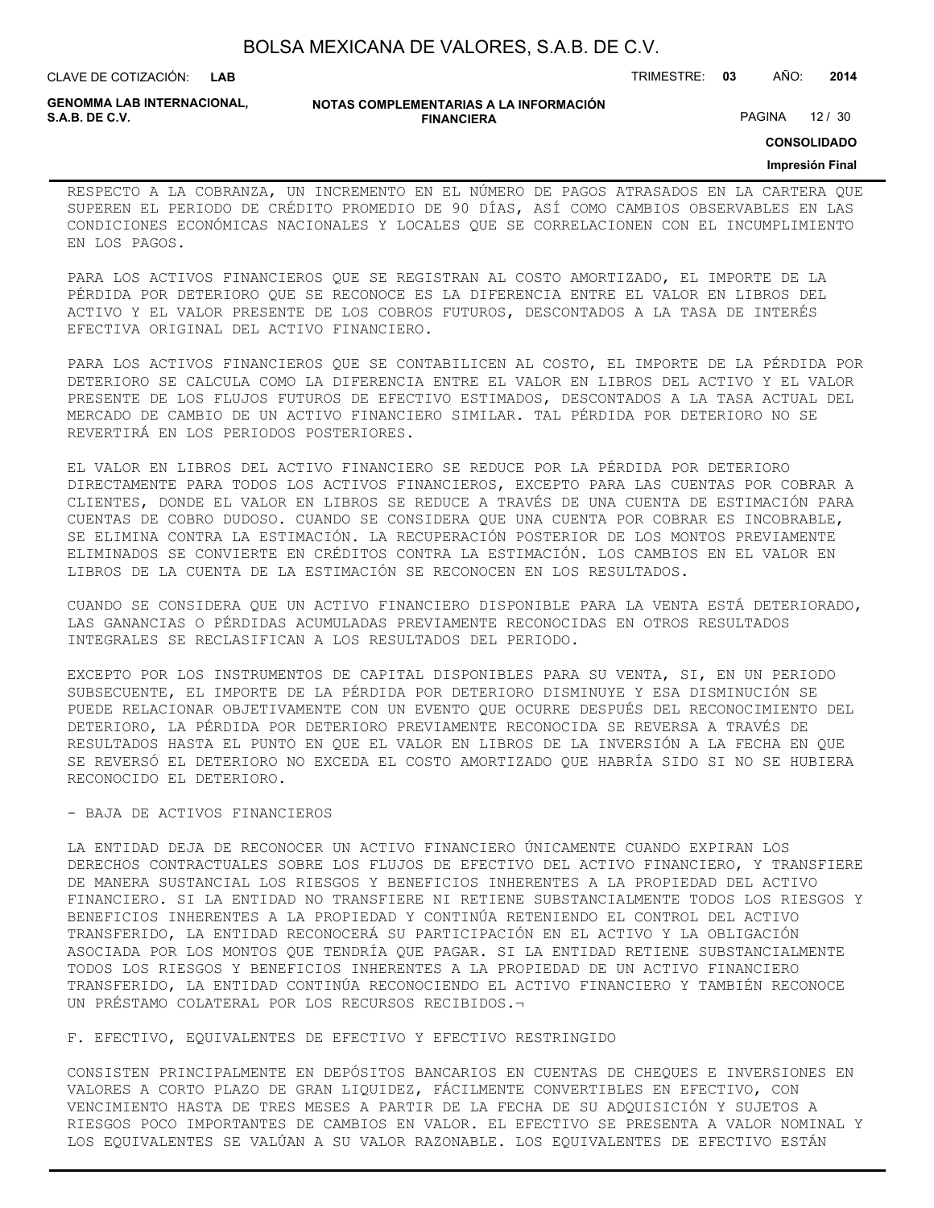| BOLSA MEXICANA DE VALORES, S.A.B. DE C.V. |  |  |
|-------------------------------------------|--|--|
|-------------------------------------------|--|--|

CLAVE DE COTIZACIÓN: TRIMESTRE: **03** AÑO: **2014**

**GENOMMA LAB INTERNACIONAL,**

**NOTAS COMPLEMENTARIAS A LA INFORMACIÓN FINANCIERA**

PAGINA 12 / 30

**CONSOLIDADO**

#### **Impresión Final**

RESPECTO A LA COBRANZA, UN INCREMENTO EN EL NÚMERO DE PAGOS ATRASADOS EN LA CARTERA QUE SUPEREN EL PERIODO DE CRÉDITO PROMEDIO DE 90 DÍAS, ASÍ COMO CAMBIOS OBSERVABLES EN LAS CONDICIONES ECONÓMICAS NACIONALES Y LOCALES QUE SE CORRELACIONEN CON EL INCUMPLIMIENTO EN LOS PAGOS.

PARA LOS ACTIVOS FINANCIEROS QUE SE REGISTRAN AL COSTO AMORTIZADO, EL IMPORTE DE LA PÉRDIDA POR DETERIORO QUE SE RECONOCE ES LA DIFERENCIA ENTRE EL VALOR EN LIBROS DEL ACTIVO Y EL VALOR PRESENTE DE LOS COBROS FUTUROS, DESCONTADOS A LA TASA DE INTERÉS EFECTIVA ORIGINAL DEL ACTIVO FINANCIERO.

PARA LOS ACTIVOS FINANCIEROS QUE SE CONTABILICEN AL COSTO, EL IMPORTE DE LA PÉRDIDA POR DETERIORO SE CALCULA COMO LA DIFERENCIA ENTRE EL VALOR EN LIBROS DEL ACTIVO Y EL VALOR PRESENTE DE LOS FLUJOS FUTUROS DE EFECTIVO ESTIMADOS, DESCONTADOS A LA TASA ACTUAL DEL MERCADO DE CAMBIO DE UN ACTIVO FINANCIERO SIMILAR. TAL PÉRDIDA POR DETERIORO NO SE REVERTIRÁ EN LOS PERIODOS POSTERIORES.

EL VALOR EN LIBROS DEL ACTIVO FINANCIERO SE REDUCE POR LA PÉRDIDA POR DETERIORO DIRECTAMENTE PARA TODOS LOS ACTIVOS FINANCIEROS, EXCEPTO PARA LAS CUENTAS POR COBRAR A CLIENTES, DONDE EL VALOR EN LIBROS SE REDUCE A TRAVÉS DE UNA CUENTA DE ESTIMACIÓN PARA CUENTAS DE COBRO DUDOSO. CUANDO SE CONSIDERA QUE UNA CUENTA POR COBRAR ES INCOBRABLE, SE ELIMINA CONTRA LA ESTIMACIÓN. LA RECUPERACIÓN POSTERIOR DE LOS MONTOS PREVIAMENTE ELIMINADOS SE CONVIERTE EN CRÉDITOS CONTRA LA ESTIMACIÓN. LOS CAMBIOS EN EL VALOR EN LIBROS DE LA CUENTA DE LA ESTIMACIÓN SE RECONOCEN EN LOS RESULTADOS.

CUANDO SE CONSIDERA QUE UN ACTIVO FINANCIERO DISPONIBLE PARA LA VENTA ESTÁ DETERIORADO, LAS GANANCIAS O PÉRDIDAS ACUMULADAS PREVIAMENTE RECONOCIDAS EN OTROS RESULTADOS INTEGRALES SE RECLASIFICAN A LOS RESULTADOS DEL PERIODO.

EXCEPTO POR LOS INSTRUMENTOS DE CAPITAL DISPONIBLES PARA SU VENTA, SI, EN UN PERIODO SUBSECUENTE, EL IMPORTE DE LA PÉRDIDA POR DETERIORO DISMINUYE Y ESA DISMINUCIÓN SE PUEDE RELACIONAR OBJETIVAMENTE CON UN EVENTO QUE OCURRE DESPUÉS DEL RECONOCIMIENTO DEL DETERIORO, LA PÉRDIDA POR DETERIORO PREVIAMENTE RECONOCIDA SE REVERSA A TRAVÉS DE RESULTADOS HASTA EL PUNTO EN QUE EL VALOR EN LIBROS DE LA INVERSIÓN A LA FECHA EN QUE SE REVERSÓ EL DETERIORO NO EXCEDA EL COSTO AMORTIZADO QUE HABRÍA SIDO SI NO SE HUBIERA RECONOCIDO EL DETERIORO.

#### - BAJA DE ACTIVOS FINANCIEROS

LA ENTIDAD DEJA DE RECONOCER UN ACTIVO FINANCIERO ÚNICAMENTE CUANDO EXPIRAN LOS DERECHOS CONTRACTUALES SOBRE LOS FLUJOS DE EFECTIVO DEL ACTIVO FINANCIERO, Y TRANSFIERE DE MANERA SUSTANCIAL LOS RIESGOS Y BENEFICIOS INHERENTES A LA PROPIEDAD DEL ACTIVO FINANCIERO. SI LA ENTIDAD NO TRANSFIERE NI RETIENE SUBSTANCIALMENTE TODOS LOS RIESGOS Y BENEFICIOS INHERENTES A LA PROPIEDAD Y CONTINÚA RETENIENDO EL CONTROL DEL ACTIVO TRANSFERIDO, LA ENTIDAD RECONOCERÁ SU PARTICIPACIÓN EN EL ACTIVO Y LA OBLIGACIÓN ASOCIADA POR LOS MONTOS QUE TENDRÍA QUE PAGAR. SI LA ENTIDAD RETIENE SUBSTANCIALMENTE TODOS LOS RIESGOS Y BENEFICIOS INHERENTES A LA PROPIEDAD DE UN ACTIVO FINANCIERO TRANSFERIDO, LA ENTIDAD CONTINÚA RECONOCIENDO EL ACTIVO FINANCIERO Y TAMBIÉN RECONOCE UN PRÉSTAMO COLATERAL POR LOS RECURSOS RECIBIDOS.¬

#### F. EFECTIVO, EQUIVALENTES DE EFECTIVO Y EFECTIVO RESTRINGIDO

CONSISTEN PRINCIPALMENTE EN DEPÓSITOS BANCARIOS EN CUENTAS DE CHEQUES E INVERSIONES EN VALORES A CORTO PLAZO DE GRAN LIQUIDEZ, FÁCILMENTE CONVERTIBLES EN EFECTIVO, CON VENCIMIENTO HASTA DE TRES MESES A PARTIR DE LA FECHA DE SU ADQUISICIÓN Y SUJETOS A RIESGOS POCO IMPORTANTES DE CAMBIOS EN VALOR. EL EFECTIVO SE PRESENTA A VALOR NOMINAL Y LOS EQUIVALENTES SE VALÚAN A SU VALOR RAZONABLE. LOS EQUIVALENTES DE EFECTIVO ESTÁN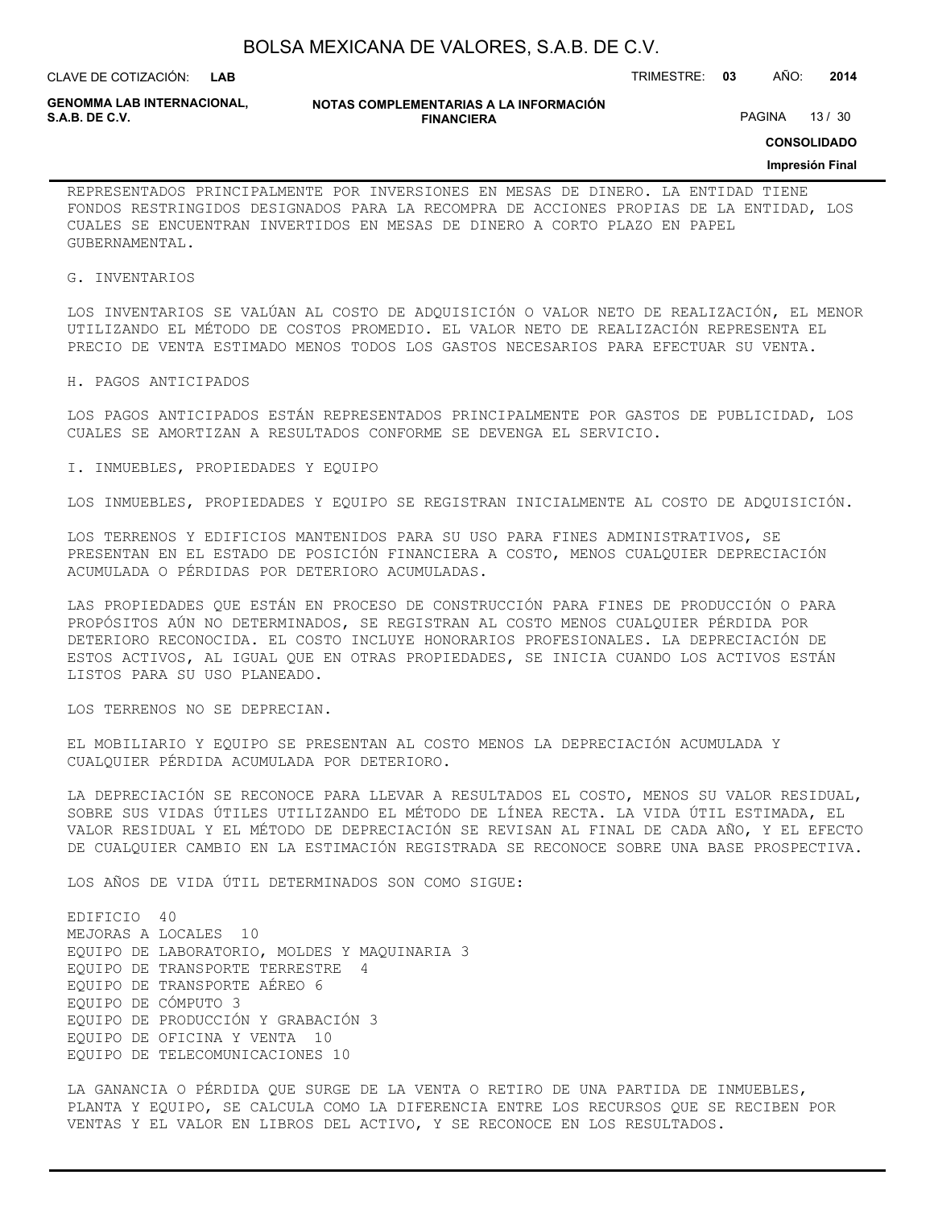| BOLSA MEXICANA DE VALORES, S.A.B. DE C.V. |  |  |
|-------------------------------------------|--|--|
|-------------------------------------------|--|--|

CLAVE DE COTIZACIÓN: TRIMESTRE: **03** AÑO: **2014**

**GENOMMA LAB INTERNACIONAL,**

**NOTAS COMPLEMENTARIAS A LA INFORMACIÓN FINANCIERA**

PAGINA 13 / 30

**CONSOLIDADO**

#### **Impresión Final**

REPRESENTADOS PRINCIPALMENTE POR INVERSIONES EN MESAS DE DINERO. LA ENTIDAD TIENE FONDOS RESTRINGIDOS DESIGNADOS PARA LA RECOMPRA DE ACCIONES PROPIAS DE LA ENTIDAD, LOS CUALES SE ENCUENTRAN INVERTIDOS EN MESAS DE DINERO A CORTO PLAZO EN PAPEL GUBERNAMENTAL.

#### G. INVENTARIOS

LOS INVENTARIOS SE VALÚAN AL COSTO DE ADQUISICIÓN O VALOR NETO DE REALIZACIÓN, EL MENOR UTILIZANDO EL MÉTODO DE COSTOS PROMEDIO. EL VALOR NETO DE REALIZACIÓN REPRESENTA EL PRECIO DE VENTA ESTIMADO MENOS TODOS LOS GASTOS NECESARIOS PARA EFECTUAR SU VENTA.

#### H. PAGOS ANTICIPADOS

LOS PAGOS ANTICIPADOS ESTÁN REPRESENTADOS PRINCIPALMENTE POR GASTOS DE PUBLICIDAD, LOS CUALES SE AMORTIZAN A RESULTADOS CONFORME SE DEVENGA EL SERVICIO.

I. INMUEBLES, PROPIEDADES Y EQUIPO

LOS INMUEBLES, PROPIEDADES Y EQUIPO SE REGISTRAN INICIALMENTE AL COSTO DE ADQUISICIÓN.

LOS TERRENOS Y EDIFICIOS MANTENIDOS PARA SU USO PARA FINES ADMINISTRATIVOS, SE PRESENTAN EN EL ESTADO DE POSICIÓN FINANCIERA A COSTO, MENOS CUALQUIER DEPRECIACIÓN ACUMULADA O PÉRDIDAS POR DETERIORO ACUMULADAS.

LAS PROPIEDADES QUE ESTÁN EN PROCESO DE CONSTRUCCIÓN PARA FINES DE PRODUCCIÓN O PARA PROPÓSITOS AÚN NO DETERMINADOS, SE REGISTRAN AL COSTO MENOS CUALQUIER PÉRDIDA POR DETERIORO RECONOCIDA. EL COSTO INCLUYE HONORARIOS PROFESIONALES. LA DEPRECIACIÓN DE ESTOS ACTIVOS, AL IGUAL QUE EN OTRAS PROPIEDADES, SE INICIA CUANDO LOS ACTIVOS ESTÁN LISTOS PARA SU USO PLANEADO.

LOS TERRENOS NO SE DEPRECIAN.

EL MOBILIARIO Y EQUIPO SE PRESENTAN AL COSTO MENOS LA DEPRECIACIÓN ACUMULADA Y CUALQUIER PÉRDIDA ACUMULADA POR DETERIORO.

LA DEPRECIACIÓN SE RECONOCE PARA LLEVAR A RESULTADOS EL COSTO, MENOS SU VALOR RESIDUAL, SOBRE SUS VIDAS ÚTILES UTILIZANDO EL MÉTODO DE LÍNEA RECTA. LA VIDA ÚTIL ESTIMADA, EL VALOR RESIDUAL Y EL MÉTODO DE DEPRECIACIÓN SE REVISAN AL FINAL DE CADA AÑO, Y EL EFECTO DE CUALQUIER CAMBIO EN LA ESTIMACIÓN REGISTRADA SE RECONOCE SOBRE UNA BASE PROSPECTIVA.

LOS AÑOS DE VIDA ÚTIL DETERMINADOS SON COMO SIGUE:

EDIFICIO 40 MEJORAS A LOCALES 10 EQUIPO DE LABORATORIO, MOLDES Y MAQUINARIA 3 EQUIPO DE TRANSPORTE TERRESTRE 4 EQUIPO DE TRANSPORTE AÉREO 6 EQUIPO DE CÓMPUTO 3 EQUIPO DE PRODUCCIÓN Y GRABACIÓN 3 EQUIPO DE OFICINA Y VENTA 10 EQUIPO DE TELECOMUNICACIONES 10

LA GANANCIA O PÉRDIDA QUE SURGE DE LA VENTA O RETIRO DE UNA PARTIDA DE INMUEBLES, PLANTA Y EQUIPO, SE CALCULA COMO LA DIFERENCIA ENTRE LOS RECURSOS QUE SE RECIBEN POR VENTAS Y EL VALOR EN LIBROS DEL ACTIVO, Y SE RECONOCE EN LOS RESULTADOS.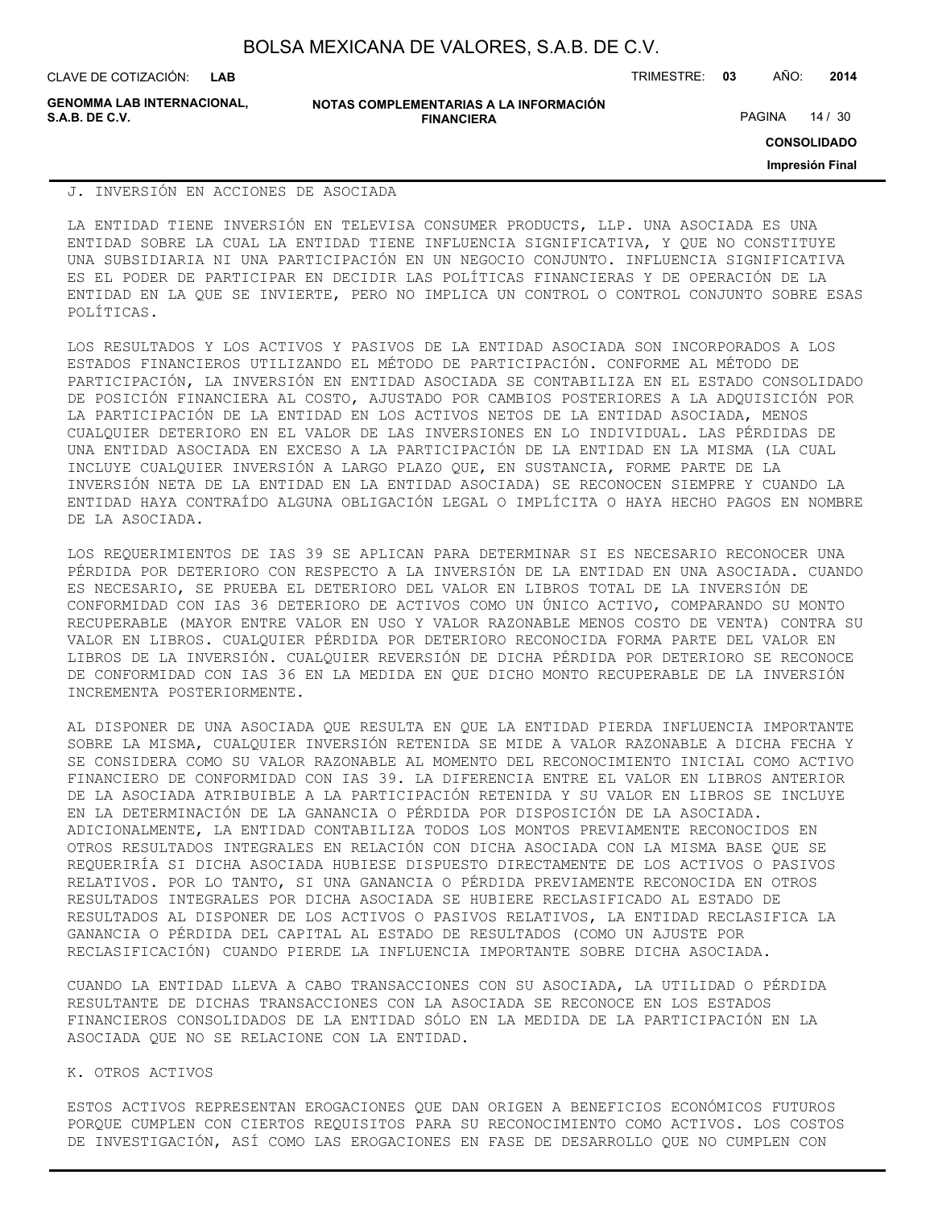CLAVE DE COTIZACIÓN: TRIMESTRE: **03** AÑO: **2014**

**GENOMMA LAB INTERNACIONAL,**

**NOTAS COMPLEMENTARIAS A LA INFORMACIÓN FINANCIERA S.A.B. DE C.V.** PAGINA 14 / 30

**CONSOLIDADO**

**Impresión Final**

#### J. INVERSIÓN EN ACCIONES DE ASOCIADA

LA ENTIDAD TIENE INVERSIÓN EN TELEVISA CONSUMER PRODUCTS, LLP. UNA ASOCIADA ES UNA ENTIDAD SOBRE LA CUAL LA ENTIDAD TIENE INFLUENCIA SIGNIFICATIVA, Y QUE NO CONSTITUYE UNA SUBSIDIARIA NI UNA PARTICIPACIÓN EN UN NEGOCIO CONJUNTO. INFLUENCIA SIGNIFICATIVA ES EL PODER DE PARTICIPAR EN DECIDIR LAS POLÍTICAS FINANCIERAS Y DE OPERACIÓN DE LA ENTIDAD EN LA QUE SE INVIERTE, PERO NO IMPLICA UN CONTROL O CONTROL CONJUNTO SOBRE ESAS POLÍTICAS.

LOS RESULTADOS Y LOS ACTIVOS Y PASIVOS DE LA ENTIDAD ASOCIADA SON INCORPORADOS A LOS ESTADOS FINANCIEROS UTILIZANDO EL MÉTODO DE PARTICIPACIÓN. CONFORME AL MÉTODO DE PARTICIPACIÓN, LA INVERSIÓN EN ENTIDAD ASOCIADA SE CONTABILIZA EN EL ESTADO CONSOLIDADO DE POSICIÓN FINANCIERA AL COSTO, AJUSTADO POR CAMBIOS POSTERIORES A LA ADQUISICIÓN POR LA PARTICIPACIÓN DE LA ENTIDAD EN LOS ACTIVOS NETOS DE LA ENTIDAD ASOCIADA, MENOS CUALQUIER DETERIORO EN EL VALOR DE LAS INVERSIONES EN LO INDIVIDUAL. LAS PÉRDIDAS DE UNA ENTIDAD ASOCIADA EN EXCESO A LA PARTICIPACIÓN DE LA ENTIDAD EN LA MISMA (LA CUAL INCLUYE CUALQUIER INVERSIÓN A LARGO PLAZO QUE, EN SUSTANCIA, FORME PARTE DE LA INVERSIÓN NETA DE LA ENTIDAD EN LA ENTIDAD ASOCIADA) SE RECONOCEN SIEMPRE Y CUANDO LA ENTIDAD HAYA CONTRAÍDO ALGUNA OBLIGACIÓN LEGAL O IMPLÍCITA O HAYA HECHO PAGOS EN NOMBRE DE LA ASOCIADA.

LOS REQUERIMIENTOS DE IAS 39 SE APLICAN PARA DETERMINAR SI ES NECESARIO RECONOCER UNA PÉRDIDA POR DETERIORO CON RESPECTO A LA INVERSIÓN DE LA ENTIDAD EN UNA ASOCIADA. CUANDO ES NECESARIO, SE PRUEBA EL DETERIORO DEL VALOR EN LIBROS TOTAL DE LA INVERSIÓN DE CONFORMIDAD CON IAS 36 DETERIORO DE ACTIVOS COMO UN ÚNICO ACTIVO, COMPARANDO SU MONTO RECUPERABLE (MAYOR ENTRE VALOR EN USO Y VALOR RAZONABLE MENOS COSTO DE VENTA) CONTRA SU VALOR EN LIBROS. CUALQUIER PÉRDIDA POR DETERIORO RECONOCIDA FORMA PARTE DEL VALOR EN LIBROS DE LA INVERSIÓN. CUALQUIER REVERSIÓN DE DICHA PÉRDIDA POR DETERIORO SE RECONOCE DE CONFORMIDAD CON IAS 36 EN LA MEDIDA EN QUE DICHO MONTO RECUPERABLE DE LA INVERSIÓN INCREMENTA POSTERIORMENTE.

AL DISPONER DE UNA ASOCIADA QUE RESULTA EN QUE LA ENTIDAD PIERDA INFLUENCIA IMPORTANTE SOBRE LA MISMA, CUALQUIER INVERSIÓN RETENIDA SE MIDE A VALOR RAZONABLE A DICHA FECHA Y SE CONSIDERA COMO SU VALOR RAZONABLE AL MOMENTO DEL RECONOCIMIENTO INICIAL COMO ACTIVO FINANCIERO DE CONFORMIDAD CON IAS 39. LA DIFERENCIA ENTRE EL VALOR EN LIBROS ANTERIOR DE LA ASOCIADA ATRIBUIBLE A LA PARTICIPACIÓN RETENIDA Y SU VALOR EN LIBROS SE INCLUYE EN LA DETERMINACIÓN DE LA GANANCIA O PÉRDIDA POR DISPOSICIÓN DE LA ASOCIADA. ADICIONALMENTE, LA ENTIDAD CONTABILIZA TODOS LOS MONTOS PREVIAMENTE RECONOCIDOS EN OTROS RESULTADOS INTEGRALES EN RELACIÓN CON DICHA ASOCIADA CON LA MISMA BASE QUE SE REQUERIRÍA SI DICHA ASOCIADA HUBIESE DISPUESTO DIRECTAMENTE DE LOS ACTIVOS O PASIVOS RELATIVOS. POR LO TANTO, SI UNA GANANCIA O PÉRDIDA PREVIAMENTE RECONOCIDA EN OTROS RESULTADOS INTEGRALES POR DICHA ASOCIADA SE HUBIERE RECLASIFICADO AL ESTADO DE RESULTADOS AL DISPONER DE LOS ACTIVOS O PASIVOS RELATIVOS, LA ENTIDAD RECLASIFICA LA GANANCIA O PÉRDIDA DEL CAPITAL AL ESTADO DE RESULTADOS (COMO UN AJUSTE POR RECLASIFICACIÓN) CUANDO PIERDE LA INFLUENCIA IMPORTANTE SOBRE DICHA ASOCIADA.

CUANDO LA ENTIDAD LLEVA A CABO TRANSACCIONES CON SU ASOCIADA, LA UTILIDAD O PÉRDIDA RESULTANTE DE DICHAS TRANSACCIONES CON LA ASOCIADA SE RECONOCE EN LOS ESTADOS FINANCIEROS CONSOLIDADOS DE LA ENTIDAD SÓLO EN LA MEDIDA DE LA PARTICIPACIÓN EN LA ASOCIADA QUE NO SE RELACIONE CON LA ENTIDAD.

#### K. OTROS ACTIVOS

ESTOS ACTIVOS REPRESENTAN EROGACIONES QUE DAN ORIGEN A BENEFICIOS ECONÓMICOS FUTUROS PORQUE CUMPLEN CON CIERTOS REQUISITOS PARA SU RECONOCIMIENTO COMO ACTIVOS. LOS COSTOS DE INVESTIGACIÓN, ASÍ COMO LAS EROGACIONES EN FASE DE DESARROLLO QUE NO CUMPLEN CON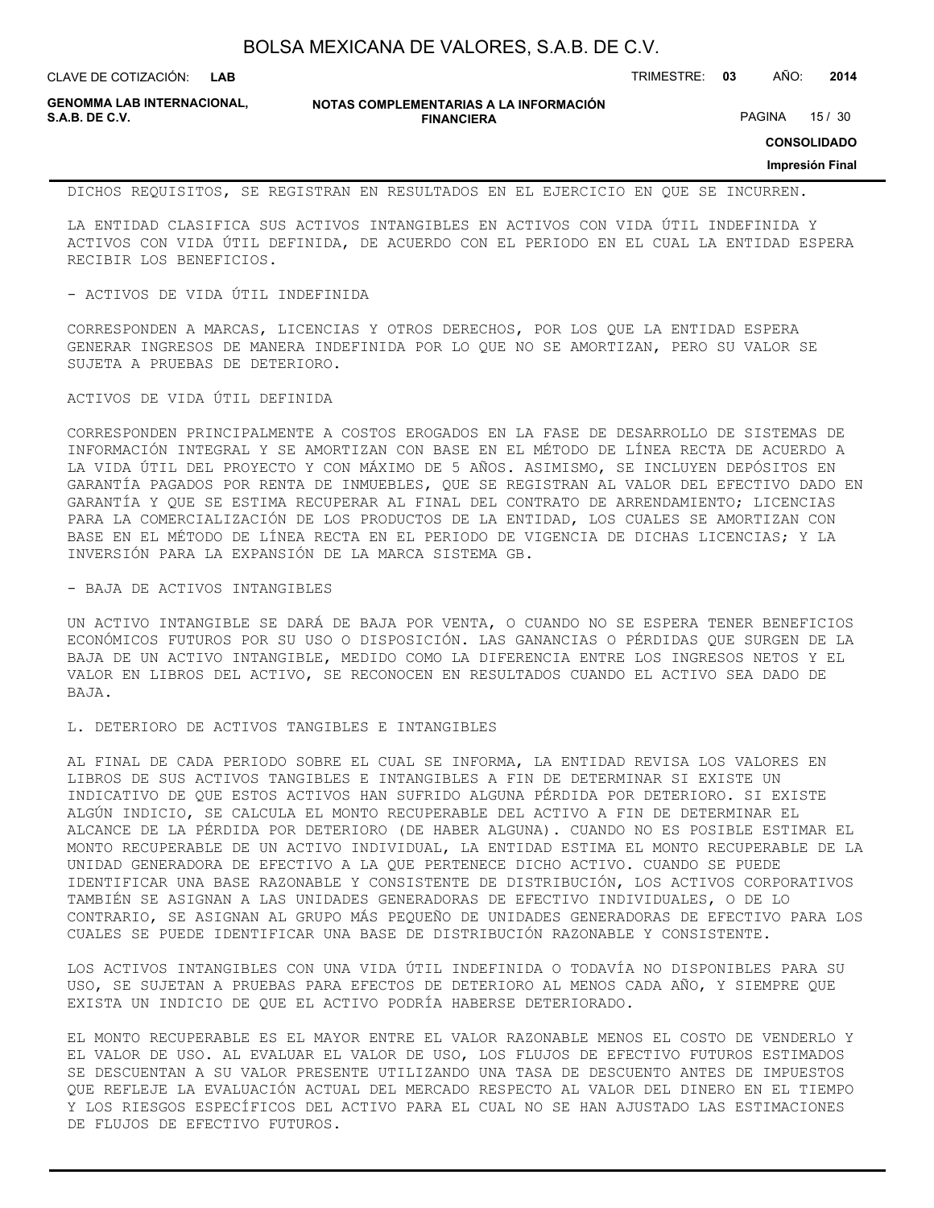**LAB**

CLAVE DE COTIZACIÓN: TRIMESTRE: **03** AÑO: **2014**

**GENOMMA LAB INTERNACIONAL,**

**NOTAS COMPLEMENTARIAS A LA INFORMACIÓN FINANCIERA**

PAGINA 15 / 30

**CONSOLIDADO**

#### **Impresión Final**

DICHOS REQUISITOS, SE REGISTRAN EN RESULTADOS EN EL EJERCICIO EN QUE SE INCURREN.

LA ENTIDAD CLASIFICA SUS ACTIVOS INTANGIBLES EN ACTIVOS CON VIDA ÚTIL INDEFINIDA Y ACTIVOS CON VIDA ÚTIL DEFINIDA, DE ACUERDO CON EL PERIODO EN EL CUAL LA ENTIDAD ESPERA RECIBIR LOS BENEFICIOS.

#### - ACTIVOS DE VIDA ÚTIL INDEFINIDA

CORRESPONDEN A MARCAS, LICENCIAS Y OTROS DERECHOS, POR LOS QUE LA ENTIDAD ESPERA GENERAR INGRESOS DE MANERA INDEFINIDA POR LO QUE NO SE AMORTIZAN, PERO SU VALOR SE SUJETA A PRUEBAS DE DETERIORO.

#### ACTIVOS DE VIDA ÚTIL DEFINIDA

CORRESPONDEN PRINCIPALMENTE A COSTOS EROGADOS EN LA FASE DE DESARROLLO DE SISTEMAS DE INFORMACIÓN INTEGRAL Y SE AMORTIZAN CON BASE EN EL MÉTODO DE LÍNEA RECTA DE ACUERDO A LA VIDA ÚTIL DEL PROYECTO Y CON MÁXIMO DE 5 AÑOS. ASIMISMO, SE INCLUYEN DEPÓSITOS EN GARANTÍA PAGADOS POR RENTA DE INMUEBLES, QUE SE REGISTRAN AL VALOR DEL EFECTIVO DADO EN GARANTÍA Y QUE SE ESTIMA RECUPERAR AL FINAL DEL CONTRATO DE ARRENDAMIENTO; LICENCIAS PARA LA COMERCIALIZACIÓN DE LOS PRODUCTOS DE LA ENTIDAD, LOS CUALES SE AMORTIZAN CON BASE EN EL MÉTODO DE LÍNEA RECTA EN EL PERIODO DE VIGENCIA DE DICHAS LICENCIAS; Y LA INVERSIÓN PARA LA EXPANSIÓN DE LA MARCA SISTEMA GB.

#### - BAJA DE ACTIVOS INTANGIBLES

UN ACTIVO INTANGIBLE SE DARÁ DE BAJA POR VENTA, O CUANDO NO SE ESPERA TENER BENEFICIOS ECONÓMICOS FUTUROS POR SU USO O DISPOSICIÓN. LAS GANANCIAS O PÉRDIDAS QUE SURGEN DE LA BAJA DE UN ACTIVO INTANGIBLE, MEDIDO COMO LA DIFERENCIA ENTRE LOS INGRESOS NETOS Y EL VALOR EN LIBROS DEL ACTIVO, SE RECONOCEN EN RESULTADOS CUANDO EL ACTIVO SEA DADO DE BAJA.

#### L. DETERIORO DE ACTIVOS TANGIBLES E INTANGIBLES

AL FINAL DE CADA PERIODO SOBRE EL CUAL SE INFORMA, LA ENTIDAD REVISA LOS VALORES EN LIBROS DE SUS ACTIVOS TANGIBLES E INTANGIBLES A FIN DE DETERMINAR SI EXISTE UN INDICATIVO DE QUE ESTOS ACTIVOS HAN SUFRIDO ALGUNA PÉRDIDA POR DETERIORO. SI EXISTE ALGÚN INDICIO, SE CALCULA EL MONTO RECUPERABLE DEL ACTIVO A FIN DE DETERMINAR EL ALCANCE DE LA PÉRDIDA POR DETERIORO (DE HABER ALGUNA). CUANDO NO ES POSIBLE ESTIMAR EL MONTO RECUPERABLE DE UN ACTIVO INDIVIDUAL, LA ENTIDAD ESTIMA EL MONTO RECUPERABLE DE LA UNIDAD GENERADORA DE EFECTIVO A LA QUE PERTENECE DICHO ACTIVO. CUANDO SE PUEDE IDENTIFICAR UNA BASE RAZONABLE Y CONSISTENTE DE DISTRIBUCIÓN, LOS ACTIVOS CORPORATIVOS TAMBIÉN SE ASIGNAN A LAS UNIDADES GENERADORAS DE EFECTIVO INDIVIDUALES, O DE LO CONTRARIO, SE ASIGNAN AL GRUPO MÁS PEQUEÑO DE UNIDADES GENERADORAS DE EFECTIVO PARA LOS CUALES SE PUEDE IDENTIFICAR UNA BASE DE DISTRIBUCIÓN RAZONABLE Y CONSISTENTE.

LOS ACTIVOS INTANGIBLES CON UNA VIDA ÚTIL INDEFINIDA O TODAVÍA NO DISPONIBLES PARA SU USO, SE SUJETAN A PRUEBAS PARA EFECTOS DE DETERIORO AL MENOS CADA AÑO, Y SIEMPRE QUE EXISTA UN INDICIO DE QUE EL ACTIVO PODRÍA HABERSE DETERIORADO.

EL MONTO RECUPERABLE ES EL MAYOR ENTRE EL VALOR RAZONABLE MENOS EL COSTO DE VENDERLO Y EL VALOR DE USO. AL EVALUAR EL VALOR DE USO, LOS FLUJOS DE EFECTIVO FUTUROS ESTIMADOS SE DESCUENTAN A SU VALOR PRESENTE UTILIZANDO UNA TASA DE DESCUENTO ANTES DE IMPUESTOS QUE REFLEJE LA EVALUACIÓN ACTUAL DEL MERCADO RESPECTO AL VALOR DEL DINERO EN EL TIEMPO Y LOS RIESGOS ESPECÍFICOS DEL ACTIVO PARA EL CUAL NO SE HAN AJUSTADO LAS ESTIMACIONES DE FLUJOS DE EFECTIVO FUTUROS.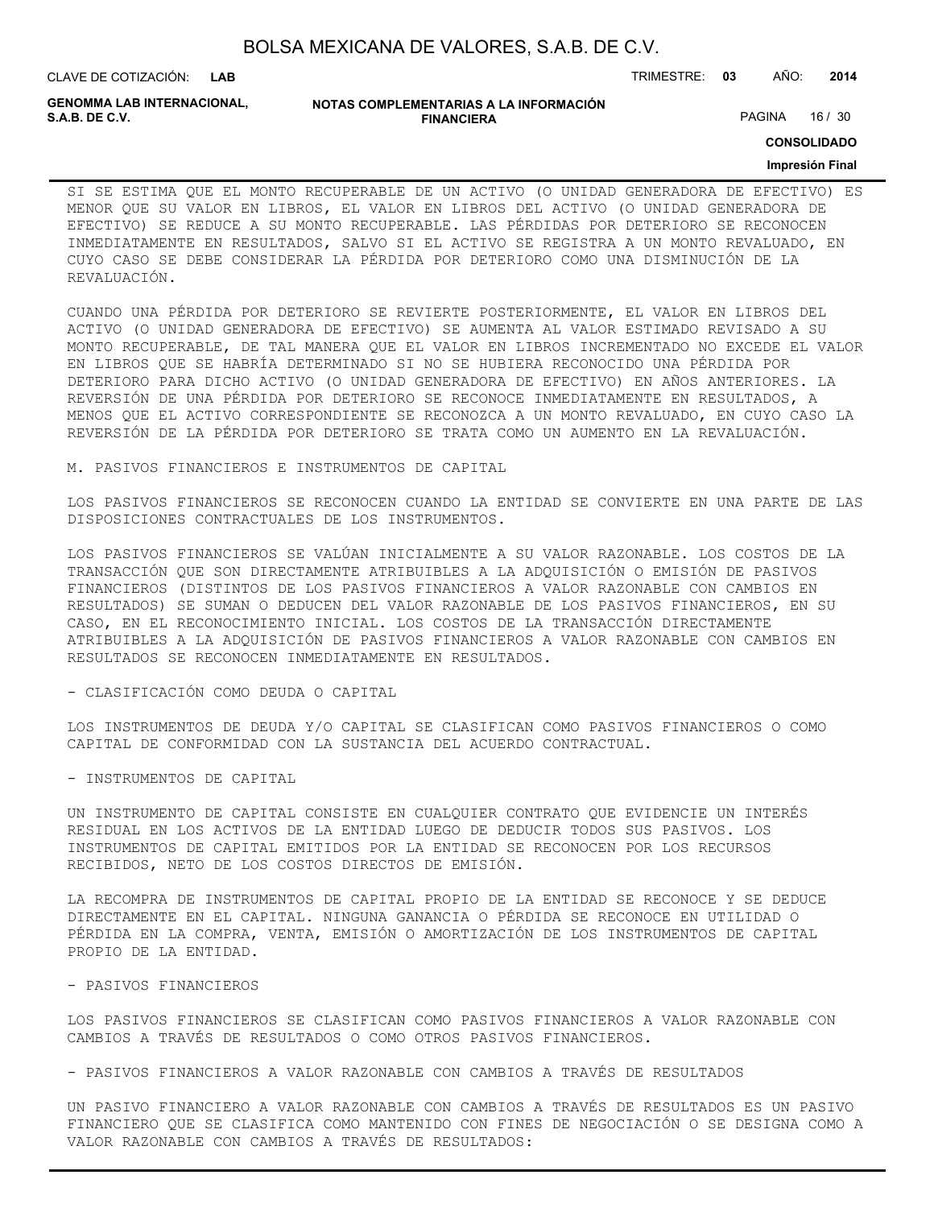CLAVE DE COTIZACIÓN: TRIMESTRE: **03** AÑO: **2014**

**GENOMMA LAB INTERNACIONAL,**

#### **NOTAS COMPLEMENTARIAS A LA INFORMACIÓN FINANCIERA**

PAGINA 16 / 30

**CONSOLIDADO**

#### **Impresión Final**

SI SE ESTIMA QUE EL MONTO RECUPERABLE DE UN ACTIVO (O UNIDAD GENERADORA DE EFECTIVO) ES MENOR QUE SU VALOR EN LIBROS, EL VALOR EN LIBROS DEL ACTIVO (O UNIDAD GENERADORA DE EFECTIVO) SE REDUCE A SU MONTO RECUPERABLE. LAS PÉRDIDAS POR DETERIORO SE RECONOCEN INMEDIATAMENTE EN RESULTADOS, SALVO SI EL ACTIVO SE REGISTRA A UN MONTO REVALUADO, EN CUYO CASO SE DEBE CONSIDERAR LA PÉRDIDA POR DETERIORO COMO UNA DISMINUCIÓN DE LA REVALUACIÓN.

CUANDO UNA PÉRDIDA POR DETERIORO SE REVIERTE POSTERIORMENTE, EL VALOR EN LIBROS DEL ACTIVO (O UNIDAD GENERADORA DE EFECTIVO) SE AUMENTA AL VALOR ESTIMADO REVISADO A SU MONTO RECUPERABLE, DE TAL MANERA QUE EL VALOR EN LIBROS INCREMENTADO NO EXCEDE EL VALOR EN LIBROS QUE SE HABRÍA DETERMINADO SI NO SE HUBIERA RECONOCIDO UNA PÉRDIDA POR DETERIORO PARA DICHO ACTIVO (O UNIDAD GENERADORA DE EFECTIVO) EN AÑOS ANTERIORES. LA REVERSIÓN DE UNA PÉRDIDA POR DETERIORO SE RECONOCE INMEDIATAMENTE EN RESULTADOS, A MENOS QUE EL ACTIVO CORRESPONDIENTE SE RECONOZCA A UN MONTO REVALUADO, EN CUYO CASO LA REVERSIÓN DE LA PÉRDIDA POR DETERIORO SE TRATA COMO UN AUMENTO EN LA REVALUACIÓN.

M. PASIVOS FINANCIEROS E INSTRUMENTOS DE CAPITAL

LOS PASIVOS FINANCIEROS SE RECONOCEN CUANDO LA ENTIDAD SE CONVIERTE EN UNA PARTE DE LAS DISPOSICIONES CONTRACTUALES DE LOS INSTRUMENTOS.

LOS PASIVOS FINANCIEROS SE VALÚAN INICIALMENTE A SU VALOR RAZONABLE. LOS COSTOS DE LA TRANSACCIÓN QUE SON DIRECTAMENTE ATRIBUIBLES A LA ADQUISICIÓN O EMISIÓN DE PASIVOS FINANCIEROS (DISTINTOS DE LOS PASIVOS FINANCIEROS A VALOR RAZONABLE CON CAMBIOS EN RESULTADOS) SE SUMAN O DEDUCEN DEL VALOR RAZONABLE DE LOS PASIVOS FINANCIEROS, EN SU CASO, EN EL RECONOCIMIENTO INICIAL. LOS COSTOS DE LA TRANSACCIÓN DIRECTAMENTE ATRIBUIBLES A LA ADQUISICIÓN DE PASIVOS FINANCIEROS A VALOR RAZONABLE CON CAMBIOS EN RESULTADOS SE RECONOCEN INMEDIATAMENTE EN RESULTADOS.

#### - CLASIFICACIÓN COMO DEUDA O CAPITAL

LOS INSTRUMENTOS DE DEUDA Y/O CAPITAL SE CLASIFICAN COMO PASIVOS FINANCIEROS O COMO CAPITAL DE CONFORMIDAD CON LA SUSTANCIA DEL ACUERDO CONTRACTUAL.

#### - INSTRUMENTOS DE CAPITAL

UN INSTRUMENTO DE CAPITAL CONSISTE EN CUALQUIER CONTRATO QUE EVIDENCIE UN INTERÉS RESIDUAL EN LOS ACTIVOS DE LA ENTIDAD LUEGO DE DEDUCIR TODOS SUS PASIVOS. LOS INSTRUMENTOS DE CAPITAL EMITIDOS POR LA ENTIDAD SE RECONOCEN POR LOS RECURSOS RECIBIDOS, NETO DE LOS COSTOS DIRECTOS DE EMISIÓN.

LA RECOMPRA DE INSTRUMENTOS DE CAPITAL PROPIO DE LA ENTIDAD SE RECONOCE Y SE DEDUCE DIRECTAMENTE EN EL CAPITAL. NINGUNA GANANCIA O PÉRDIDA SE RECONOCE EN UTILIDAD O PÉRDIDA EN LA COMPRA, VENTA, EMISIÓN O AMORTIZACIÓN DE LOS INSTRUMENTOS DE CAPITAL PROPIO DE LA ENTIDAD.

#### - PASIVOS FINANCIEROS

LOS PASIVOS FINANCIEROS SE CLASIFICAN COMO PASIVOS FINANCIEROS A VALOR RAZONABLE CON CAMBIOS A TRAVÉS DE RESULTADOS O COMO OTROS PASIVOS FINANCIEROS.

- PASIVOS FINANCIEROS A VALOR RAZONABLE CON CAMBIOS A TRAVÉS DE RESULTADOS

UN PASIVO FINANCIERO A VALOR RAZONABLE CON CAMBIOS A TRAVÉS DE RESULTADOS ES UN PASIVO FINANCIERO QUE SE CLASIFICA COMO MANTENIDO CON FINES DE NEGOCIACIÓN O SE DESIGNA COMO A VALOR RAZONABLE CON CAMBIOS A TRAVÉS DE RESULTADOS: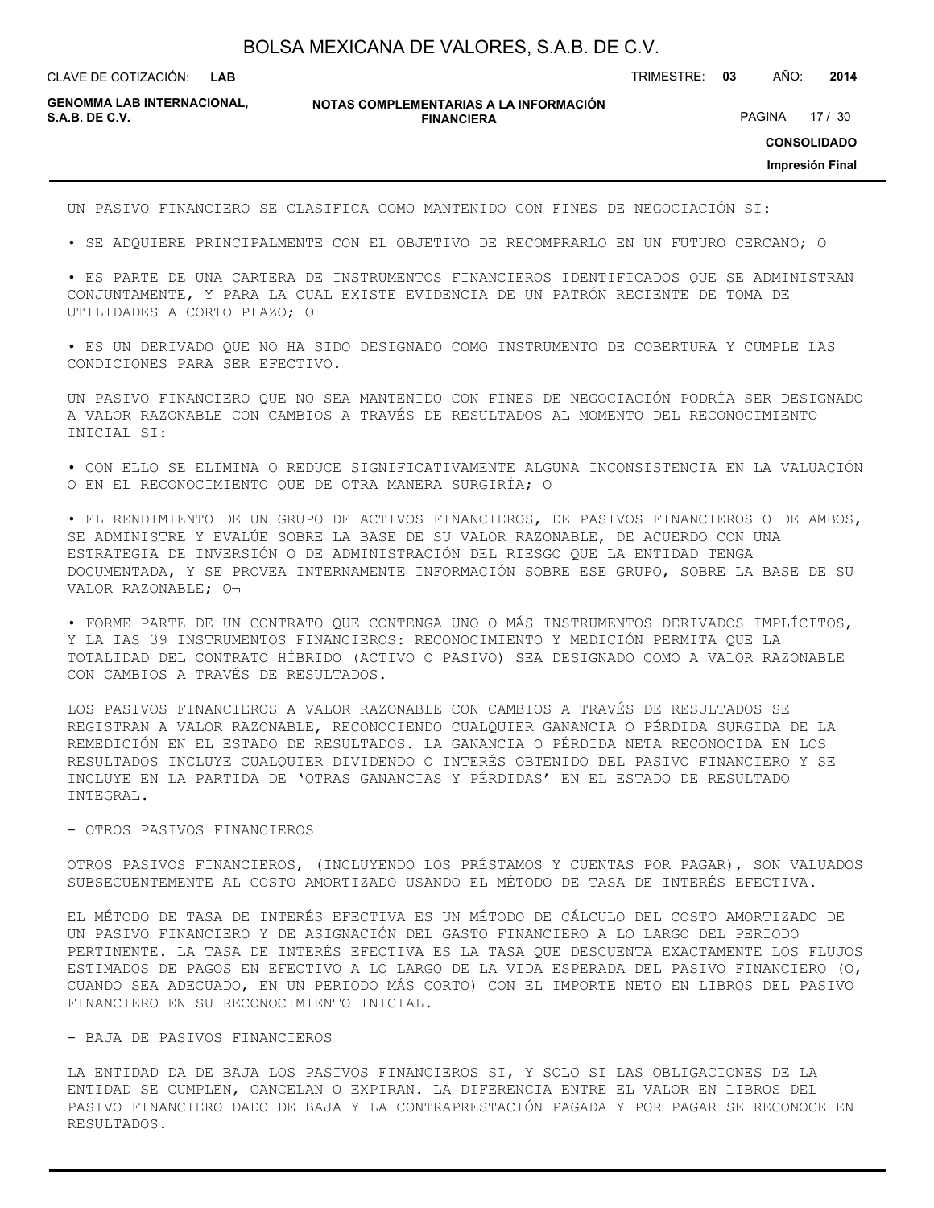**LAB**

CLAVE DE COTIZACIÓN: TRIMESTRE: **03** AÑO: **2014**

**GENOMMA LAB INTERNACIONAL,**

**NOTAS COMPLEMENTARIAS A LA INFORMACIÓN FINANCIERA S.A.B. DE C.V.** PAGINA 17 / 30

**CONSOLIDADO**

**Impresión Final**

UN PASIVO FINANCIERO SE CLASIFICA COMO MANTENIDO CON FINES DE NEGOCIACIÓN SI:

• SE ADQUIERE PRINCIPALMENTE CON EL OBJETIVO DE RECOMPRARLO EN UN FUTURO CERCANO; O

• ES PARTE DE UNA CARTERA DE INSTRUMENTOS FINANCIEROS IDENTIFICADOS QUE SE ADMINISTRAN CONJUNTAMENTE, Y PARA LA CUAL EXISTE EVIDENCIA DE UN PATRÓN RECIENTE DE TOMA DE UTILIDADES A CORTO PLAZO; O

• ES UN DERIVADO QUE NO HA SIDO DESIGNADO COMO INSTRUMENTO DE COBERTURA Y CUMPLE LAS CONDICIONES PARA SER EFECTIVO.

UN PASIVO FINANCIERO QUE NO SEA MANTENIDO CON FINES DE NEGOCIACIÓN PODRÍA SER DESIGNADO A VALOR RAZONABLE CON CAMBIOS A TRAVÉS DE RESULTADOS AL MOMENTO DEL RECONOCIMIENTO INICIAL SI:

• CON ELLO SE ELIMINA O REDUCE SIGNIFICATIVAMENTE ALGUNA INCONSISTENCIA EN LA VALUACIÓN O EN EL RECONOCIMIENTO QUE DE OTRA MANERA SURGIRÍA; O

• EL RENDIMIENTO DE UN GRUPO DE ACTIVOS FINANCIEROS, DE PASIVOS FINANCIEROS O DE AMBOS, SE ADMINISTRE Y EVALÚE SOBRE LA BASE DE SU VALOR RAZONABLE, DE ACUERDO CON UNA ESTRATEGIA DE INVERSIÓN O DE ADMINISTRACIÓN DEL RIESGO QUE LA ENTIDAD TENGA DOCUMENTADA, Y SE PROVEA INTERNAMENTE INFORMACIÓN SOBRE ESE GRUPO, SOBRE LA BASE DE SU VALOR RAZONABLE; O¬

• FORME PARTE DE UN CONTRATO QUE CONTENGA UNO O MÁS INSTRUMENTOS DERIVADOS IMPLÍCITOS, Y LA IAS 39 INSTRUMENTOS FINANCIEROS: RECONOCIMIENTO Y MEDICIÓN PERMITA QUE LA TOTALIDAD DEL CONTRATO HÍBRIDO (ACTIVO O PASIVO) SEA DESIGNADO COMO A VALOR RAZONABLE CON CAMBIOS A TRAVÉS DE RESULTADOS.

LOS PASIVOS FINANCIEROS A VALOR RAZONABLE CON CAMBIOS A TRAVÉS DE RESULTADOS SE REGISTRAN A VALOR RAZONABLE, RECONOCIENDO CUALQUIER GANANCIA O PÉRDIDA SURGIDA DE LA REMEDICIÓN EN EL ESTADO DE RESULTADOS. LA GANANCIA O PÉRDIDA NETA RECONOCIDA EN LOS RESULTADOS INCLUYE CUALQUIER DIVIDENDO O INTERÉS OBTENIDO DEL PASIVO FINANCIERO Y SE INCLUYE EN LA PARTIDA DE 'OTRAS GANANCIAS Y PÉRDIDAS' EN EL ESTADO DE RESULTADO INTEGRAL.

#### - OTROS PASIVOS FINANCIEROS

OTROS PASIVOS FINANCIEROS, (INCLUYENDO LOS PRÉSTAMOS Y CUENTAS POR PAGAR), SON VALUADOS SUBSECUENTEMENTE AL COSTO AMORTIZADO USANDO EL MÉTODO DE TASA DE INTERÉS EFECTIVA.

EL MÉTODO DE TASA DE INTERÉS EFECTIVA ES UN MÉTODO DE CÁLCULO DEL COSTO AMORTIZADO DE UN PASIVO FINANCIERO Y DE ASIGNACIÓN DEL GASTO FINANCIERO A LO LARGO DEL PERIODO PERTINENTE. LA TASA DE INTERÉS EFECTIVA ES LA TASA QUE DESCUENTA EXACTAMENTE LOS FLUJOS ESTIMADOS DE PAGOS EN EFECTIVO A LO LARGO DE LA VIDA ESPERADA DEL PASIVO FINANCIERO (O, CUANDO SEA ADECUADO, EN UN PERIODO MÁS CORTO) CON EL IMPORTE NETO EN LIBROS DEL PASIVO FINANCIERO EN SU RECONOCIMIENTO INICIAL.

#### - BAJA DE PASIVOS FINANCIEROS

LA ENTIDAD DA DE BAJA LOS PASIVOS FINANCIEROS SI, Y SOLO SI LAS OBLIGACIONES DE LA ENTIDAD SE CUMPLEN, CANCELAN O EXPIRAN. LA DIFERENCIA ENTRE EL VALOR EN LIBROS DEL PASIVO FINANCIERO DADO DE BAJA Y LA CONTRAPRESTACIÓN PAGADA Y POR PAGAR SE RECONOCE EN RESULTADOS.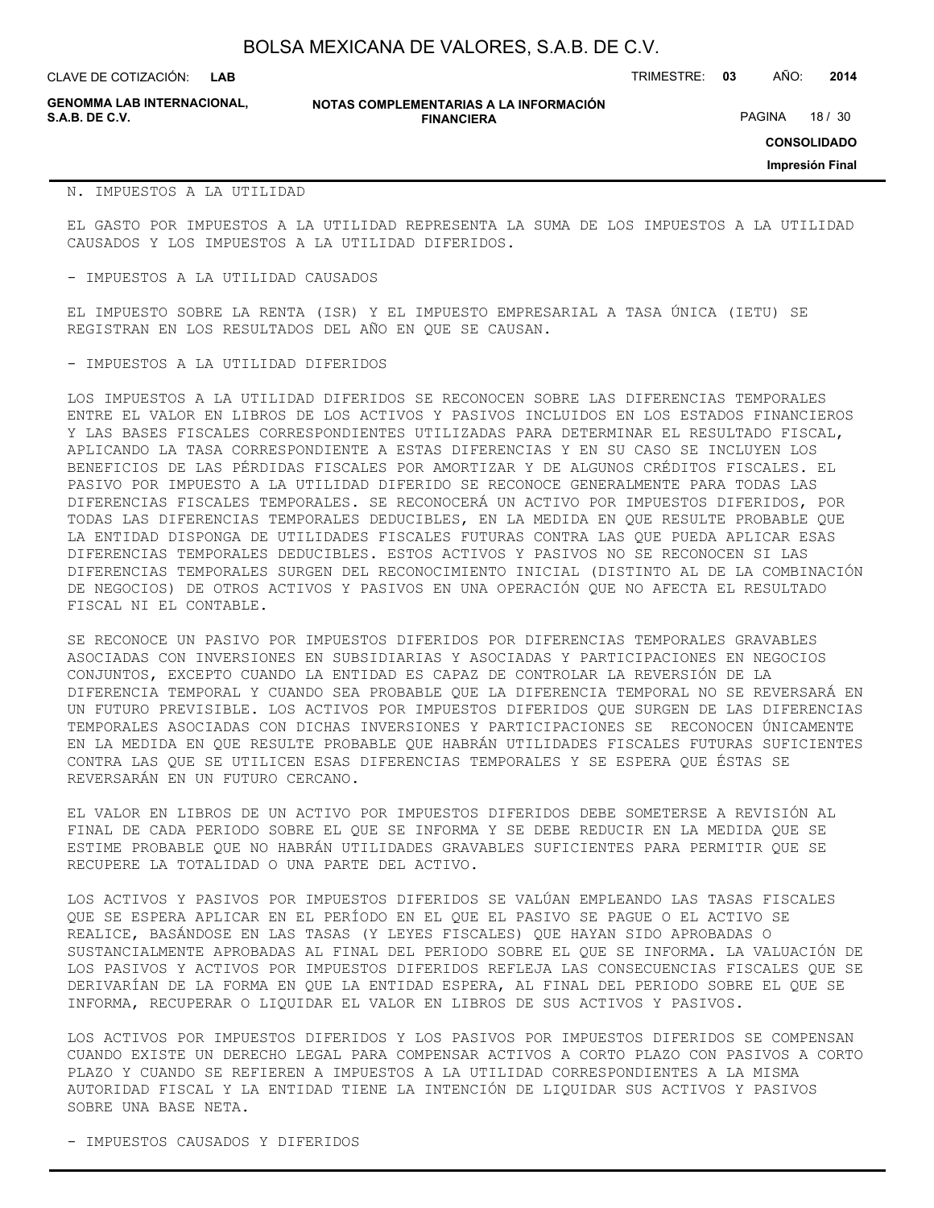CLAVE DE COTIZACIÓN: TRIMESTRE: **03** AÑO: **2014**

**GENOMMA LAB INTERNACIONAL,**

#### **NOTAS COMPLEMENTARIAS A LA INFORMACIÓN FINANCIERA S.A.B. DE C.V.** And the same of the set of the set of the set of the set of the set of the set of the set of the set of the set of the set of the set of the set of the set of the set of the set of the set of the set of th

**CONSOLIDADO**

**Impresión Final**

#### N. IMPUESTOS A LA UTILIDAD

EL GASTO POR IMPUESTOS A LA UTILIDAD REPRESENTA LA SUMA DE LOS IMPUESTOS A LA UTILIDAD CAUSADOS Y LOS IMPUESTOS A LA UTILIDAD DIFERIDOS.

- IMPUESTOS A LA UTILIDAD CAUSADOS

EL IMPUESTO SOBRE LA RENTA (ISR) Y EL IMPUESTO EMPRESARIAL A TASA ÚNICA (IETU) SE REGISTRAN EN LOS RESULTADOS DEL AÑO EN QUE SE CAUSAN.

#### - IMPUESTOS A LA UTILIDAD DIFERIDOS

LOS IMPUESTOS A LA UTILIDAD DIFERIDOS SE RECONOCEN SOBRE LAS DIFERENCIAS TEMPORALES ENTRE EL VALOR EN LIBROS DE LOS ACTIVOS Y PASIVOS INCLUIDOS EN LOS ESTADOS FINANCIEROS Y LAS BASES FISCALES CORRESPONDIENTES UTILIZADAS PARA DETERMINAR EL RESULTADO FISCAL, APLICANDO LA TASA CORRESPONDIENTE A ESTAS DIFERENCIAS Y EN SU CASO SE INCLUYEN LOS BENEFICIOS DE LAS PÉRDIDAS FISCALES POR AMORTIZAR Y DE ALGUNOS CRÉDITOS FISCALES. EL PASIVO POR IMPUESTO A LA UTILIDAD DIFERIDO SE RECONOCE GENERALMENTE PARA TODAS LAS DIFERENCIAS FISCALES TEMPORALES. SE RECONOCERÁ UN ACTIVO POR IMPUESTOS DIFERIDOS, POR TODAS LAS DIFERENCIAS TEMPORALES DEDUCIBLES, EN LA MEDIDA EN QUE RESULTE PROBABLE QUE LA ENTIDAD DISPONGA DE UTILIDADES FISCALES FUTURAS CONTRA LAS QUE PUEDA APLICAR ESAS DIFERENCIAS TEMPORALES DEDUCIBLES. ESTOS ACTIVOS Y PASIVOS NO SE RECONOCEN SI LAS DIFERENCIAS TEMPORALES SURGEN DEL RECONOCIMIENTO INICIAL (DISTINTO AL DE LA COMBINACIÓN DE NEGOCIOS) DE OTROS ACTIVOS Y PASIVOS EN UNA OPERACIÓN QUE NO AFECTA EL RESULTADO FISCAL NI EL CONTABLE.

SE RECONOCE UN PASIVO POR IMPUESTOS DIFERIDOS POR DIFERENCIAS TEMPORALES GRAVABLES ASOCIADAS CON INVERSIONES EN SUBSIDIARIAS Y ASOCIADAS Y PARTICIPACIONES EN NEGOCIOS CONJUNTOS, EXCEPTO CUANDO LA ENTIDAD ES CAPAZ DE CONTROLAR LA REVERSIÓN DE LA DIFERENCIA TEMPORAL Y CUANDO SEA PROBABLE QUE LA DIFERENCIA TEMPORAL NO SE REVERSARÁ EN UN FUTURO PREVISIBLE. LOS ACTIVOS POR IMPUESTOS DIFERIDOS QUE SURGEN DE LAS DIFERENCIAS TEMPORALES ASOCIADAS CON DICHAS INVERSIONES Y PARTICIPACIONES SE RECONOCEN ÚNICAMENTE EN LA MEDIDA EN QUE RESULTE PROBABLE QUE HABRÁN UTILIDADES FISCALES FUTURAS SUFICIENTES CONTRA LAS QUE SE UTILICEN ESAS DIFERENCIAS TEMPORALES Y SE ESPERA QUE ÉSTAS SE REVERSARÁN EN UN FUTURO CERCANO.

EL VALOR EN LIBROS DE UN ACTIVO POR IMPUESTOS DIFERIDOS DEBE SOMETERSE A REVISIÓN AL FINAL DE CADA PERIODO SOBRE EL QUE SE INFORMA Y SE DEBE REDUCIR EN LA MEDIDA QUE SE ESTIME PROBABLE QUE NO HABRÁN UTILIDADES GRAVABLES SUFICIENTES PARA PERMITIR QUE SE RECUPERE LA TOTALIDAD O UNA PARTE DEL ACTIVO.

LOS ACTIVOS Y PASIVOS POR IMPUESTOS DIFERIDOS SE VALÚAN EMPLEANDO LAS TASAS FISCALES QUE SE ESPERA APLICAR EN EL PERÍODO EN EL QUE EL PASIVO SE PAGUE O EL ACTIVO SE REALICE, BASÁNDOSE EN LAS TASAS (Y LEYES FISCALES) QUE HAYAN SIDO APROBADAS O SUSTANCIALMENTE APROBADAS AL FINAL DEL PERIODO SOBRE EL QUE SE INFORMA. LA VALUACIÓN DE LOS PASIVOS Y ACTIVOS POR IMPUESTOS DIFERIDOS REFLEJA LAS CONSECUENCIAS FISCALES QUE SE DERIVARÍAN DE LA FORMA EN QUE LA ENTIDAD ESPERA, AL FINAL DEL PERIODO SOBRE EL QUE SE INFORMA, RECUPERAR O LIQUIDAR EL VALOR EN LIBROS DE SUS ACTIVOS Y PASIVOS.

LOS ACTIVOS POR IMPUESTOS DIFERIDOS Y LOS PASIVOS POR IMPUESTOS DIFERIDOS SE COMPENSAN CUANDO EXISTE UN DERECHO LEGAL PARA COMPENSAR ACTIVOS A CORTO PLAZO CON PASIVOS A CORTO PLAZO Y CUANDO SE REFIEREN A IMPUESTOS A LA UTILIDAD CORRESPONDIENTES A LA MISMA AUTORIDAD FISCAL Y LA ENTIDAD TIENE LA INTENCIÓN DE LIQUIDAR SUS ACTIVOS Y PASIVOS SOBRE UNA BASE NETA.

- IMPUESTOS CAUSADOS Y DIFERIDOS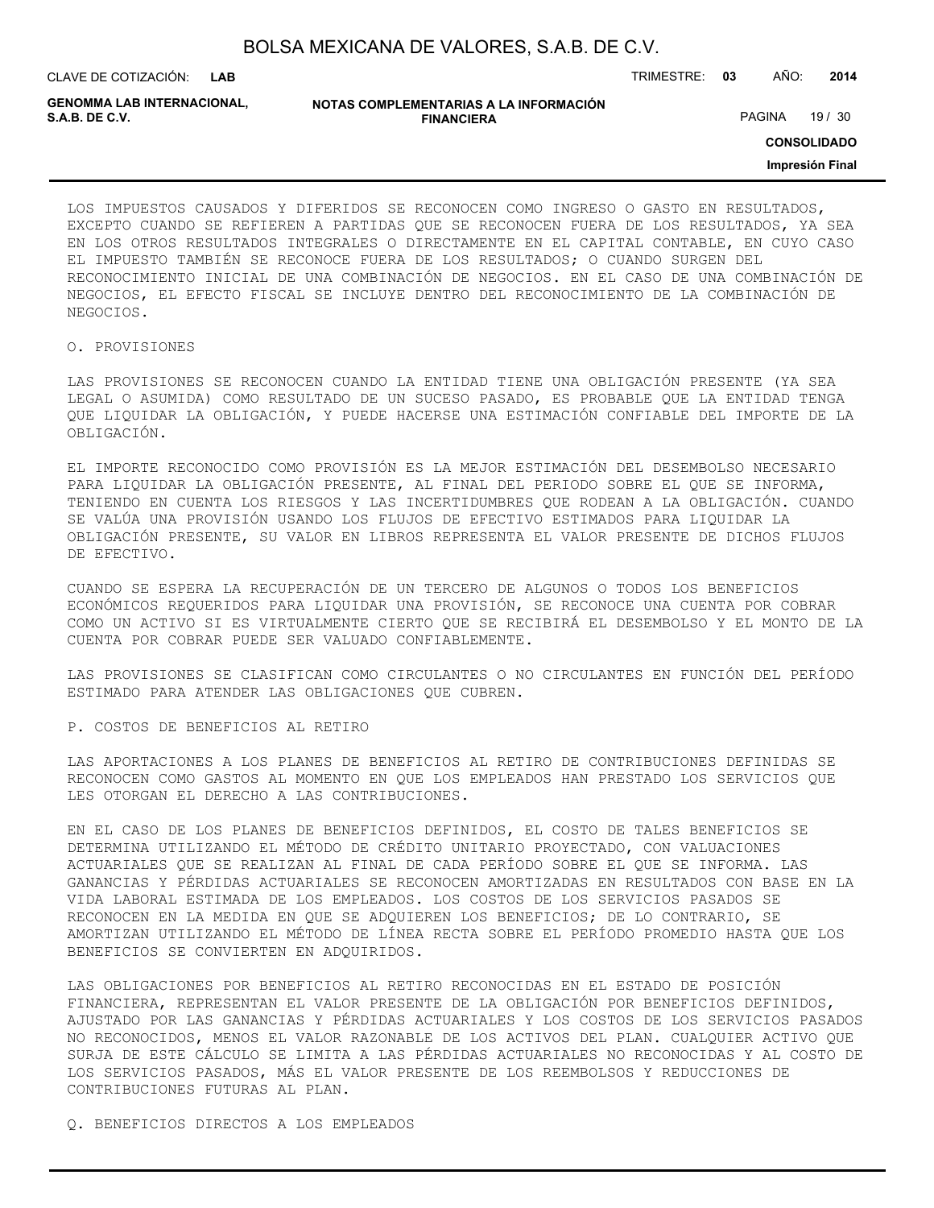| BOLSA MEXICANA DE VALORES, S.A.B. DE C.V. |  |  |
|-------------------------------------------|--|--|
|-------------------------------------------|--|--|

CLAVE DE COTIZACIÓN: TRIMESTRE: **03** AÑO: **2014 LAB**

**GENOMMA LAB INTERNACIONAL,**

| NOTAS COMPLEMENTARIAS A LA INFORMACIÓN |
|----------------------------------------|
| <b>FINANCIERA</b>                      |

PAGINA 19 / 30

**CONSOLIDADO**

**Impresión Final**

LOS IMPUESTOS CAUSADOS Y DIFERIDOS SE RECONOCEN COMO INGRESO O GASTO EN RESULTADOS, EXCEPTO CUANDO SE REFIEREN A PARTIDAS QUE SE RECONOCEN FUERA DE LOS RESULTADOS, YA SEA EN LOS OTROS RESULTADOS INTEGRALES O DIRECTAMENTE EN EL CAPITAL CONTABLE, EN CUYO CASO EL IMPUESTO TAMBIÉN SE RECONOCE FUERA DE LOS RESULTADOS; O CUANDO SURGEN DEL RECONOCIMIENTO INICIAL DE UNA COMBINACIÓN DE NEGOCIOS. EN EL CASO DE UNA COMBINACIÓN DE NEGOCIOS, EL EFECTO FISCAL SE INCLUYE DENTRO DEL RECONOCIMIENTO DE LA COMBINACIÓN DE NEGOCIOS.

#### O. PROVISIONES

LAS PROVISIONES SE RECONOCEN CUANDO LA ENTIDAD TIENE UNA OBLIGACIÓN PRESENTE (YA SEA LEGAL O ASUMIDA) COMO RESULTADO DE UN SUCESO PASADO, ES PROBABLE QUE LA ENTIDAD TENGA QUE LIQUIDAR LA OBLIGACIÓN, Y PUEDE HACERSE UNA ESTIMACIÓN CONFIABLE DEL IMPORTE DE LA OBLIGACIÓN.

EL IMPORTE RECONOCIDO COMO PROVISIÓN ES LA MEJOR ESTIMACIÓN DEL DESEMBOLSO NECESARIO PARA LIQUIDAR LA OBLIGACIÓN PRESENTE, AL FINAL DEL PERIODO SOBRE EL QUE SE INFORMA, TENIENDO EN CUENTA LOS RIESGOS Y LAS INCERTIDUMBRES QUE RODEAN A LA OBLIGACIÓN. CUANDO SE VALÚA UNA PROVISIÓN USANDO LOS FLUJOS DE EFECTIVO ESTIMADOS PARA LIQUIDAR LA OBLIGACIÓN PRESENTE, SU VALOR EN LIBROS REPRESENTA EL VALOR PRESENTE DE DICHOS FLUJOS DE EFECTIVO.

CUANDO SE ESPERA LA RECUPERACIÓN DE UN TERCERO DE ALGUNOS O TODOS LOS BENEFICIOS ECONÓMICOS REQUERIDOS PARA LIQUIDAR UNA PROVISIÓN, SE RECONOCE UNA CUENTA POR COBRAR COMO UN ACTIVO SI ES VIRTUALMENTE CIERTO QUE SE RECIBIRÁ EL DESEMBOLSO Y EL MONTO DE LA CUENTA POR COBRAR PUEDE SER VALUADO CONFIABLEMENTE.

LAS PROVISIONES SE CLASIFICAN COMO CIRCULANTES O NO CIRCULANTES EN FUNCIÓN DEL PERÍODO ESTIMADO PARA ATENDER LAS OBLIGACIONES QUE CUBREN.

P. COSTOS DE BENEFICIOS AL RETIRO

LAS APORTACIONES A LOS PLANES DE BENEFICIOS AL RETIRO DE CONTRIBUCIONES DEFINIDAS SE RECONOCEN COMO GASTOS AL MOMENTO EN QUE LOS EMPLEADOS HAN PRESTADO LOS SERVICIOS QUE LES OTORGAN EL DERECHO A LAS CONTRIBUCIONES.

EN EL CASO DE LOS PLANES DE BENEFICIOS DEFINIDOS, EL COSTO DE TALES BENEFICIOS SE DETERMINA UTILIZANDO EL MÉTODO DE CRÉDITO UNITARIO PROYECTADO, CON VALUACIONES ACTUARIALES QUE SE REALIZAN AL FINAL DE CADA PERÍODO SOBRE EL QUE SE INFORMA. LAS GANANCIAS Y PÉRDIDAS ACTUARIALES SE RECONOCEN AMORTIZADAS EN RESULTADOS CON BASE EN LA VIDA LABORAL ESTIMADA DE LOS EMPLEADOS. LOS COSTOS DE LOS SERVICIOS PASADOS SE RECONOCEN EN LA MEDIDA EN QUE SE ADQUIEREN LOS BENEFICIOS; DE LO CONTRARIO, SE AMORTIZAN UTILIZANDO EL MÉTODO DE LÍNEA RECTA SOBRE EL PERÍODO PROMEDIO HASTA QUE LOS BENEFICIOS SE CONVIERTEN EN ADQUIRIDOS.

LAS OBLIGACIONES POR BENEFICIOS AL RETIRO RECONOCIDAS EN EL ESTADO DE POSICIÓN FINANCIERA, REPRESENTAN EL VALOR PRESENTE DE LA OBLIGACIÓN POR BENEFICIOS DEFINIDOS, AJUSTADO POR LAS GANANCIAS Y PÉRDIDAS ACTUARIALES Y LOS COSTOS DE LOS SERVICIOS PASADOS NO RECONOCIDOS, MENOS EL VALOR RAZONABLE DE LOS ACTIVOS DEL PLAN. CUALQUIER ACTIVO QUE SURJA DE ESTE CÁLCULO SE LIMITA A LAS PÉRDIDAS ACTUARIALES NO RECONOCIDAS Y AL COSTO DE LOS SERVICIOS PASADOS, MÁS EL VALOR PRESENTE DE LOS REEMBOLSOS Y REDUCCIONES DE CONTRIBUCIONES FUTURAS AL PLAN.

Q. BENEFICIOS DIRECTOS A LOS EMPLEADOS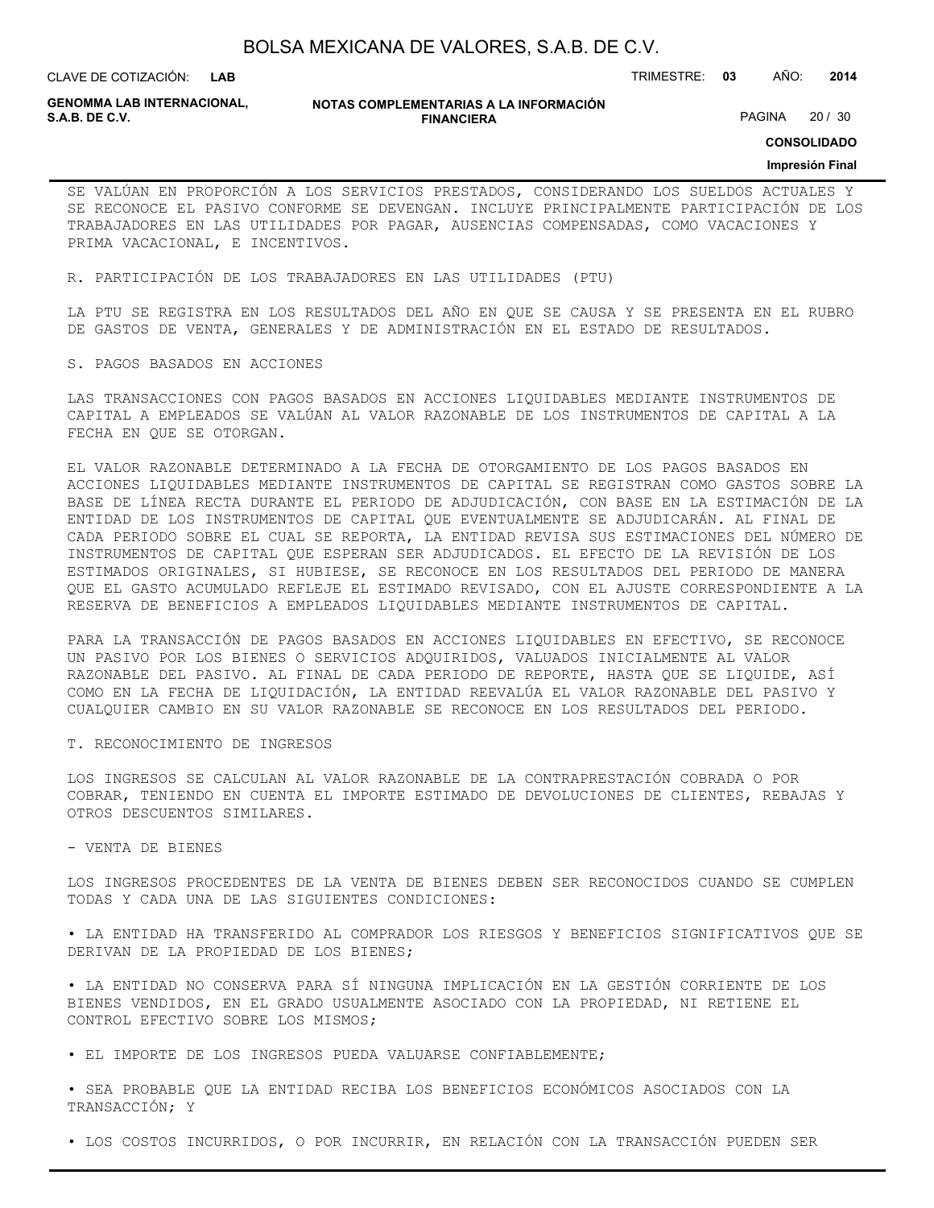**LAB**

CLAVE DE COTIZACIÓN: TRIMESTRE: **03** AÑO: **2014**

**GENOMMA LAB INTERNACIONAL,**

#### **NOTAS COMPLEMENTARIAS A LA INFORMACIÓN FINANCIERA**

PAGINA 20 / 30

**CONSOLIDADO**

#### **Impresión Final**

SE VALÚAN EN PROPORCIÓN A LOS SERVICIOS PRESTADOS, CONSIDERANDO LOS SUELDOS ACTUALES Y SE RECONOCE EL PASIVO CONFORME SE DEVENGAN. INCLUYE PRINCIPALMENTE PARTICIPACIÓN DE LOS TRABAJADORES EN LAS UTILIDADES POR PAGAR, AUSENCIAS COMPENSADAS, COMO VACACIONES Y PRIMA VACACIONAL, E INCENTIVOS.

R. PARTICIPACIÓN DE LOS TRABAJADORES EN LAS UTILIDADES (PTU)

LA PTU SE REGISTRA EN LOS RESULTADOS DEL AÑO EN QUE SE CAUSA Y SE PRESENTA EN EL RUBRO DE GASTOS DE VENTA, GENERALES Y DE ADMINISTRACIÓN EN EL ESTADO DE RESULTADOS.

#### S. PAGOS BASADOS EN ACCIONES

LAS TRANSACCIONES CON PAGOS BASADOS EN ACCIONES LIQUIDABLES MEDIANTE INSTRUMENTOS DE CAPITAL A EMPLEADOS SE VALÚAN AL VALOR RAZONABLE DE LOS INSTRUMENTOS DE CAPITAL A LA FECHA EN QUE SE OTORGAN.

EL VALOR RAZONABLE DETERMINADO A LA FECHA DE OTORGAMIENTO DE LOS PAGOS BASADOS EN ACCIONES LIQUIDABLES MEDIANTE INSTRUMENTOS DE CAPITAL SE REGISTRAN COMO GASTOS SOBRE LA BASE DE LÍNEA RECTA DURANTE EL PERIODO DE ADJUDICACIÓN, CON BASE EN LA ESTIMACIÓN DE LA ENTIDAD DE LOS INSTRUMENTOS DE CAPITAL QUE EVENTUALMENTE SE ADJUDICARÁN. AL FINAL DE CADA PERIODO SOBRE EL CUAL SE REPORTA, LA ENTIDAD REVISA SUS ESTIMACIONES DEL NÚMERO DE INSTRUMENTOS DE CAPITAL QUE ESPERAN SER ADJUDICADOS. EL EFECTO DE LA REVISIÓN DE LOS ESTIMADOS ORIGINALES, SI HUBIESE, SE RECONOCE EN LOS RESULTADOS DEL PERIODO DE MANERA QUE EL GASTO ACUMULADO REFLEJE EL ESTIMADO REVISADO, CON EL AJUSTE CORRESPONDIENTE A LA RESERVA DE BENEFICIOS A EMPLEADOS LIQUIDABLES MEDIANTE INSTRUMENTOS DE CAPITAL.

PARA LA TRANSACCIÓN DE PAGOS BASADOS EN ACCIONES LIQUIDABLES EN EFECTIVO, SE RECONOCE UN PASIVO POR LOS BIENES O SERVICIOS ADQUIRIDOS, VALUADOS INICIALMENTE AL VALOR RAZONABLE DEL PASIVO. AL FINAL DE CADA PERIODO DE REPORTE, HASTA QUE SE LIQUIDE, ASÍ COMO EN LA FECHA DE LIQUIDACIÓN, LA ENTIDAD REEVALÚA EL VALOR RAZONABLE DEL PASIVO Y CUALQUIER CAMBIO EN SU VALOR RAZONABLE SE RECONOCE EN LOS RESULTADOS DEL PERIODO.

#### T. RECONOCIMIENTO DE INGRESOS

LOS INGRESOS SE CALCULAN AL VALOR RAZONABLE DE LA CONTRAPRESTACIÓN COBRADA O POR COBRAR, TENIENDO EN CUENTA EL IMPORTE ESTIMADO DE DEVOLUCIONES DE CLIENTES, REBAJAS Y OTROS DESCUENTOS SIMILARES.

#### - VENTA DE BIENES

LOS INGRESOS PROCEDENTES DE LA VENTA DE BIENES DEBEN SER RECONOCIDOS CUANDO SE CUMPLEN TODAS Y CADA UNA DE LAS SIGUIENTES CONDICIONES:

• LA ENTIDAD HA TRANSFERIDO AL COMPRADOR LOS RIESGOS Y BENEFICIOS SIGNIFICATIVOS QUE SE DERIVAN DE LA PROPIEDAD DE LOS BIENES;

• LA ENTIDAD NO CONSERVA PARA SÍ NINGUNA IMPLICACIÓN EN LA GESTIÓN CORRIENTE DE LOS BIENES VENDIDOS, EN EL GRADO USUALMENTE ASOCIADO CON LA PROPIEDAD, NI RETIENE EL CONTROL EFECTIVO SOBRE LOS MISMOS;

• EL IMPORTE DE LOS INGRESOS PUEDA VALUARSE CONFIABLEMENTE;

• SEA PROBABLE QUE LA ENTIDAD RECIBA LOS BENEFICIOS ECONÓMICOS ASOCIADOS CON LA TRANSACCIÓN; Y

• LOS COSTOS INCURRIDOS, O POR INCURRIR, EN RELACIÓN CON LA TRANSACCIÓN PUEDEN SER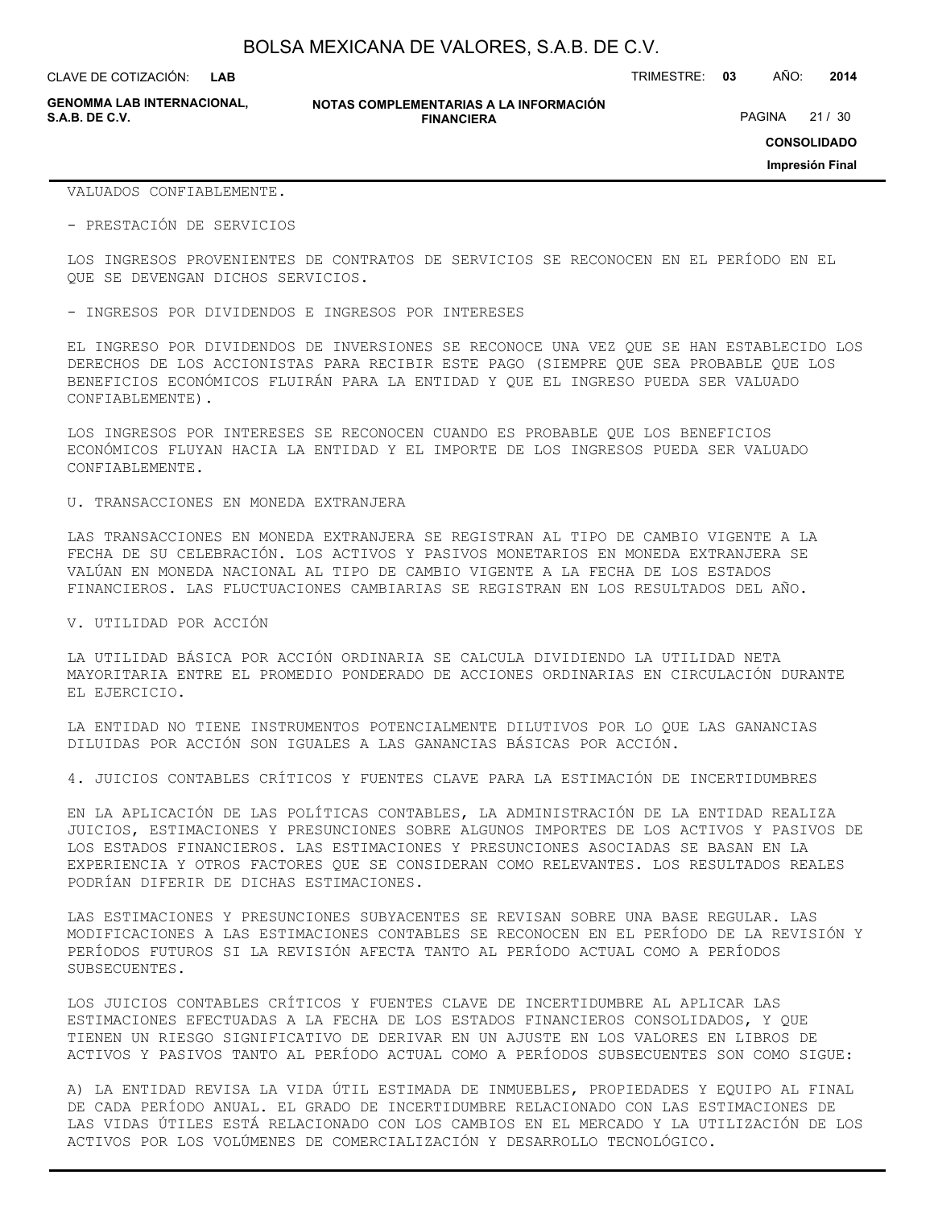**LAB**

CLAVE DE COTIZACIÓN: TRIMESTRE: **03** AÑO: **2014**

**GENOMMA LAB INTERNACIONAL,**

#### **NOTAS COMPLEMENTARIAS A LA INFORMACIÓN FINANCIERA**

PAGINA 21 / 30

**CONSOLIDADO**

**Impresión Final**

VALUADOS CONFIABLEMENTE.

- PRESTACIÓN DE SERVICIOS

LOS INGRESOS PROVENIENTES DE CONTRATOS DE SERVICIOS SE RECONOCEN EN EL PERÍODO EN EL QUE SE DEVENGAN DICHOS SERVICIOS.

- INGRESOS POR DIVIDENDOS E INGRESOS POR INTERESES

EL INGRESO POR DIVIDENDOS DE INVERSIONES SE RECONOCE UNA VEZ QUE SE HAN ESTABLECIDO LOS DERECHOS DE LOS ACCIONISTAS PARA RECIBIR ESTE PAGO (SIEMPRE QUE SEA PROBABLE QUE LOS BENEFICIOS ECONÓMICOS FLUIRÁN PARA LA ENTIDAD Y QUE EL INGRESO PUEDA SER VALUADO CONFIABLEMENTE).

LOS INGRESOS POR INTERESES SE RECONOCEN CUANDO ES PROBABLE QUE LOS BENEFICIOS ECONÓMICOS FLUYAN HACIA LA ENTIDAD Y EL IMPORTE DE LOS INGRESOS PUEDA SER VALUADO CONFIABLEMENTE.

U. TRANSACCIONES EN MONEDA EXTRANJERA

LAS TRANSACCIONES EN MONEDA EXTRANJERA SE REGISTRAN AL TIPO DE CAMBIO VIGENTE A LA FECHA DE SU CELEBRACIÓN. LOS ACTIVOS Y PASIVOS MONETARIOS EN MONEDA EXTRANJERA SE VALÚAN EN MONEDA NACIONAL AL TIPO DE CAMBIO VIGENTE A LA FECHA DE LOS ESTADOS FINANCIEROS. LAS FLUCTUACIONES CAMBIARIAS SE REGISTRAN EN LOS RESULTADOS DEL AÑO.

V. UTILIDAD POR ACCIÓN

LA UTILIDAD BÁSICA POR ACCIÓN ORDINARIA SE CALCULA DIVIDIENDO LA UTILIDAD NETA MAYORITARIA ENTRE EL PROMEDIO PONDERADO DE ACCIONES ORDINARIAS EN CIRCULACIÓN DURANTE EL EJERCICIO.

LA ENTIDAD NO TIENE INSTRUMENTOS POTENCIALMENTE DILUTIVOS POR LO QUE LAS GANANCIAS DILUIDAS POR ACCIÓN SON IGUALES A LAS GANANCIAS BÁSICAS POR ACCIÓN.

4. JUICIOS CONTABLES CRÍTICOS Y FUENTES CLAVE PARA LA ESTIMACIÓN DE INCERTIDUMBRES

EN LA APLICACIÓN DE LAS POLÍTICAS CONTABLES, LA ADMINISTRACIÓN DE LA ENTIDAD REALIZA JUICIOS, ESTIMACIONES Y PRESUNCIONES SOBRE ALGUNOS IMPORTES DE LOS ACTIVOS Y PASIVOS DE LOS ESTADOS FINANCIEROS. LAS ESTIMACIONES Y PRESUNCIONES ASOCIADAS SE BASAN EN LA EXPERIENCIA Y OTROS FACTORES QUE SE CONSIDERAN COMO RELEVANTES. LOS RESULTADOS REALES PODRÍAN DIFERIR DE DICHAS ESTIMACIONES.

LAS ESTIMACIONES Y PRESUNCIONES SUBYACENTES SE REVISAN SOBRE UNA BASE REGULAR. LAS MODIFICACIONES A LAS ESTIMACIONES CONTABLES SE RECONOCEN EN EL PERÍODO DE LA REVISIÓN Y PERÍODOS FUTUROS SI LA REVISIÓN AFECTA TANTO AL PERÍODO ACTUAL COMO A PERÍODOS SUBSECUENTES.

LOS JUICIOS CONTABLES CRÍTICOS Y FUENTES CLAVE DE INCERTIDUMBRE AL APLICAR LAS ESTIMACIONES EFECTUADAS A LA FECHA DE LOS ESTADOS FINANCIEROS CONSOLIDADOS, Y QUE TIENEN UN RIESGO SIGNIFICATIVO DE DERIVAR EN UN AJUSTE EN LOS VALORES EN LIBROS DE ACTIVOS Y PASIVOS TANTO AL PERÍODO ACTUAL COMO A PERÍODOS SUBSECUENTES SON COMO SIGUE:

A) LA ENTIDAD REVISA LA VIDA ÚTIL ESTIMADA DE INMUEBLES, PROPIEDADES Y EQUIPO AL FINAL DE CADA PERÍODO ANUAL. EL GRADO DE INCERTIDUMBRE RELACIONADO CON LAS ESTIMACIONES DE LAS VIDAS ÚTILES ESTÁ RELACIONADO CON LOS CAMBIOS EN EL MERCADO Y LA UTILIZACIÓN DE LOS ACTIVOS POR LOS VOLÚMENES DE COMERCIALIZACIÓN Y DESARROLLO TECNOLÓGICO.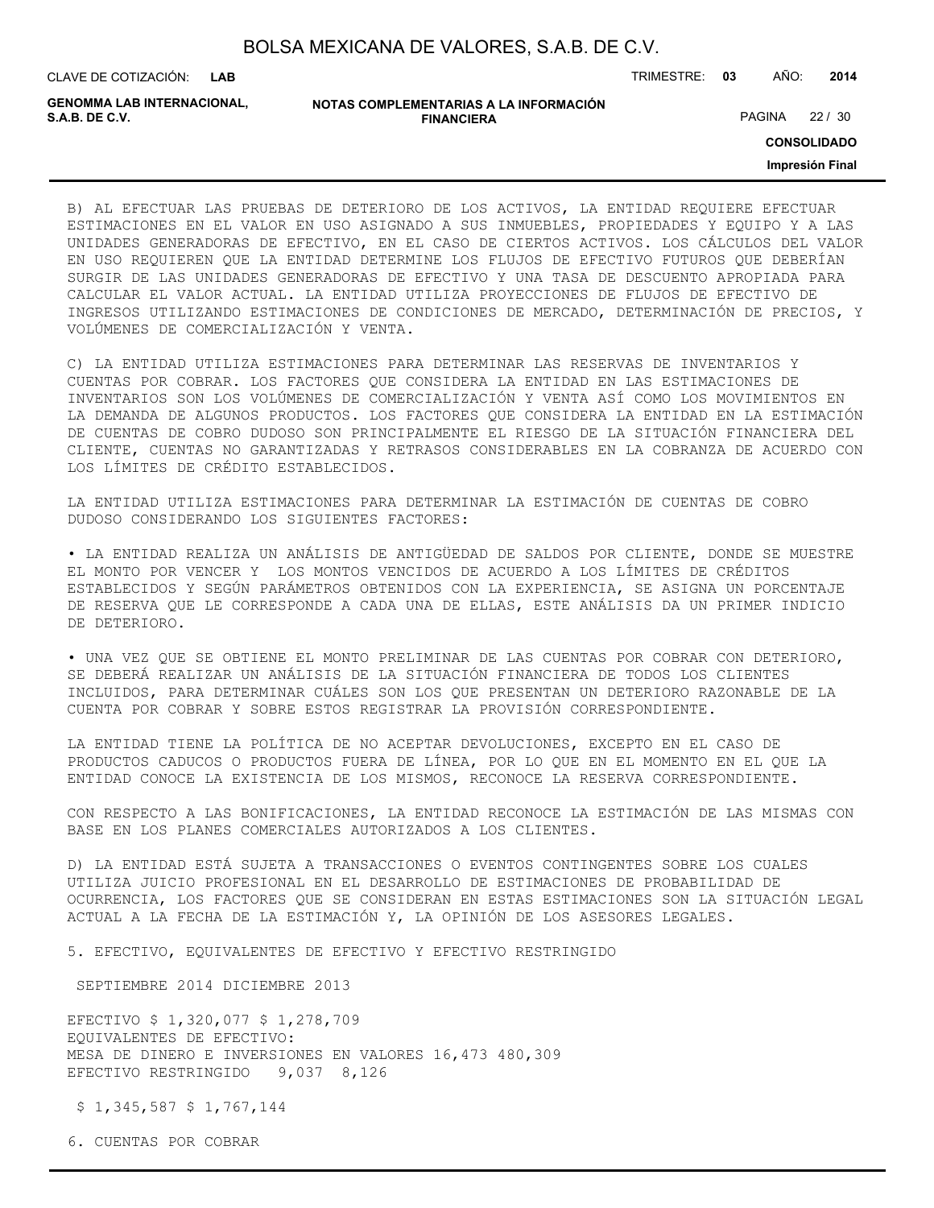| BOLSA MEXICANA DE VALORES, S.A.B. DE C.V. |
|-------------------------------------------|
|-------------------------------------------|

CLAVE DE COTIZACIÓN: TRIMESTRE: **03** AÑO: **2014**

| <b>GENOMMA LAB INTERNACIONAL.</b> | NOTAS COMPLEMENTARIAS A LA INFORMACIÓN |        |       |
|-----------------------------------|----------------------------------------|--------|-------|
| S.A.B. DE C.V.                    | <b>FINANCIERA</b>                      | PAGINA | 22/30 |

**CONSOLIDADO**

**Impresión Final**

B) AL EFECTUAR LAS PRUEBAS DE DETERIORO DE LOS ACTIVOS, LA ENTIDAD REQUIERE EFECTUAR ESTIMACIONES EN EL VALOR EN USO ASIGNADO A SUS INMUEBLES, PROPIEDADES Y EQUIPO Y A LAS UNIDADES GENERADORAS DE EFECTIVO, EN EL CASO DE CIERTOS ACTIVOS. LOS CÁLCULOS DEL VALOR EN USO REQUIEREN QUE LA ENTIDAD DETERMINE LOS FLUJOS DE EFECTIVO FUTUROS QUE DEBERÍAN SURGIR DE LAS UNIDADES GENERADORAS DE EFECTIVO Y UNA TASA DE DESCUENTO APROPIADA PARA CALCULAR EL VALOR ACTUAL. LA ENTIDAD UTILIZA PROYECCIONES DE FLUJOS DE EFECTIVO DE INGRESOS UTILIZANDO ESTIMACIONES DE CONDICIONES DE MERCADO, DETERMINACIÓN DE PRECIOS, Y VOLÚMENES DE COMERCIALIZACIÓN Y VENTA.

C) LA ENTIDAD UTILIZA ESTIMACIONES PARA DETERMINAR LAS RESERVAS DE INVENTARIOS Y CUENTAS POR COBRAR. LOS FACTORES QUE CONSIDERA LA ENTIDAD EN LAS ESTIMACIONES DE INVENTARIOS SON LOS VOLÚMENES DE COMERCIALIZACIÓN Y VENTA ASÍ COMO LOS MOVIMIENTOS EN LA DEMANDA DE ALGUNOS PRODUCTOS. LOS FACTORES QUE CONSIDERA LA ENTIDAD EN LA ESTIMACIÓN DE CUENTAS DE COBRO DUDOSO SON PRINCIPALMENTE EL RIESGO DE LA SITUACIÓN FINANCIERA DEL CLIENTE, CUENTAS NO GARANTIZADAS Y RETRASOS CONSIDERABLES EN LA COBRANZA DE ACUERDO CON LOS LÍMITES DE CRÉDITO ESTABLECIDOS.

LA ENTIDAD UTILIZA ESTIMACIONES PARA DETERMINAR LA ESTIMACIÓN DE CUENTAS DE COBRO DUDOSO CONSIDERANDO LOS SIGUIENTES FACTORES:

• LA ENTIDAD REALIZA UN ANÁLISIS DE ANTIGÜEDAD DE SALDOS POR CLIENTE, DONDE SE MUESTRE EL MONTO POR VENCER Y LOS MONTOS VENCIDOS DE ACUERDO A LOS LÍMITES DE CRÉDITOS ESTABLECIDOS Y SEGÚN PARÁMETROS OBTENIDOS CON LA EXPERIENCIA, SE ASIGNA UN PORCENTAJE DE RESERVA QUE LE CORRESPONDE A CADA UNA DE ELLAS, ESTE ANÁLISIS DA UN PRIMER INDICIO DE DETERIORO.

• UNA VEZ QUE SE OBTIENE EL MONTO PRELIMINAR DE LAS CUENTAS POR COBRAR CON DETERIORO, SE DEBERÁ REALIZAR UN ANÁLISIS DE LA SITUACIÓN FINANCIERA DE TODOS LOS CLIENTES INCLUIDOS, PARA DETERMINAR CUÁLES SON LOS QUE PRESENTAN UN DETERIORO RAZONABLE DE LA CUENTA POR COBRAR Y SOBRE ESTOS REGISTRAR LA PROVISIÓN CORRESPONDIENTE.

LA ENTIDAD TIENE LA POLÍTICA DE NO ACEPTAR DEVOLUCIONES, EXCEPTO EN EL CASO DE PRODUCTOS CADUCOS O PRODUCTOS FUERA DE LÍNEA, POR LO QUE EN EL MOMENTO EN EL QUE LA ENTIDAD CONOCE LA EXISTENCIA DE LOS MISMOS, RECONOCE LA RESERVA CORRESPONDIENTE.

CON RESPECTO A LAS BONIFICACIONES, LA ENTIDAD RECONOCE LA ESTIMACIÓN DE LAS MISMAS CON BASE EN LOS PLANES COMERCIALES AUTORIZADOS A LOS CLIENTES.

D) LA ENTIDAD ESTÁ SUJETA A TRANSACCIONES O EVENTOS CONTINGENTES SOBRE LOS CUALES UTILIZA JUICIO PROFESIONAL EN EL DESARROLLO DE ESTIMACIONES DE PROBABILIDAD DE OCURRENCIA, LOS FACTORES QUE SE CONSIDERAN EN ESTAS ESTIMACIONES SON LA SITUACIÓN LEGAL ACTUAL A LA FECHA DE LA ESTIMACIÓN Y, LA OPINIÓN DE LOS ASESORES LEGALES.

5. EFECTIVO, EQUIVALENTES DE EFECTIVO Y EFECTIVO RESTRINGIDO

SEPTIEMBRE 2014 DICIEMBRE 2013

EFECTIVO \$ 1,320,077 \$ 1,278,709 EQUIVALENTES DE EFECTIVO: MESA DE DINERO E INVERSIONES EN VALORES 16,473 480,309 EFECTIVO RESTRINGIDO 9,037 8,126

\$ 1,345,587 \$ 1,767,144

6. CUENTAS POR COBRAR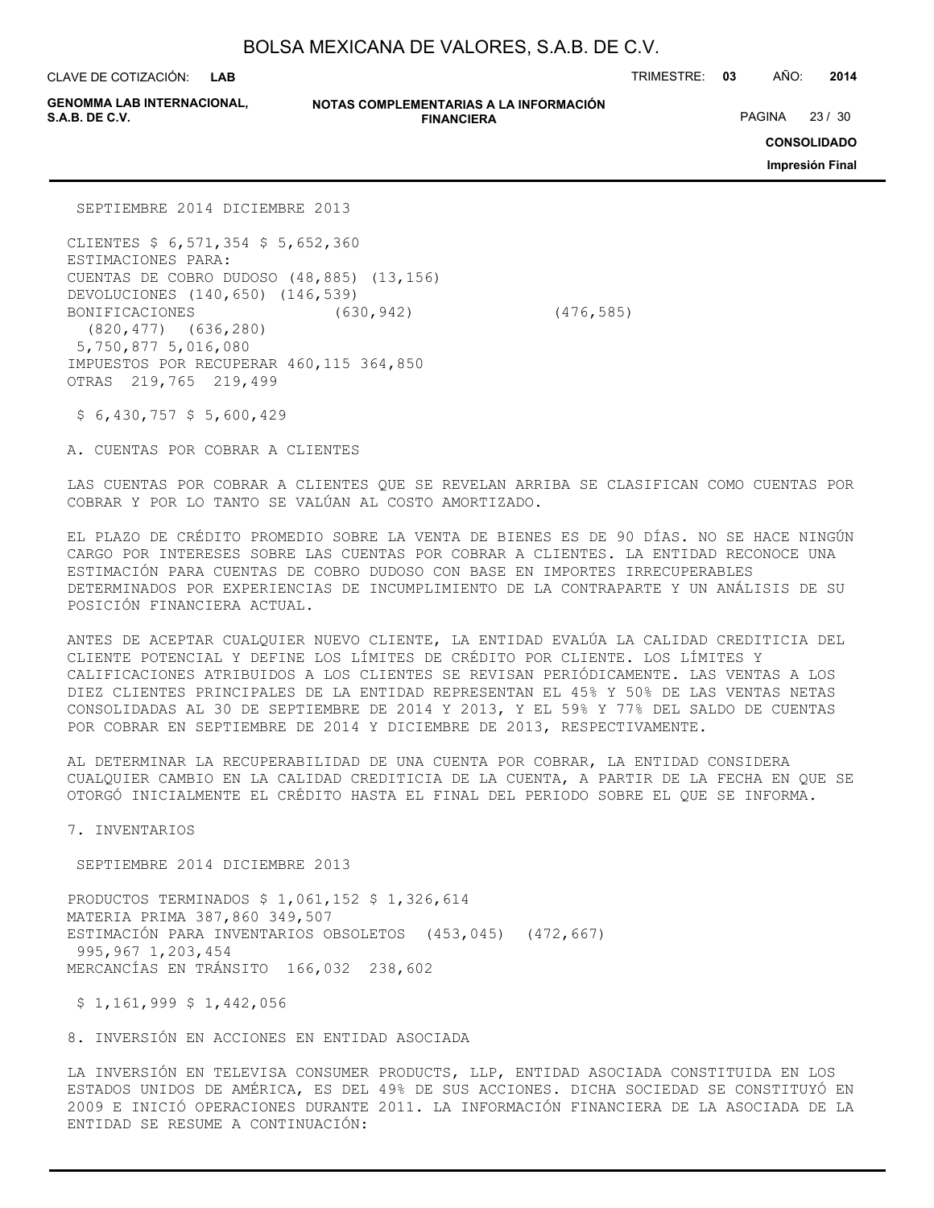**LAB**

CLAVE DE COTIZACIÓN: TRIMESTRE: **03** AÑO: **2014**

**GENOMMA LAB INTERNACIONAL,**

#### **NOTAS COMPLEMENTARIAS A LA INFORMACIÓN FINANCIERA**

PAGINA 23 / 30

**CONSOLIDADO**

**Impresión Final**

SEPTIEMBRE 2014 DICIEMBRE 2013

CLIENTES \$ 6,571,354 \$ 5,652,360 ESTIMACIONES PARA: CUENTAS DE COBRO DUDOSO (48,885) (13,156) DEVOLUCIONES (140,650) (146,539) BONIFICACIONES (630,942) (476,585) (820,477) (636,280) 5,750,877 5,016,080 IMPUESTOS POR RECUPERAR 460,115 364,850 OTRAS 219,765 219,499

\$ 6,430,757 \$ 5,600,429

A. CUENTAS POR COBRAR A CLIENTES

LAS CUENTAS POR COBRAR A CLIENTES QUE SE REVELAN ARRIBA SE CLASIFICAN COMO CUENTAS POR COBRAR Y POR LO TANTO SE VALÚAN AL COSTO AMORTIZADO.

EL PLAZO DE CRÉDITO PROMEDIO SOBRE LA VENTA DE BIENES ES DE 90 DÍAS. NO SE HACE NINGÚN CARGO POR INTERESES SOBRE LAS CUENTAS POR COBRAR A CLIENTES. LA ENTIDAD RECONOCE UNA ESTIMACIÓN PARA CUENTAS DE COBRO DUDOSO CON BASE EN IMPORTES IRRECUPERABLES DETERMINADOS POR EXPERIENCIAS DE INCUMPLIMIENTO DE LA CONTRAPARTE Y UN ANÁLISIS DE SU POSICIÓN FINANCIERA ACTUAL.

ANTES DE ACEPTAR CUALQUIER NUEVO CLIENTE, LA ENTIDAD EVALÚA LA CALIDAD CREDITICIA DEL CLIENTE POTENCIAL Y DEFINE LOS LÍMITES DE CRÉDITO POR CLIENTE. LOS LÍMITES Y CALIFICACIONES ATRIBUIDOS A LOS CLIENTES SE REVISAN PERIÓDICAMENTE. LAS VENTAS A LOS DIEZ CLIENTES PRINCIPALES DE LA ENTIDAD REPRESENTAN EL 45% Y 50% DE LAS VENTAS NETAS CONSOLIDADAS AL 30 DE SEPTIEMBRE DE 2014 Y 2013, Y EL 59% Y 77% DEL SALDO DE CUENTAS POR COBRAR EN SEPTIEMBRE DE 2014 Y DICIEMBRE DE 2013, RESPECTIVAMENTE.

AL DETERMINAR LA RECUPERABILIDAD DE UNA CUENTA POR COBRAR, LA ENTIDAD CONSIDERA CUALQUIER CAMBIO EN LA CALIDAD CREDITICIA DE LA CUENTA, A PARTIR DE LA FECHA EN QUE SE OTORGÓ INICIALMENTE EL CRÉDITO HASTA EL FINAL DEL PERIODO SOBRE EL QUE SE INFORMA.

7. INVENTARIOS

SEPTIEMBRE 2014 DICIEMBRE 2013

PRODUCTOS TERMINADOS \$ 1,061,152 \$ 1,326,614 MATERIA PRIMA 387,860 349,507 ESTIMACIÓN PARA INVENTARIOS OBSOLETOS (453,045) (472,667) 995,967 1,203,454 MERCANCÍAS EN TRÁNSITO 166,032 238,602

 $$1,161,999$1,442,056$ 

8. INVERSIÓN EN ACCIONES EN ENTIDAD ASOCIADA

LA INVERSIÓN EN TELEVISA CONSUMER PRODUCTS, LLP, ENTIDAD ASOCIADA CONSTITUIDA EN LOS ESTADOS UNIDOS DE AMÉRICA, ES DEL 49% DE SUS ACCIONES. DICHA SOCIEDAD SE CONSTITUYÓ EN 2009 E INICIÓ OPERACIONES DURANTE 2011. LA INFORMACIÓN FINANCIERA DE LA ASOCIADA DE LA ENTIDAD SE RESUME A CONTINUACIÓN: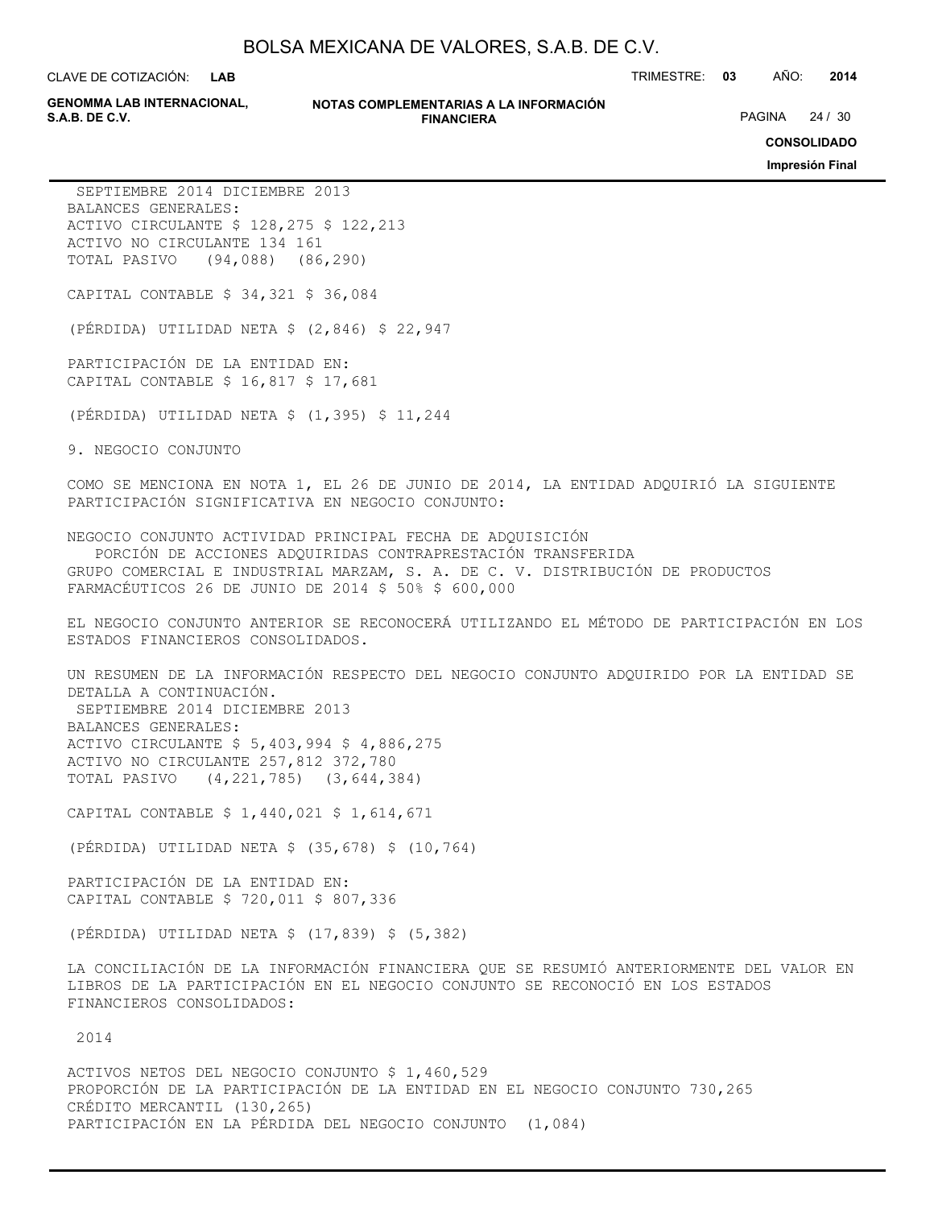**LAB**

CLAVE DE COTIZACIÓN: TRIMESTRE: **03** AÑO: **2014**

**GENOMMA LAB INTERNACIONAL,**

**NOTAS COMPLEMENTARIAS A LA INFORMACIÓN FINANCIERA**

PAGINA 24 / 30

**CONSOLIDADO**

**Impresión Final**

 SEPTIEMBRE 2014 DICIEMBRE 2013 BALANCES GENERALES: ACTIVO CIRCULANTE \$ 128,275 \$ 122,213 ACTIVO NO CIRCULANTE 134 161 TOTAL PASIVO (94,088) (86,290) CAPITAL CONTABLE \$ 34,321 \$ 36,084 (PÉRDIDA) UTILIDAD NETA \$ (2,846) \$ 22,947 PARTICIPACIÓN DE LA ENTIDAD EN: CAPITAL CONTABLE \$ 16,817 \$ 17,681 (PÉRDIDA) UTILIDAD NETA \$ (1,395) \$ 11,244 9. NEGOCIO CONJUNTO COMO SE MENCIONA EN NOTA 1, EL 26 DE JUNIO DE 2014, LA ENTIDAD ADQUIRIÓ LA SIGUIENTE PARTICIPACIÓN SIGNIFICATIVA EN NEGOCIO CONJUNTO: NEGOCIO CONJUNTO ACTIVIDAD PRINCIPAL FECHA DE ADQUISICIÓN PORCIÓN DE ACCIONES ADQUIRIDAS CONTRAPRESTACIÓN TRANSFERIDA GRUPO COMERCIAL E INDUSTRIAL MARZAM, S. A. DE C. V. DISTRIBUCIÓN DE PRODUCTOS FARMACÉUTICOS 26 DE JUNIO DE 2014 \$ 50% \$ 600,000 EL NEGOCIO CONJUNTO ANTERIOR SE RECONOCERÁ UTILIZANDO EL MÉTODO DE PARTICIPACIÓN EN LOS ESTADOS FINANCIEROS CONSOLIDADOS. UN RESUMEN DE LA INFORMACIÓN RESPECTO DEL NEGOCIO CONJUNTO ADQUIRIDO POR LA ENTIDAD SE DETALLA A CONTINUACIÓN. SEPTIEMBRE 2014 DICIEMBRE 2013

BALANCES GENERALES: ACTIVO CIRCULANTE \$ 5,403,994 \$ 4,886,275 ACTIVO NO CIRCULANTE 257,812 372,780 TOTAL PASIVO (4,221,785) (3,644,384)

CAPITAL CONTABLE \$ 1,440,021 \$ 1,614,671

(PÉRDIDA) UTILIDAD NETA \$ (35,678) \$ (10,764)

PARTICIPACIÓN DE LA ENTIDAD EN: CAPITAL CONTABLE \$ 720,011 \$ 807,336

(PÉRDIDA) UTILIDAD NETA \$ (17,839) \$ (5,382)

LA CONCILIACIÓN DE LA INFORMACIÓN FINANCIERA QUE SE RESUMIÓ ANTERIORMENTE DEL VALOR EN LIBROS DE LA PARTICIPACIÓN EN EL NEGOCIO CONJUNTO SE RECONOCIÓ EN LOS ESTADOS FINANCIEROS CONSOLIDADOS:

2014

ACTIVOS NETOS DEL NEGOCIO CONJUNTO \$ 1,460,529 PROPORCIÓN DE LA PARTICIPACIÓN DE LA ENTIDAD EN EL NEGOCIO CONJUNTO 730,265 CRÉDITO MERCANTIL (130,265) PARTICIPACIÓN EN LA PÉRDIDA DEL NEGOCIO CONJUNTO (1,084)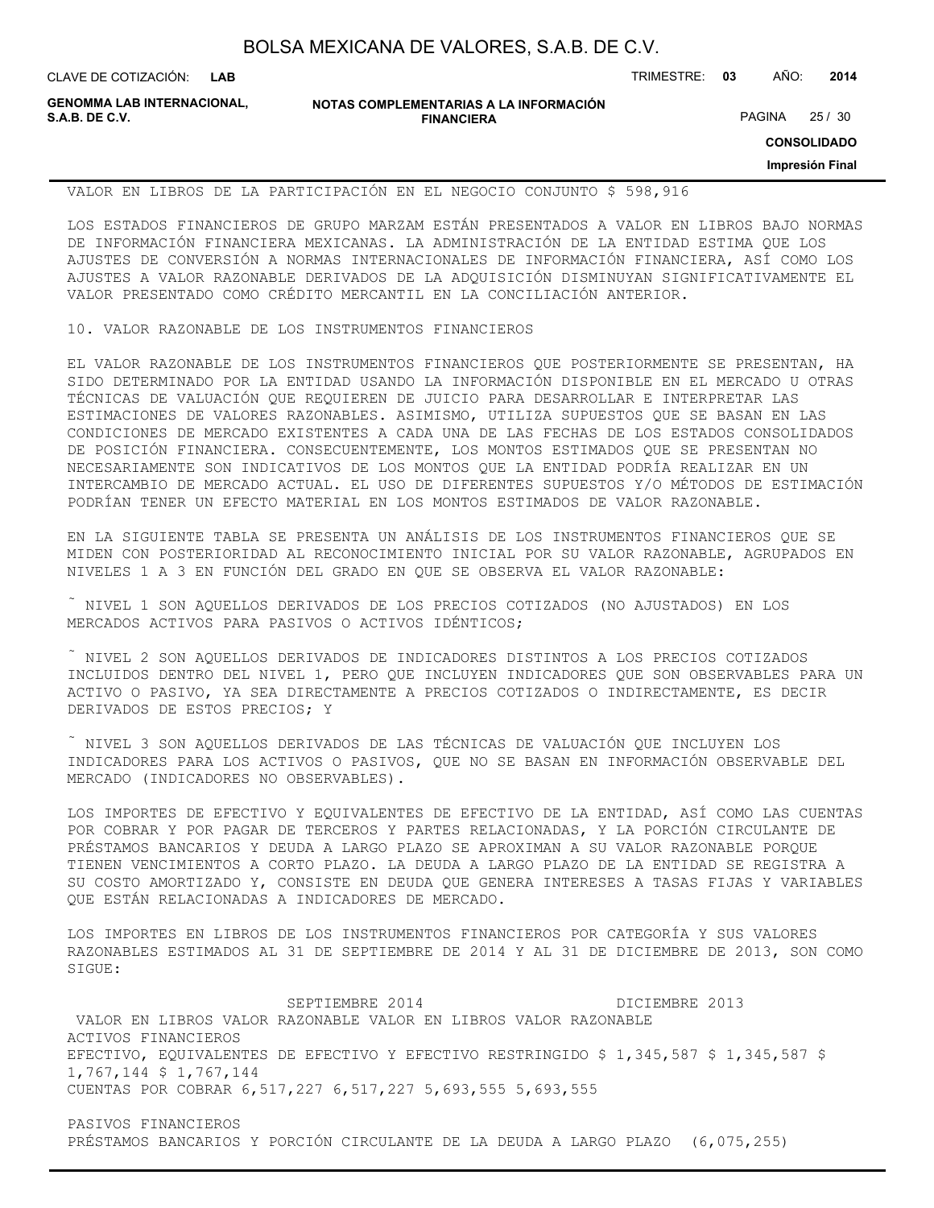**LAB**

CLAVE DE COTIZACIÓN: TRIMESTRE: **03** AÑO: **2014**

**GENOMMA LAB INTERNACIONAL, S.A.B. DE C.V.** PAGINA 25 / 30

**NOTAS COMPLEMENTARIAS A LA INFORMACIÓN FINANCIERA**

**CONSOLIDADO**

**Impresión Final**

VALOR EN LIBROS DE LA PARTICIPACIÓN EN EL NEGOCIO CONJUNTO \$ 598,916

LOS ESTADOS FINANCIEROS DE GRUPO MARZAM ESTÁN PRESENTADOS A VALOR EN LIBROS BAJO NORMAS DE INFORMACIÓN FINANCIERA MEXICANAS. LA ADMINISTRACIÓN DE LA ENTIDAD ESTIMA QUE LOS AJUSTES DE CONVERSIÓN A NORMAS INTERNACIONALES DE INFORMACIÓN FINANCIERA, ASÍ COMO LOS AJUSTES A VALOR RAZONABLE DERIVADOS DE LA ADQUISICIÓN DISMINUYAN SIGNIFICATIVAMENTE EL VALOR PRESENTADO COMO CRÉDITO MERCANTIL EN LA CONCILIACIÓN ANTERIOR.

10. VALOR RAZONABLE DE LOS INSTRUMENTOS FINANCIEROS

EL VALOR RAZONABLE DE LOS INSTRUMENTOS FINANCIEROS QUE POSTERIORMENTE SE PRESENTAN, HA SIDO DETERMINADO POR LA ENTIDAD USANDO LA INFORMACIÓN DISPONIBLE EN EL MERCADO U OTRAS TÉCNICAS DE VALUACIÓN QUE REQUIEREN DE JUICIO PARA DESARROLLAR E INTERPRETAR LAS ESTIMACIONES DE VALORES RAZONABLES. ASIMISMO, UTILIZA SUPUESTOS QUE SE BASAN EN LAS CONDICIONES DE MERCADO EXISTENTES A CADA UNA DE LAS FECHAS DE LOS ESTADOS CONSOLIDADOS DE POSICIÓN FINANCIERA. CONSECUENTEMENTE, LOS MONTOS ESTIMADOS QUE SE PRESENTAN NO NECESARIAMENTE SON INDICATIVOS DE LOS MONTOS QUE LA ENTIDAD PODRÍA REALIZAR EN UN INTERCAMBIO DE MERCADO ACTUAL. EL USO DE DIFERENTES SUPUESTOS Y/O MÉTODOS DE ESTIMACIÓN PODRÍAN TENER UN EFECTO MATERIAL EN LOS MONTOS ESTIMADOS DE VALOR RAZONABLE.

EN LA SIGUIENTE TABLA SE PRESENTA UN ANÁLISIS DE LOS INSTRUMENTOS FINANCIEROS QUE SE MIDEN CON POSTERIORIDAD AL RECONOCIMIENTO INICIAL POR SU VALOR RAZONABLE, AGRUPADOS EN NIVELES 1 A 3 EN FUNCIÓN DEL GRADO EN QUE SE OBSERVA EL VALOR RAZONABLE:

 $\tilde{a}$  NIVEL 1 SON AQUELLOS DERIVADOS DE LOS PRECIOS COTIZADOS (NO AJUSTADOS) EN LOS MERCADOS ACTIVOS PARA PASIVOS O ACTIVOS IDÉNTICOS;

 NIVEL 2 SON AQUELLOS DERIVADOS DE INDICADORES DISTINTOS A LOS PRECIOS COTIZADOS INCLUIDOS DENTRO DEL NIVEL 1, PERO QUE INCLUYEN INDICADORES QUE SON OBSERVABLES PARA UN ACTIVO O PASIVO, YA SEA DIRECTAMENTE A PRECIOS COTIZADOS O INDIRECTAMENTE, ES DECIR DERIVADOS DE ESTOS PRECIOS; Y

 NIVEL 3 SON AQUELLOS DERIVADOS DE LAS TÉCNICAS DE VALUACIÓN QUE INCLUYEN LOS INDICADORES PARA LOS ACTIVOS O PASIVOS, QUE NO SE BASAN EN INFORMACIÓN OBSERVABLE DEL MERCADO (INDICADORES NO OBSERVABLES).

LOS IMPORTES DE EFECTIVO Y EQUIVALENTES DE EFECTIVO DE LA ENTIDAD, ASÍ COMO LAS CUENTAS POR COBRAR Y POR PAGAR DE TERCEROS Y PARTES RELACIONADAS, Y LA PORCIÓN CIRCULANTE DE PRÉSTAMOS BANCARIOS Y DEUDA A LARGO PLAZO SE APROXIMAN A SU VALOR RAZONABLE PORQUE TIENEN VENCIMIENTOS A CORTO PLAZO. LA DEUDA A LARGO PLAZO DE LA ENTIDAD SE REGISTRA A SU COSTO AMORTIZADO Y, CONSISTE EN DEUDA QUE GENERA INTERESES A TASAS FIJAS Y VARIABLES QUE ESTÁN RELACIONADAS A INDICADORES DE MERCADO.

LOS IMPORTES EN LIBROS DE LOS INSTRUMENTOS FINANCIEROS POR CATEGORÍA Y SUS VALORES RAZONABLES ESTIMADOS AL 31 DE SEPTIEMBRE DE 2014 Y AL 31 DE DICIEMBRE DE 2013, SON COMO SIGUE:

SEPTIEMBRE 2014 DICIEMBRE 2013 VALOR EN LIBROS VALOR RAZONABLE VALOR EN LIBROS VALOR RAZONABLE ACTIVOS FINANCIEROS EFECTIVO, EQUIVALENTES DE EFECTIVO Y EFECTIVO RESTRINGIDO \$ 1,345,587 \$ 1,345,587 \$ 1,767,144 \$ 1,767,144 CUENTAS POR COBRAR 6,517,227 6,517,227 5,693,555 5,693,555

PASIVOS FINANCIEROS PRÉSTAMOS BANCARIOS Y PORCIÓN CIRCULANTE DE LA DEUDA A LARGO PLAZO (6,075,255)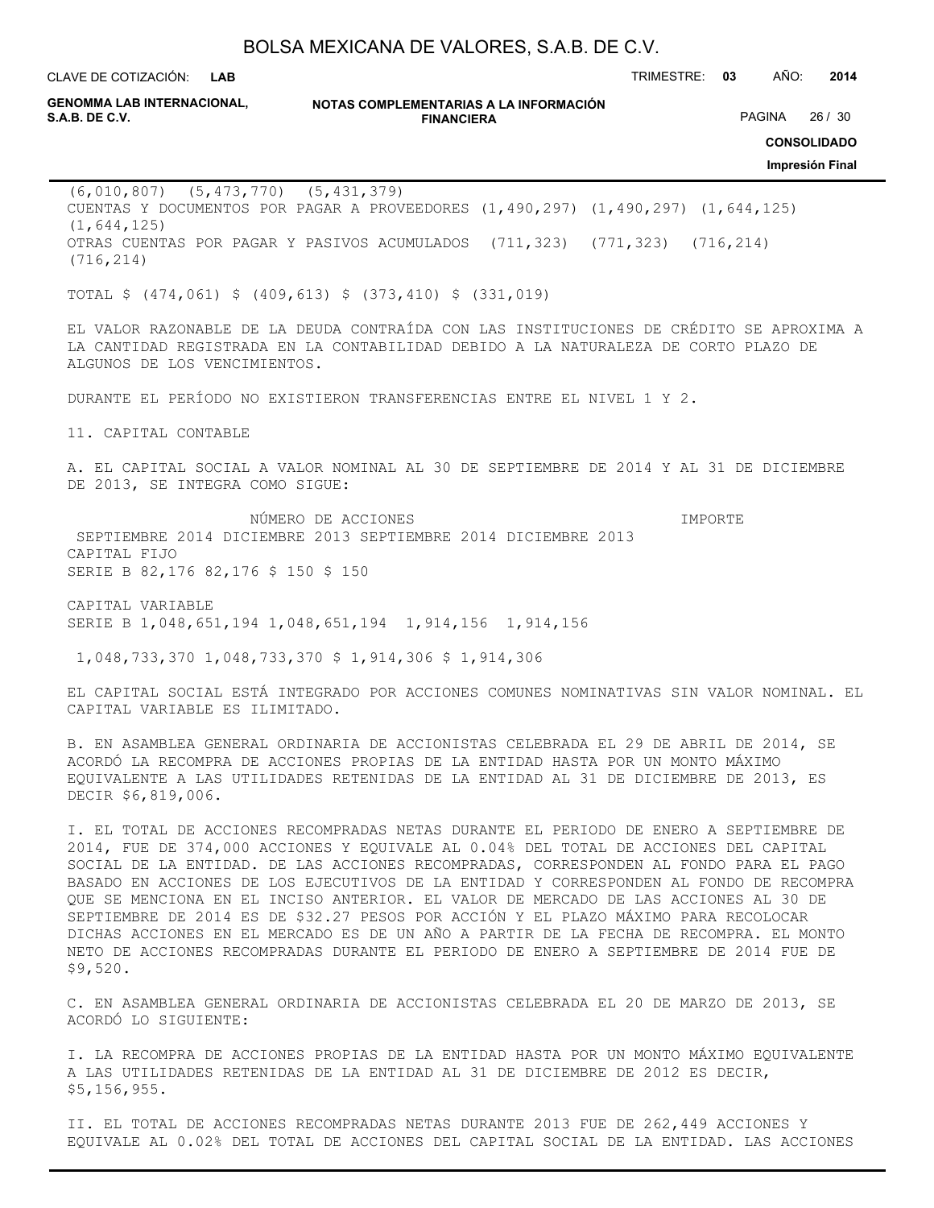**LAB**

CLAVE DE COTIZACIÓN: TRIMESTRE: **03** AÑO: **2014**

**GENOMMA LAB INTERNACIONAL,**

**NOTAS COMPLEMENTARIAS A LA INFORMACIÓN FINANCIERA S.A.B. DE C.V.** PAGINA 26 / 30

**CONSOLIDADO**

**Impresión Final**

(6,010,807) (5,473,770) (5,431,379) CUENTAS Y DOCUMENTOS POR PAGAR A PROVEEDORES (1,490,297) (1,490,297) (1,644,125) (1,644,125) OTRAS CUENTAS POR PAGAR Y PASIVOS ACUMULADOS (711,323) (771,323) (716,214) (716,214)

TOTAL \$ (474,061) \$ (409,613) \$ (373,410) \$ (331,019)

EL VALOR RAZONABLE DE LA DEUDA CONTRAÍDA CON LAS INSTITUCIONES DE CRÉDITO SE APROXIMA A LA CANTIDAD REGISTRADA EN LA CONTABILIDAD DEBIDO A LA NATURALEZA DE CORTO PLAZO DE ALGUNOS DE LOS VENCIMIENTOS.

DURANTE EL PERÍODO NO EXISTIERON TRANSFERENCIAS ENTRE EL NIVEL 1 Y 2.

11. CAPITAL CONTABLE

A. EL CAPITAL SOCIAL A VALOR NOMINAL AL 30 DE SEPTIEMBRE DE 2014 Y AL 31 DE DICIEMBRE DE 2013, SE INTEGRA COMO SIGUE:

 NÚMERO DE ACCIONES IMPORTE SEPTIEMBRE 2014 DICIEMBRE 2013 SEPTIEMBRE 2014 DICIEMBRE 2013 CAPITAL FIJO SERIE B 82,176 82,176 \$ 150 \$ 150

CAPITAL VARIABLE SERIE B 1,048,651,194 1,048,651,194 1,914,156 1,914,156

1,048,733,370 1,048,733,370 \$ 1,914,306 \$ 1,914,306

EL CAPITAL SOCIAL ESTÁ INTEGRADO POR ACCIONES COMUNES NOMINATIVAS SIN VALOR NOMINAL. EL CAPITAL VARIABLE ES ILIMITADO.

B. EN ASAMBLEA GENERAL ORDINARIA DE ACCIONISTAS CELEBRADA EL 29 DE ABRIL DE 2014, SE ACORDÓ LA RECOMPRA DE ACCIONES PROPIAS DE LA ENTIDAD HASTA POR UN MONTO MÁXIMO EQUIVALENTE A LAS UTILIDADES RETENIDAS DE LA ENTIDAD AL 31 DE DICIEMBRE DE 2013, ES DECIR \$6,819,006.

I. EL TOTAL DE ACCIONES RECOMPRADAS NETAS DURANTE EL PERIODO DE ENERO A SEPTIEMBRE DE 2014, FUE DE 374,000 ACCIONES Y EQUIVALE AL 0.04% DEL TOTAL DE ACCIONES DEL CAPITAL SOCIAL DE LA ENTIDAD. DE LAS ACCIONES RECOMPRADAS, CORRESPONDEN AL FONDO PARA EL PAGO BASADO EN ACCIONES DE LOS EJECUTIVOS DE LA ENTIDAD Y CORRESPONDEN AL FONDO DE RECOMPRA QUE SE MENCIONA EN EL INCISO ANTERIOR. EL VALOR DE MERCADO DE LAS ACCIONES AL 30 DE SEPTIEMBRE DE 2014 ES DE \$32.27 PESOS POR ACCIÓN Y EL PLAZO MÁXIMO PARA RECOLOCAR DICHAS ACCIONES EN EL MERCADO ES DE UN AÑO A PARTIR DE LA FECHA DE RECOMPRA. EL MONTO NETO DE ACCIONES RECOMPRADAS DURANTE EL PERIODO DE ENERO A SEPTIEMBRE DE 2014 FUE DE \$9,520.

C. EN ASAMBLEA GENERAL ORDINARIA DE ACCIONISTAS CELEBRADA EL 20 DE MARZO DE 2013, SE ACORDÓ LO SIGUIENTE:

I. LA RECOMPRA DE ACCIONES PROPIAS DE LA ENTIDAD HASTA POR UN MONTO MÁXIMO EQUIVALENTE A LAS UTILIDADES RETENIDAS DE LA ENTIDAD AL 31 DE DICIEMBRE DE 2012 ES DECIR, \$5,156,955.

II. EL TOTAL DE ACCIONES RECOMPRADAS NETAS DURANTE 2013 FUE DE 262,449 ACCIONES Y EQUIVALE AL 0.02% DEL TOTAL DE ACCIONES DEL CAPITAL SOCIAL DE LA ENTIDAD. LAS ACCIONES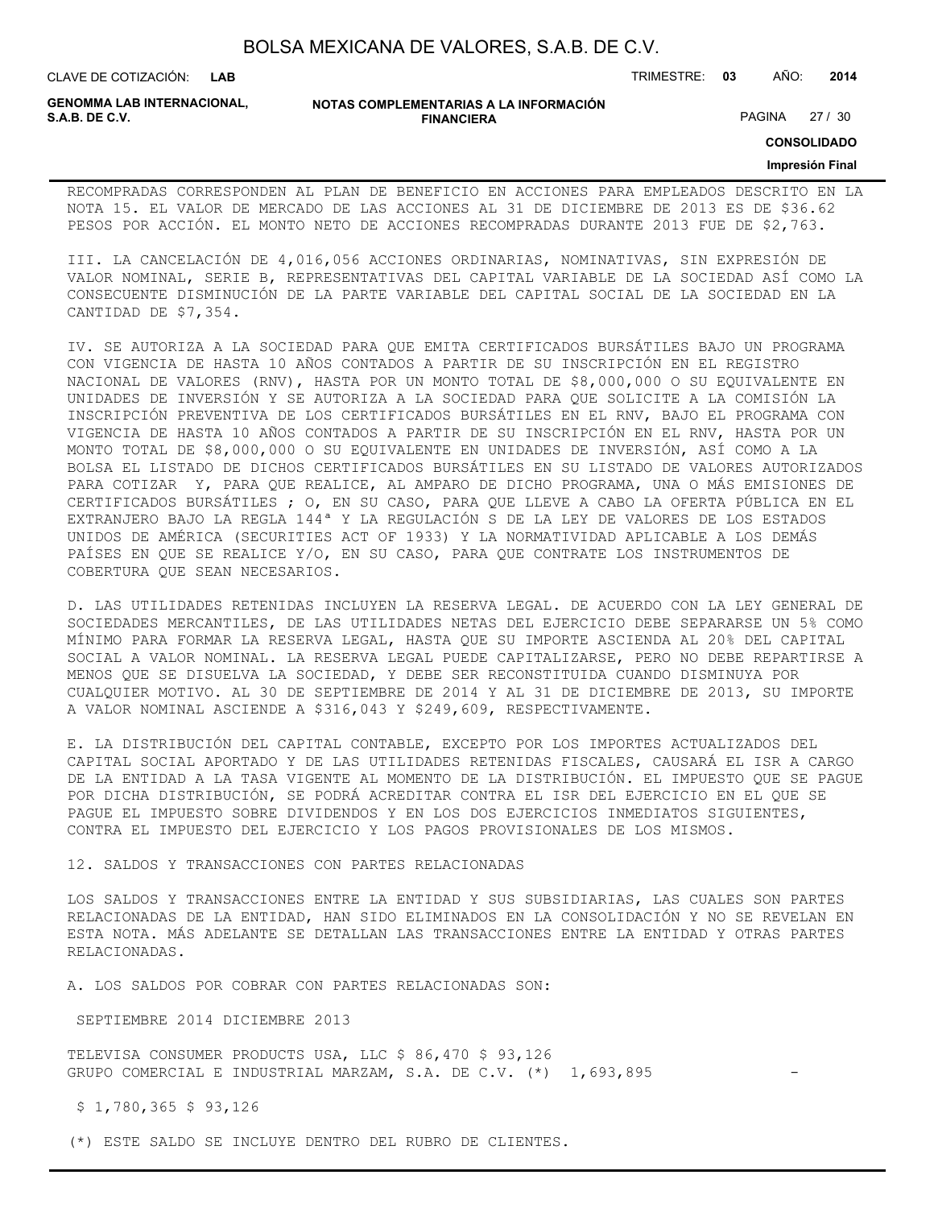CLAVE DE COTIZACIÓN: TRIMESTRE: **03** AÑO: **2014**

**GENOMMA LAB INTERNACIONAL,**

**NOTAS COMPLEMENTARIAS A LA INFORMACIÓN FINANCIERA**

PAGINA 27 / 30

**CONSOLIDADO**

#### **Impresión Final**

RECOMPRADAS CORRESPONDEN AL PLAN DE BENEFICIO EN ACCIONES PARA EMPLEADOS DESCRITO EN LA NOTA 15. EL VALOR DE MERCADO DE LAS ACCIONES AL 31 DE DICIEMBRE DE 2013 ES DE \$36.62 PESOS POR ACCIÓN. EL MONTO NETO DE ACCIONES RECOMPRADAS DURANTE 2013 FUE DE \$2,763.

III. LA CANCELACIÓN DE 4,016,056 ACCIONES ORDINARIAS, NOMINATIVAS, SIN EXPRESIÓN DE VALOR NOMINAL, SERIE B, REPRESENTATIVAS DEL CAPITAL VARIABLE DE LA SOCIEDAD ASÍ COMO LA CONSECUENTE DISMINUCIÓN DE LA PARTE VARIABLE DEL CAPITAL SOCIAL DE LA SOCIEDAD EN LA CANTIDAD DE \$7,354.

IV. SE AUTORIZA A LA SOCIEDAD PARA QUE EMITA CERTIFICADOS BURSÁTILES BAJO UN PROGRAMA CON VIGENCIA DE HASTA 10 AÑOS CONTADOS A PARTIR DE SU INSCRIPCIÓN EN EL REGISTRO NACIONAL DE VALORES (RNV), HASTA POR UN MONTO TOTAL DE \$8,000,000 O SU EQUIVALENTE EN UNIDADES DE INVERSIÓN Y SE AUTORIZA A LA SOCIEDAD PARA QUE SOLICITE A LA COMISIÓN LA INSCRIPCIÓN PREVENTIVA DE LOS CERTIFICADOS BURSÁTILES EN EL RNV, BAJO EL PROGRAMA CON VIGENCIA DE HASTA 10 AÑOS CONTADOS A PARTIR DE SU INSCRIPCIÓN EN EL RNV, HASTA POR UN MONTO TOTAL DE \$8,000,000 O SU EQUIVALENTE EN UNIDADES DE INVERSIÓN, ASÍ COMO A LA BOLSA EL LISTADO DE DICHOS CERTIFICADOS BURSÁTILES EN SU LISTADO DE VALORES AUTORIZADOS PARA COTIZAR Y, PARA QUE REALICE, AL AMPARO DE DICHO PROGRAMA, UNA O MÁS EMISIONES DE CERTIFICADOS BURSÁTILES ; O, EN SU CASO, PARA QUE LLEVE A CABO LA OFERTA PÚBLICA EN EL EXTRANJERO BAJO LA REGLA 144ª Y LA REGULACIÓN S DE LA LEY DE VALORES DE LOS ESTADOS UNIDOS DE AMÉRICA (SECURITIES ACT OF 1933) Y LA NORMATIVIDAD APLICABLE A LOS DEMÁS PAÍSES EN QUE SE REALICE Y/O, EN SU CASO, PARA QUE CONTRATE LOS INSTRUMENTOS DE COBERTURA QUE SEAN NECESARIOS.

D. LAS UTILIDADES RETENIDAS INCLUYEN LA RESERVA LEGAL. DE ACUERDO CON LA LEY GENERAL DE SOCIEDADES MERCANTILES, DE LAS UTILIDADES NETAS DEL EJERCICIO DEBE SEPARARSE UN 5% COMO MÍNIMO PARA FORMAR LA RESERVA LEGAL, HASTA QUE SU IMPORTE ASCIENDA AL 20% DEL CAPITAL SOCIAL A VALOR NOMINAL. LA RESERVA LEGAL PUEDE CAPITALIZARSE, PERO NO DEBE REPARTIRSE A MENOS QUE SE DISUELVA LA SOCIEDAD, Y DEBE SER RECONSTITUIDA CUANDO DISMINUYA POR CUALQUIER MOTIVO. AL 30 DE SEPTIEMBRE DE 2014 Y AL 31 DE DICIEMBRE DE 2013, SU IMPORTE A VALOR NOMINAL ASCIENDE A \$316,043 Y \$249,609, RESPECTIVAMENTE.

E. LA DISTRIBUCIÓN DEL CAPITAL CONTABLE, EXCEPTO POR LOS IMPORTES ACTUALIZADOS DEL CAPITAL SOCIAL APORTADO Y DE LAS UTILIDADES RETENIDAS FISCALES, CAUSARÁ EL ISR A CARGO DE LA ENTIDAD A LA TASA VIGENTE AL MOMENTO DE LA DISTRIBUCIÓN. EL IMPUESTO QUE SE PAGUE POR DICHA DISTRIBUCIÓN, SE PODRÁ ACREDITAR CONTRA EL ISR DEL EJERCICIO EN EL QUE SE PAGUE EL IMPUESTO SOBRE DIVIDENDOS Y EN LOS DOS EJERCICIOS INMEDIATOS SIGUIENTES, CONTRA EL IMPUESTO DEL EJERCICIO Y LOS PAGOS PROVISIONALES DE LOS MISMOS.

12. SALDOS Y TRANSACCIONES CON PARTES RELACIONADAS

LOS SALDOS Y TRANSACCIONES ENTRE LA ENTIDAD Y SUS SUBSIDIARIAS, LAS CUALES SON PARTES RELACIONADAS DE LA ENTIDAD, HAN SIDO ELIMINADOS EN LA CONSOLIDACIÓN Y NO SE REVELAN EN ESTA NOTA. MÁS ADELANTE SE DETALLAN LAS TRANSACCIONES ENTRE LA ENTIDAD Y OTRAS PARTES RELACIONADAS.

A. LOS SALDOS POR COBRAR CON PARTES RELACIONADAS SON:

SEPTIEMBRE 2014 DICIEMBRE 2013

TELEVISA CONSUMER PRODUCTS USA, LLC \$ 86,470 \$ 93,126 GRUPO COMERCIAL E INDUSTRIAL MARZAM, S.A. DE C.V. (\*) 1,693,895

\$ 1,780,365 \$ 93,126

(\*) ESTE SALDO SE INCLUYE DENTRO DEL RUBRO DE CLIENTES.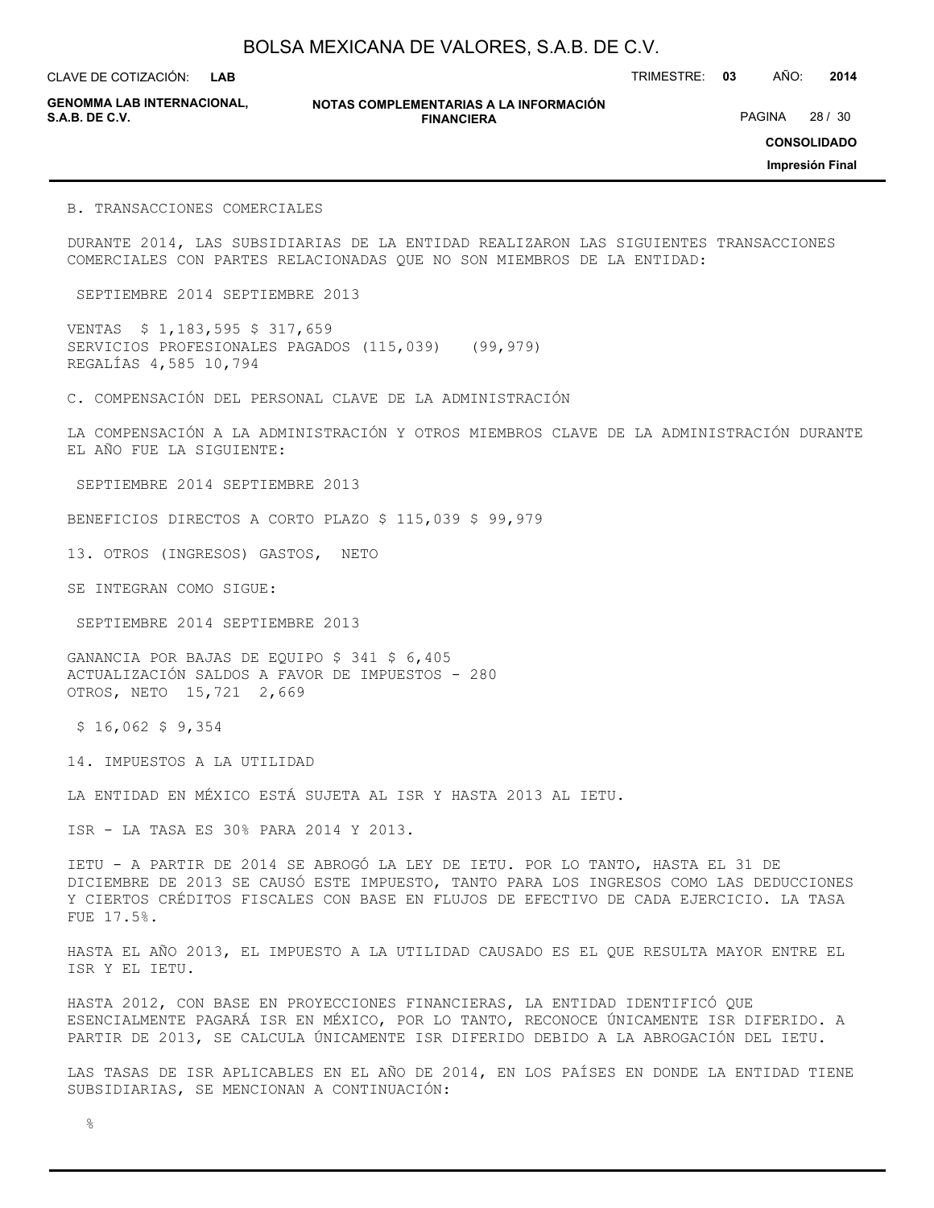**LAB**

CLAVE DE COTIZACIÓN: TRIMESTRE: **03** AÑO: **2014**

**GENOMMA LAB INTERNACIONAL,**

**NOTAS COMPLEMENTARIAS A LA INFORMACIÓN FINANCIERA S.A.B. DE C.V.** PAGINA 28 / 30

**CONSOLIDADO**

**Impresión Final**

B. TRANSACCIONES COMERCIALES

DURANTE 2014, LAS SUBSIDIARIAS DE LA ENTIDAD REALIZARON LAS SIGUIENTES TRANSACCIONES COMERCIALES CON PARTES RELACIONADAS QUE NO SON MIEMBROS DE LA ENTIDAD:

SEPTIEMBRE 2014 SEPTIEMBRE 2013

VENTAS \$ 1,183,595 \$ 317,659 SERVICIOS PROFESIONALES PAGADOS (115,039) (99,979) REGALÍAS 4,585 10,794

C. COMPENSACIÓN DEL PERSONAL CLAVE DE LA ADMINISTRACIÓN

LA COMPENSACIÓN A LA ADMINISTRACIÓN Y OTROS MIEMBROS CLAVE DE LA ADMINISTRACIÓN DURANTE EL AÑO FUE LA SIGUIENTE:

SEPTIEMBRE 2014 SEPTIEMBRE 2013

BENEFICIOS DIRECTOS A CORTO PLAZO \$ 115,039 \$ 99,979

13. OTROS (INGRESOS) GASTOS, NETO

SE INTEGRAN COMO SIGUE:

SEPTIEMBRE 2014 SEPTIEMBRE 2013

GANANCIA POR BAJAS DE EQUIPO \$ 341 \$ 6,405 ACTUALIZACIÓN SALDOS A FAVOR DE IMPUESTOS - 280 OTROS, NETO 15,721 2,669

 $$16,062$$  \$ 9,354

14. IMPUESTOS A LA UTILIDAD

LA ENTIDAD EN MÉXICO ESTÁ SUJETA AL ISR Y HASTA 2013 AL IETU.

ISR - LA TASA ES 30% PARA 2014 Y 2013.

IETU - A PARTIR DE 2014 SE ABROGÓ LA LEY DE IETU. POR LO TANTO, HASTA EL 31 DE DICIEMBRE DE 2013 SE CAUSÓ ESTE IMPUESTO, TANTO PARA LOS INGRESOS COMO LAS DEDUCCIONES Y CIERTOS CRÉDITOS FISCALES CON BASE EN FLUJOS DE EFECTIVO DE CADA EJERCICIO. LA TASA FUE 17.5%.

HASTA EL AÑO 2013, EL IMPUESTO A LA UTILIDAD CAUSADO ES EL QUE RESULTA MAYOR ENTRE EL ISR Y EL IETU.

HASTA 2012, CON BASE EN PROYECCIONES FINANCIERAS, LA ENTIDAD IDENTIFICÓ QUE ESENCIALMENTE PAGARÁ ISR EN MÉXICO, POR LO TANTO, RECONOCE ÚNICAMENTE ISR DIFERIDO. A PARTIR DE 2013, SE CALCULA ÚNICAMENTE ISR DIFERIDO DEBIDO A LA ABROGACIÓN DEL IETU.

LAS TASAS DE ISR APLICABLES EN EL AÑO DE 2014, EN LOS PAÍSES EN DONDE LA ENTIDAD TIENE SUBSIDIARIAS, SE MENCIONAN A CONTINUACIÓN: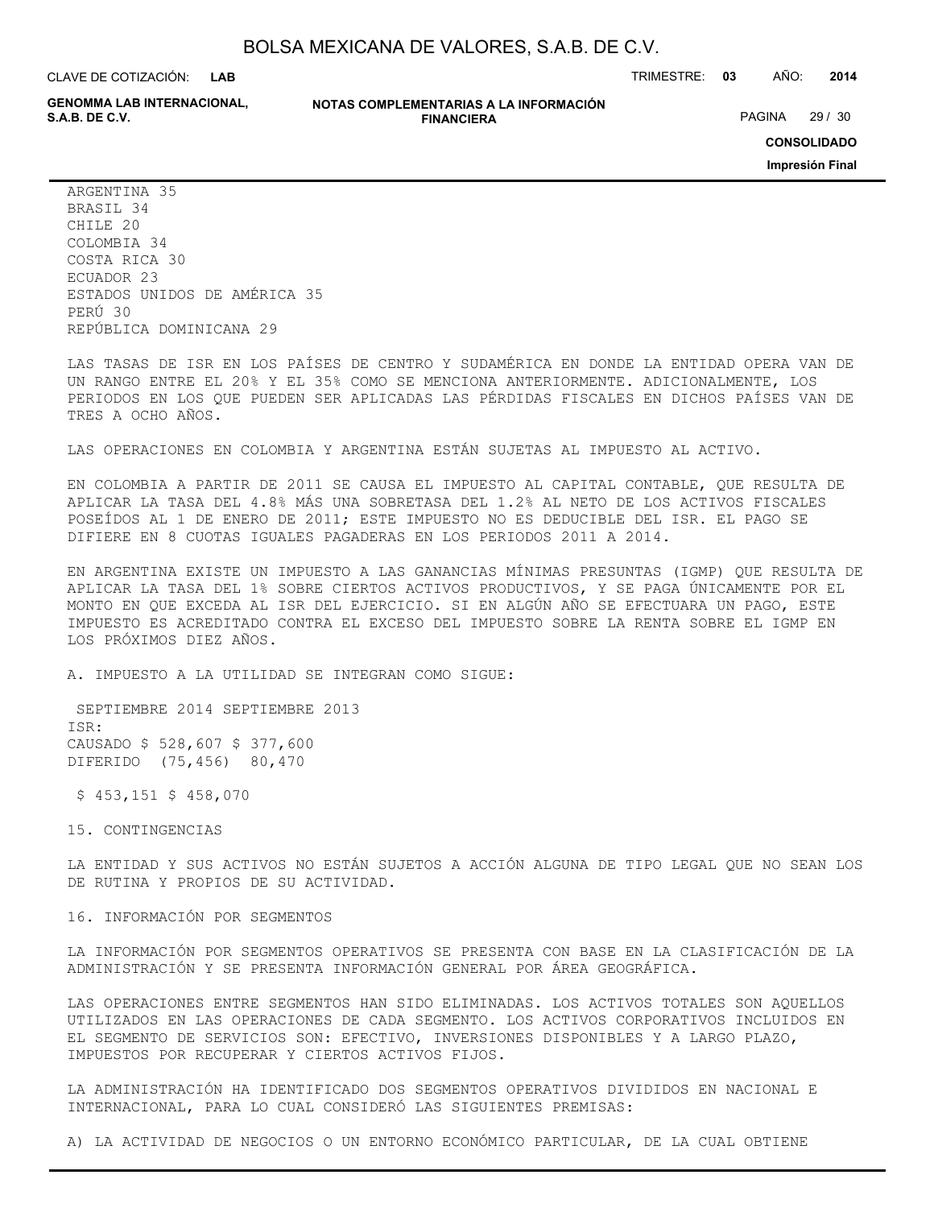CLAVE DE COTIZACIÓN: TRIMESTRE: **03** AÑO: **2014 LAB**

**GENOMMA LAB INTERNACIONAL,**

**NOTAS COMPLEMENTARIAS A LA INFORMACIÓN FINANCIERA**

PAGINA 29 / 30

**CONSOLIDADO**

**Impresión Final**

ARGENTINA 35 BRASIL 34 CHILE 20 COLOMBIA 34 COSTA RICA 30 ECUADOR 23 ESTADOS UNIDOS DE AMÉRICA 35 PERÚ 30 REPÚBLICA DOMINICANA 29

LAS TASAS DE ISR EN LOS PAÍSES DE CENTRO Y SUDAMÉRICA EN DONDE LA ENTIDAD OPERA VAN DE UN RANGO ENTRE EL 20% Y EL 35% COMO SE MENCIONA ANTERIORMENTE. ADICIONALMENTE, LOS PERIODOS EN LOS QUE PUEDEN SER APLICADAS LAS PÉRDIDAS FISCALES EN DICHOS PAÍSES VAN DE TRES A OCHO AÑOS.

LAS OPERACIONES EN COLOMBIA Y ARGENTINA ESTÁN SUJETAS AL IMPUESTO AL ACTIVO.

EN COLOMBIA A PARTIR DE 2011 SE CAUSA EL IMPUESTO AL CAPITAL CONTABLE, QUE RESULTA DE APLICAR LA TASA DEL 4.8% MÁS UNA SOBRETASA DEL 1.2% AL NETO DE LOS ACTIVOS FISCALES POSEÍDOS AL 1 DE ENERO DE 2011; ESTE IMPUESTO NO ES DEDUCIBLE DEL ISR. EL PAGO SE DIFIERE EN 8 CUOTAS IGUALES PAGADERAS EN LOS PERIODOS 2011 A 2014.

EN ARGENTINA EXISTE UN IMPUESTO A LAS GANANCIAS MÍNIMAS PRESUNTAS (IGMP) QUE RESULTA DE APLICAR LA TASA DEL 1% SOBRE CIERTOS ACTIVOS PRODUCTIVOS, Y SE PAGA ÚNICAMENTE POR EL MONTO EN QUE EXCEDA AL ISR DEL EJERCICIO. SI EN ALGÚN AÑO SE EFECTUARA UN PAGO, ESTE IMPUESTO ES ACREDITADO CONTRA EL EXCESO DEL IMPUESTO SOBRE LA RENTA SOBRE EL IGMP EN LOS PRÓXIMOS DIEZ AÑOS.

A. IMPUESTO A LA UTILIDAD SE INTEGRAN COMO SIGUE:

 SEPTIEMBRE 2014 SEPTIEMBRE 2013 ISR: CAUSADO \$ 528,607 \$ 377,600 DIFERIDO (75,456) 80,470

\$ 453,151 \$ 458,070

15. CONTINGENCIAS

LA ENTIDAD Y SUS ACTIVOS NO ESTÁN SUJETOS A ACCIÓN ALGUNA DE TIPO LEGAL QUE NO SEAN LOS DE RUTINA Y PROPIOS DE SU ACTIVIDAD.

16. INFORMACIÓN POR SEGMENTOS

LA INFORMACIÓN POR SEGMENTOS OPERATIVOS SE PRESENTA CON BASE EN LA CLASIFICACIÓN DE LA ADMINISTRACIÓN Y SE PRESENTA INFORMACIÓN GENERAL POR ÁREA GEOGRÁFICA.

LAS OPERACIONES ENTRE SEGMENTOS HAN SIDO ELIMINADAS. LOS ACTIVOS TOTALES SON AQUELLOS UTILIZADOS EN LAS OPERACIONES DE CADA SEGMENTO. LOS ACTIVOS CORPORATIVOS INCLUIDOS EN EL SEGMENTO DE SERVICIOS SON: EFECTIVO, INVERSIONES DISPONIBLES Y A LARGO PLAZO, IMPUESTOS POR RECUPERAR Y CIERTOS ACTIVOS FIJOS.

LA ADMINISTRACIÓN HA IDENTIFICADO DOS SEGMENTOS OPERATIVOS DIVIDIDOS EN NACIONAL E INTERNACIONAL, PARA LO CUAL CONSIDERÓ LAS SIGUIENTES PREMISAS:

A) LA ACTIVIDAD DE NEGOCIOS O UN ENTORNO ECONÓMICO PARTICULAR, DE LA CUAL OBTIENE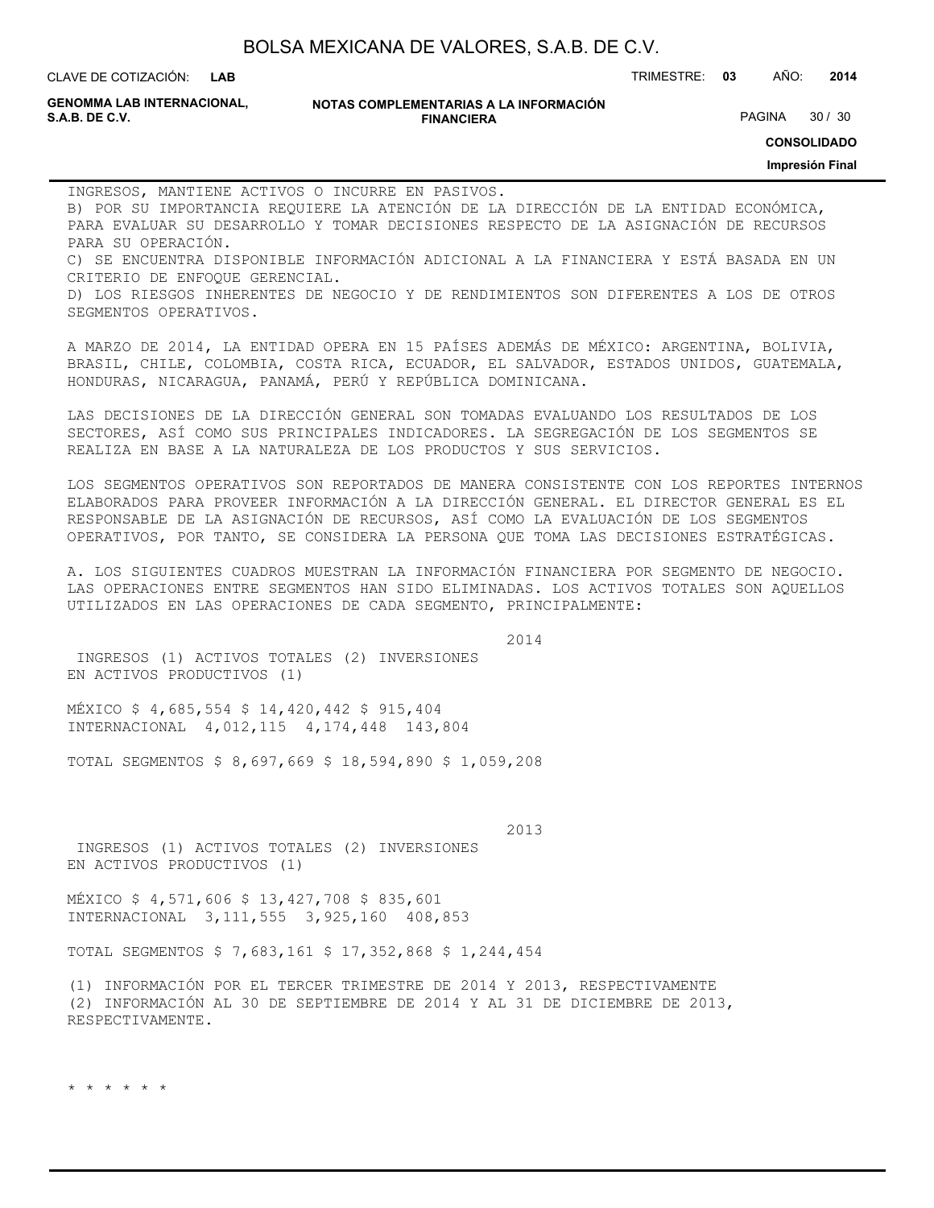**LAB**

CLAVE DE COTIZACIÓN: TRIMESTRE: **03** AÑO: **2014**

**GENOMMA LAB INTERNACIONAL,**

**CONSOLIDADO**

**Impresión Final**

INGRESOS, MANTIENE ACTIVOS O INCURRE EN PASIVOS.

B) POR SU IMPORTANCIA REQUIERE LA ATENCIÓN DE LA DIRECCIÓN DE LA ENTIDAD ECONÓMICA, PARA EVALUAR SU DESARROLLO Y TOMAR DECISIONES RESPECTO DE LA ASIGNACIÓN DE RECURSOS PARA SU OPERACIÓN.

C) SE ENCUENTRA DISPONIBLE INFORMACIÓN ADICIONAL A LA FINANCIERA Y ESTÁ BASADA EN UN CRITERIO DE ENFOQUE GERENCIAL.

D) LOS RIESGOS INHERENTES DE NEGOCIO Y DE RENDIMIENTOS SON DIFERENTES A LOS DE OTROS SEGMENTOS OPERATIVOS.

A MARZO DE 2014, LA ENTIDAD OPERA EN 15 PAÍSES ADEMÁS DE MÉXICO: ARGENTINA, BOLIVIA, BRASIL, CHILE, COLOMBIA, COSTA RICA, ECUADOR, EL SALVADOR, ESTADOS UNIDOS, GUATEMALA, HONDURAS, NICARAGUA, PANAMÁ, PERÚ Y REPÚBLICA DOMINICANA.

LAS DECISIONES DE LA DIRECCIÓN GENERAL SON TOMADAS EVALUANDO LOS RESULTADOS DE LOS SECTORES, ASÍ COMO SUS PRINCIPALES INDICADORES. LA SEGREGACIÓN DE LOS SEGMENTOS SE REALIZA EN BASE A LA NATURALEZA DE LOS PRODUCTOS Y SUS SERVICIOS.

LOS SEGMENTOS OPERATIVOS SON REPORTADOS DE MANERA CONSISTENTE CON LOS REPORTES INTERNOS ELABORADOS PARA PROVEER INFORMACIÓN A LA DIRECCIÓN GENERAL. EL DIRECTOR GENERAL ES EL RESPONSABLE DE LA ASIGNACIÓN DE RECURSOS, ASÍ COMO LA EVALUACIÓN DE LOS SEGMENTOS OPERATIVOS, POR TANTO, SE CONSIDERA LA PERSONA QUE TOMA LAS DECISIONES ESTRATÉGICAS.

A. LOS SIGUIENTES CUADROS MUESTRAN LA INFORMACIÓN FINANCIERA POR SEGMENTO DE NEGOCIO. LAS OPERACIONES ENTRE SEGMENTOS HAN SIDO ELIMINADAS. LOS ACTIVOS TOTALES SON AQUELLOS UTILIZADOS EN LAS OPERACIONES DE CADA SEGMENTO, PRINCIPALMENTE:

2014

 INGRESOS (1) ACTIVOS TOTALES (2) INVERSIONES EN ACTIVOS PRODUCTIVOS (1)

MÉXICO \$ 4,685,554 \$ 14,420,442 \$ 915,404 INTERNACIONAL 4,012,115 4,174,448 143,804

TOTAL SEGMENTOS \$ 8,697,669 \$ 18,594,890 \$ 1,059,208

 2013 INGRESOS (1) ACTIVOS TOTALES (2) INVERSIONES EN ACTIVOS PRODUCTIVOS (1)

MÉXICO \$ 4,571,606 \$ 13,427,708 \$ 835,601 INTERNACIONAL 3,111,555 3,925,160 408,853

TOTAL SEGMENTOS \$ 7,683,161 \$ 17,352,868 \$ 1,244,454

(1) INFORMACIÓN POR EL TERCER TRIMESTRE DE 2014 Y 2013, RESPECTIVAMENTE (2) INFORMACIÓN AL 30 DE SEPTIEMBRE DE 2014 Y AL 31 DE DICIEMBRE DE 2013, RESPECTIVAMENTE.

\* \* \* \* \* \*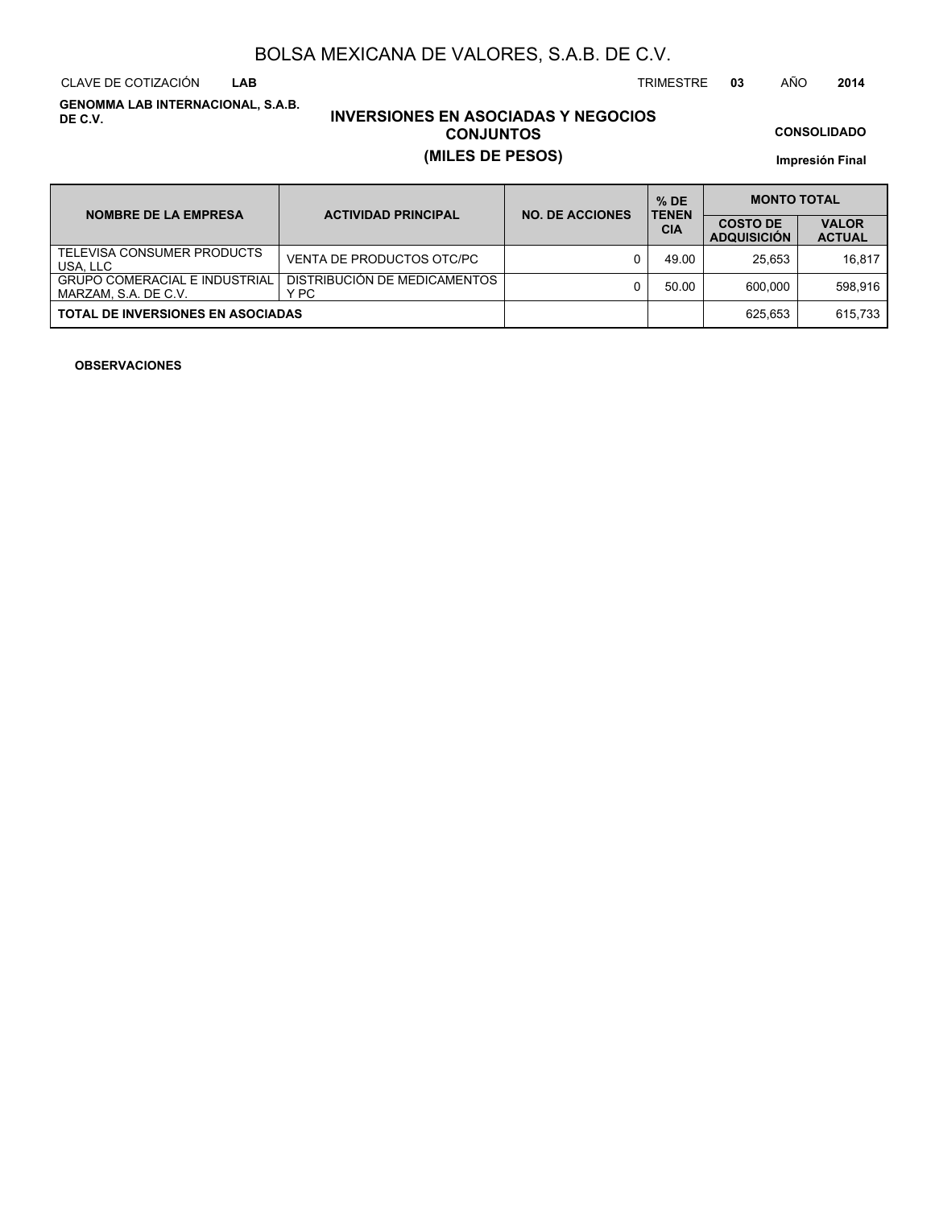CLAVE DE COTIZACIÓN TRIMESTRE **03** AÑO **2014 LAB**

**GENOMMA LAB INTERNACIONAL, S.A.B. DE C.V.**

### **INVERSIONES EN ASOCIADAS Y NEGOCIOS CONJUNTOS (MILES DE PESOS)**

**CONSOLIDADO**

**Impresión Final**

| <b>NOMBRE DE LA EMPRESA</b>                                  | <b>ACTIVIDAD PRINCIPAL</b>           | <b>NO. DE ACCIONES</b> | $%$ DE<br><b>TENEN</b> | <b>MONTO TOTAL</b>                    |                               |  |  |
|--------------------------------------------------------------|--------------------------------------|------------------------|------------------------|---------------------------------------|-------------------------------|--|--|
|                                                              |                                      |                        | <b>CIA</b>             | <b>COSTO DE</b><br><b>ADQUISICION</b> | <b>VALOR</b><br><b>ACTUAL</b> |  |  |
| TELEVISA CONSUMER PRODUCTS<br>USA, LLC                       | VENTA DE PRODUCTOS OTC/PC            |                        | 49.00                  | 25.653                                | 16.817                        |  |  |
| <b>GRUPO COMERACIAL E INDUSTRIAL</b><br>MARZAM, S.A. DE C.V. | DISTRIBUCIÓN DE MEDICAMENTOS<br>Y PC |                        | 50.00                  | 600.000                               | 598.916                       |  |  |
| <b>TOTAL DE INVERSIONES EN ASOCIADAS</b>                     |                                      |                        |                        | 625.653                               | 615.733                       |  |  |

#### **OBSERVACIONES**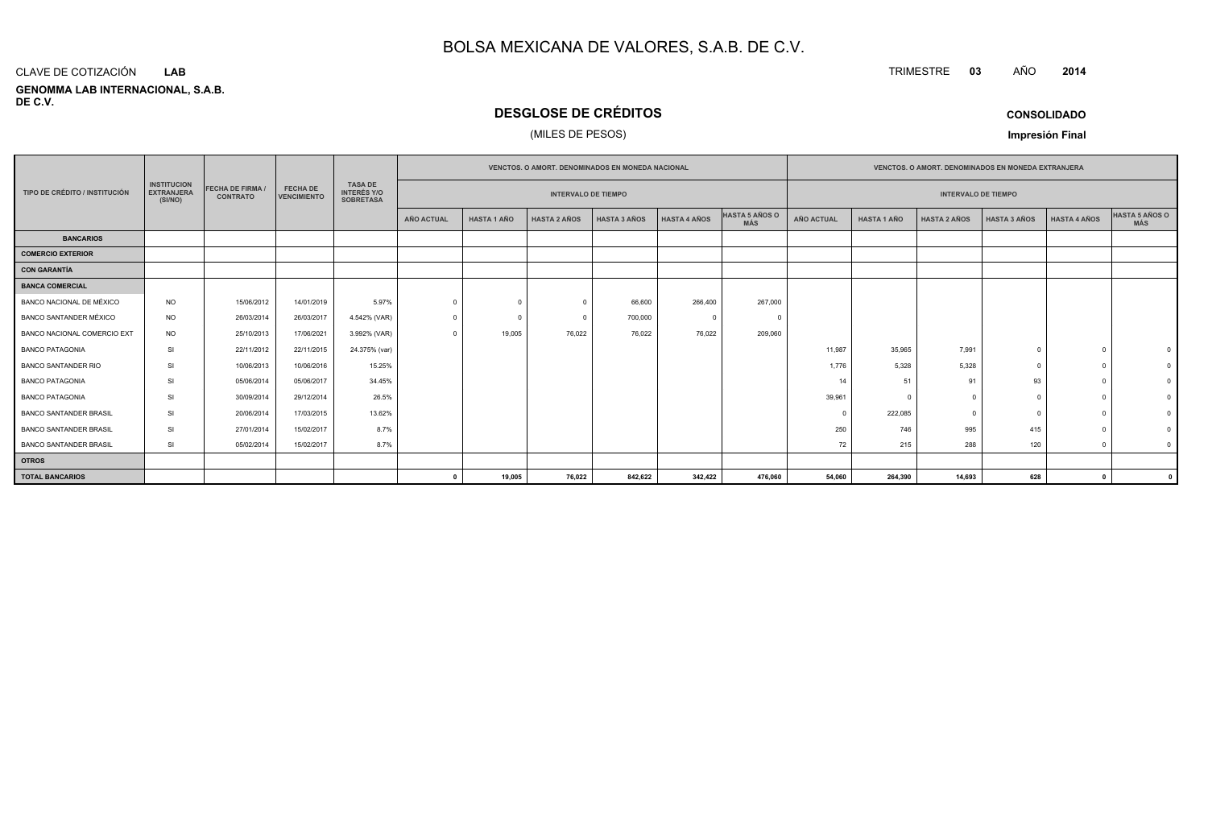#### **GENOMMA LAB INTERNACIONAL, S.A.B. DE C.V.**CLAVE DE COTIZACIÓN**LAB**

### **DESGLOSE DE CRÉDITOS**

### (MILES DE PESOS)

| <b>CONSOLIDADO</b> |  |
|--------------------|--|
|--------------------|--|

**Impresión Final**

| <b>INSTITUCION</b><br><b>TASA DE</b><br><b>FECHA DE FIRMA</b><br><b>FECHA DE</b><br><b>TIPO DE CRÉDITO / INSTITUCIÓN</b><br><b>EXTRANJERA</b><br><b>VENCIMIENTO</b><br><b>CONTRATO</b><br>(SI/NO) |           |            |            |                                        | <b>VENCTOS, O AMORT, DENOMINADOS EN MONEDA NACIONAL</b> |                    |                     |                     |                     |                              | <b>VENCTOS, O AMORT, DENOMINADOS EN MONEDA EXTRANJERA</b> |                            |                     |              |                     |                |
|---------------------------------------------------------------------------------------------------------------------------------------------------------------------------------------------------|-----------|------------|------------|----------------------------------------|---------------------------------------------------------|--------------------|---------------------|---------------------|---------------------|------------------------------|-----------------------------------------------------------|----------------------------|---------------------|--------------|---------------------|----------------|
|                                                                                                                                                                                                   |           |            |            | <b>INTERÉS Y/O</b><br><b>SOBRETASA</b> | <b>INTERVALO DE TIEMPO</b>                              |                    |                     |                     |                     |                              |                                                           | <b>INTERVALO DE TIEMPO</b> |                     |              |                     |                |
|                                                                                                                                                                                                   |           |            |            |                                        | <b>AÑO ACTUAL</b>                                       | <b>HASTA 1 AÑO</b> | <b>HASTA 2 AÑOS</b> | <b>HASTA 3 AÑOS</b> | <b>HASTA 4 AÑOS</b> | HASTA 5 AÑOS O<br><b>MÁS</b> | <b>AÑO ACTUAL</b>                                         | <b>HASTA 1 AÑO</b>         | <b>HASTA 2 AÑOS</b> | HASTA 3 AÑOS | <b>HASTA 4 AÑOS</b> | HASTA 5 AÑOS O |
| <b>BANCARIOS</b>                                                                                                                                                                                  |           |            |            |                                        |                                                         |                    |                     |                     |                     |                              |                                                           |                            |                     |              |                     |                |
| <b>COMERCIO EXTERIOR</b>                                                                                                                                                                          |           |            |            |                                        |                                                         |                    |                     |                     |                     |                              |                                                           |                            |                     |              |                     |                |
| <b>CON GARANTÍA</b>                                                                                                                                                                               |           |            |            |                                        |                                                         |                    |                     |                     |                     |                              |                                                           |                            |                     |              |                     |                |
| <b>BANCA COMERCIAL</b>                                                                                                                                                                            |           |            |            |                                        |                                                         |                    |                     |                     |                     |                              |                                                           |                            |                     |              |                     |                |
| BANCO NACIONAL DE MÉXICO                                                                                                                                                                          | <b>NO</b> | 15/06/2012 | 14/01/2019 | 5.97%                                  | $\Omega$                                                | $\Omega$           | $\Omega$            | 66,600              | 266,400             | 267,000                      |                                                           |                            |                     |              |                     |                |
| BANCO SANTANDER MÉXICO                                                                                                                                                                            | <b>NO</b> | 26/03/2014 | 26/03/2017 | 4.542% (VAR)                           | $\Omega$                                                | $\Omega$           | $\Omega$            | 700,000             |                     |                              |                                                           |                            |                     |              |                     |                |
| BANCO NACIONAL COMERCIO EXT                                                                                                                                                                       | <b>NO</b> | 25/10/2013 | 17/06/2021 | 3.992% (VAR)                           | $\Omega$                                                | 19,005             | 76,022              | 76,022              | 76,022              | 209,060                      |                                                           |                            |                     |              |                     |                |
| <b>BANCO PATAGONIA</b>                                                                                                                                                                            | <b>SI</b> | 22/11/2012 | 22/11/2015 | 24.375% (var)                          |                                                         |                    |                     |                     |                     |                              | 11,987                                                    | 35,965                     | 7,991               |              |                     |                |
| <b>BANCO SANTANDER RIO</b>                                                                                                                                                                        | <b>SI</b> | 10/06/2013 | 10/06/2016 | 15.25%                                 |                                                         |                    |                     |                     |                     |                              | 1,776                                                     | 5,328                      | 5,328               | $\Omega$     |                     |                |
| <b>BANCO PATAGONIA</b>                                                                                                                                                                            | <b>SI</b> | 05/06/2014 | 05/06/2017 | 34.45%                                 |                                                         |                    |                     |                     |                     |                              | 14                                                        | 51                         | 91                  | 93           |                     |                |
| <b>BANCO PATAGONIA</b>                                                                                                                                                                            | <b>SI</b> | 30/09/2014 | 29/12/2014 | 26.5%                                  |                                                         |                    |                     |                     |                     |                              | 39,961                                                    | -C                         | $\Omega$            | $\Omega$     |                     |                |
| <b>BANCO SANTANDER BRASIL</b>                                                                                                                                                                     | <b>SI</b> | 20/06/2014 | 17/03/2015 | 13.62%                                 |                                                         |                    |                     |                     |                     |                              | $\Omega$                                                  | 222,085                    | $\Omega$            | $\Omega$     |                     |                |
| <b>BANCO SANTANDER BRASIL</b>                                                                                                                                                                     | <b>SI</b> | 27/01/2014 | 15/02/2017 | 8.7%                                   |                                                         |                    |                     |                     |                     |                              | 250                                                       | 746                        | 995                 | 415          |                     |                |
| <b>BANCO SANTANDER BRASIL</b>                                                                                                                                                                     | SI        | 05/02/2014 | 15/02/2017 | 8.7%                                   |                                                         |                    |                     |                     |                     |                              | 72                                                        | 215                        | 288                 | 120          |                     |                |
| <b>OTROS</b>                                                                                                                                                                                      |           |            |            |                                        |                                                         |                    |                     |                     |                     |                              |                                                           |                            |                     |              |                     |                |
| <b>TOTAL BANCARIOS</b>                                                                                                                                                                            |           |            |            |                                        | $\mathbf{r}$                                            | 19,005             | 76,022              | 842,622             | 342,422             | 476,060                      | 54,060                                                    | 264,390                    | 14,693              | 628          | $^{\circ}$          |                |

TRIMESTRE **<sup>03</sup>** AÑO**<sup>2014</sup>**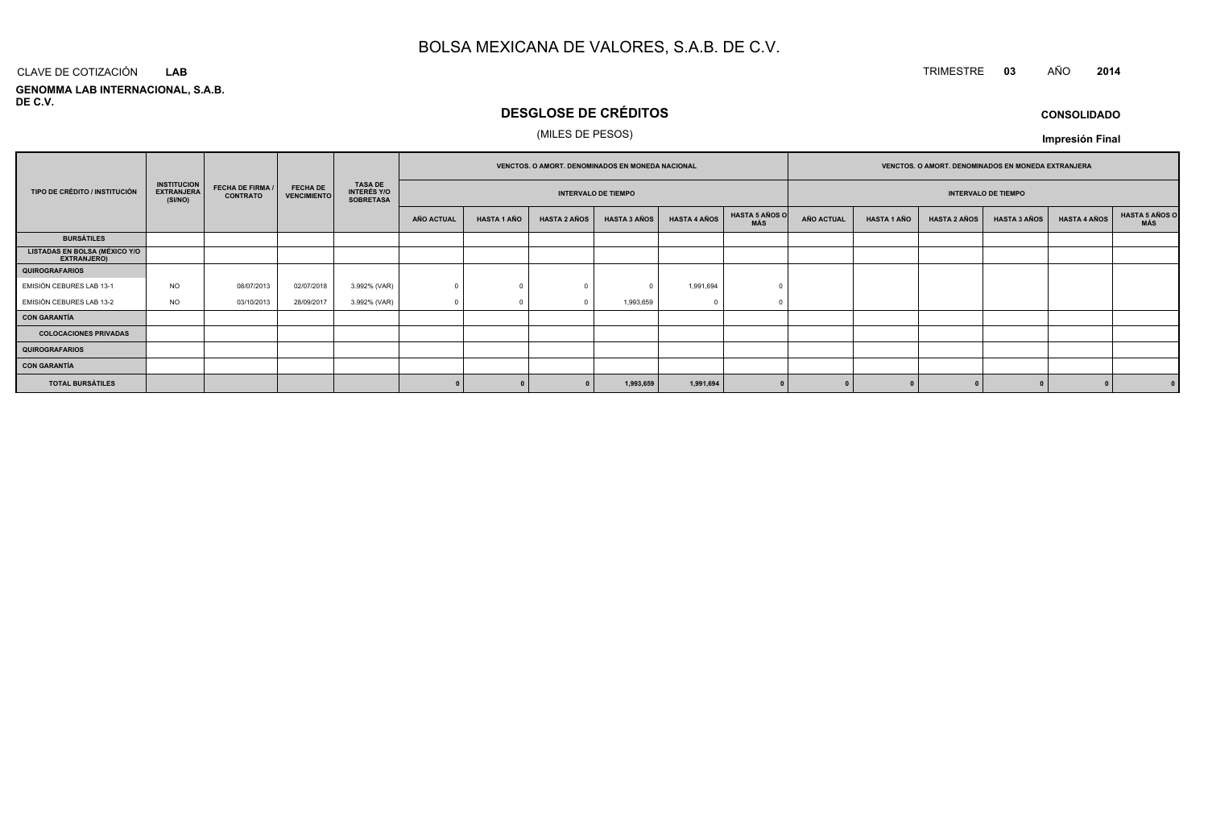### TRIMESTRE **<sup>03</sup>** AÑO **<sup>2014</sup>**

**GENOMMA LAB INTERNACIONAL, S.A.B. DE C.V.**CLAVE DE COTIZACIÓN**LAB**

### **DESGLOSE DE CRÉDITOS**

### (MILES DE PESOS)

**CONSOLIDADOImpresión Final**

|                                                     |                                                    |                                            |                                       | VENCTOS. O AMORT. DENOMINADOS EN MONEDA NACIONAL         |            |                    |                                                          |                     | VENCTOS. O AMORT. DENOMINADOS EN MONEDA EXTRANJERA |                              |                   |                    |                     |                     |                     |                              |
|-----------------------------------------------------|----------------------------------------------------|--------------------------------------------|---------------------------------------|----------------------------------------------------------|------------|--------------------|----------------------------------------------------------|---------------------|----------------------------------------------------|------------------------------|-------------------|--------------------|---------------------|---------------------|---------------------|------------------------------|
| TIPO DE CRÉDITO / INSTITUCIÓN                       | <b>INSTITUCION</b><br><b>EXTRANJERA</b><br>(SI/NO) | <b>FECHA DE FIRMA /</b><br><b>CONTRATO</b> | <b>FECHA DE</b><br><b>VENCIMIENTO</b> | <b>TASA DE</b><br><b>INTERÉS Y/O</b><br><b>SOBRETASA</b> |            |                    | <b>INTERVALO DE TIEMPO</b><br><b>INTERVALO DE TIEMPO</b> |                     |                                                    |                              |                   |                    |                     |                     |                     |                              |
|                                                     |                                                    |                                            |                                       |                                                          | AÑO ACTUAL | <b>HASTA 1 AÑO</b> | <b>HASTA 2 AÑOS</b>                                      | <b>HASTA 3 AÑOS</b> | <b>HASTA 4 AÑOS</b>                                | <b>HASTA 5 AÑOS O</b><br>MÁS | <b>AÑO ACTUAL</b> | <b>HASTA 1 AÑO</b> | <b>HASTA 2 AÑOS</b> | <b>HASTA 3 AÑOS</b> | <b>HASTA 4 AÑOS</b> | <b>HASTA 5 AÑOS C</b><br>MÁS |
| <b>BURSÁTILES</b>                                   |                                                    |                                            |                                       |                                                          |            |                    |                                                          |                     |                                                    |                              |                   |                    |                     |                     |                     |                              |
| <b>LISTADAS EN BOLSA (MÉXICO Y/O</b><br>EXTRANJERO) |                                                    |                                            |                                       |                                                          |            |                    |                                                          |                     |                                                    |                              |                   |                    |                     |                     |                     |                              |
| <b>QUIROGRAFARIOS</b>                               |                                                    |                                            |                                       |                                                          |            |                    |                                                          |                     |                                                    |                              |                   |                    |                     |                     |                     |                              |
| EMISIÓN CEBURES LAB 13-1                            | <b>NO</b>                                          | 08/07/2013                                 | 02/07/2018                            | 3.992% (VAR)                                             |            |                    |                                                          |                     | 1,991,694                                          |                              |                   |                    |                     |                     |                     |                              |
| EMISIÓN CEBURES LAB 13-2                            | <b>NO</b>                                          | 03/10/2013                                 | 28/09/2017                            | 3.992% (VAR)                                             |            |                    |                                                          | 1,993,659           |                                                    |                              |                   |                    |                     |                     |                     |                              |
| <b>CON GARANTÍA</b>                                 |                                                    |                                            |                                       |                                                          |            |                    |                                                          |                     |                                                    |                              |                   |                    |                     |                     |                     |                              |
| <b>COLOCACIONES PRIVADAS</b>                        |                                                    |                                            |                                       |                                                          |            |                    |                                                          |                     |                                                    |                              |                   |                    |                     |                     |                     |                              |
| <b>QUIROGRAFARIOS</b>                               |                                                    |                                            |                                       |                                                          |            |                    |                                                          |                     |                                                    |                              |                   |                    |                     |                     |                     |                              |
| <b>CON GARANTÍA</b>                                 |                                                    |                                            |                                       |                                                          |            |                    |                                                          |                     |                                                    |                              |                   |                    |                     |                     |                     |                              |
| <b>TOTAL BURSÁTILES</b>                             |                                                    |                                            |                                       |                                                          |            |                    |                                                          | 1,993,659           | 1,991,694                                          |                              |                   |                    |                     |                     |                     |                              |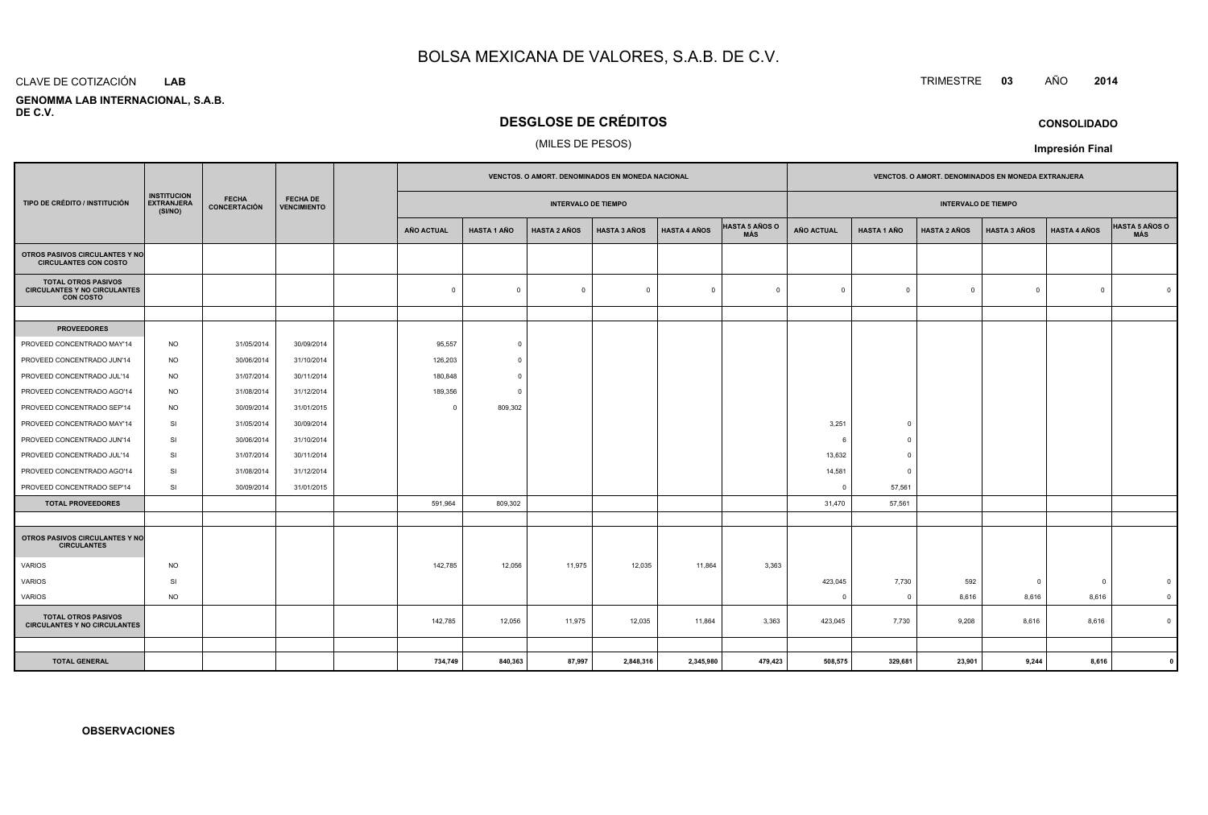#### CLAVE DE COTIZACIÓN**LAB**

 **GENOMMA LAB INTERNACIONAL, S.A.B.DE C.V.**

### **DESGLOSE DE CRÉDITOS**

### (MILES DE PESOS)

|                                                                                       |                                                    |                                     |                                       |  | VENCTOS. O AMORT. DENOMINADOS EN MONEDA NACIONAL |                    |                     |                     |                     |                              |                |                    |                            | VENCTOS. O AMORT. DENOMINADOS EN MONEDA EXTRANJERA |                     |                              |  |  |
|---------------------------------------------------------------------------------------|----------------------------------------------------|-------------------------------------|---------------------------------------|--|--------------------------------------------------|--------------------|---------------------|---------------------|---------------------|------------------------------|----------------|--------------------|----------------------------|----------------------------------------------------|---------------------|------------------------------|--|--|
| TIPO DE CRÉDITO / INSTITUCIÓN                                                         | <b>INSTITUCION</b><br><b>EXTRANJERA</b><br>(SI/NO) | <b>FECHA</b><br><b>CONCERTACIÓN</b> | <b>FECHA DE</b><br><b>VENCIMIENTO</b> |  | <b>INTERVALO DE TIEMPO</b>                       |                    |                     |                     |                     |                              |                |                    | <b>INTERVALO DE TIEMPO</b> |                                                    |                     |                              |  |  |
|                                                                                       |                                                    |                                     |                                       |  | <b>AÑO ACTUAL</b>                                | <b>HASTA 1 AÑO</b> | <b>HASTA 2 AÑOS</b> | <b>HASTA 3 AÑOS</b> | <b>HASTA 4 AÑOS</b> | <b>HASTA 5 AÑOS O</b><br>MÁS | AÑO ACTUAL     | <b>HASTA 1 AÑO</b> | <b>HASTA 2 AÑOS</b>        | <b>HASTA 3 AÑOS</b>                                | <b>HASTA 4 AÑOS</b> | <b>HASTA 5 AÑOS O</b><br>MÁS |  |  |
| OTROS PASIVOS CIRCULANTES Y NO<br><b>CIRCULANTES CON COSTO</b>                        |                                                    |                                     |                                       |  |                                                  |                    |                     |                     |                     |                              |                |                    |                            |                                                    |                     |                              |  |  |
| <b>TOTAL OTROS PASIVOS</b><br><b>CIRCULANTES Y NO CIRCULANTES</b><br><b>CON COSTO</b> |                                                    |                                     |                                       |  | $\mathbf 0$                                      | $\mathbf 0$        | $\mathbf 0$         | $\overline{0}$      | $\mathbf{0}$        | $\overline{0}$               | $\mathbf{0}$   | $\mathbf{0}$       | $\Omega$                   | $\mathbf 0$                                        | $\Omega$            | $\Omega$                     |  |  |
|                                                                                       |                                                    |                                     |                                       |  |                                                  |                    |                     |                     |                     |                              |                |                    |                            |                                                    |                     |                              |  |  |
| <b>PROVEEDORES</b>                                                                    |                                                    |                                     |                                       |  |                                                  |                    |                     |                     |                     |                              |                |                    |                            |                                                    |                     |                              |  |  |
| PROVEED CONCENTRADO MAY'14                                                            | <b>NO</b>                                          | 31/05/2014                          | 30/09/2014                            |  | 95,557                                           | $\overline{0}$     |                     |                     |                     |                              |                |                    |                            |                                                    |                     |                              |  |  |
| PROVEED CONCENTRADO JUN'14                                                            | <b>NO</b>                                          | 30/06/2014                          | 31/10/2014                            |  | 126,203                                          | $^{\circ}$         |                     |                     |                     |                              |                |                    |                            |                                                    |                     |                              |  |  |
| PROVEED CONCENTRADO JUL'14                                                            | <b>NO</b>                                          | 31/07/2014                          | 30/11/2014                            |  | 180,848                                          | $\Omega$           |                     |                     |                     |                              |                |                    |                            |                                                    |                     |                              |  |  |
| PROVEED CONCENTRADO AGO'14                                                            | <b>NO</b>                                          | 31/08/2014                          | 31/12/2014                            |  | 189,356                                          | $^{\circ}$         |                     |                     |                     |                              |                |                    |                            |                                                    |                     |                              |  |  |
| PROVEED CONCENTRADO SEP'14                                                            | <b>NO</b>                                          | 30/09/2014                          | 31/01/2015                            |  | $\Omega$                                         | 809,302            |                     |                     |                     |                              |                |                    |                            |                                                    |                     |                              |  |  |
| PROVEED CONCENTRADO MAY'14                                                            | <b>SI</b>                                          | 31/05/2014                          | 30/09/2014                            |  |                                                  |                    |                     |                     |                     |                              | 3,251          | $\Omega$           |                            |                                                    |                     |                              |  |  |
| PROVEED CONCENTRADO JUN'14                                                            | SI                                                 | 30/06/2014                          | 31/10/2014                            |  |                                                  |                    |                     |                     |                     |                              | 6              | $\Omega$           |                            |                                                    |                     |                              |  |  |
| PROVEED CONCENTRADO JUL'14                                                            | SI                                                 | 31/07/2014                          | 30/11/2014                            |  |                                                  |                    |                     |                     |                     |                              | 13,632         | $\Omega$           |                            |                                                    |                     |                              |  |  |
| PROVEED CONCENTRADO AGO'14                                                            | SI                                                 | 31/08/2014                          | 31/12/2014                            |  |                                                  |                    |                     |                     |                     |                              | 14,581         | $\overline{0}$     |                            |                                                    |                     |                              |  |  |
| PROVEED CONCENTRADO SEP'14                                                            | SI                                                 | 30/09/2014                          | 31/01/2015                            |  |                                                  |                    |                     |                     |                     |                              | $\mathbf{0}$   | 57,561             |                            |                                                    |                     |                              |  |  |
| <b>TOTAL PROVEEDORES</b>                                                              |                                                    |                                     |                                       |  | 591,964                                          | 809,302            |                     |                     |                     |                              | 31,470         | 57,561             |                            |                                                    |                     |                              |  |  |
|                                                                                       |                                                    |                                     |                                       |  |                                                  |                    |                     |                     |                     |                              |                |                    |                            |                                                    |                     |                              |  |  |
| <b>OTROS PASIVOS CIRCULANTES Y NO</b><br><b>CIRCULANTES</b>                           |                                                    |                                     |                                       |  |                                                  |                    |                     |                     |                     |                              |                |                    |                            |                                                    |                     |                              |  |  |
| VARIOS                                                                                | <b>NO</b>                                          |                                     |                                       |  | 142,785                                          | 12,056             | 11,975              | 12,035              | 11,864              | 3,363                        |                |                    |                            |                                                    |                     |                              |  |  |
| <b>VARIOS</b>                                                                         | SI                                                 |                                     |                                       |  |                                                  |                    |                     |                     |                     |                              | 423,045        | 7,730              | 592                        | $\overline{0}$                                     | -0                  | $\mathbf 0$                  |  |  |
| VARIOS                                                                                | <b>NO</b>                                          |                                     |                                       |  |                                                  |                    |                     |                     |                     |                              | $\overline{0}$ | $\overline{0}$     | 8,616                      | 8,616                                              | 8,616               | $\mathbf 0$                  |  |  |
| <b>TOTAL OTROS PASIVOS</b><br><b>CIRCULANTES Y NO CIRCULANTES</b>                     |                                                    |                                     |                                       |  | 142,785                                          | 12,056             | 11,975              | 12,035              | 11,864              | 3,363                        | 423,045        | 7,730              | 9,208                      | 8,616                                              | 8,616               | $\mathbf 0$                  |  |  |
|                                                                                       |                                                    |                                     |                                       |  |                                                  |                    |                     |                     |                     |                              |                |                    |                            |                                                    |                     |                              |  |  |
| <b>TOTAL GENERAL</b>                                                                  |                                                    |                                     |                                       |  | 734,749                                          | 840,363            | 87,997              | 2,848,316           | 2,345,980           | 479,423                      | 508,575        | 329,681            | 23,901                     | 9,244                                              | 8,616               |                              |  |  |

### TRIMESTRE **<sup>03</sup>** AÑO **<sup>2014</sup>**

**CONSOLIDADO**

**Impresión Final**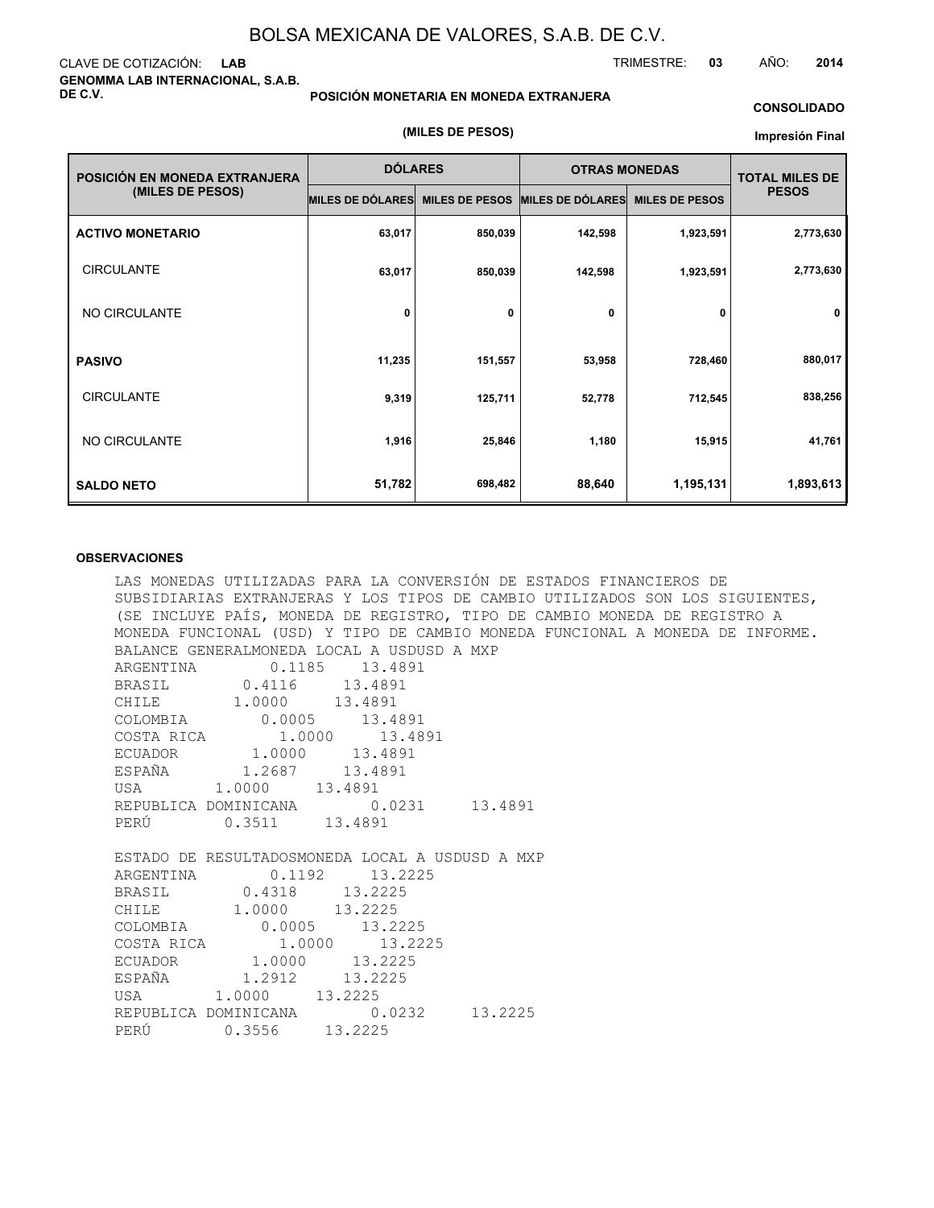#### CLAVE DE COTIZACIÓN: **LAB GENOMMA LAB INTERNACIONAL, S.A.B. DE C.V.**

#### **POSICIÓN MONETARIA EN MONEDA EXTRANJERA**

#### **CONSOLIDADO**

#### **(MILES DE PESOS)**

#### **Impresión Final**

| POSICIÓN EN MONEDA EXTRANJERA | <b>DÓLARES</b>   |                       | <b>OTRAS MONEDAS</b>    | <b>TOTAL MILES DE</b> |              |
|-------------------------------|------------------|-----------------------|-------------------------|-----------------------|--------------|
| (MILES DE PESOS)              | MILES DE DÓLARES | <b>MILES DE PESOS</b> | <b>MILES DE DÓLARES</b> | <b>MILES DE PESOS</b> | <b>PESOS</b> |
| <b>ACTIVO MONETARIO</b>       | 63,017           | 850,039               | 142,598                 | 1,923,591             | 2,773,630    |
| <b>CIRCULANTE</b>             | 63,017           | 850,039               | 142,598                 | 1,923,591             | 2,773,630    |
| NO CIRCULANTE                 | 0                | 0                     | 0                       | 0                     | 0            |
| <b>PASIVO</b>                 | 11,235           | 151,557               | 53,958                  | 728,460               | 880,017      |
| <b>CIRCULANTE</b>             | 9,319            | 125,711               | 52,778                  | 712,545               | 838,256      |
| NO CIRCULANTE                 | 1,916            | 25,846                | 1,180                   | 15,915                | 41,761       |
| <b>SALDO NETO</b>             | 51,782           | 698,482               | 88,640                  | 1,195,131             | 1,893,613    |

#### **OBSERVACIONES**

LAS MONEDAS UTILIZADAS PARA LA CONVERSIÓN DE ESTADOS FINANCIEROS DE SUBSIDIARIAS EXTRANJERAS Y LOS TIPOS DE CAMBIO UTILIZADOS SON LOS SIGUIENTES, (SE INCLUYE PAÍS, MONEDA DE REGISTRO, TIPO DE CAMBIO MONEDA DE REGISTRO A MONEDA FUNCIONAL (USD) Y TIPO DE CAMBIO MONEDA FUNCIONAL A MONEDA DE INFORME. BALANCE GENERALMONEDA LOCAL A USDUSD A MXP ARGENTINA 0.1185 13.4891  $0.4116$  13.4891<br>1.0000 13.4891 CHILE 1.0000 COLOMBIA 0.0005 13.4891 COSTA RICA  $1.0000$  13.4891<br>ECUADOR 1.0000 13.4891 ECUADOR 1.0000 13.4893<br>ESPAÑA 1.2687 13.4891 ESPAÑA 1.2687 13.4891 USA 1.0000 REPUBLICA DOMINICANA 0.0231 13.4891 PERÚ 0.3511 13.4891 ESTADO DE RESULTADOSMONEDA LOCAL A USDUSD A MXP ARGENTINA 0.1192 13.2225 BRASIL 0.4318 13.2225<br>CHILE 1.0000 13.2225 CHILE 1.0000 13.2225<br>COLOMBIA 0.0005 13.2 0.0005 13.2225<br>1.0000 13.2225 COSTA RICA 1.0000<br>ECUADOR 1.0000  $1.0000$   $13.2225$ <br> $1.2912$   $13.2225$ ESPAÑA 1.2912 USA 1.0000 13.2225 REPUBLICA DOMINICANA 0.0232 13.2225 PERÚ 0.3556 13.2225

TRIMESTRE: **03** AÑO: **2014**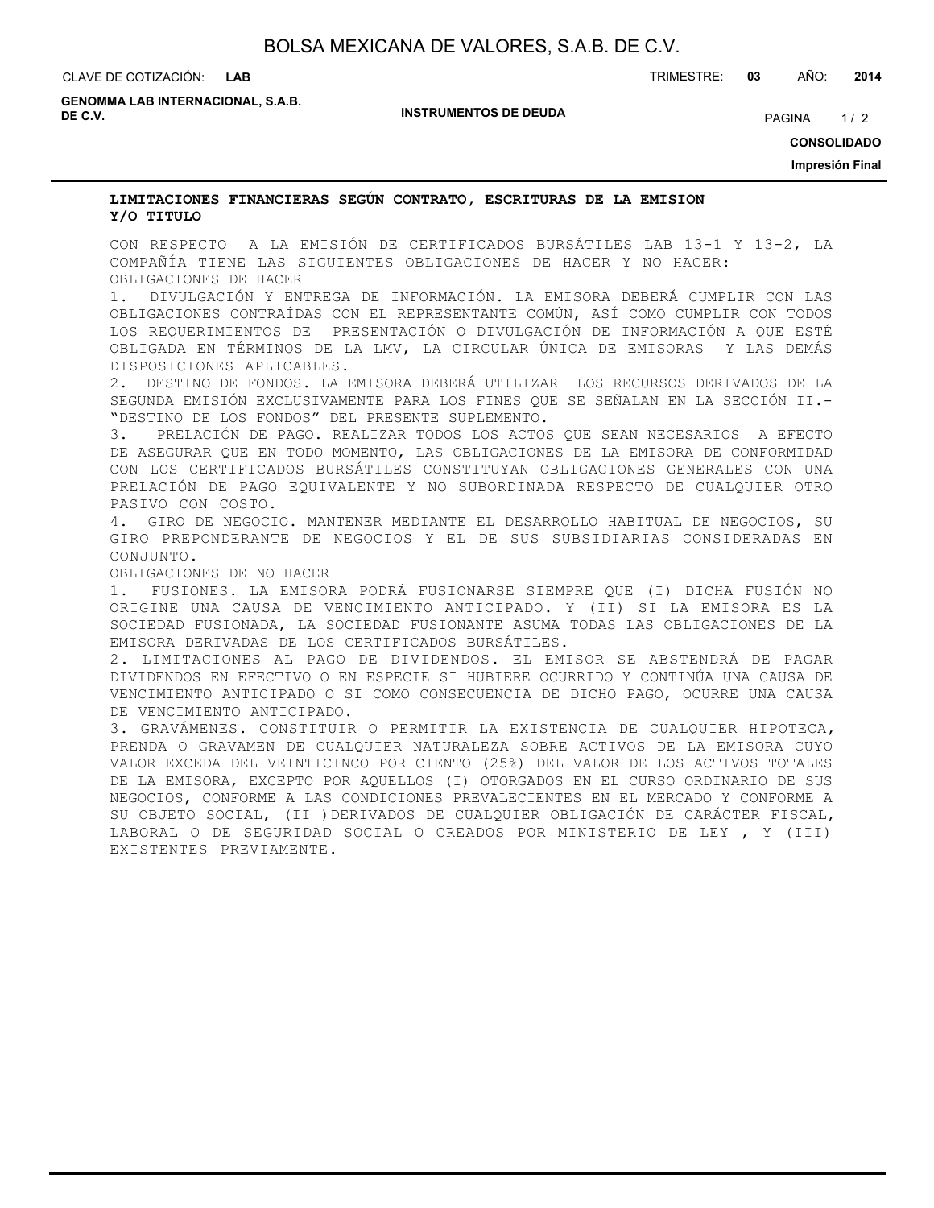CLAVE DE COTIZACIÓN: TRIMESTRE: **03** AÑO: **2014**

**GENOMMA LAB INTERNACIONAL, S.A.B. DE C.V.** PAGINA 1/2

**INSTRUMENTOS DE DEUDA**

**CONSOLIDADO**

**Impresión Final**

#### **LIMITACIONES FINANCIERAS SEGÚN CONTRATO, ESCRITURAS DE LA EMISION Y/O TITULO**

CON RESPECTO A LA EMISIÓN DE CERTIFICADOS BURSÁTILES LAB 13-1 Y 13-2, LA COMPAÑÍA TIENE LAS SIGUIENTES OBLIGACIONES DE HACER Y NO HACER: OBLIGACIONES DE HACER

1. DIVULGACIÓN Y ENTREGA DE INFORMACIÓN. LA EMISORA DEBERÁ CUMPLIR CON LAS OBLIGACIONES CONTRAÍDAS CON EL REPRESENTANTE COMÚN, ASÍ COMO CUMPLIR CON TODOS LOS REQUERIMIENTOS DE PRESENTACIÓN O DIVULGACIÓN DE INFORMACIÓN A QUE ESTÉ OBLIGADA EN TÉRMINOS DE LA LMV, LA CIRCULAR ÚNICA DE EMISORAS Y LAS DEMÁS DISPOSICIONES APLICABLES.

2. DESTINO DE FONDOS. LA EMISORA DEBERÁ UTILIZAR LOS RECURSOS DERIVADOS DE LA SEGUNDA EMISIÓN EXCLUSIVAMENTE PARA LOS FINES QUE SE SEÑALAN EN LA SECCIÓN II.- "DESTINO DE LOS FONDOS" DEL PRESENTE SUPLEMENTO.

3. PRELACIÓN DE PAGO. REALIZAR TODOS LOS ACTOS QUE SEAN NECESARIOS A EFECTO DE ASEGURAR QUE EN TODO MOMENTO, LAS OBLIGACIONES DE LA EMISORA DE CONFORMIDAD CON LOS CERTIFICADOS BURSÁTILES CONSTITUYAN OBLIGACIONES GENERALES CON UNA PRELACIÓN DE PAGO EQUIVALENTE Y NO SUBORDINADA RESPECTO DE CUALQUIER OTRO PASIVO CON COSTO.

4. GIRO DE NEGOCIO. MANTENER MEDIANTE EL DESARROLLO HABITUAL DE NEGOCIOS, SU GIRO PREPONDERANTE DE NEGOCIOS Y EL DE SUS SUBSIDIARIAS CONSIDERADAS EN CONJUNTO.

OBLIGACIONES DE NO HACER

1. FUSIONES. LA EMISORA PODRÁ FUSIONARSE SIEMPRE QUE (I) DICHA FUSIÓN NO ORIGINE UNA CAUSA DE VENCIMIENTO ANTICIPADO. Y (II) SI LA EMISORA ES LA SOCIEDAD FUSIONADA, LA SOCIEDAD FUSIONANTE ASUMA TODAS LAS OBLIGACIONES DE LA EMISORA DERIVADAS DE LOS CERTIFICADOS BURSÁTILES.

2. LIMITACIONES AL PAGO DE DIVIDENDOS. EL EMISOR SE ABSTENDRÁ DE PAGAR DIVIDENDOS EN EFECTIVO O EN ESPECIE SI HUBIERE OCURRIDO Y CONTINÚA UNA CAUSA DE VENCIMIENTO ANTICIPADO O SI COMO CONSECUENCIA DE DICHO PAGO, OCURRE UNA CAUSA DE VENCIMIENTO ANTICIPADO.

3. GRAVÁMENES. CONSTITUIR O PERMITIR LA EXISTENCIA DE CUALQUIER HIPOTECA, PRENDA O GRAVAMEN DE CUALQUIER NATURALEZA SOBRE ACTIVOS DE LA EMISORA CUYO VALOR EXCEDA DEL VEINTICINCO POR CIENTO (25%) DEL VALOR DE LOS ACTIVOS TOTALES DE LA EMISORA, EXCEPTO POR AQUELLOS (I) OTORGADOS EN EL CURSO ORDINARIO DE SUS NEGOCIOS, CONFORME A LAS CONDICIONES PREVALECIENTES EN EL MERCADO Y CONFORME A SU OBJETO SOCIAL, (II )DERIVADOS DE CUALQUIER OBLIGACIÓN DE CARÁCTER FISCAL, LABORAL O DE SEGURIDAD SOCIAL O CREADOS POR MINISTERIO DE LEY , Y (III) EXISTENTES PREVIAMENTE.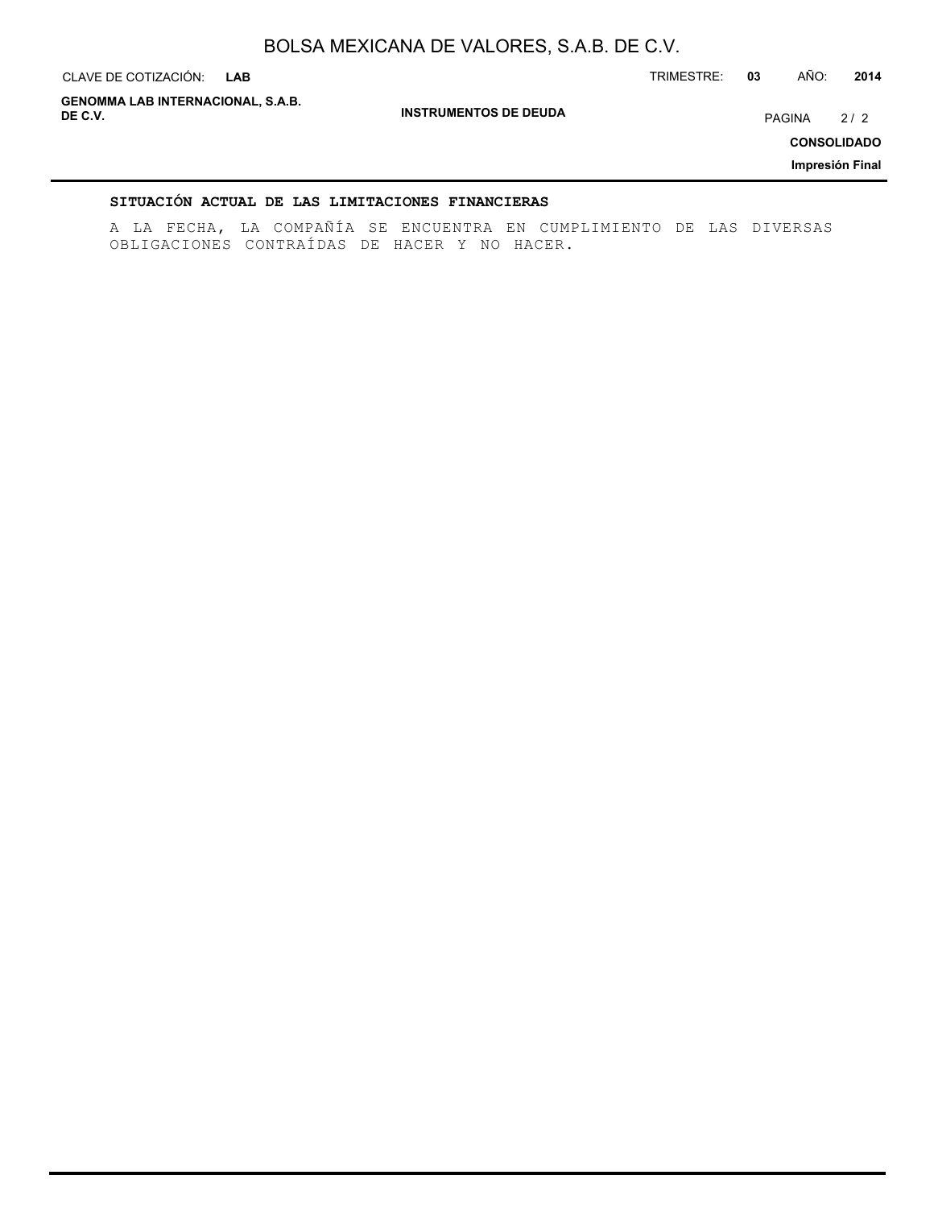| CLAVE DE COTIZACIÓN:<br><b>LAB</b>                  |                              | TRIMESTRE: | 03 | AÑO:   | 2014                                         |
|-----------------------------------------------------|------------------------------|------------|----|--------|----------------------------------------------|
| <b>GENOMMA LAB INTERNACIONAL, S.A.B.</b><br>DE C.V. | <b>INSTRUMENTOS DE DEUDA</b> |            |    | PAGINA | 2/2<br><b>CONSOLIDADO</b><br>Impresión Final |
|                                                     |                              |            |    |        |                                              |

### **SITUACIÓN ACTUAL DE LAS LIMITACIONES FINANCIERAS**

A LA FECHA, LA COMPAÑÍA SE ENCUENTRA EN CUMPLIMIENTO DE LAS DIVERSAS OBLIGACIONES CONTRAÍDAS DE HACER Y NO HACER.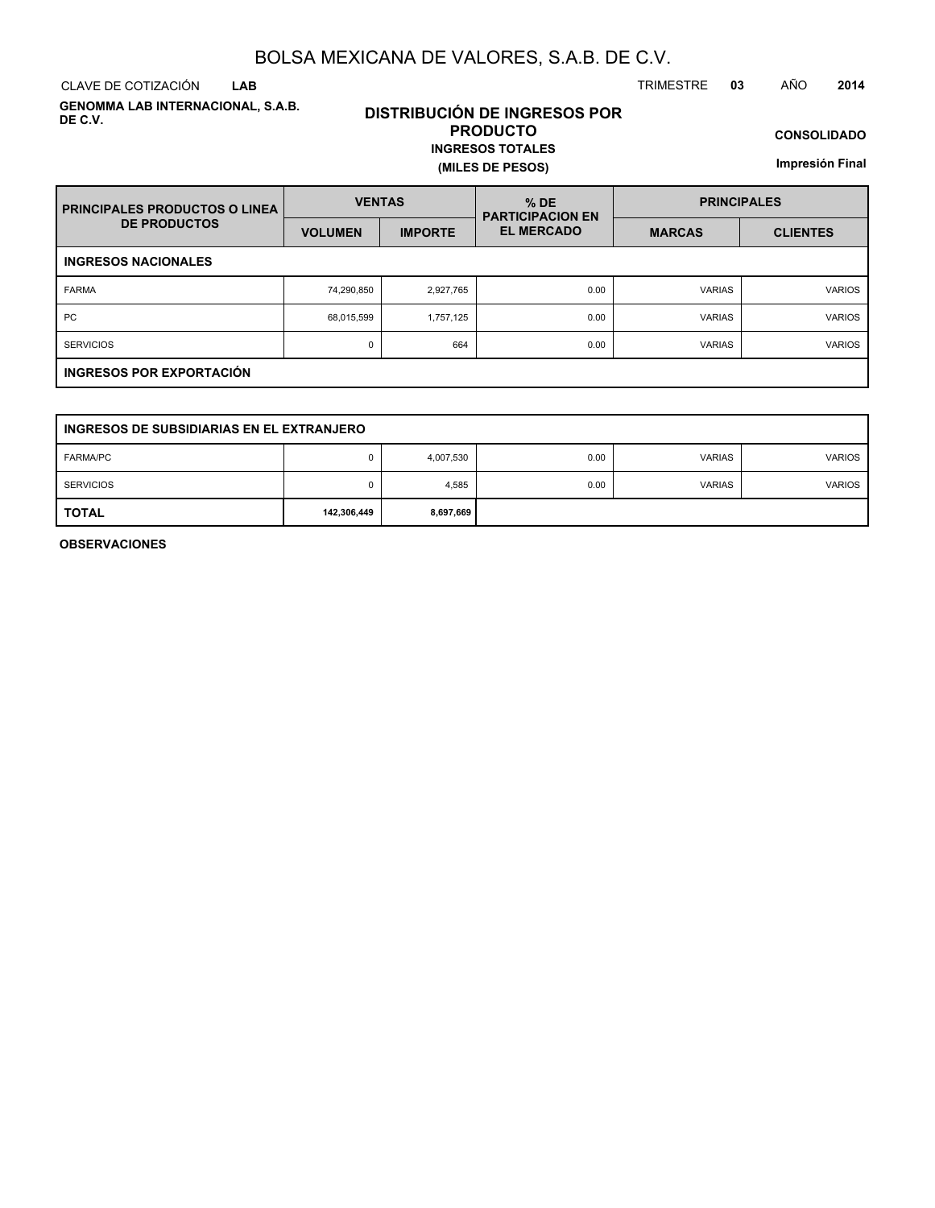CLAVE DE COTIZACIÓN TRIMESTRE **03** AÑO **2014 LAB**

**GENOMMA LAB INTERNACIONAL, S.A.B. DE C.V.**

### **DISTRIBUCIÓN DE INGRESOS POR PRODUCTO INGRESOS TOTALES**

**(MILES DE PESOS)**

**CONSOLIDADO**

**Impresión Final**

| <b>PRINCIPALES PRODUCTOS O LINEA</b> | <b>VENTAS</b>  |                | $%$ DE<br><b>PARTICIPACION EN</b> | <b>PRINCIPALES</b> |                 |  |  |  |  |
|--------------------------------------|----------------|----------------|-----------------------------------|--------------------|-----------------|--|--|--|--|
| <b>DE PRODUCTOS</b>                  | <b>VOLUMEN</b> | <b>IMPORTE</b> | <b>EL MERCADO</b>                 | <b>MARCAS</b>      | <b>CLIENTES</b> |  |  |  |  |
| <b>INGRESOS NACIONALES</b>           |                |                |                                   |                    |                 |  |  |  |  |
| <b>FARMA</b>                         | 74,290,850     | 2,927,765      | 0.00                              | <b>VARIAS</b>      | <b>VARIOS</b>   |  |  |  |  |
| <b>PC</b>                            | 68,015,599     | 1.757.125      | 0.00                              | <b>VARIAS</b>      | <b>VARIOS</b>   |  |  |  |  |
| <b>SERVICIOS</b>                     | 0              | 664            | 0.00                              | <b>VARIAS</b>      | <b>VARIOS</b>   |  |  |  |  |
| <b>INGRESOS POR EXPORTACIÓN</b>      |                |                |                                   |                    |                 |  |  |  |  |

| INGRESOS DE SUBSIDIARIAS EN EL EXTRANJERO |             |           |      |               |               |  |  |  |  |
|-------------------------------------------|-------------|-----------|------|---------------|---------------|--|--|--|--|
| <b>FARMA/PC</b>                           |             | 4,007,530 | 0.00 | <b>VARIAS</b> | <b>VARIOS</b> |  |  |  |  |
| <b>SERVICIOS</b>                          | 0           | 4,585     | 0.00 | <b>VARIAS</b> | <b>VARIOS</b> |  |  |  |  |
| <b>TOTAL</b>                              | 142,306,449 | 8,697,669 |      |               |               |  |  |  |  |

**OBSERVACIONES**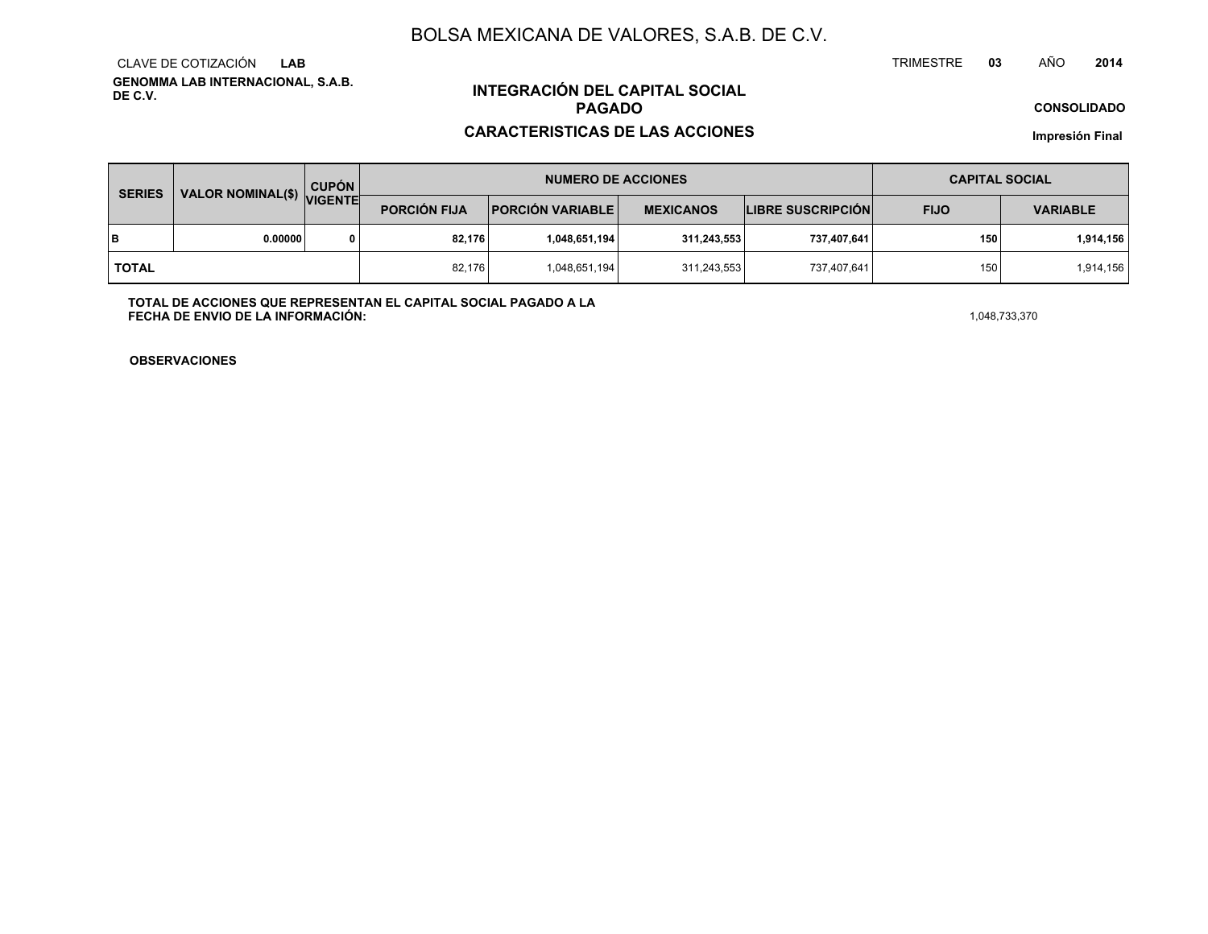**GENOMMA LAB INTERNACIONAL, S.A.B. DE C.V.**CLAVE DE COTIZACIÓN**LAB**

### **INTEGRACIÓN DEL CAPITAL SOCIALPAGADO**

#### **CARACTERISTICAS DE LAS ACCIONES**

**CONSOLIDADO**

**Impresión Final**

| <b>SERIES</b> |                           | <b>CUPÓN</b> |                     | <b>NUMERO DE ACCIONES</b> | <b>CAPITAL SOCIAL</b> |                          |             |                 |
|---------------|---------------------------|--------------|---------------------|---------------------------|-----------------------|--------------------------|-------------|-----------------|
|               | VALOR NOMINAL(\$) VIGENTE |              | <b>PORCIÓN FIJA</b> | <b>PORCIÓN VARIABLE</b>   | <b>MEXICANOS</b>      | <b>LIBRE SUSCRIPCIÓN</b> | <b>FIJO</b> | <b>VARIABLE</b> |
| lв            | 0.00000                   |              | 82,176              | 1,048,651,194             | 311,243,553           | 737,407,641              | 150         | 1,914,156       |
| l total       |                           |              | 82,176              | 1,048,651,194             | 311,243,553           | 737,407,641              | 150         | 1,914,156       |

**TOTAL DE ACCIONES QUE REPRESENTAN EL CAPITAL SOCIAL PAGADO A LAFECHA DE ENVIO DE LA INFORMACIÓN:** $1,048,733,370$ 

TRIMESTRE

**OBSERVACIONES**

 **<sup>03</sup>** AÑO**<sup>2014</sup>**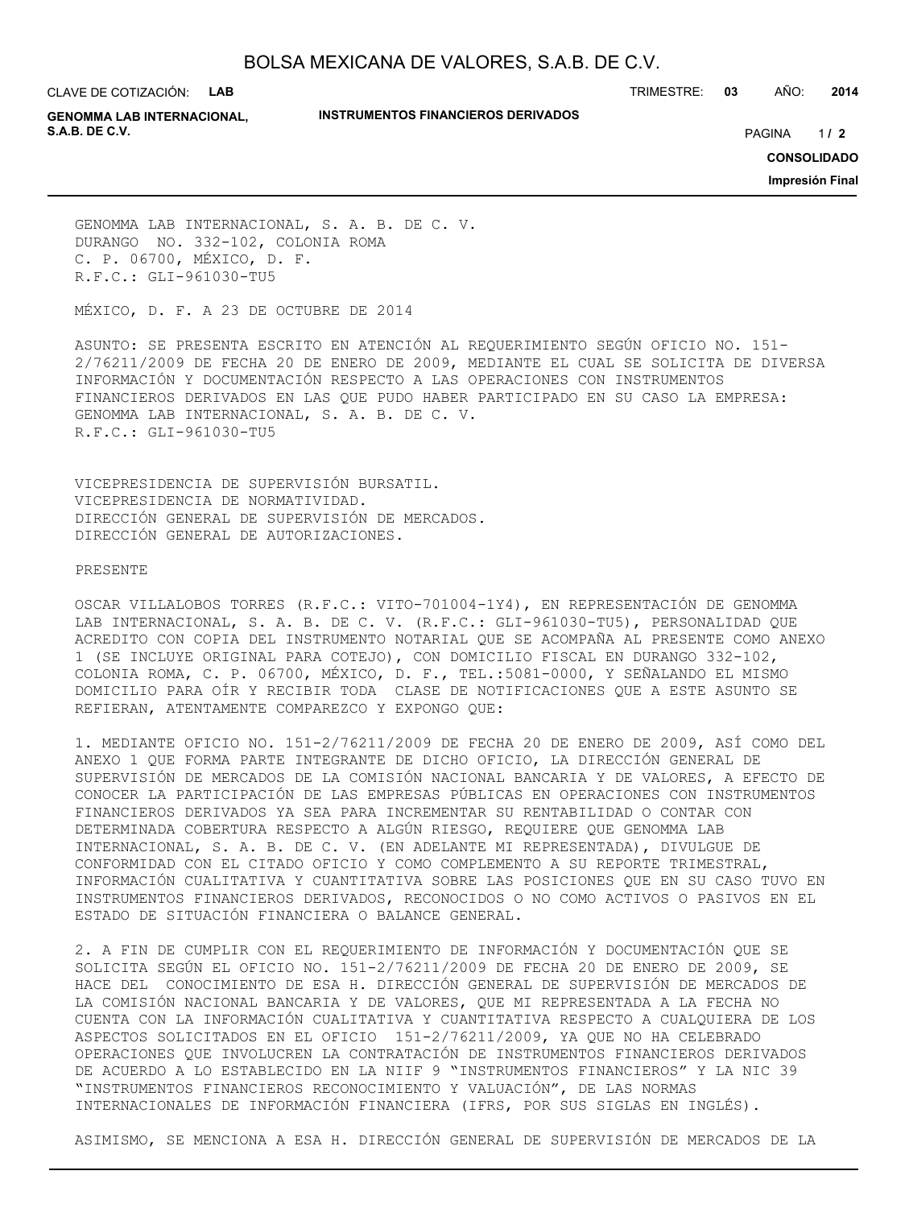CLAVE DE COTIZACIÓN: **LAB**

#### **INSTRUMENTOS FINANCIEROS DERIVADOS**

TRIMESTRE: **03** AÑO: **2014**

**GENOMMA LAB INTERNACIONAL, S.A.B. DE C.V.** PAGINA **/ 2**

 $1/2$ 

**CONSOLIDADO**

**Impresión Final**

GENOMMA LAB INTERNACIONAL, S. A. B. DE C. V. DURANGO NO. 332-102, COLONIA ROMA C. P. 06700, MÉXICO, D. F. R.F.C.: GLI-961030-TU5

MÉXICO, D. F. A 23 DE OCTUBRE DE 2014

ASUNTO: SE PRESENTA ESCRITO EN ATENCIÓN AL REQUERIMIENTO SEGÚN OFICIO NO. 151- 2/76211/2009 DE FECHA 20 DE ENERO DE 2009, MEDIANTE EL CUAL SE SOLICITA DE DIVERSA INFORMACIÓN Y DOCUMENTACIÓN RESPECTO A LAS OPERACIONES CON INSTRUMENTOS FINANCIEROS DERIVADOS EN LAS QUE PUDO HABER PARTICIPADO EN SU CASO LA EMPRESA: GENOMMA LAB INTERNACIONAL, S. A. B. DE C. V. R.F.C.: GLI-961030-TU5

VICEPRESIDENCIA DE SUPERVISIÓN BURSATIL. VICEPRESIDENCIA DE NORMATIVIDAD. DIRECCIÓN GENERAL DE SUPERVISIÓN DE MERCADOS. DIRECCIÓN GENERAL DE AUTORIZACIONES.

#### PRESENTE

OSCAR VILLALOBOS TORRES (R.F.C.: VITO-701004-1Y4), EN REPRESENTACIÓN DE GENOMMA LAB INTERNACIONAL, S. A. B. DE C. V. (R.F.C.: GLI-961030-TU5), PERSONALIDAD QUE ACREDITO CON COPIA DEL INSTRUMENTO NOTARIAL QUE SE ACOMPAÑA AL PRESENTE COMO ANEXO 1 (SE INCLUYE ORIGINAL PARA COTEJO), CON DOMICILIO FISCAL EN DURANGO 332-102, COLONIA ROMA, C. P. 06700, MÉXICO, D. F., TEL.:5081-0000, Y SEÑALANDO EL MISMO DOMICILIO PARA OÍR Y RECIBIR TODA CLASE DE NOTIFICACIONES QUE A ESTE ASUNTO SE REFIERAN, ATENTAMENTE COMPAREZCO Y EXPONGO QUE:

1. MEDIANTE OFICIO NO. 151-2/76211/2009 DE FECHA 20 DE ENERO DE 2009, ASÍ COMO DEL ANEXO 1 QUE FORMA PARTE INTEGRANTE DE DICHO OFICIO, LA DIRECCIÓN GENERAL DE SUPERVISIÓN DE MERCADOS DE LA COMISIÓN NACIONAL BANCARIA Y DE VALORES, A EFECTO DE CONOCER LA PARTICIPACIÓN DE LAS EMPRESAS PÚBLICAS EN OPERACIONES CON INSTRUMENTOS FINANCIEROS DERIVADOS YA SEA PARA INCREMENTAR SU RENTABILIDAD O CONTAR CON DETERMINADA COBERTURA RESPECTO A ALGÚN RIESGO, REQUIERE QUE GENOMMA LAB INTERNACIONAL, S. A. B. DE C. V. (EN ADELANTE MI REPRESENTADA), DIVULGUE DE CONFORMIDAD CON EL CITADO OFICIO Y COMO COMPLEMENTO A SU REPORTE TRIMESTRAL, INFORMACIÓN CUALITATIVA Y CUANTITATIVA SOBRE LAS POSICIONES QUE EN SU CASO TUVO EN INSTRUMENTOS FINANCIEROS DERIVADOS, RECONOCIDOS O NO COMO ACTIVOS O PASIVOS EN EL ESTADO DE SITUACIÓN FINANCIERA O BALANCE GENERAL.

2. A FIN DE CUMPLIR CON EL REQUERIMIENTO DE INFORMACIÓN Y DOCUMENTACIÓN QUE SE SOLICITA SEGÚN EL OFICIO NO. 151-2/76211/2009 DE FECHA 20 DE ENERO DE 2009, SE HACE DEL CONOCIMIENTO DE ESA H. DIRECCIÓN GENERAL DE SUPERVISIÓN DE MERCADOS DE LA COMISIÓN NACIONAL BANCARIA Y DE VALORES, QUE MI REPRESENTADA A LA FECHA NO CUENTA CON LA INFORMACIÓN CUALITATIVA Y CUANTITATIVA RESPECTO A CUALQUIERA DE LOS ASPECTOS SOLICITADOS EN EL OFICIO 151-2/76211/2009, YA QUE NO HA CELEBRADO OPERACIONES QUE INVOLUCREN LA CONTRATACIÓN DE INSTRUMENTOS FINANCIEROS DERIVADOS DE ACUERDO A LO ESTABLECIDO EN LA NIIF 9 "INSTRUMENTOS FINANCIEROS" Y LA NIC 39 "INSTRUMENTOS FINANCIEROS RECONOCIMIENTO Y VALUACIÓN", DE LAS NORMAS INTERNACIONALES DE INFORMACIÓN FINANCIERA (IFRS, POR SUS SIGLAS EN INGLÉS).

ASIMISMO, SE MENCIONA A ESA H. DIRECCIÓN GENERAL DE SUPERVISIÓN DE MERCADOS DE LA